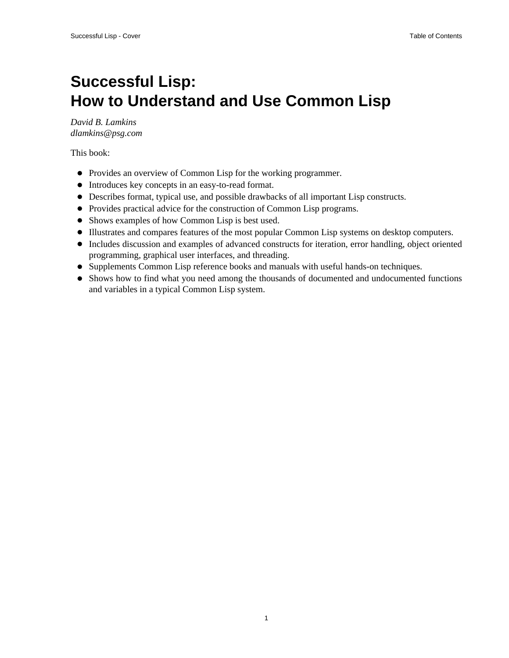# **Successful Lisp: How to Understand and Use Common Lisp**

*David B. Lamkins dlamkins@psg.com*

This book:

- Provides an overview of Common Lisp for the working programmer.
- Introduces key concepts in an easy-to-read format.
- Describes format, typical use, and possible drawbacks of all important Lisp constructs.
- Provides practical advice for the construction of Common Lisp programs.
- Shows examples of how Common Lisp is best used.
- Illustrates and compares features of the most popular Common Lisp systems on desktop computers.
- Includes discussion and examples of advanced constructs for iteration, error handling, object oriented programming, graphical user interfaces, and threading.
- Supplements Common Lisp reference books and manuals with useful hands-on techniques.
- Shows how to find what you need among the thousands of documented and undocumented functions and variables in a typical Common Lisp system.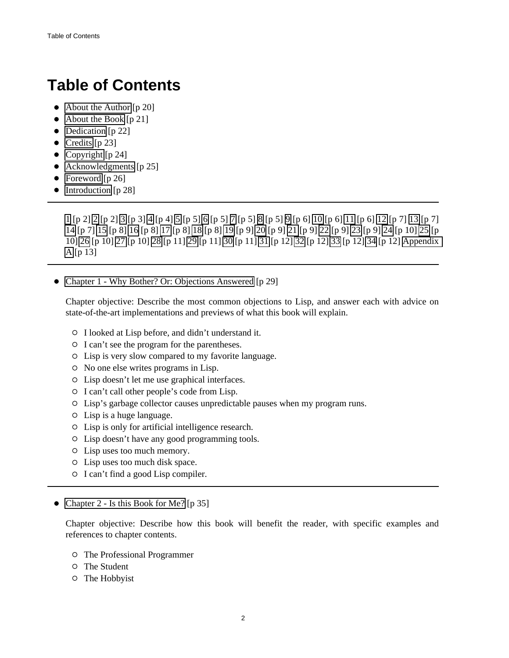### <span id="page-1-2"></span>**Table of Contents**

- $\bullet$  [About the Author](#page-19-0) [p 20]
- [About the Book](#page-20-0) [p 21]
- [Dedication](#page-21-0) [p 22]
- [Credits](#page-22-0)  $[p 23]$
- [Copyright](#page-23-0) [p 24]
- [Acknowledgments](#page-24-0) [p 25]
- [Foreword](#page-25-0) [p 26]
- $\bullet$  [Introduction](#page-27-0) [p 28]

[1](#page-1-0) [p 2] [2](#page-1-1) [p 2] [3](#page-2-0) [p 3] [4](#page-3-0) [p 4] [5](#page-4-0) [p 5] [6](#page-4-1) [p 5] [7](#page-4-2) [p 5] [8](#page-4-3) [p 5] [9](#page-5-0) [p 6] [10](#page-5-1) [p 6] [11](#page-5-2) [p 6] [12](#page-6-0) [p 7] [13](#page-6-1) [p 7] [14](#page-6-2) [p 7] [15](#page-7-0) [p 8] [16](#page-7-1) [p 8] [17](#page-7-2) [p 8] [18](#page-7-3) [p 8] [19](#page-8-0) [p 9] [20](#page-8-1) [p 9] [21](#page-8-2) [p 9] [22](#page-8-3) [p 9] [23](#page-8-4) [p 9] [24](#page-9-0) [p 10] [25](#page-9-1) [p 10] [26](#page-9-2) [p 10] [27](#page-9-3) [p 10] [28](#page-10-0) [p 11] [29](#page-10-1) [p 11] [30](#page-10-2) [p 11] [31](#page-11-0) [p 12] [32](#page-11-1) [p 12] [33](#page-11-2) [p 12] [34](#page-11-3) [p 12] [Appendix](#page-12-0)  [A](#page-12-0) [p 13]

<span id="page-1-0"></span>• [Chapter 1 - Why Bother? Or: Objections Answered](#page-28-0) [p 29]

Chapter objective: Describe the most common objections to Lisp, and answer each with advice on state-of-the-art implementations and previews of what this book will explain.

- I looked at Lisp before, and didn't understand it.
- I can't see the program for the parentheses.
- Lisp is very slow compared to my favorite language.
- No one else writes programs in Lisp.
- Lisp doesn't let me use graphical interfaces.
- $\circ$  I can't call other people's code from Lisp.
- Lisp's garbage collector causes unpredictable pauses when my program runs.
- Lisp is a huge language.
- Lisp is only for artificial intelligence research.
- Lisp doesn't have any good programming tools.
- Lisp uses too much memory.
- Lisp uses too much disk space.
- $\circ$  I can't find a good Lisp compiler.
- <span id="page-1-1"></span>• [Chapter 2 - Is this Book for Me?](#page-34-0) [p 35]

Chapter objective: Describe how this book will benefit the reader, with specific examples and references to chapter contents.

- The Professional Programmer
- The Student
- The Hobbyist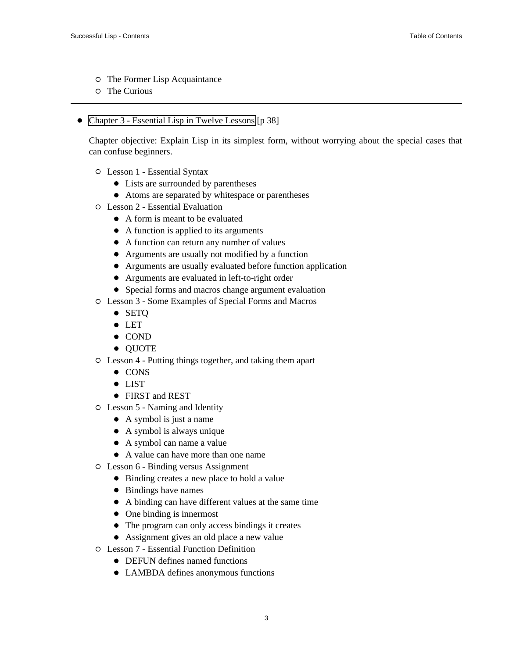- The Former Lisp Acquaintance
- The Curious
- <span id="page-2-0"></span>• [Chapter 3 - Essential Lisp in Twelve Lessons](#page-37-0) [p 38]

Chapter objective: Explain Lisp in its simplest form, without worrying about the special cases that can confuse beginners.

- Lesson 1 Essential Syntax
	- Lists are surrounded by parentheses
	- Atoms are separated by whitespace or parentheses
- Lesson 2 Essential Evaluation
	- A form is meant to be evaluated
	- A function is applied to its arguments
	- A function can return any number of values
	- Arguments are usually not modified by a function
	- Arguments are usually evaluated before function application
	- Arguments are evaluated in left-to-right order
	- Special forms and macros change argument evaluation
- Lesson 3 Some Examples of Special Forms and Macros
	- SETO
	- LET
	- COND
	- OUOTE
- Lesson 4 Putting things together, and taking them apart
	- CONS
	- LIST
	- FIRST and REST
- Lesson 5 Naming and Identity
	- A symbol is just a name
	- A symbol is always unique
	- A symbol can name a value
	- A value can have more than one name
- Lesson 6 Binding versus Assignment
	- Binding creates a new place to hold a value
	- Bindings have names
	- A binding can have different values at the same time
	- One binding is innermost
	- The program can only access bindings it creates
	- Assignment gives an old place a new value
- Lesson 7 Essential Function Definition
	- DEFUN defines named functions
	- LAMBDA defines anonymous functions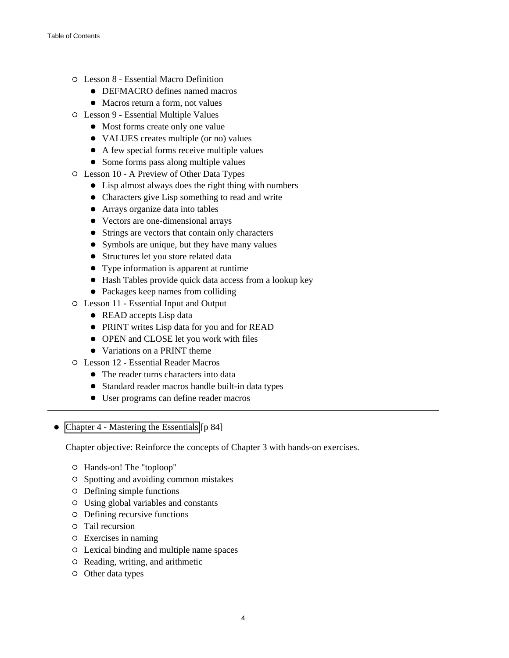- Lesson 8 Essential Macro Definition
	- DEFMACRO defines named macros
	- Macros return a form, not values
- Lesson 9 Essential Multiple Values
	- Most forms create only one value
	- VALUES creates multiple (or no) values
	- A few special forms receive multiple values
	- Some forms pass along multiple values
- Lesson 10 A Preview of Other Data Types
	- Lisp almost always does the right thing with numbers
	- Characters give Lisp something to read and write
	- Arrays organize data into tables
	- Vectors are one-dimensional arrays
	- Strings are vectors that contain only characters
	- Symbols are unique, but they have many values
	- Structures let you store related data
	- Type information is apparent at runtime
	- Hash Tables provide quick data access from a lookup key
	- Packages keep names from colliding
- Lesson 11 Essential Input and Output
	- READ accepts Lisp data
	- PRINT writes Lisp data for you and for READ
	- OPEN and CLOSE let you work with files
	- Variations on a PRINT theme
- Lesson 12 Essential Reader Macros
	- The reader turns characters into data
	- Standard reader macros handle built-in data types
	- User programs can define reader macros
- <span id="page-3-0"></span>• [Chapter 4 - Mastering the Essentials](#page-83-0) [p 84]

Chapter objective: Reinforce the concepts of Chapter 3 with hands-on exercises.

- Hands-on! The "toploop"
- Spotting and avoiding common mistakes
- Defining simple functions
- Using global variables and constants
- Defining recursive functions
- Tail recursion
- Exercises in naming
- Lexical binding and multiple name spaces
- Reading, writing, and arithmetic
- $\circ$  Other data types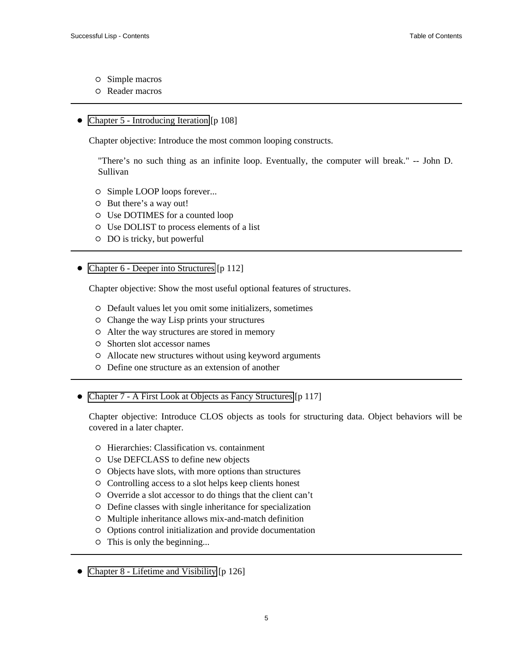- $\circ$  Simple macros
- Reader macros
- <span id="page-4-0"></span>• [Chapter 5 - Introducing Iteration](#page-107-0) [p 108]

Chapter objective: Introduce the most common looping constructs.

"There's no such thing as an infinite loop. Eventually, the computer will break." -- John D. Sullivan

- $\circ$  Simple LOOP loops forever...
- But there's a way out!
- Use DOTIMES for a counted loop
- Use DOLIST to process elements of a list
- DO is tricky, but powerful
- <span id="page-4-1"></span>• [Chapter 6 - Deeper into Structures](#page-111-0) [p 112]

Chapter objective: Show the most useful optional features of structures.

- Default values let you omit some initializers, sometimes
- Change the way Lisp prints your structures
- Alter the way structures are stored in memory
- $\circ$  Shorten slot accessor names
- Allocate new structures without using keyword arguments
- Define one structure as an extension of another
- <span id="page-4-2"></span>• [Chapter 7 - A First Look at Objects as Fancy Structures](#page-116-0) [p 117]

Chapter objective: Introduce CLOS objects as tools for structuring data. Object behaviors will be covered in a later chapter.

- Hierarchies: Classification vs. containment
- Use DEFCLASS to define new objects
- Objects have slots, with more options than structures
- Controlling access to a slot helps keep clients honest
- Override a slot accessor to do things that the client can't
- Define classes with single inheritance for specialization
- Multiple inheritance allows mix-and-match definition
- Options control initialization and provide documentation
- $\circ$  This is only the beginning...
- <span id="page-4-3"></span>• [Chapter 8 - Lifetime and Visibility](#page-125-0) [p 126]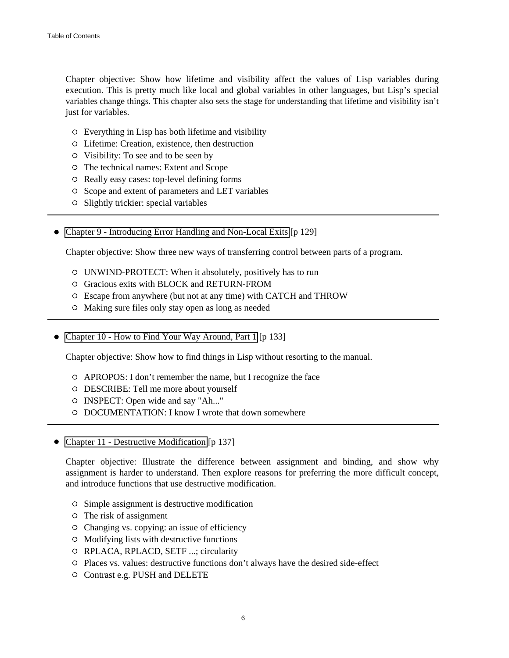Chapter objective: Show how lifetime and visibility affect the values of Lisp variables during execution. This is pretty much like local and global variables in other languages, but Lisp's special variables change things. This chapter also sets the stage for understanding that lifetime and visibility isn't just for variables.

- Everything in Lisp has both lifetime and visibility
- Lifetime: Creation, existence, then destruction
- Visibility: To see and to be seen by
- The technical names: Extent and Scope
- $\circ$  Really easy cases: top-level defining forms
- $\circ$  Scope and extent of parameters and LET variables
- $\circ$  Slightly trickier: special variables
- <span id="page-5-0"></span>• [Chapter 9 - Introducing Error Handling and Non-Local Exits](#page-128-0) [p 129]

Chapter objective: Show three new ways of transferring control between parts of a program.

- UNWIND-PROTECT: When it absolutely, positively has to run
- Gracious exits with BLOCK and RETURN-FROM
- Escape from anywhere (but not at any time) with CATCH and THROW
- Making sure files only stay open as long as needed
- <span id="page-5-1"></span>• [Chapter 10 - How to Find Your Way Around, Part 1](#page-132-0) [p 133]

Chapter objective: Show how to find things in Lisp without resorting to the manual.

- APROPOS: I don't remember the name, but I recognize the face
- DESCRIBE: Tell me more about yourself
- INSPECT: Open wide and say "Ah..."
- DOCUMENTATION: I know I wrote that down somewhere
- <span id="page-5-2"></span>• [Chapter 11 - Destructive Modification](#page-136-0) [p 137]

Chapter objective: Illustrate the difference between assignment and binding, and show why assignment is harder to understand. Then explore reasons for preferring the more difficult concept, and introduce functions that use destructive modification.

- $\circ$  Simple assignment is destructive modification
- The risk of assignment
- Changing vs. copying: an issue of efficiency
- Modifying lists with destructive functions
- RPLACA, RPLACD, SETF ...; circularity
- $\circ$  Places vs. values: destructive functions don't always have the desired side-effect
- Contrast e.g. PUSH and DELETE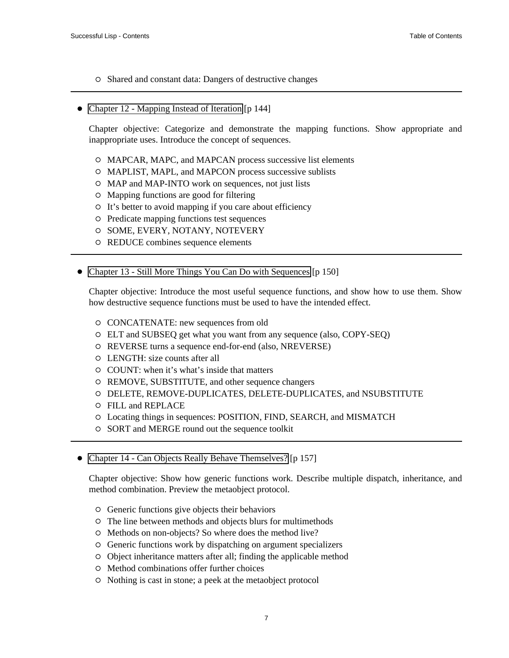- Shared and constant data: Dangers of destructive changes
- <span id="page-6-0"></span>• [Chapter 12 - Mapping Instead of Iteration](#page-143-0) [p 144]

Chapter objective: Categorize and demonstrate the mapping functions. Show appropriate and inappropriate uses. Introduce the concept of sequences.

- MAPCAR, MAPC, and MAPCAN process successive list elements
- MAPLIST, MAPL, and MAPCON process successive sublists
- MAP and MAP-INTO work on sequences, not just lists
- Mapping functions are good for filtering
- It's better to avoid mapping if you care about efficiency
- Predicate mapping functions test sequences
- $\circ$  SOME, EVERY, NOTANY, NOTEVERY
- REDUCE combines sequence elements
- <span id="page-6-1"></span>• [Chapter 13 - Still More Things You Can Do with Sequences](#page-149-0) [p 150]

Chapter objective: Introduce the most useful sequence functions, and show how to use them. Show how destructive sequence functions must be used to have the intended effect.

- CONCATENATE: new sequences from old
- ELT and SUBSEQ get what you want from any sequence (also, COPY-SEQ)
- REVERSE turns a sequence end-for-end (also, NREVERSE)
- LENGTH: size counts after all
- COUNT: when it's what's inside that matters
- REMOVE, SUBSTITUTE, and other sequence changers
- $\circ$  DELETE, REMOVE-DUPLICATES, DELETE-DUPLICATES, and NSUBSTITUTE
- FILL and REPLACE
- Locating things in sequences: POSITION, FIND, SEARCH, and MISMATCH
- SORT and MERGE round out the sequence toolkit
- <span id="page-6-2"></span>• [Chapter 14 - Can Objects Really Behave Themselves?](#page-156-0) [p 157]

Chapter objective: Show how generic functions work. Describe multiple dispatch, inheritance, and method combination. Preview the metaobject protocol.

- Generic functions give objects their behaviors
- The line between methods and objects blurs for multimethods
- Methods on non-objects? So where does the method live?
- Generic functions work by dispatching on argument specializers
- Object inheritance matters after all; finding the applicable method
- $\circ$  Method combinations offer further choices
- Nothing is cast in stone; a peek at the metaobject protocol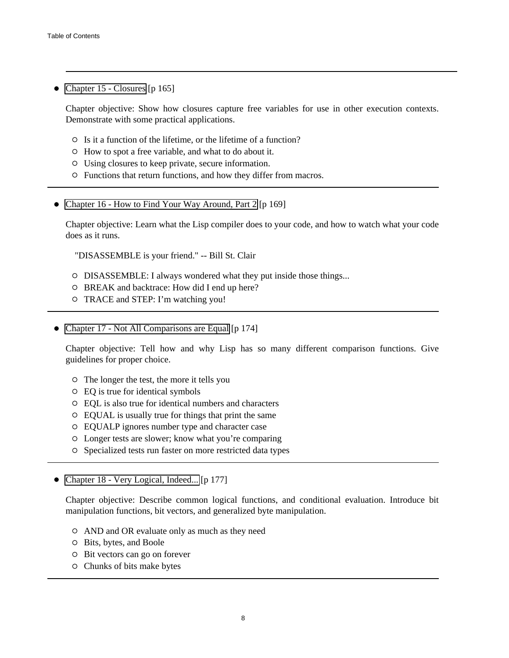<span id="page-7-0"></span>• [Chapter 15 - Closures](#page-164-0) [p 165]

Chapter objective: Show how closures capture free variables for use in other execution contexts. Demonstrate with some practical applications.

- $\circ$  Is it a function of the lifetime, or the lifetime of a function?
- How to spot a free variable, and what to do about it.
- Using closures to keep private, secure information.
- Functions that return functions, and how they differ from macros.
- <span id="page-7-1"></span>• [Chapter 16 - How to Find Your Way Around, Part 2](#page-168-0) [p 169]

Chapter objective: Learn what the Lisp compiler does to your code, and how to watch what your code does as it runs.

"DISASSEMBLE is your friend." -- Bill St. Clair

- $\circ$  DISASSEMBLE: I always wondered what they put inside those things...
- BREAK and backtrace: How did I end up here?
- TRACE and STEP: I'm watching you!
- <span id="page-7-2"></span>• [Chapter 17 - Not All Comparisons are Equal](#page-173-0) [p 174]

Chapter objective: Tell how and why Lisp has so many different comparison functions. Give guidelines for proper choice.

- The longer the test, the more it tells you
- EQ is true for identical symbols
- EQL is also true for identical numbers and characters
- EQUAL is usually true for things that print the same
- EQUALP ignores number type and character case
- Longer tests are slower; know what you're comparing
- Specialized tests run faster on more restricted data types
- <span id="page-7-3"></span>• [Chapter 18 - Very Logical, Indeed...](#page-176-0) [p 177]

Chapter objective: Describe common logical functions, and conditional evaluation. Introduce bit manipulation functions, bit vectors, and generalized byte manipulation.

- AND and OR evaluate only as much as they need
- Bits, bytes, and Boole
- Bit vectors can go on forever
- Chunks of bits make bytes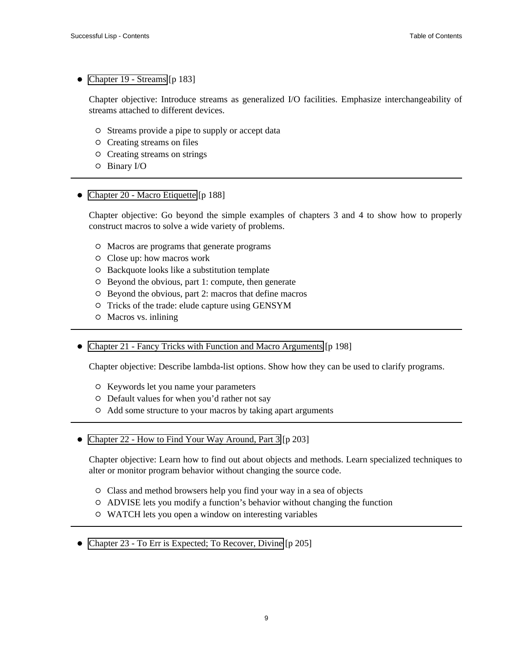<span id="page-8-0"></span>• [Chapter 19 - Streams](#page-182-0) [p 183]

Chapter objective: Introduce streams as generalized I/O facilities. Emphasize interchangeability of streams attached to different devices.

- $\circ$  Streams provide a pipe to supply or accept data
- Creating streams on files
- Creating streams on strings
- Binary I/O
- <span id="page-8-1"></span>• [Chapter 20 - Macro Etiquette](#page-187-0) [p 188]

Chapter objective: Go beyond the simple examples of chapters 3 and 4 to show how to properly construct macros to solve a wide variety of problems.

- Macros are programs that generate programs
- Close up: how macros work
- Backquote looks like a substitution template
- $\circ$  Beyond the obvious, part 1: compute, then generate
- $\circ$  Beyond the obvious, part 2: macros that define macros
- $\circ$  Tricks of the trade: elude capture using GENSYM
- Macros vs. inlining
- <span id="page-8-2"></span>• [Chapter 21 - Fancy Tricks with Function and Macro Arguments](#page-197-0) [p 198]

Chapter objective: Describe lambda-list options. Show how they can be used to clarify programs.

- $\circ$  Keywords let you name your parameters
- Default values for when you'd rather not say
- Add some structure to your macros by taking apart arguments
- <span id="page-8-3"></span>• [Chapter 22 - How to Find Your Way Around, Part 3](#page-202-0) [p 203]

Chapter objective: Learn how to find out about objects and methods. Learn specialized techniques to alter or monitor program behavior without changing the source code.

- Class and method browsers help you find your way in a sea of objects
- ADVISE lets you modify a function's behavior without changing the function
- WATCH lets you open a window on interesting variables
- <span id="page-8-4"></span>• [Chapter 23 - To Err is Expected; To Recover, Divine](#page-204-0) [p 205]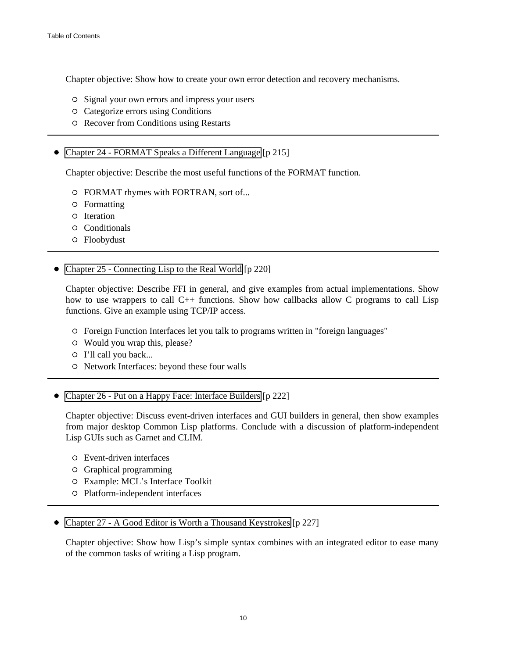Chapter objective: Show how to create your own error detection and recovery mechanisms.

- $\circ$  Signal your own errors and impress your users
- Categorize errors using Conditions
- Recover from Conditions using Restarts
- <span id="page-9-0"></span>• [Chapter 24 - FORMAT Speaks a Different Language](#page-214-0) [p 215]

Chapter objective: Describe the most useful functions of the FORMAT function.

- FORMAT rhymes with FORTRAN, sort of...
- Formatting
- $O$  Iteration
- Conditionals
- Floobydust
- <span id="page-9-1"></span>• [Chapter 25 - Connecting Lisp to the Real World](#page-219-0) [p 220]

Chapter objective: Describe FFI in general, and give examples from actual implementations. Show how to use wrappers to call C++ functions. Show how callbacks allow C programs to call Lisp functions. Give an example using TCP/IP access.

- Foreign Function Interfaces let you talk to programs written in "foreign languages"
- Would you wrap this, please?
- I'll call you back...
- Network Interfaces: beyond these four walls

<span id="page-9-2"></span>• [Chapter 26 - Put on a Happy Face: Interface Builders](#page-221-0) [p 222]

Chapter objective: Discuss event-driven interfaces and GUI builders in general, then show examples from major desktop Common Lisp platforms. Conclude with a discussion of platform-independent Lisp GUIs such as Garnet and CLIM.

- Event-driven interfaces
- Graphical programming
- Example: MCL's Interface Toolkit
- Platform-independent interfaces

<span id="page-9-3"></span>• [Chapter 27 - A Good Editor is Worth a Thousand Keystrokes](#page-226-0) [p 227]

Chapter objective: Show how Lisp's simple syntax combines with an integrated editor to ease many of the common tasks of writing a Lisp program.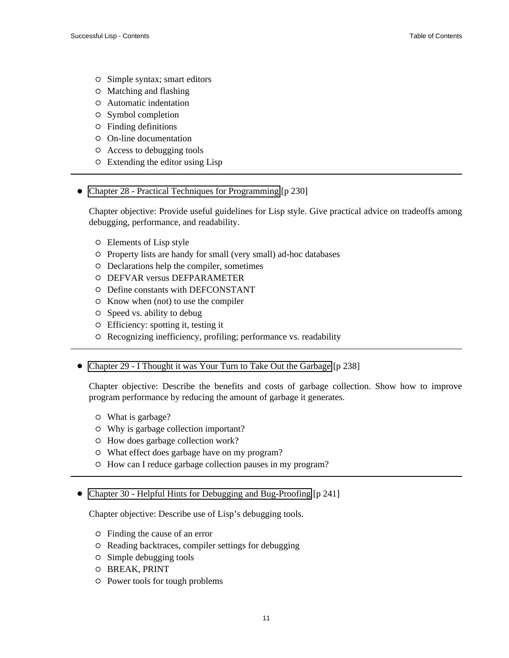- $\circ$  Simple syntax; smart editors
- Matching and flashing
- Automatic indentation
- $\circ$  Symbol completion
- Finding definitions
- On-line documentation
- Access to debugging tools
- $\circ$  Extending the editor using Lisp
- <span id="page-10-0"></span>[Chapter 28 - Practical Techniques for Programming](#page-229-0) [p 230]

Chapter objective: Provide useful guidelines for Lisp style. Give practical advice on tradeoffs among debugging, performance, and readability.

- Elements of Lisp style
- Property lists are handy for small (very small) ad-hoc databases
- Declarations help the compiler, sometimes
- DEFVAR versus DEFPARAMETER
- Define constants with DEFCONSTANT
- $\circ$  Know when (not) to use the compiler
- $\circ$  Speed vs. ability to debug
- $\circ$  Efficiency: spotting it, testing it
- Recognizing inefficiency, profiling; performance vs. readability
- <span id="page-10-1"></span>• [Chapter 29 - I Thought it was Your Turn to Take Out the Garbage](#page-237-0) [p 238]

Chapter objective: Describe the benefits and costs of garbage collection. Show how to improve program performance by reducing the amount of garbage it generates.

- What is garbage?
- Why is garbage collection important?
- How does garbage collection work?
- What effect does garbage have on my program?
- $\circ$  How can I reduce garbage collection pauses in my program?
- <span id="page-10-2"></span>• [Chapter 30 - Helpful Hints for Debugging and Bug-Proofing](#page-240-0) [p 241]

Chapter objective: Describe use of Lisp's debugging tools.

- Finding the cause of an error
- Reading backtraces, compiler settings for debugging
- $\circ$  Simple debugging tools
- BREAK, PRINT
- Power tools for tough problems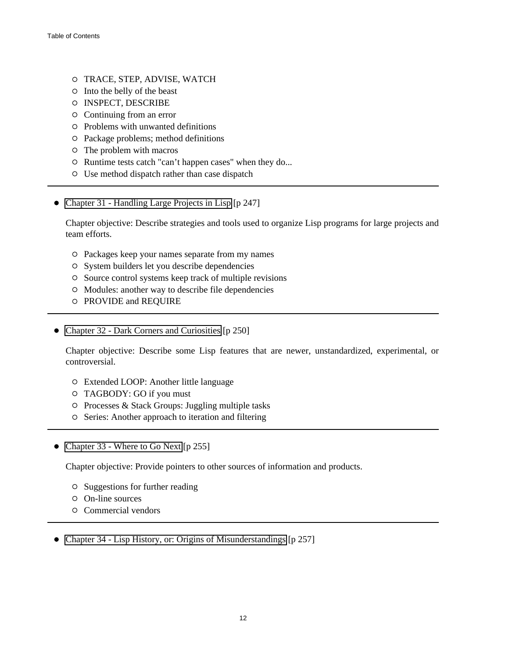- TRACE, STEP, ADVISE, WATCH
- Into the belly of the beast
- O INSPECT, DESCRIBE
- Continuing from an error
- $\circ$  Problems with unwanted definitions
- $\circ$  Package problems; method definitions
- $\circ$  The problem with macros
- Runtime tests catch "can't happen cases" when they do...
- Use method dispatch rather than case dispatch
- <span id="page-11-0"></span>• [Chapter 31 - Handling Large Projects in Lisp](#page-246-0) [p 247]

Chapter objective: Describe strategies and tools used to organize Lisp programs for large projects and team efforts.

- Packages keep your names separate from my names
- $\circ$  System builders let you describe dependencies
- $\circ$  Source control systems keep track of multiple revisions
- $\circ$  Modules: another way to describe file dependencies
- PROVIDE and REQUIRE
- <span id="page-11-1"></span>• [Chapter 32 - Dark Corners and Curiosities](#page-249-0) [p 250]

Chapter objective: Describe some Lisp features that are newer, unstandardized, experimental, or controversial.

- Extended LOOP: Another little language
- TAGBODY: GO if you must
- $\circ$  Processes & Stack Groups: Juggling multiple tasks
- $\circ$  Series: Another approach to iteration and filtering
- <span id="page-11-2"></span>• [Chapter 33 - Where to Go Next](#page-254-0) [p 255]

Chapter objective: Provide pointers to other sources of information and products.

- $\circ$  Suggestions for further reading
- On-line sources
- Commercial vendors
- <span id="page-11-3"></span>• [Chapter 34 - Lisp History, or: Origins of Misunderstandings](#page-256-0) [p 257]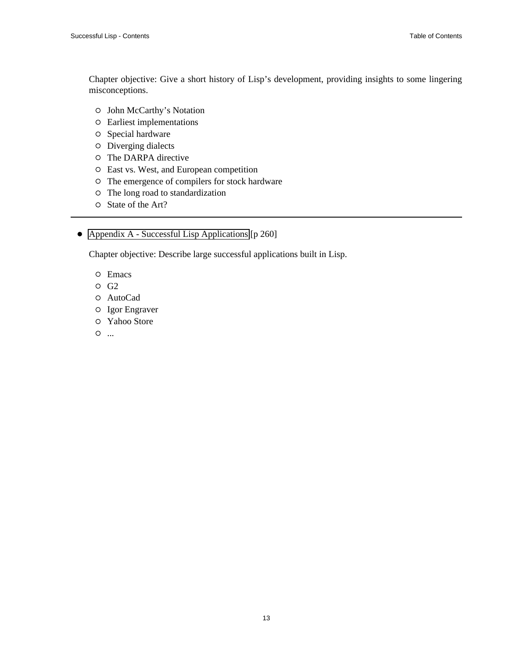Chapter objective: Give a short history of Lisp's development, providing insights to some lingering misconceptions.

- John McCarthy's Notation
- Earliest implementations
- $\circ$  Special hardware
- Diverging dialects
- The DARPA directive
- East vs. West, and European competition
- The emergence of compilers for stock hardware
- The long road to standardization
- State of the Art?
- <span id="page-12-0"></span>[Appendix A - Successful Lisp Applications](#page-259-0) [p 260]

Chapter objective: Describe large successful applications built in Lisp.

- Emacs
- $\circ$  G<sub>2</sub>
- AutoCad
- Igor Engraver
- Yahoo Store
- $\circ$   $\ldots$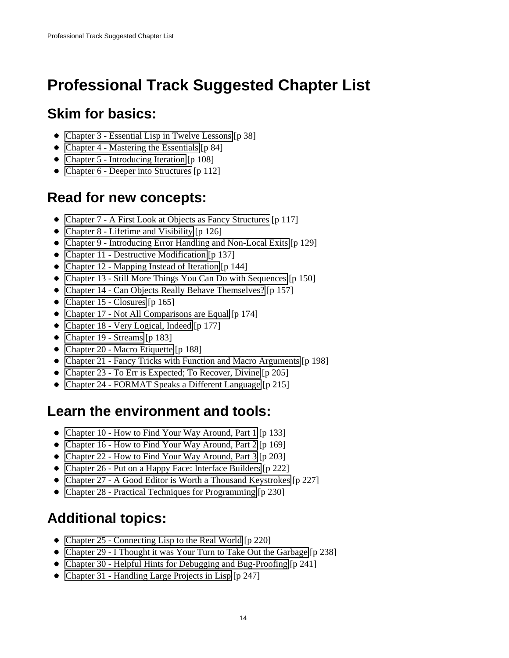# <span id="page-13-0"></span>**Professional Track Suggested Chapter List**

### **Skim for basics:**

- [Chapter 3 Essential Lisp in Twelve Lessons](#page-37-0) [p 38]
- [Chapter 4 Mastering the Essentials](#page-83-0) [p 84]
- [Chapter 5 Introducing Iteration](#page-107-0) [p 108]
- [Chapter 6 Deeper into Structures](#page-111-0) [p 112]

#### **Read for new concepts:**

- [Chapter 7 A First Look at Objects as Fancy Structures](#page-116-0) [p 117]
- [Chapter 8 Lifetime and Visibility](#page-125-0) [p 126]
- [Chapter 9 Introducing Error Handling and Non-Local Exits](#page-128-0) [p 129]
- [Chapter 11 Destructive Modification](#page-136-0) [p 137]
- [Chapter 12 Mapping Instead of Iteration](#page-143-0) [p 144]
- [Chapter 13 Still More Things You Can Do with Sequences](#page-149-0) [p 150]
- [Chapter 14 Can Objects Really Behave Themselves?](#page-156-0) [p 157]
- [Chapter 15 Closures](#page-164-0) [p 165]
- [Chapter 17 Not All Comparisons are Equal](#page-173-0) [p 174]
- [Chapter 18 Very Logical, Indeed](#page-176-0) [p 177]
- [Chapter 19 Streams](#page-182-0) [p 183]
- [Chapter 20 Macro Etiquette](#page-187-0) [p 188]
- [Chapter 21 Fancy Tricks with Function and Macro Arguments](#page-197-0) [p 198]
- [Chapter 23 To Err is Expected; To Recover, Divine](#page-204-0) [p 205]
- [Chapter 24 FORMAT Speaks a Different Language](#page-214-0) [p 215]

### **Learn the environment and tools:**

- [Chapter 10 How to Find Your Way Around, Part 1](#page-132-0) [p 133]
- [Chapter 16 How to Find Your Way Around, Part 2](#page-168-0) [p 169]
- [Chapter 22 How to Find Your Way Around, Part 3](#page-202-0) [p 203]
- [Chapter 26 Put on a Happy Face: Interface Builders](#page-221-0) [p 222]
- [Chapter 27 A Good Editor is Worth a Thousand Keystrokes](#page-226-0) [p 227]
- [Chapter 28 Practical Techniques for Programming](#page-229-0) [p 230]

# **Additional topics:**

- [Chapter 25 Connecting Lisp to the Real World](#page-219-0) [p 220]
- [Chapter 29 I Thought it was Your Turn to Take Out the Garbage](#page-237-0) [p 238]
- [Chapter 30 Helpful Hints for Debugging and Bug-Proofing](#page-240-0) [p 241]
- [Chapter 31 Handling Large Projects in Lisp](#page-246-0) [p 247]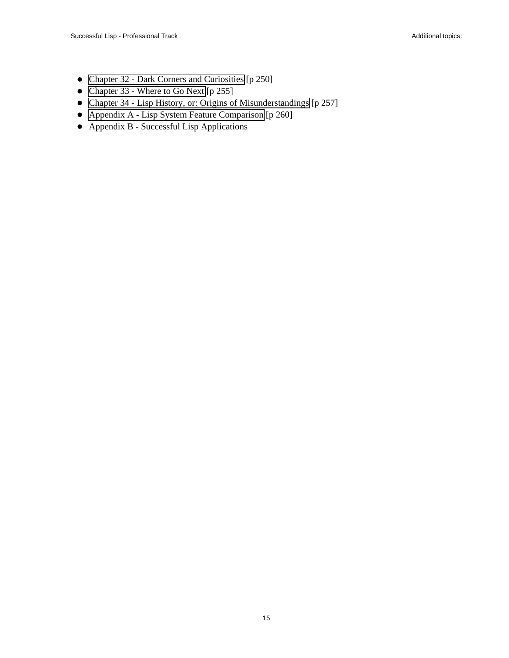- [Chapter 32 Dark Corners and Curiosities](#page-249-0) [p 250]
- [Chapter 33 Where to Go Next](#page-254-0) [p 255]
- [Chapter 34 Lisp History, or: Origins of Misunderstandings](#page-256-0) [p 257]
- [Appendix A Lisp System Feature Comparison](#page-259-0) [p 260]
- Appendix B Successful Lisp Applications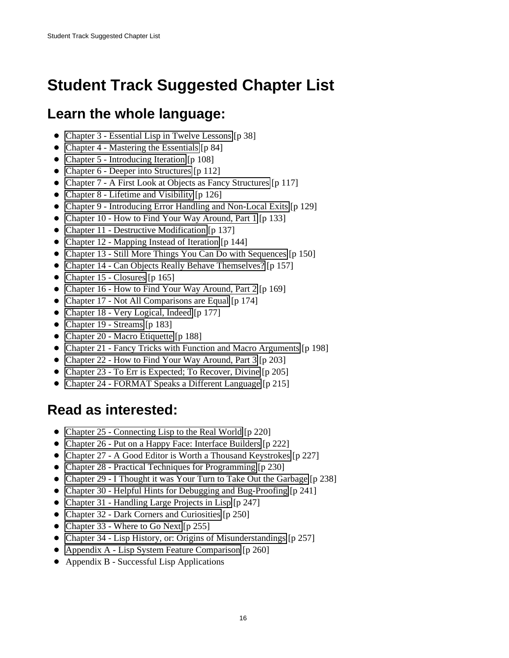# <span id="page-15-0"></span>**Student Track Suggested Chapter List**

### **Learn the whole language:**

- [Chapter 3 Essential Lisp in Twelve Lessons](#page-37-0) [p 38]
- [Chapter 4 Mastering the Essentials](#page-83-0) [p 84]
- [Chapter 5 Introducing Iteration](#page-107-0) [p 108]
- [Chapter 6 Deeper into Structures](#page-111-0) [p 112]
- [Chapter 7 A First Look at Objects as Fancy Structures](#page-116-0) [p 117]
- [Chapter 8 Lifetime and Visibility](#page-125-0) [p 126]
- [Chapter 9 Introducing Error Handling and Non-Local Exits](#page-128-0) [p 129]
- [Chapter 10 How to Find Your Way Around, Part 1](#page-132-0) [p 133]
- [Chapter 11 Destructive Modification](#page-136-0) [p 137]
- [Chapter 12 Mapping Instead of Iteration](#page-143-0) [p 144]
- [Chapter 13 Still More Things You Can Do with Sequences](#page-149-0) [p 150]
- [Chapter 14 Can Objects Really Behave Themselves?](#page-156-0) [p 157]
- [Chapter 15 Closures](#page-164-0) [p 165]
- [Chapter 16 How to Find Your Way Around, Part 2](#page-168-0) [p 169]
- [Chapter 17 Not All Comparisons are Equal](#page-173-0) [p 174]
- [Chapter 18 Very Logical, Indeed](#page-176-0) [p 177]
- [Chapter 19 Streams](#page-182-0) [p 183]
- [Chapter 20 Macro Etiquette](#page-187-0) [p 188]
- [Chapter 21 Fancy Tricks with Function and Macro Arguments](#page-197-0) [p 198]
- [Chapter 22 How to Find Your Way Around, Part 3](#page-202-0) [p 203]
- [Chapter 23 To Err is Expected; To Recover, Divine](#page-204-0) [p 205]
- [Chapter 24 FORMAT Speaks a Different Language](#page-214-0) [p 215]

### **Read as interested:**

- [Chapter 25 Connecting Lisp to the Real World](#page-219-0) [p 220]
- [Chapter 26 Put on a Happy Face: Interface Builders](#page-221-0) [p 222]
- [Chapter 27 A Good Editor is Worth a Thousand Keystrokes](#page-226-0) [p 227]
- [Chapter 28 Practical Techniques for Programming](#page-229-0) [p 230]
- [Chapter 29 I Thought it was Your Turn to Take Out the Garbage](#page-237-0) [p 238]
- [Chapter 30 Helpful Hints for Debugging and Bug-Proofing](#page-240-0) [p 241]
- [Chapter 31 Handling Large Projects in Lisp](#page-246-0) [p 247]
- [Chapter 32 Dark Corners and Curiosities](#page-249-0) [p 250]
- [Chapter 33 Where to Go Next](#page-254-0) [p 255]
- [Chapter 34 Lisp History, or: Origins of Misunderstandings](#page-256-0) [p 257]
- [Appendix A Lisp System Feature Comparison](#page-259-0) [p 260]
- Appendix B Successful Lisp Applications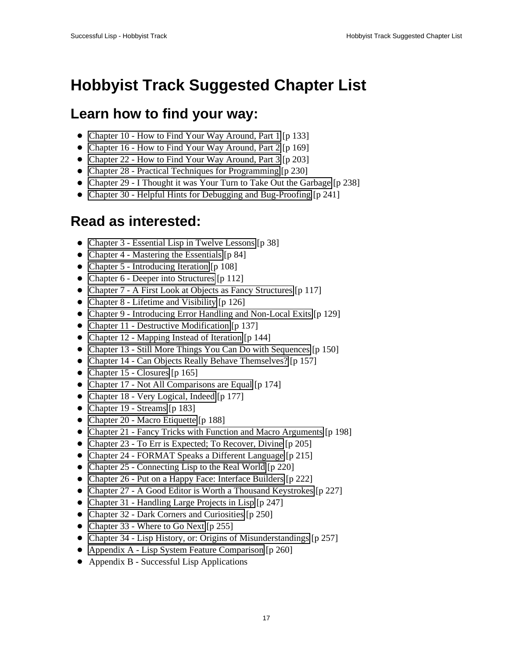### <span id="page-16-0"></span>**Hobbyist Track Suggested Chapter List**

#### **Learn how to find your way:**

- [Chapter 10 How to Find Your Way Around, Part 1](#page-132-0) [p 133]
- [Chapter 16 How to Find Your Way Around, Part 2](#page-168-0) [p 169]
- [Chapter 22 How to Find Your Way Around, Part 3](#page-202-0) [p 203]
- [Chapter 28 Practical Techniques for Programming](#page-229-0) [p 230]
- [Chapter 29 I Thought it was Your Turn to Take Out the Garbage](#page-237-0) [p 238]
- [Chapter 30 Helpful Hints for Debugging and Bug-Proofing](#page-240-0) [p 241]

#### **Read as interested:**

- [Chapter 3 Essential Lisp in Twelve Lessons](#page-37-0) [p 38]
- [Chapter 4 Mastering the Essentials](#page-83-0) [p 84]
- [Chapter 5 Introducing Iteration](#page-107-0) [p 108]
- [Chapter 6 Deeper into Structures](#page-111-0) [p 112]
- [Chapter 7 A First Look at Objects as Fancy Structures](#page-116-0) [p 117]
- [Chapter 8 Lifetime and Visibility](#page-125-0) [p 126]
- [Chapter 9 Introducing Error Handling and Non-Local Exits](#page-128-0) [p 129]
- [Chapter 11 Destructive Modification](#page-136-0) [p 137]
- [Chapter 12 Mapping Instead of Iteration](#page-143-0) [p 144]
- [Chapter 13 Still More Things You Can Do with Sequences](#page-149-0) [p 150]
- [Chapter 14 Can Objects Really Behave Themselves?](#page-156-0) [p 157]
- [Chapter 15 Closures](#page-164-0) [p 165]
- [Chapter 17 Not All Comparisons are Equal](#page-173-0) [p 174]
- [Chapter 18 Very Logical, Indeed](#page-176-0) [p 177]
- [Chapter 19 Streams](#page-182-0) [p 183]
- [Chapter 20 Macro Etiquette](#page-187-0) [p 188]
- [Chapter 21 Fancy Tricks with Function and Macro Arguments](#page-197-0) [p 198]
- [Chapter 23 To Err is Expected; To Recover, Divine](#page-204-0) [p 205]
- [Chapter 24 FORMAT Speaks a Different Language](#page-214-0) [p 215]
- [Chapter 25 Connecting Lisp to the Real World](#page-219-0) [p 220]
- [Chapter 26 Put on a Happy Face: Interface Builders](#page-221-0) [p 222]
- [Chapter 27 A Good Editor is Worth a Thousand Keystrokes](#page-226-0) [p 227]
- [Chapter 31 Handling Large Projects in Lisp](#page-246-0) [p 247]
- [Chapter 32 Dark Corners and Curiosities](#page-249-0) [p 250]
- [Chapter 33 Where to Go Next](#page-254-0) [p 255]
- [Chapter 34 Lisp History, or: Origins of Misunderstandings](#page-256-0) [p 257]
- [Appendix A Lisp System Feature Comparison](#page-259-0) [p 260]
- Appendix B Successful Lisp Applications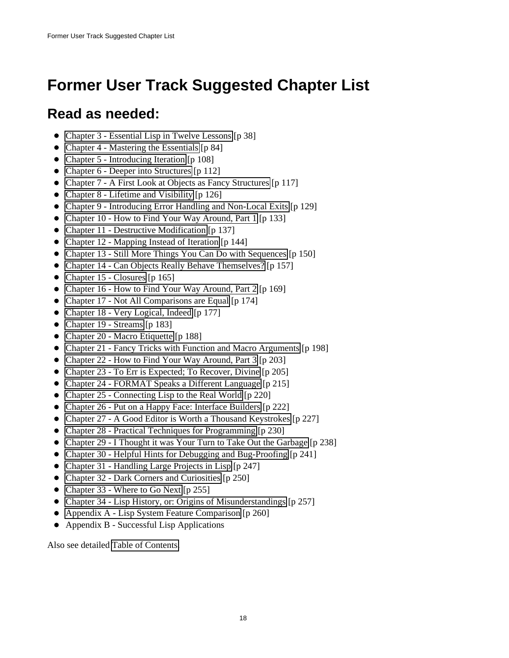### **Former User Track Suggested Chapter List**

### **Read as needed:**

- [Chapter 3 Essential Lisp in Twelve Lessons](#page-37-0) [p 38]
- [Chapter 4 Mastering the Essentials](#page-83-0) [p 84]
- [Chapter 5 Introducing Iteration](#page-107-0) [p 108]
- [Chapter 6 Deeper into Structures](#page-111-0) [p 112]
- [Chapter 7 A First Look at Objects as Fancy Structures](#page-116-0) [p 117]
- [Chapter 8 Lifetime and Visibility](#page-125-0) [p 126]
- [Chapter 9 Introducing Error Handling and Non-Local Exits](#page-128-0) [p 129]
- [Chapter 10 How to Find Your Way Around, Part 1](#page-132-0) [p 133]
- [Chapter 11 Destructive Modification](#page-136-0) [p 137]
- [Chapter 12 Mapping Instead of Iteration](#page-143-0) [p 144]
- [Chapter 13 Still More Things You Can Do with Sequences](#page-149-0) [p 150]
- [Chapter 14 Can Objects Really Behave Themselves?](#page-156-0) [p 157]
- [Chapter 15 Closures](#page-164-0) [p 165]
- [Chapter 16 How to Find Your Way Around, Part 2](#page-168-0) [p 169]
- [Chapter 17 Not All Comparisons are Equal](#page-173-0) [p 174]
- [Chapter 18 Very Logical, Indeed](#page-176-0) [p 177]
- [Chapter 19 Streams](#page-182-0) [p 183]
- [Chapter 20 Macro Etiquette](#page-187-0) [p 188]
- [Chapter 21 Fancy Tricks with Function and Macro Arguments](#page-197-0) [p 198]
- [Chapter 22 How to Find Your Way Around, Part 3](#page-202-0) [p 203]
- [Chapter 23 To Err is Expected; To Recover, Divine](#page-204-0) [p 205]
- [Chapter 24 FORMAT Speaks a Different Language](#page-214-0) [p 215]
- [Chapter 25 Connecting Lisp to the Real World](#page-219-0) [p 220]
- [Chapter 26 Put on a Happy Face: Interface Builders](#page-221-0) [p 222]
- [Chapter 27 A Good Editor is Worth a Thousand Keystrokes](#page-226-0) [p 227]
- [Chapter 28 Practical Techniques for Programming](#page-229-0) [p 230]
- [Chapter 29 I Thought it was Your Turn to Take Out the Garbage](#page-237-0) [p 238]
- [Chapter 30 Helpful Hints for Debugging and Bug-Proofing](#page-240-0) [p 241]
- [Chapter 31 Handling Large Projects in Lisp](#page-246-0) [p 247]
- [Chapter 32 Dark Corners and Curiosities](#page-249-0) [p 250]
- [Chapter 33 Where to Go Next](#page-254-0) [p 255]
- [Chapter 34 Lisp History, or: Origins of Misunderstandings](#page-256-0) [p 257]
- [Appendix A Lisp System Feature Comparison](#page-259-0) [p 260]
- Appendix B Successful Lisp Applications

Also see detailed [Table of Contents.](#page-1-2)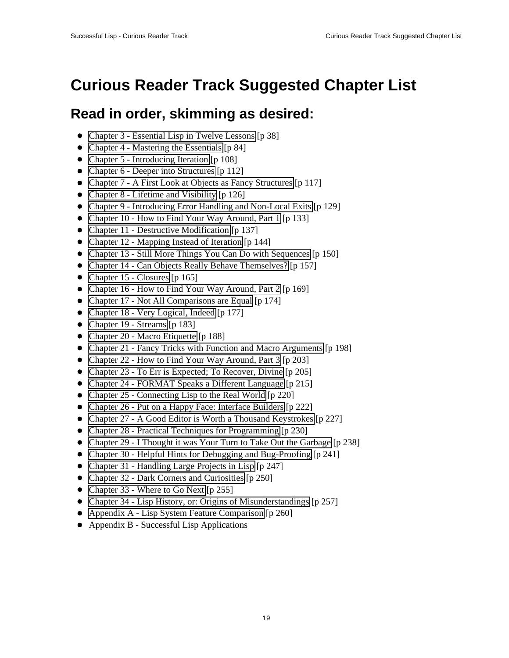### **Curious Reader Track Suggested Chapter List**

#### **Read in order, skimming as desired:**

- [Chapter 3 Essential Lisp in Twelve Lessons](#page-37-0) [p 38]
- [Chapter 4 Mastering the Essentials](#page-83-0) [p 84]
- [Chapter 5 Introducing Iteration](#page-107-0) [p 108]
- [Chapter 6 Deeper into Structures](#page-111-0) [p 112]
- [Chapter 7 A First Look at Objects as Fancy Structures](#page-116-0) [p 117]
- [Chapter 8 Lifetime and Visibility](#page-125-0) [p 126]
- [Chapter 9 Introducing Error Handling and Non-Local Exits](#page-128-0) [p 129]
- [Chapter 10 How to Find Your Way Around, Part 1](#page-132-0) [p 133]
- [Chapter 11 Destructive Modification](#page-136-0) [p 137]
- [Chapter 12 Mapping Instead of Iteration](#page-143-0) [p 144]
- [Chapter 13 Still More Things You Can Do with Sequences](#page-149-0) [p 150]
- [Chapter 14 Can Objects Really Behave Themselves?](#page-156-0) [p 157]
- [Chapter 15 Closures](#page-164-0) [p 165]
- [Chapter 16 How to Find Your Way Around, Part 2](#page-168-0) [p 169]
- [Chapter 17 Not All Comparisons are Equal](#page-173-0) [p 174]
- [Chapter 18 Very Logical, Indeed](#page-176-0) [p 177]
- [Chapter 19 Streams](#page-182-0) [p 183]
- [Chapter 20 Macro Etiquette](#page-187-0) [p 188]
- [Chapter 21 Fancy Tricks with Function and Macro Arguments](#page-197-0) [p 198]
- [Chapter 22 How to Find Your Way Around, Part 3](#page-202-0) [p 203]
- [Chapter 23 To Err is Expected; To Recover, Divine](#page-204-0) [p 205]
- [Chapter 24 FORMAT Speaks a Different Language](#page-214-0) [p 215]
- [Chapter 25 Connecting Lisp to the Real World](#page-219-0) [p 220]
- [Chapter 26 Put on a Happy Face: Interface Builders](#page-221-0) [p 222]
- [Chapter 27 A Good Editor is Worth a Thousand Keystrokes](#page-226-0) [p 227]
- [Chapter 28 Practical Techniques for Programming](#page-229-0) [p 230]
- [Chapter 29 I Thought it was Your Turn to Take Out the Garbage](#page-237-0) [p 238]
- [Chapter 30 Helpful Hints for Debugging and Bug-Proofing](#page-240-0) [p 241]
- [Chapter 31 Handling Large Projects in Lisp](#page-246-0) [p 247]
- [Chapter 32 Dark Corners and Curiosities](#page-249-0) [p 250]
- [Chapter 33 Where to Go Next](#page-254-0) [p 255]
- [Chapter 34 Lisp History, or: Origins of Misunderstandings](#page-256-0) [p 257]
- [Appendix A Lisp System Feature Comparison](#page-259-0) [p 260]
- Appendix B Successful Lisp Applications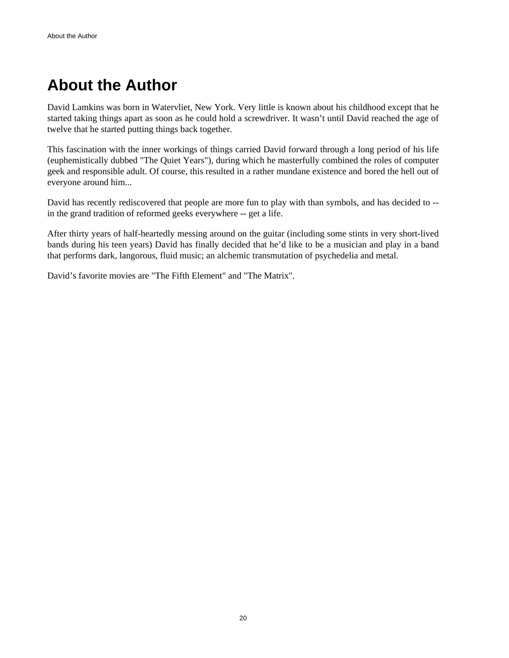# <span id="page-19-0"></span>**About the Author**

David Lamkins was born in Watervliet, New York. Very little is known about his childhood except that he started taking things apart as soon as he could hold a screwdriver. It wasn't until David reached the age of twelve that he started putting things back together.

This fascination with the inner workings of things carried David forward through a long period of his life (euphemistically dubbed "The Quiet Years"), during which he masterfully combined the roles of computer geek and responsible adult. Of course, this resulted in a rather mundane existence and bored the hell out of everyone around him...

David has recently rediscovered that people are more fun to play with than symbols, and has decided to -in the grand tradition of reformed geeks everywhere -- get a life.

After thirty years of half-heartedly messing around on the guitar (including some stints in very short-lived bands during his teen years) David has finally decided that he'd like to be a musician and play in a band that performs dark, langorous, fluid music; an alchemic transmutation of psychedelia and metal.

David's favorite movies are "The Fifth Element" and "The Matrix".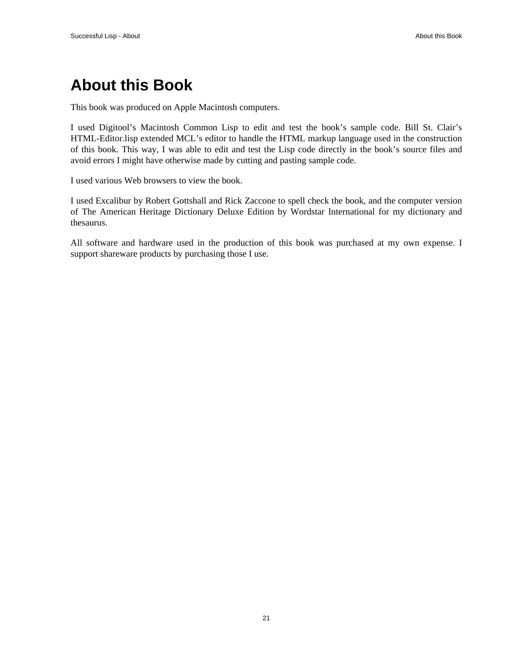### <span id="page-20-0"></span>**About this Book**

This book was produced on Apple Macintosh computers.

I used Digitool's Macintosh Common Lisp to edit and test the book's sample code. Bill St. Clair's HTML-Editor.lisp extended MCL's editor to handle the HTML markup language used in the construction of this book. This way, I was able to edit and test the Lisp code directly in the book's source files and avoid errors I might have otherwise made by cutting and pasting sample code.

I used various Web browsers to view the book.

I used Excalibur by Robert Gottshall and Rick Zaccone to spell check the book, and the computer version of The American Heritage Dictionary Deluxe Edition by Wordstar International for my dictionary and thesaurus.

All software and hardware used in the production of this book was purchased at my own expense. I support shareware products by purchasing those I use.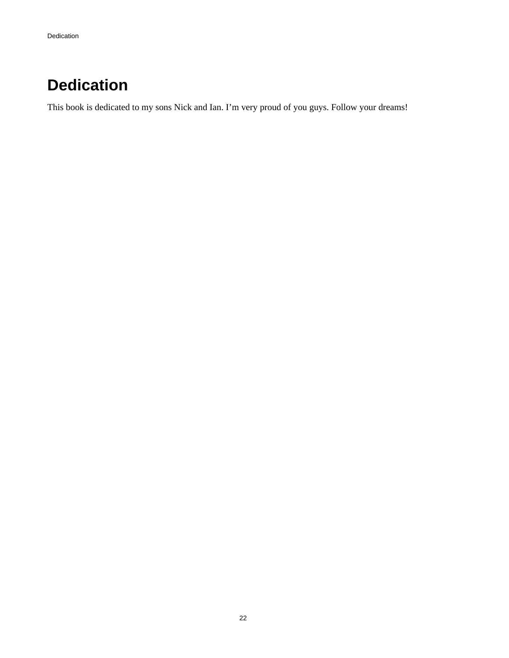# <span id="page-21-0"></span>**Dedication**

This book is dedicated to my sons Nick and Ian. I'm very proud of you guys. Follow your dreams!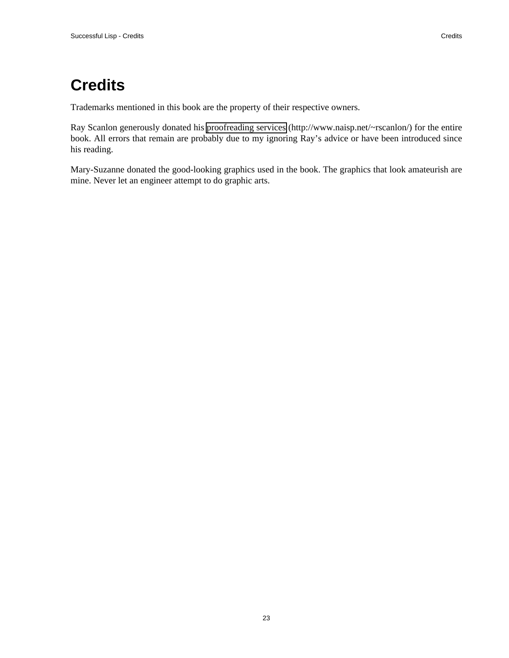### <span id="page-22-0"></span>**Credits**

Trademarks mentioned in this book are the property of their respective owners.

Ray Scanlon generously donated his [proofreading services](http://www.naisp.net/~rscanlon/) (http://www.naisp.net/~rscanlon/) for the entire book. All errors that remain are probably due to my ignoring Ray's advice or have been introduced since his reading.

Mary-Suzanne donated the good-looking graphics used in the book. The graphics that look amateurish are mine. Never let an engineer attempt to do graphic arts.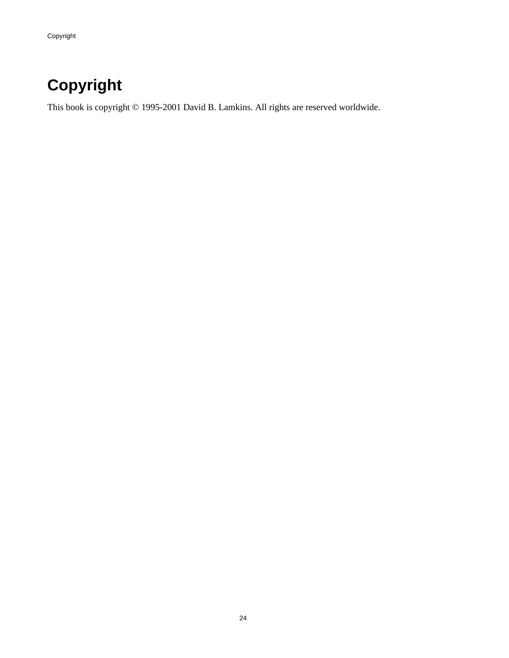Copyright

# <span id="page-23-0"></span>**Copyright**

This book is copyright © 1995-2001 David B. Lamkins. All rights are reserved worldwide.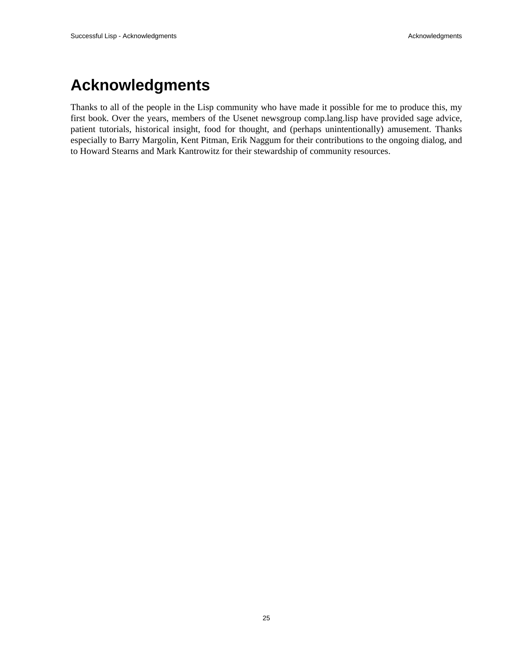### <span id="page-24-0"></span>**Acknowledgments**

Thanks to all of the people in the Lisp community who have made it possible for me to produce this, my first book. Over the years, members of the Usenet newsgroup comp.lang.lisp have provided sage advice, patient tutorials, historical insight, food for thought, and (perhaps unintentionally) amusement. Thanks especially to Barry Margolin, Kent Pitman, Erik Naggum for their contributions to the ongoing dialog, and to Howard Stearns and Mark Kantrowitz for their stewardship of community resources.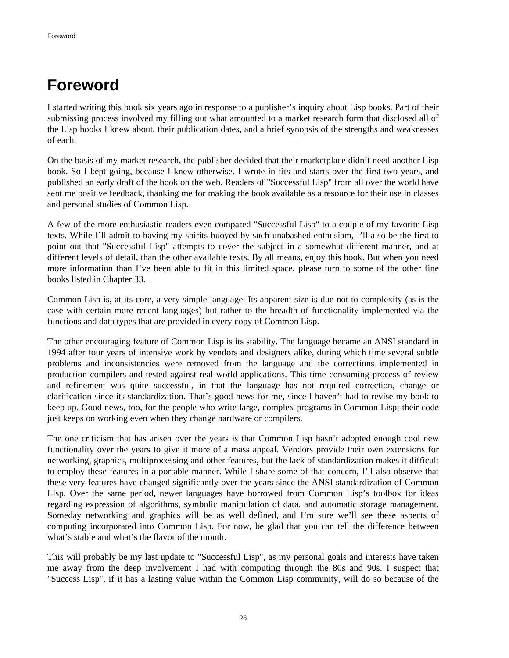# <span id="page-25-0"></span>**Foreword**

I started writing this book six years ago in response to a publisher's inquiry about Lisp books. Part of their submissing process involved my filling out what amounted to a market research form that disclosed all of the Lisp books I knew about, their publication dates, and a brief synopsis of the strengths and weaknesses of each.

On the basis of my market research, the publisher decided that their marketplace didn't need another Lisp book. So I kept going, because I knew otherwise. I wrote in fits and starts over the first two years, and published an early draft of the book on the web. Readers of "Successful Lisp" from all over the world have sent me positive feedback, thanking me for making the book available as a resource for their use in classes and personal studies of Common Lisp.

A few of the more enthusiastic readers even compared "Successful Lisp" to a couple of my favorite Lisp texts. While I'll admit to having my spirits buoyed by such unabashed enthusiam, I'll also be the first to point out that "Successful Lisp" attempts to cover the subject in a somewhat different manner, and at different levels of detail, than the other available texts. By all means, enjoy this book. But when you need more information than I've been able to fit in this limited space, please turn to some of the other fine books listed in Chapter 33.

Common Lisp is, at its core, a very simple language. Its apparent size is due not to complexity (as is the case with certain more recent languages) but rather to the breadth of functionality implemented via the functions and data types that are provided in every copy of Common Lisp.

The other encouraging feature of Common Lisp is its stability. The language became an ANSI standard in 1994 after four years of intensive work by vendors and designers alike, during which time several subtle problems and inconsistencies were removed from the language and the corrections implemented in production compilers and tested against real-world applications. This time consuming process of review and refinement was quite successful, in that the language has not required correction, change or clarification since its standardization. That's good news for me, since I haven't had to revise my book to keep up. Good news, too, for the people who write large, complex programs in Common Lisp; their code just keeps on working even when they change hardware or compilers.

The one criticism that has arisen over the years is that Common Lisp hasn't adopted enough cool new functionality over the years to give it more of a mass appeal. Vendors provide their own extensions for networking, graphics, multiprocessing and other features, but the lack of standardization makes it difficult to employ these features in a portable manner. While I share some of that concern, I'll also observe that these very features have changed significantly over the years since the ANSI standardization of Common Lisp. Over the same period, newer languages have borrowed from Common Lisp's toolbox for ideas regarding expression of algorithms, symbolic manipulation of data, and automatic storage management. Someday networking and graphics will be as well defined, and I'm sure we'll see these aspects of computing incorporated into Common Lisp. For now, be glad that you can tell the difference between what's stable and what's the flavor of the month.

This will probably be my last update to "Successful Lisp", as my personal goals and interests have taken me away from the deep involvement I had with computing through the 80s and 90s. I suspect that "Success Lisp", if it has a lasting value within the Common Lisp community, will do so because of the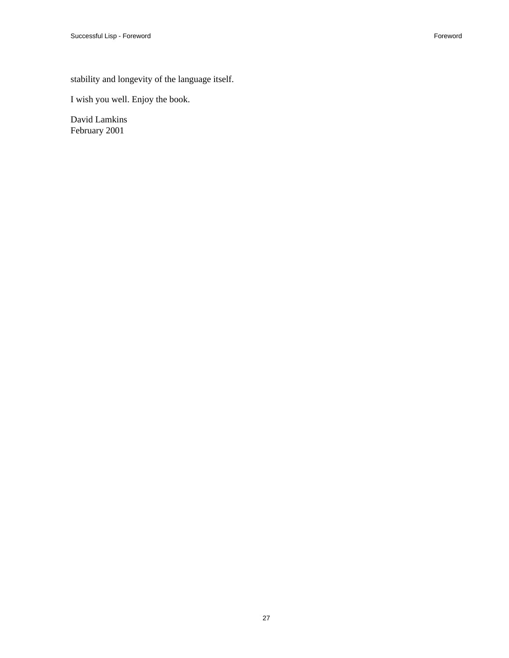stability and longevity of the language itself.

I wish you well. Enjoy the book.

David Lamkins February 2001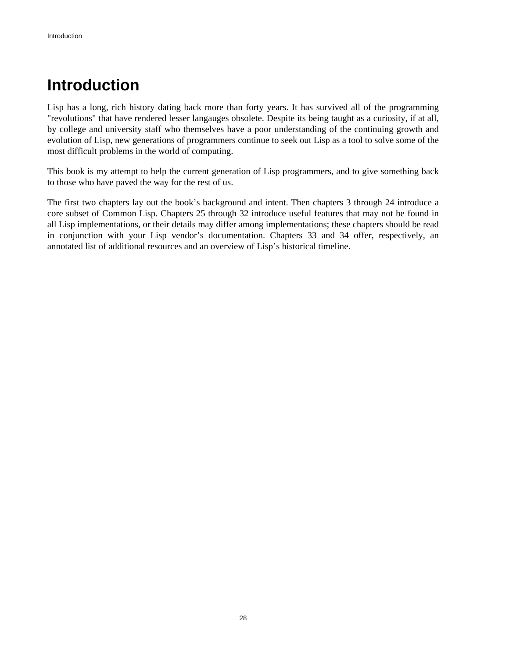# <span id="page-27-0"></span>**Introduction**

Lisp has a long, rich history dating back more than forty years. It has survived all of the programming "revolutions" that have rendered lesser langauges obsolete. Despite its being taught as a curiosity, if at all, by college and university staff who themselves have a poor understanding of the continuing growth and evolution of Lisp, new generations of programmers continue to seek out Lisp as a tool to solve some of the most difficult problems in the world of computing.

This book is my attempt to help the current generation of Lisp programmers, and to give something back to those who have paved the way for the rest of us.

The first two chapters lay out the book's background and intent. Then chapters 3 through 24 introduce a core subset of Common Lisp. Chapters 25 through 32 introduce useful features that may not be found in all Lisp implementations, or their details may differ among implementations; these chapters should be read in conjunction with your Lisp vendor's documentation. Chapters 33 and 34 offer, respectively, an annotated list of additional resources and an overview of Lisp's historical timeline.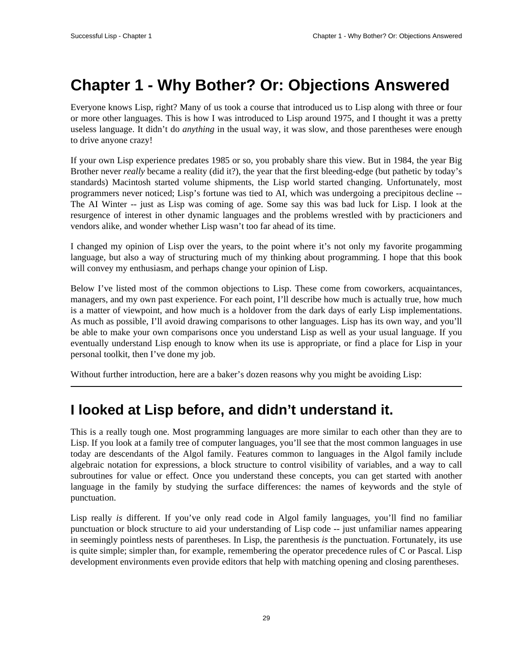# <span id="page-28-0"></span>**Chapter 1 - Why Bother? Or: Objections Answered**

Everyone knows Lisp, right? Many of us took a course that introduced us to Lisp along with three or four or more other languages. This is how I was introduced to Lisp around 1975, and I thought it was a pretty useless language. It didn't do *anything* in the usual way, it was slow, and those parentheses were enough to drive anyone crazy!

If your own Lisp experience predates 1985 or so, you probably share this view. But in 1984, the year Big Brother never *really* became a reality (did it?), the year that the first bleeding-edge (but pathetic by today's standards) Macintosh started volume shipments, the Lisp world started changing. Unfortunately, most programmers never noticed; Lisp's fortune was tied to AI, which was undergoing a precipitous decline -- The AI Winter -- just as Lisp was coming of age. Some say this was bad luck for Lisp. I look at the resurgence of interest in other dynamic languages and the problems wrestled with by practicioners and vendors alike, and wonder whether Lisp wasn't too far ahead of its time.

I changed my opinion of Lisp over the years, to the point where it's not only my favorite progamming language, but also a way of structuring much of my thinking about programming. I hope that this book will convey my enthusiasm, and perhaps change your opinion of Lisp.

Below I've listed most of the common objections to Lisp. These come from coworkers, acquaintances, managers, and my own past experience. For each point, I'll describe how much is actually true, how much is a matter of viewpoint, and how much is a holdover from the dark days of early Lisp implementations. As much as possible, I'll avoid drawing comparisons to other languages. Lisp has its own way, and you'll be able to make your own comparisons once you understand Lisp as well as your usual language. If you eventually understand Lisp enough to know when its use is appropriate, or find a place for Lisp in your personal toolkit, then I've done my job.

Without further introduction, here are a baker's dozen reasons why you might be avoiding Lisp:

### **I looked at Lisp before, and didn't understand it.**

This is a really tough one. Most programming languages are more similar to each other than they are to Lisp. If you look at a family tree of computer languages, you'll see that the most common languages in use today are descendants of the Algol family. Features common to languages in the Algol family include algebraic notation for expressions, a block structure to control visibility of variables, and a way to call subroutines for value or effect. Once you understand these concepts, you can get started with another language in the family by studying the surface differences: the names of keywords and the style of punctuation.

Lisp really *is* different. If you've only read code in Algol family languages, you'll find no familiar punctuation or block structure to aid your understanding of Lisp code -- just unfamiliar names appearing in seemingly pointless nests of parentheses. In Lisp, the parenthesis *is* the punctuation. Fortunately, its use is quite simple; simpler than, for example, remembering the operator precedence rules of C or Pascal. Lisp development environments even provide editors that help with matching opening and closing parentheses.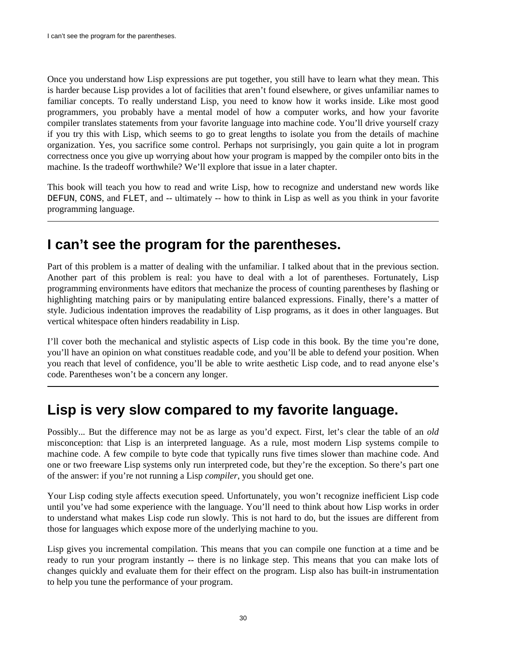Once you understand how Lisp expressions are put together, you still have to learn what they mean. This is harder because Lisp provides a lot of facilities that aren't found elsewhere, or gives unfamiliar names to familiar concepts. To really understand Lisp, you need to know how it works inside. Like most good programmers, you probably have a mental model of how a computer works, and how your favorite compiler translates statements from your favorite language into machine code. You'll drive yourself crazy if you try this with Lisp, which seems to go to great lengths to isolate you from the details of machine organization. Yes, you sacrifice some control. Perhaps not surprisingly, you gain quite a lot in program correctness once you give up worrying about how your program is mapped by the compiler onto bits in the machine. Is the tradeoff worthwhile? We'll explore that issue in a later chapter.

This book will teach you how to read and write Lisp, how to recognize and understand new words like DEFUN, CONS, and FLET, and -- ultimately -- how to think in Lisp as well as you think in your favorite programming language.

### **I can't see the program for the parentheses.**

Part of this problem is a matter of dealing with the unfamiliar. I talked about that in the previous section. Another part of this problem is real: you have to deal with a lot of parentheses. Fortunately, Lisp programming environments have editors that mechanize the process of counting parentheses by flashing or highlighting matching pairs or by manipulating entire balanced expressions. Finally, there's a matter of style. Judicious indentation improves the readability of Lisp programs, as it does in other languages. But vertical whitespace often hinders readability in Lisp.

I'll cover both the mechanical and stylistic aspects of Lisp code in this book. By the time you're done, you'll have an opinion on what constitues readable code, and you'll be able to defend your position. When you reach that level of confidence, you'll be able to write aesthetic Lisp code, and to read anyone else's code. Parentheses won't be a concern any longer.

### **Lisp is very slow compared to my favorite language.**

Possibly... But the difference may not be as large as you'd expect. First, let's clear the table of an *old* misconception: that Lisp is an interpreted language. As a rule, most modern Lisp systems compile to machine code. A few compile to byte code that typically runs five times slower than machine code. And one or two freeware Lisp systems only run interpreted code, but they're the exception. So there's part one of the answer: if you're not running a Lisp *compiler*, you should get one.

Your Lisp coding style affects execution speed. Unfortunately, you won't recognize inefficient Lisp code until you've had some experience with the language. You'll need to think about how Lisp works in order to understand what makes Lisp code run slowly. This is not hard to do, but the issues are different from those for languages which expose more of the underlying machine to you.

Lisp gives you incremental compilation. This means that you can compile one function at a time and be ready to run your program instantly -- there is no linkage step. This means that you can make lots of changes quickly and evaluate them for their effect on the program. Lisp also has built-in instrumentation to help you tune the performance of your program.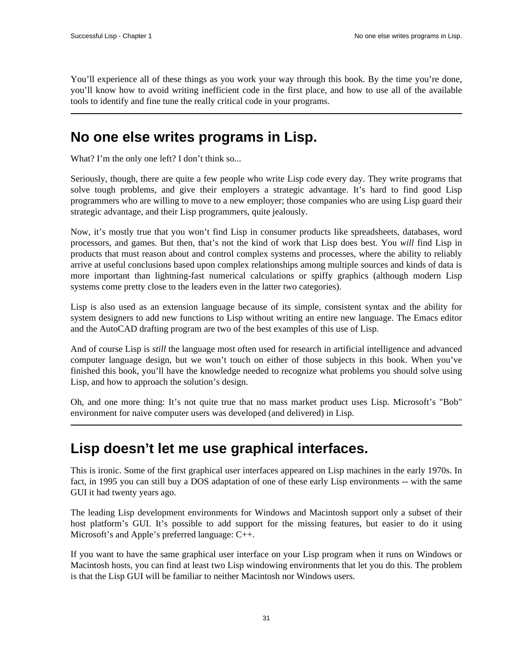You'll experience all of these things as you work your way through this book. By the time you're done, you'll know how to avoid writing inefficient code in the first place, and how to use all of the available tools to identify and fine tune the really critical code in your programs.

#### **No one else writes programs in Lisp.**

What? I'm the only one left? I don't think so...

Seriously, though, there are quite a few people who write Lisp code every day. They write programs that solve tough problems, and give their employers a strategic advantage. It's hard to find good Lisp programmers who are willing to move to a new employer; those companies who are using Lisp guard their strategic advantage, and their Lisp programmers, quite jealously.

Now, it's mostly true that you won't find Lisp in consumer products like spreadsheets, databases, word processors, and games. But then, that's not the kind of work that Lisp does best. You *will* find Lisp in products that must reason about and control complex systems and processes, where the ability to reliably arrive at useful conclusions based upon complex relationships among multiple sources and kinds of data is more important than lightning-fast numerical calculations or spiffy graphics (although modern Lisp systems come pretty close to the leaders even in the latter two categories).

Lisp is also used as an extension language because of its simple, consistent syntax and the ability for system designers to add new functions to Lisp without writing an entire new language. The Emacs editor and the AutoCAD drafting program are two of the best examples of this use of Lisp.

And of course Lisp is *still* the language most often used for research in artificial intelligence and advanced computer language design, but we won't touch on either of those subjects in this book. When you've finished this book, you'll have the knowledge needed to recognize what problems you should solve using Lisp, and how to approach the solution's design.

Oh, and one more thing: It's not quite true that no mass market product uses Lisp. Microsoft's "Bob" environment for naive computer users was developed (and delivered) in Lisp.

### **Lisp doesn't let me use graphical interfaces.**

This is ironic. Some of the first graphical user interfaces appeared on Lisp machines in the early 1970s. In fact, in 1995 you can still buy a DOS adaptation of one of these early Lisp environments -- with the same GUI it had twenty years ago.

The leading Lisp development environments for Windows and Macintosh support only a subset of their host platform's GUI. It's possible to add support for the missing features, but easier to do it using Microsoft's and Apple's preferred language: C++.

If you want to have the same graphical user interface on your Lisp program when it runs on Windows or Macintosh hosts, you can find at least two Lisp windowing environments that let you do this. The problem is that the Lisp GUI will be familiar to neither Macintosh nor Windows users.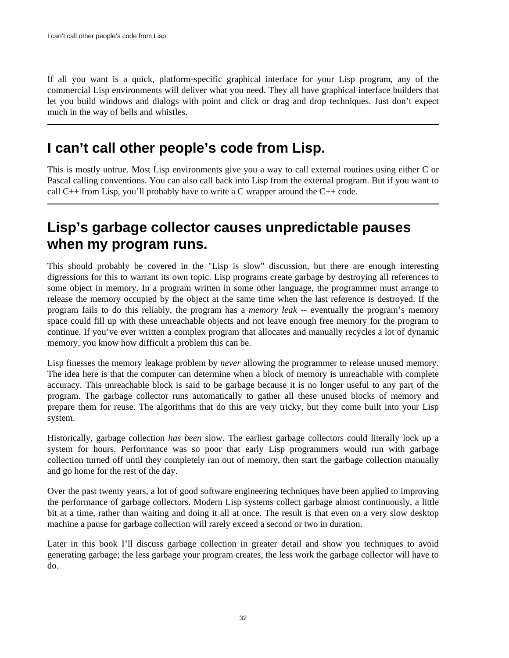If all you want is a quick, platform-specific graphical interface for your Lisp program, any of the commercial Lisp environments will deliver what you need. They all have graphical interface builders that let you build windows and dialogs with point and click or drag and drop techniques. Just don't expect much in the way of bells and whistles.

#### **I can't call other people's code from Lisp.**

This is mostly untrue. Most Lisp environments give you a way to call external routines using either C or Pascal calling conventions. You can also call back into Lisp from the external program. But if you want to call  $C++$  from Lisp, you'll probably have to write a C wrapper around the  $C++$  code.

### **Lisp's garbage collector causes unpredictable pauses when my program runs.**

This should probably be covered in the "Lisp is slow" discussion, but there are enough interesting digressions for this to warrant its own topic. Lisp programs create garbage by destroying all references to some object in memory. In a program written in some other language, the programmer must arrange to release the memory occupied by the object at the same time when the last reference is destroyed. If the program fails to do this reliably, the program has a *memory leak* -- eventually the program's memory space could fill up with these unreachable objects and not leave enough free memory for the program to continue. If you've ever written a complex program that allocates and manually recycles a lot of dynamic memory, you know how difficult a problem this can be.

Lisp finesses the memory leakage problem by *never* allowing the programmer to release unused memory. The idea here is that the computer can determine when a block of memory is unreachable with complete accuracy. This unreachable block is said to be garbage because it is no longer useful to any part of the program. The garbage collector runs automatically to gather all these unused blocks of memory and prepare them for reuse. The algorithms that do this are very tricky, but they come built into your Lisp system.

Historically, garbage collection *has been* slow. The earliest garbage collectors could literally lock up a system for hours. Performance was so poor that early Lisp programmers would run with garbage collection turned off until they completely ran out of memory, then start the garbage collection manually and go home for the rest of the day.

Over the past twenty years, a lot of good software engineering techniques have been applied to improving the performance of garbage collectors. Modern Lisp systems collect garbage almost continuously, a little bit at a time, rather than waiting and doing it all at once. The result is that even on a very slow desktop machine a pause for garbage collection will rarely exceed a second or two in duration.

Later in this book I'll discuss garbage collection in greater detail and show you techniques to avoid generating garbage; the less garbage your program creates, the less work the garbage collector will have to do.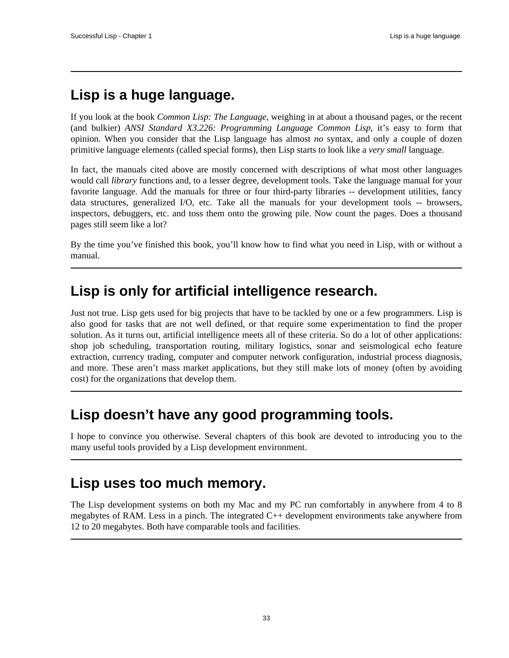### **Lisp is a huge language.**

If you look at the book *Common Lisp: The Language*, weighing in at about a thousand pages, or the recent (and bulkier) *ANSI Standard X3.226: Programming Language Common Lisp*, it's easy to form that opinion. When you consider that the Lisp language has almost *no* syntax, and only a couple of dozen primitive language elements (called special forms), then Lisp starts to look like a *very small* language.

In fact, the manuals cited above are mostly concerned with descriptions of what most other languages would call *library* functions and, to a lesser degree, development tools. Take the language manual for your favorite language. Add the manuals for three or four third-party libraries -- development utilities, fancy data structures, generalized I/O, etc. Take all the manuals for your development tools -- browsers, inspectors, debuggers, etc. and toss them onto the growing pile. Now count the pages. Does a thousand pages still seem like a lot?

By the time you've finished this book, you'll know how to find what you need in Lisp, with or without a manual.

### **Lisp is only for artificial intelligence research.**

Just not true. Lisp gets used for big projects that have to be tackled by one or a few programmers. Lisp is also good for tasks that are not well defined, or that require some experimentation to find the proper solution. As it turns out, artificial intelligence meets all of these criteria. So do a lot of other applications: shop job scheduling, transportation routing, military logistics, sonar and seismological echo feature extraction, currency trading, computer and computer network configuration, industrial process diagnosis, and more. These aren't mass market applications, but they still make lots of money (often by avoiding cost) for the organizations that develop them.

### **Lisp doesn't have any good programming tools.**

I hope to convince you otherwise. Several chapters of this book are devoted to introducing you to the many useful tools provided by a Lisp development environment.

### **Lisp uses too much memory.**

The Lisp development systems on both my Mac and my PC run comfortably in anywhere from 4 to 8 megabytes of RAM. Less in a pinch. The integrated C++ development environments take anywhere from 12 to 20 megabytes. Both have comparable tools and facilities.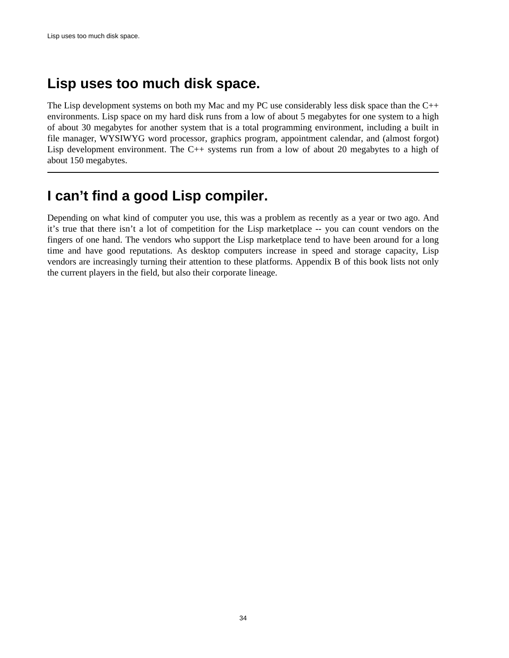#### **Lisp uses too much disk space.**

The Lisp development systems on both my Mac and my PC use considerably less disk space than the C++ environments. Lisp space on my hard disk runs from a low of about 5 megabytes for one system to a high of about 30 megabytes for another system that is a total programming environment, including a built in file manager, WYSIWYG word processor, graphics program, appointment calendar, and (almost forgot) Lisp development environment. The C++ systems run from a low of about 20 megabytes to a high of about 150 megabytes.

### **I can't find a good Lisp compiler.**

Depending on what kind of computer you use, this was a problem as recently as a year or two ago. And it's true that there isn't a lot of competition for the Lisp marketplace -- you can count vendors on the fingers of one hand. The vendors who support the Lisp marketplace tend to have been around for a long time and have good reputations. As desktop computers increase in speed and storage capacity, Lisp vendors are increasingly turning their attention to these platforms. Appendix B of this book lists not only the current players in the field, but also their corporate lineage.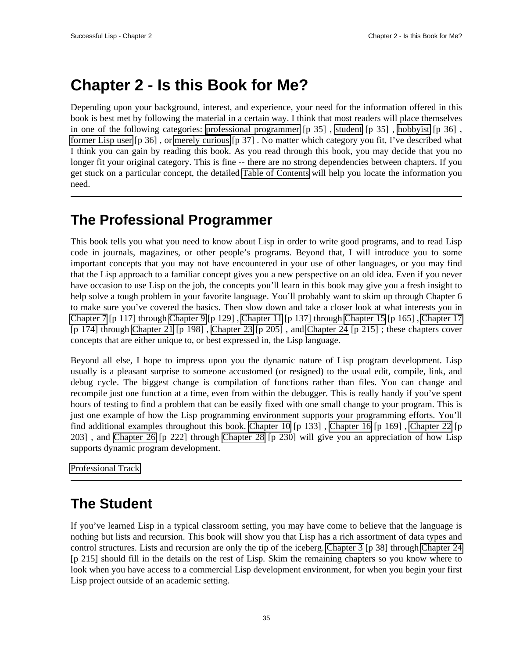### <span id="page-34-0"></span>**Chapter 2 - Is this Book for Me?**

Depending upon your background, interest, and experience, your need for the information offered in this book is best met by following the material in a certain way. I think that most readers will place themselves in one of the following categories: [professional programmer](#page-34-1) [p 35] , [student](#page-34-2) [p 35] , [hobbyist](#page-35-0) [p 36] , [former Lisp user](#page-35-1) [p 36] , or [merely curious](#page-36-0) [p 37] . No matter which category you fit, I've described what I think you can gain by reading this book. As you read through this book, you may decide that you no longer fit your original category. This is fine -- there are no strong dependencies between chapters. If you get stuck on a particular concept, the detailed [Table of Contents](#page-1-2) will help you locate the information you need.

### <span id="page-34-1"></span>**The Professional Programmer**

This book tells you what you need to know about Lisp in order to write good programs, and to read Lisp code in journals, magazines, or other people's programs. Beyond that, I will introduce you to some important concepts that you may not have encountered in your use of other languages, or you may find that the Lisp approach to a familiar concept gives you a new perspective on an old idea. Even if you never have occasion to use Lisp on the job, the concepts you'll learn in this book may give you a fresh insight to help solve a tough problem in your favorite language. You'll probably want to skim up through Chapter 6 to make sure you've covered the basics. Then slow down and take a closer look at what interests you in [Chapter 7](#page-116-0) [p 117] through [Chapter 9](#page-128-0) [p 129] , [Chapter 11](#page-136-0) [p 137] through [Chapter 15](#page-164-0) [p 165] , [Chapter 17](#page-173-0) [p 174] through [Chapter 21](#page-197-0) [p 198] , [Chapter 23](#page-204-0) [p 205] , and [Chapter 24](#page-214-0) [p 215] ; these chapters cover concepts that are either unique to, or best expressed in, the Lisp language.

Beyond all else, I hope to impress upon you the dynamic nature of Lisp program development. Lisp usually is a pleasant surprise to someone accustomed (or resigned) to the usual edit, compile, link, and debug cycle. The biggest change is compilation of functions rather than files. You can change and recompile just one function at a time, even from within the debugger. This is really handy if you've spent hours of testing to find a problem that can be easily fixed with one small change to your program. This is just one example of how the Lisp programming environment supports your programming efforts. You'll find additional examples throughout this book. [Chapter 10](#page-132-0) [p 133] , [Chapter 16](#page-168-0) [p 169] , [Chapter 22](#page-202-0) [p 203] , and [Chapter 26](#page-221-0) [p 222] through [Chapter 28](#page-229-0) [p 230] will give you an appreciation of how Lisp supports dynamic program development.

[Professional Track](#page-13-0)

### <span id="page-34-2"></span>**The Student**

If you've learned Lisp in a typical classroom setting, you may have come to believe that the language is nothing but lists and recursion. This book will show you that Lisp has a rich assortment of data types and control structures. Lists and recursion are only the tip of the iceberg. [Chapter 3](#page-37-0) [p 38] through [Chapter 24](#page-214-0) [p 215] should fill in the details on the rest of Lisp. Skim the remaining chapters so you know where to look when you have access to a commercial Lisp development environment, for when you begin your first Lisp project outside of an academic setting.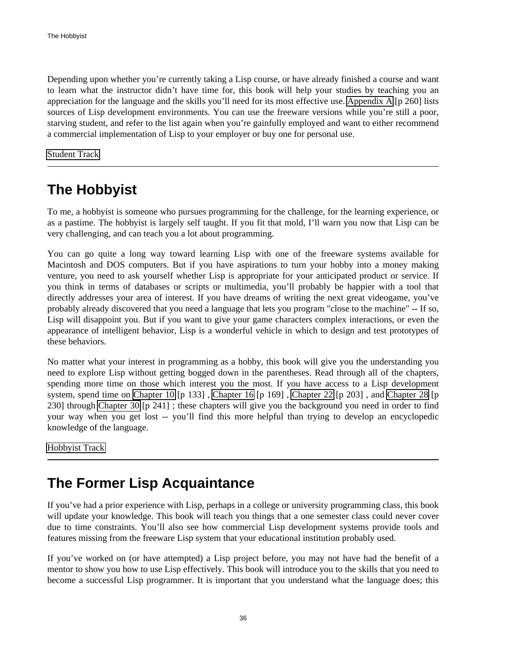Depending upon whether you're currently taking a Lisp course, or have already finished a course and want to learn what the instructor didn't have time for, this book will help your studies by teaching you an appreciation for the language and the skills you'll need for its most effective use. [Appendix A](#page-259-0) [p 260] lists sources of Lisp development environments. You can use the freeware versions while you're still a poor, starving student, and refer to the list again when you're gainfully employed and want to either recommend a commercial implementation of Lisp to your employer or buy one for personal use.

[Student Track](#page-15-0)

### <span id="page-35-0"></span>**The Hobbyist**

To me, a hobbyist is someone who pursues programming for the challenge, for the learning experience, or as a pastime. The hobbyist is largely self taught. If you fit that mold, I'll warn you now that Lisp can be very challenging, and can teach you a lot about programming.

You can go quite a long way toward learning Lisp with one of the freeware systems available for Macintosh and DOS computers. But if you have aspirations to turn your hobby into a money making venture, you need to ask yourself whether Lisp is appropriate for your anticipated product or service. If you think in terms of databases or scripts or multimedia, you'll probably be happier with a tool that directly addresses your area of interest. If you have dreams of writing the next great videogame, you've probably already discovered that you need a language that lets you program "close to the machine" -- If so, Lisp will disappoint you. But if you want to give your game characters complex interactions, or even the appearance of intelligent behavior, Lisp is a wonderful vehicle in which to design and test prototypes of these behaviors.

No matter what your interest in programming as a hobby, this book will give you the understanding you need to explore Lisp without getting bogged down in the parentheses. Read through all of the chapters, spending more time on those which interest you the most. If you have access to a Lisp development system, spend time on [Chapter 10](#page-132-0) [p 133] , [Chapter 16](#page-168-0) [p 169] , [Chapter 22](#page-202-0) [p 203] , and [Chapter 28](#page-229-0) [p 230] through [Chapter 30](#page-240-0) [p 241] ; these chapters will give you the background you need in order to find your way when you get lost -- you'll find this more helpful than trying to develop an encyclopedic knowledge of the language.

[Hobbyist Track](#page-16-0)

### <span id="page-35-1"></span>**The Former Lisp Acquaintance**

If you've had a prior experience with Lisp, perhaps in a college or university programming class, this book will update your knowledge. This book will teach you things that a one semester class could never cover due to time constraints. You'll also see how commercial Lisp development systems provide tools and features missing from the freeware Lisp system that your educational institution probably used.

If you've worked on (or have attempted) a Lisp project before, you may not have had the benefit of a mentor to show you how to use Lisp effectively. This book will introduce you to the skills that you need to become a successful Lisp programmer. It is important that you understand what the language does; this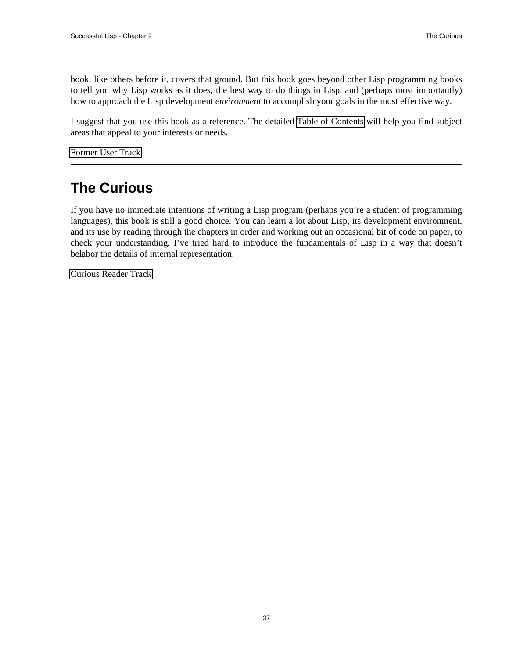book, like others before it, covers that ground. But this book goes beyond other Lisp programming books to tell you why Lisp works as it does, the best way to do things in Lisp, and (perhaps most importantly) how to approach the Lisp development *environment* to accomplish your goals in the most effective way.

I suggest that you use this book as a reference. The detailed [Table of Contents](#page-1-0) will help you find subject areas that appeal to your interests or needs.

[Former User Track](#page-17-0)

# **The Curious**

If you have no immediate intentions of writing a Lisp program (perhaps you're a student of programming languages), this book is still a good choice. You can learn a lot about Lisp, its development environment, and its use by reading through the chapters in order and working out an occasional bit of code on paper, to check your understanding. I've tried hard to introduce the fundamentals of Lisp in a way that doesn't belabor the details of internal representation.

[Curious Reader Track](#page-18-0)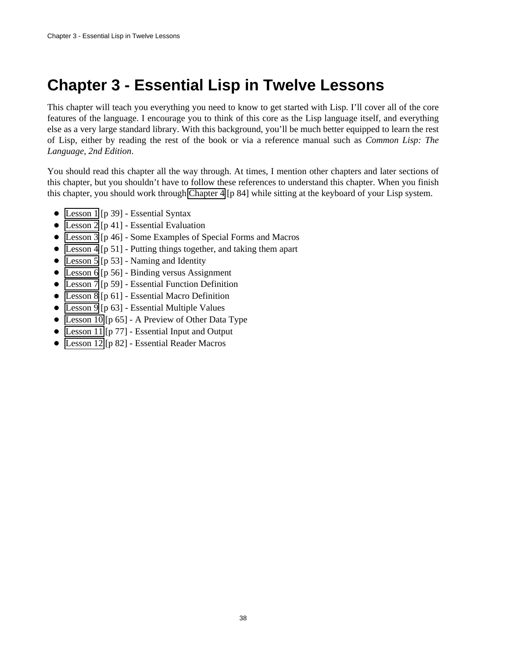This chapter will teach you everything you need to know to get started with Lisp. I'll cover all of the core features of the language. I encourage you to think of this core as the Lisp language itself, and everything else as a very large standard library. With this background, you'll be much better equipped to learn the rest of Lisp, either by reading the rest of the book or via a reference manual such as *Common Lisp: The Language, 2nd Edition*.

You should read this chapter all the way through. At times, I mention other chapters and later sections of this chapter, but you shouldn't have to follow these references to understand this chapter. When you finish this chapter, you should work through [Chapter 4](#page-83-0) [p 84] while sitting at the keyboard of your Lisp system.

- [Lesson 1](#page-38-0) [p 39] Essential Syntax
- [Lesson 2](#page-40-0) [p 41] Essential Evaluation
- [Lesson 3](#page-45-0) [p 46] Some Examples of Special Forms and Macros
- [Lesson 4](#page-50-0) [p 51] Putting things together, and taking them apart
- [Lesson 5](#page-52-0) [p 53] Naming and Identity
- [Lesson 6](#page-55-0) [p 56] Binding versus Assignment
- [Lesson 7](#page-58-0) [p 59] Essential Function Definition
- [Lesson 8](#page-60-0) [p 61] Essential Macro Definition
- [Lesson 9](#page-62-0) [p 63] Essential Multiple Values
- [Lesson 10](#page-64-0) [p 65] A Preview of Other Data Type
- [Lesson 11](#page-76-0) [p 77] Essential Input and Output
- [Lesson 12](#page-81-0) [p 82] Essential Reader Macros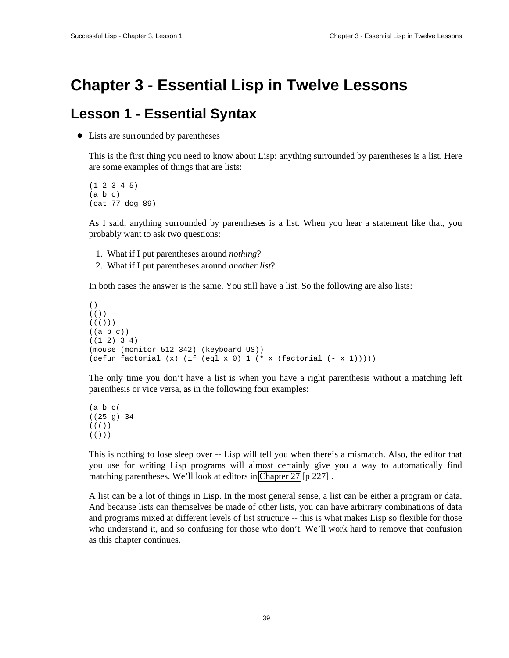#### <span id="page-38-1"></span><span id="page-38-0"></span>**Lesson 1 - Essential Syntax**

Lists are surrounded by parentheses

This is the first thing you need to know about Lisp: anything surrounded by parentheses is a list. Here are some examples of things that are lists:

(1 2 3 4 5) (a b c) (cat 77 dog 89)

As I said, anything surrounded by parentheses is a list. When you hear a statement like that, you probably want to ask two questions:

- 1. What if I put parentheses around *nothing*?
- 2. What if I put parentheses around *another list*?

In both cases the answer is the same. You still have a list. So the following are also lists:

```
()
(())((()))((a b c))
((1 2) 3 4)
(mouse (monitor 512 342) (keyboard US))
(defun factorial (x) (if (eql x 0) 1 (* x (factorial (-x 1)))))
```
The only time you don't have a list is when you have a right parenthesis without a matching left parenthesis or vice versa, as in the following four examples:

```
(a b c(
((25 g) 34
( ( ( ) )(())
```
This is nothing to lose sleep over -- Lisp will tell you when there's a mismatch. Also, the editor that you use for writing Lisp programs will almost certainly give you a way to automatically find matching parentheses. We'll look at editors in [Chapter 27](#page-226-0) [p 227] .

A list can be a lot of things in Lisp. In the most general sense, a list can be either a program or data. And because lists can themselves be made of other lists, you can have arbitrary combinations of data and programs mixed at different levels of list structure -- this is what makes Lisp so flexible for those who understand it, and so confusing for those who don't. We'll work hard to remove that confusion as this chapter continues.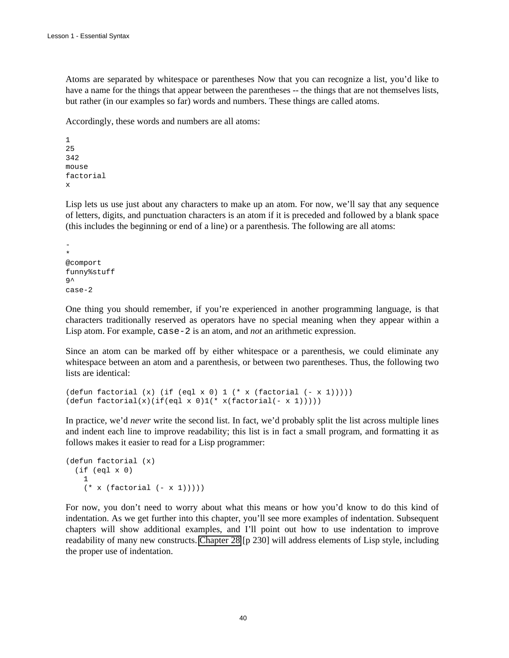<span id="page-39-0"></span>Atoms are separated by whitespace or parentheses Now that you can recognize a list, you'd like to have a name for the things that appear between the parentheses  $-$ - the things that are not themselves lists, but rather (in our examples so far) words and numbers. These things are called atoms.

Accordingly, these words and numbers are all atoms:

```
1
25
342
mouse
factorial
x
```
Lisp lets us use just about any characters to make up an atom. For now, we'll say that any sequence of letters, digits, and punctuation characters is an atom if it is preceded and followed by a blank space (this includes the beginning or end of a line) or a parenthesis. The following are all atoms:

```
-
*
@comport
funny%stuff
9^{\lambda}case-2
```
One thing you should remember, if you're experienced in another programming language, is that characters traditionally reserved as operators have no special meaning when they appear within a Lisp atom. For example, case-2 is an atom, and *not* an arithmetic expression.

Since an atom can be marked off by either whitespace or a parenthesis, we could eliminate any whitespace between an atom and a parenthesis, or between two parentheses. Thus, the following two lists are identical:

```
(defun factorial (x) (if (eql x 0) 1 (* x (factorial (-x 1)))))
(detun factorial(x)(if(eql x 0)1(* x(factorial(- x 1))))))
```
In practice, we'd *never* write the second list. In fact, we'd probably split the list across multiple lines and indent each line to improve readability; this list is in fact a small program, and formatting it as follows makes it easier to read for a Lisp programmer:

```
(defun factorial (x)
  (if (eql x 0)
    1 
    (* x (factorial (- x 1))))
```
For now, you don't need to worry about what this means or how you'd know to do this kind of indentation. As we get further into this chapter, you'll see more examples of indentation. Subsequent chapters will show additional examples, and I'll point out how to use indentation to improve readability of many new constructs. [Chapter 28](#page-229-0) [p 230] will address elements of Lisp style, including the proper use of indentation.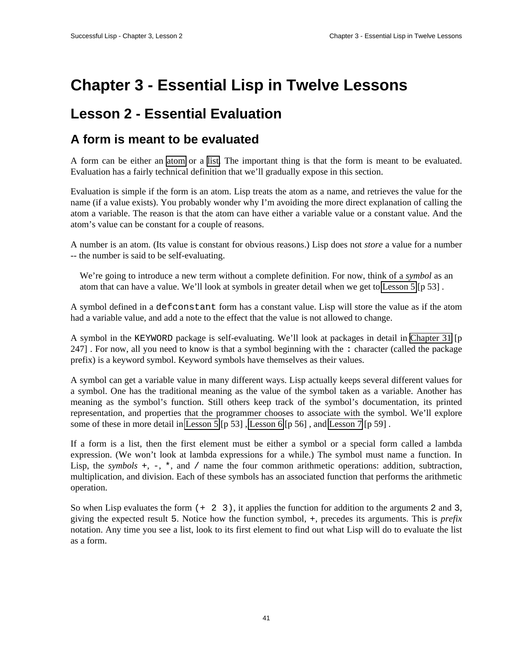# <span id="page-40-0"></span>**Lesson 2 - Essential Evaluation**

#### **A form is meant to be evaluated**

A form can be either an [atom](#page-39-0) or a [list.](#page-38-1) The important thing is that the form is meant to be evaluated. Evaluation has a fairly technical definition that we'll gradually expose in this section.

Evaluation is simple if the form is an atom. Lisp treats the atom as a name, and retrieves the value for the name (if a value exists). You probably wonder why I'm avoiding the more direct explanation of calling the atom a variable. The reason is that the atom can have either a variable value or a constant value. And the atom's value can be constant for a couple of reasons.

A number is an atom. (Its value is constant for obvious reasons.) Lisp does not *store* a value for a number -- the number is said to be self-evaluating.

We're going to introduce a new term without a complete definition. For now, think of a *symbol* as an atom that can have a value. We'll look at symbols in greater detail when we get to [Lesson 5](#page-52-0) [p 53] .

A symbol defined in a defconstant form has a constant value. Lisp will store the value as if the atom had a variable value, and add a note to the effect that the value is not allowed to change.

A symbol in the KEYWORD package is self-evaluating. We'll look at packages in detail in [Chapter 31](#page-246-0) [p 247] . For now, all you need to know is that a symbol beginning with the : character (called the package prefix) is a keyword symbol. Keyword symbols have themselves as their values.

A symbol can get a variable value in many different ways. Lisp actually keeps several different values for a symbol. One has the traditional meaning as the value of the symbol taken as a variable. Another has meaning as the symbol's function. Still others keep track of the symbol's documentation, its printed representation, and properties that the programmer chooses to associate with the symbol. We'll explore some of these in more detail in [Lesson 5](#page-52-0) [p 53] , [Lesson 6](#page-55-0) [p 56] , and [Lesson 7](#page-58-0) [p 59] .

If a form is a list, then the first element must be either a symbol or a special form called a lambda expression. (We won't look at lambda expressions for a while.) The symbol must name a function. In Lisp, the *symbols* +, -, \*, and / name the four common arithmetic operations: addition, subtraction, multiplication, and division. Each of these symbols has an associated function that performs the arithmetic operation.

So when Lisp evaluates the form  $(+ 2 3)$ , it applies the function for addition to the arguments 2 and 3, giving the expected result 5. Notice how the function symbol, +, precedes its arguments. This is *prefix* notation. Any time you see a list, look to its first element to find out what Lisp will do to evaluate the list as a form.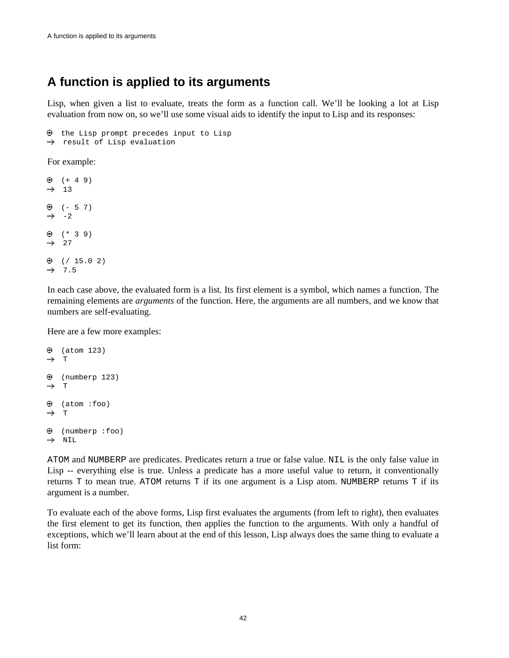### **A function is applied to its arguments**

Lisp, when given a list to evaluate, treats the form as a function call. We'll be looking a lot at Lisp evaluation from now on, so we'll use some visual aids to identify the input to Lisp and its responses:

```
\Theta the Lisp prompt precedes input to Lisp
\rightarrow result of Lisp evaluation
```
For example:

```
\Theta (+ 4 9)
\rightarrow 13
\Theta (-57)
\rightarrow -2 (* 3 9)
\rightarrow 27
\Theta (/ 15.0 2)
\rightarrow 7.5
```
In each case above, the evaluated form is a list. Its first element is a symbol, which names a function. The remaining elements are *arguments* of the function. Here, the arguments are all numbers, and we know that numbers are self-evaluating.

Here are a few more examples:

```
\Theta (atom 123)
\rightarrow T
 (numberp 123)
\rightarrow T
 (atom :foo)
\rightarrow T
 (numberp :foo)
\rightarrow NIL
```
ATOM and NUMBERP are predicates. Predicates return a true or false value. NIL is the only false value in Lisp -- everything else is true. Unless a predicate has a more useful value to return, it conventionally returns T to mean true. ATOM returns T if its one argument is a Lisp atom. NUMBERP returns T if its argument is a number.

<span id="page-41-0"></span>To evaluate each of the above forms, Lisp first evaluates the arguments (from left to right), then evaluates the first element to get its function, then applies the function to the arguments. With only a handful of exceptions, which we'll learn about at the end of this lesson, Lisp always does the same thing to evaluate a list form: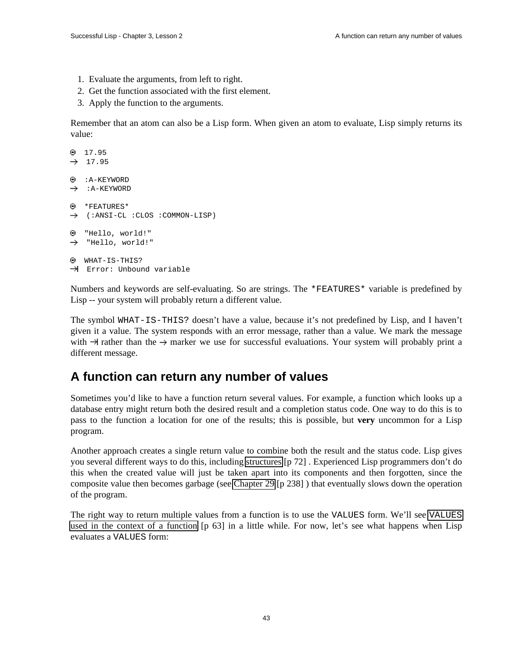- 1. Evaluate the arguments, from left to right.
- 2. Get the function associated with the first element.
- 3. Apply the function to the arguments.

Remember that an atom can also be a Lisp form. When given an atom to evaluate, Lisp simply returns its value:

```
0 17.95
\rightarrow 17.95
\Theta : A-KEYWORD
\rightarrow : A-KEYWORD
\Theta *FEATURES*
 (:ANSI-CL :CLOS :COMMON-LISP)
 "Hello, world!"
\rightarrow "Hello, world!"
\Theta WHAT-IS-THIS?
\rightarrow Error: Unbound variable
```
Numbers and keywords are self-evaluating. So are strings. The \*FEATURES\* variable is predefined by Lisp -- your system will probably return a different value.

The symbol WHAT-IS-THIS? doesn't have a value, because it's not predefined by Lisp, and I haven't given it a value. The system responds with an error message, rather than a value. We mark the message with  $\rightarrow$  rather than the  $\rightarrow$  marker we use for successful evaluations. Your system will probably print a different message.

#### **A function can return any number of values**

Sometimes you'd like to have a function return several values. For example, a function which looks up a database entry might return both the desired result and a completion status code. One way to do this is to pass to the function a location for one of the results; this is possible, but **very** uncommon for a Lisp program.

Another approach creates a single return value to combine both the result and the status code. Lisp gives you several different ways to do this, including [structures](#page-71-0) [p 72] . Experienced Lisp programmers don't do this when the created value will just be taken apart into its components and then forgotten, since the composite value then becomes garbage (see [Chapter 29](#page-237-0) [p 238] ) that eventually slows down the operation of the program.

The right way to return multiple values from a function is to use the VALUES form. We'll see [VALUES](#page-62-0) [used in the context of a function](#page-62-0) [p 63] in a little while. For now, let's see what happens when Lisp evaluates a VALUES form: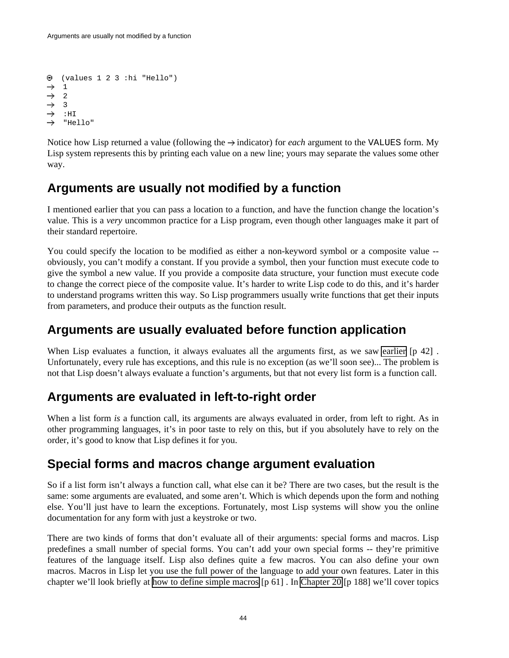```
 (values 1 2 3 :hi "Hello")
\rightarrow 1
\rightarrow 2
\rightarrow 3
\rightarrow :HI
\rightarrow "Hello"
```
Notice how Lisp returned a value (following the  $\rightarrow$  indicator) for *each* argument to the VALUES form. My Lisp system represents this by printing each value on a new line; yours may separate the values some other way.

### **Arguments are usually not modified by a function**

I mentioned earlier that you can pass a location to a function, and have the function change the location's value. This is a *very* uncommon practice for a Lisp program, even though other languages make it part of their standard repertoire.

You could specify the location to be modified as either a non-keyword symbol or a composite value - obviously, you can't modify a constant. If you provide a symbol, then your function must execute code to give the symbol a new value. If you provide a composite data structure, your function must execute code to change the correct piece of the composite value. It's harder to write Lisp code to do this, and it's harder to understand programs written this way. So Lisp programmers usually write functions that get their inputs from parameters, and produce their outputs as the function result.

### **Arguments are usually evaluated before function application**

When Lisp evaluates a function, it always evaluates all the arguments first, as we saw [earlier](#page-41-0) [p 42]. Unfortunately, every rule has exceptions, and this rule is no exception (as we'll soon see)... The problem is not that Lisp doesn't always evaluate a function's arguments, but that not every list form is a function call.

### **Arguments are evaluated in left-to-right order**

When a list form *is* a function call, its arguments are always evaluated in order, from left to right. As in other programming languages, it's in poor taste to rely on this, but if you absolutely have to rely on the order, it's good to know that Lisp defines it for you.

### **Special forms and macros change argument evaluation**

So if a list form isn't always a function call, what else can it be? There are two cases, but the result is the same: some arguments are evaluated, and some aren't. Which is which depends upon the form and nothing else. You'll just have to learn the exceptions. Fortunately, most Lisp systems will show you the online documentation for any form with just a keystroke or two.

There are two kinds of forms that don't evaluate all of their arguments: special forms and macros. Lisp predefines a small number of special forms. You can't add your own special forms -- they're primitive features of the language itself. Lisp also defines quite a few macros. You can also define your own macros. Macros in Lisp let you use the full power of the language to add your own features. Later in this chapter we'll look briefly at [how to define simple macros](#page-60-0) [p 61] . In [Chapter 20](#page-187-0) [p 188] we'll cover topics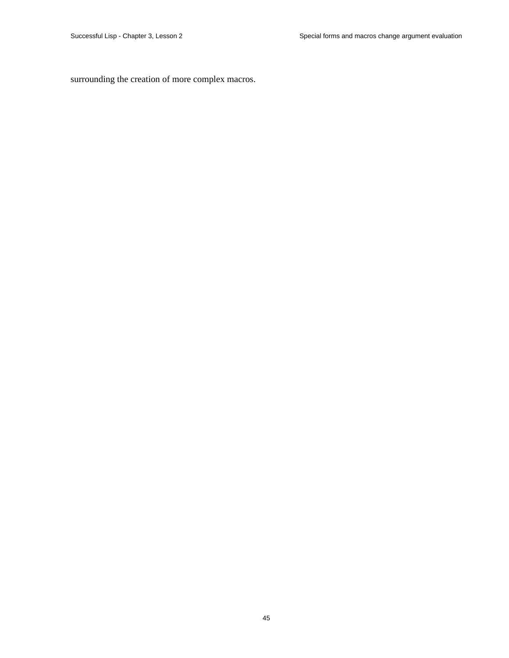surrounding the creation of more complex macros.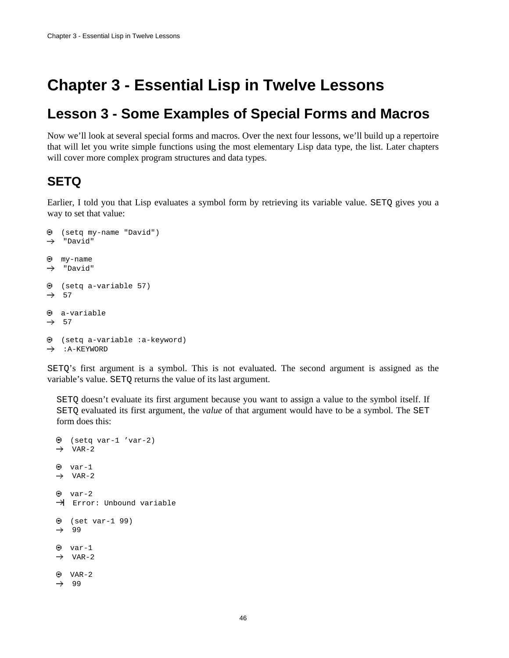### <span id="page-45-0"></span>**Lesson 3 - Some Examples of Special Forms and Macros**

Now we'll look at several special forms and macros. Over the next four lessons, we'll build up a repertoire that will let you write simple functions using the most elementary Lisp data type, the list. Later chapters will cover more complex program structures and data types.

### **SETQ**

Earlier, I told you that Lisp evaluates a symbol form by retrieving its variable value. SETQ gives you a way to set that value:

```
 (setq my-name "David")
→ "David"
 my-name
→ "David"
 (setq a-variable 57)
\rightarrow 57
 a-variable
\rightarrow 57
 (setq a-variable :a-keyword)
\rightarrow : A-KEYWORD
```
SETQ's first argument is a symbol. This is not evaluated. The second argument is assigned as the variable's value. SETQ returns the value of its last argument.

SETQ doesn't evaluate its first argument because you want to assign a value to the symbol itself. If SETQ evaluated its first argument, the *value* of that argument would have to be a symbol. The SET form does this:

```
\Theta (setq var-1 'var-2)
\rightarrow VAR-2
 var-1
\rightarrow VAR-2
\Theta var-2
\rightarrow Error: Unbound variable
 (set var-1 99)
\rightarrow 99
0 var-1
\rightarrow VAR-2
\Theta VAR-2
\rightarrow 99
```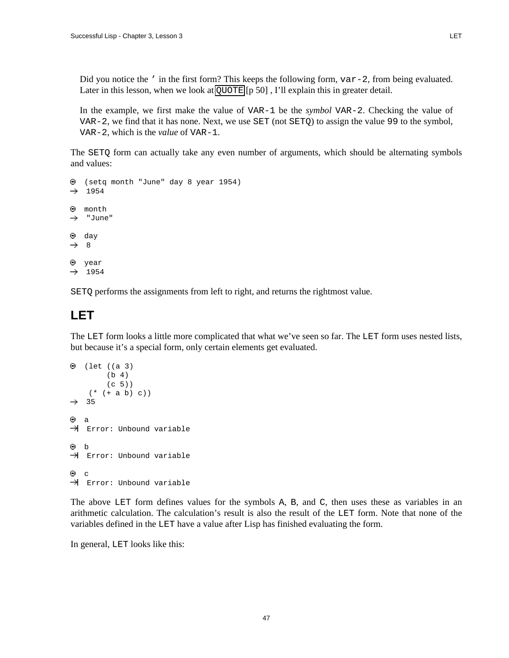Did you notice the ' in the first form? This keeps the following form,  $var-2$ , from being evaluated. Later in this lesson, when we look at [QUOTE](#page-49-0) [p 50], I'll explain this in greater detail.

In the example, we first make the value of VAR-1 be the *symbol* VAR-2. Checking the value of VAR-2, we find that it has none. Next, we use SET (not SETQ) to assign the value 99 to the symbol, VAR-2, which is the *value* of VAR-1.

The SETQ form can actually take any even number of arguments, which should be alternating symbols and values:

```
 (setq month "June" day 8 year 1954)
\rightarrow 1954
\Theta month
 "June"
\Theta day
\rightarrow 8
\Theta year
\rightarrow 1954
```
SETQ performs the assignments from left to right, and returns the rightmost value.

#### **LET**

The LET form looks a little more complicated that what we've seen so far. The LET form uses nested lists, but because it's a special form, only certain elements get evaluated.

```
\Theta (let ((a 3)
          (b 4)
          (c 5))
     (* (+ a b) c))
\rightarrow 35
\Theta a
 Error: Unbound variable
\Theta b
→ Error: Unbound variable
\Theta c
→ Error: Unbound variable
```
The above LET form defines values for the symbols A, B, and C, then uses these as variables in an arithmetic calculation. The calculation's result is also the result of the LET form. Note that none of the variables defined in the LET have a value after Lisp has finished evaluating the form.

In general, LET looks like this: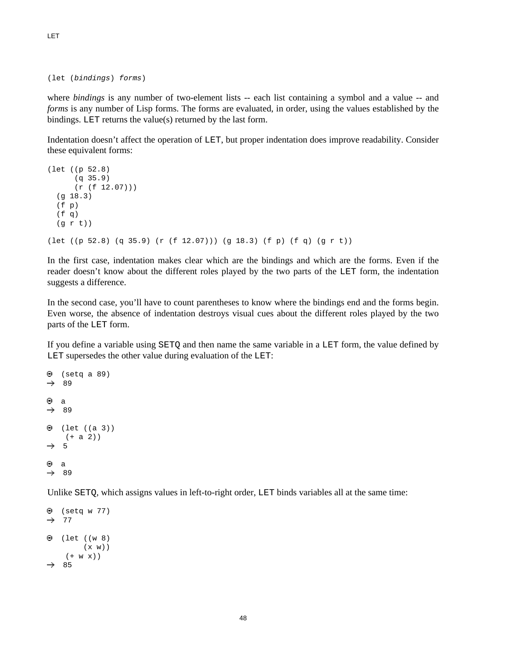LET

```
(let (bindings) forms)
```
where *bindings* is any number of two-element lists -- each list containing a symbol and a value -- and *forms* is any number of Lisp forms. The forms are evaluated, in order, using the values established by the bindings. LET returns the value(s) returned by the last form.

Indentation doesn't affect the operation of LET, but proper indentation does improve readability. Consider these equivalent forms:

```
(let ((p 52.8)
       (q 35.9)
       (r (f 12.07)))
   (g 18.3)
  (f p) 
  (f q) (g r t))
(let ((p 52.8) (q 35.9) (r (f 12.07))) (g 18.3) (f p) (f q) (g r t))
```
In the first case, indentation makes clear which are the bindings and which are the forms. Even if the reader doesn't know about the different roles played by the two parts of the LET form, the indentation suggests a difference.

In the second case, you'll have to count parentheses to know where the bindings end and the forms begin. Even worse, the absence of indentation destroys visual cues about the different roles played by the two parts of the LET form.

If you define a variable using SETQ and then name the same variable in a LET form, the value defined by LET supersedes the other value during evaluation of the LET:

```
 (setq a 89)
\rightarrow 89
Θ a
\rightarrow 89
\Theta (let ((a 3))
       (+ a 2))
\rightarrow 5
\Theta a
\rightarrow 89
```
Unlike SETQ, which assigns values in left-to-right order, LET binds variables all at the same time:

```
\Theta (setq w 77)
\rightarrow 77
\Theta (let ((w 8)
             (x w))
      (+ w x)\rightarrow 85
```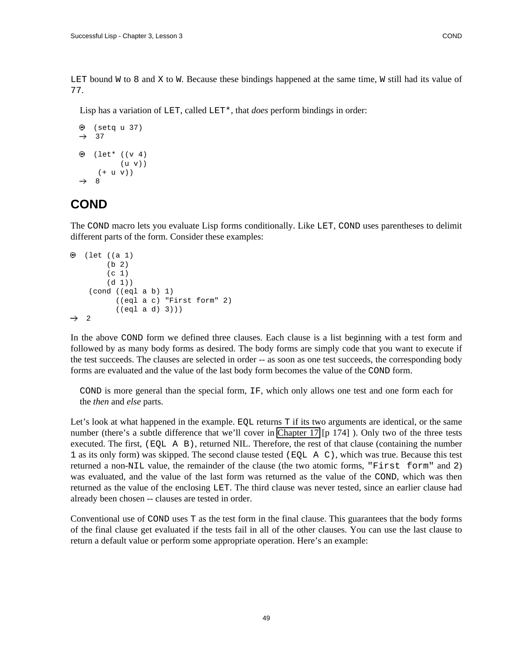LET bound W to 8 and X to W. Because these bindings happened at the same time, W still had its value of 77.

Lisp has a variation of LET, called LET\*, that *does* perform bindings in order:

```
 (setq u 37)
\rightarrow 37
\Theta (let* ((v 4)
              (u v))
      (+ u v))
\rightarrow 8
```
### **COND**

The COND macro lets you evaluate Lisp forms conditionally. Like LET, COND uses parentheses to delimit different parts of the form. Consider these examples:

```
\Theta (let ((a 1)
           (b 2)
           (c 1)
          (d 1)) (cond ((eql a b) 1)
             ((eql a c) "First form" 2)
             ((eql a d) 3)))
\rightarrow 2
```
In the above COND form we defined three clauses. Each clause is a list beginning with a test form and followed by as many body forms as desired. The body forms are simply code that you want to execute if the test succeeds. The clauses are selected in order -- as soon as one test succeeds, the corresponding body forms are evaluated and the value of the last body form becomes the value of the COND form.

COND is more general than the special form, IF, which only allows one test and one form each for the *then* and *else* parts.

Let's look at what happened in the example. EQL returns T if its two arguments are identical, or the same number (there's a subtle difference that we'll cover in [Chapter 17](#page-173-0) [p 174]). Only two of the three tests executed. The first, (EQL A B), returned NIL. Therefore, the rest of that clause (containing the number 1 as its only form) was skipped. The second clause tested (EQL  $\land$  C), which was true. Because this test returned a non-NIL value, the remainder of the clause (the two atomic forms, "First form" and 2) was evaluated, and the value of the last form was returned as the value of the COND, which was then returned as the value of the enclosing LET. The third clause was never tested, since an earlier clause had already been chosen -- clauses are tested in order.

Conventional use of COND uses T as the test form in the final clause. This guarantees that the body forms of the final clause get evaluated if the tests fail in all of the other clauses. You can use the last clause to return a default value or perform some appropriate operation. Here's an example: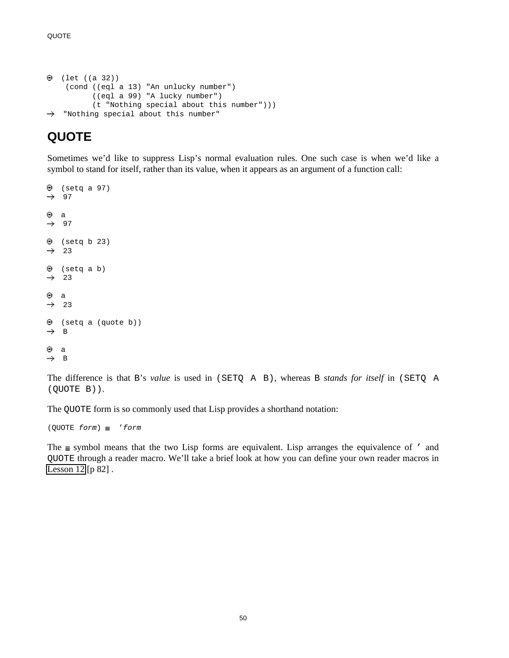```
 (let ((a 32))
     (cond ((eql a 13) "An unlucky number")
           ((eql a 99) "A lucky number")
           (t "Nothing special about this number")))
\rightarrow "Nothing special about this number"
```
#### <span id="page-49-0"></span>**QUOTE**

Sometimes we'd like to suppress Lisp's normal evaluation rules. One such case is when we'd like a symbol to stand for itself, rather than its value, when it appears as an argument of a function call:

```
 (setq a 97)
\rightarrow 97
 a
\rightarrow 97
\Theta (setq b 23)
\rightarrow 23
 (setq a b)
\rightarrow 23
Θ a
\rightarrow 23
 (setq a (quote b))
\rightarrow B
 a
\rightarrow B
```
The difference is that B's *value* is used in (SETQ A B), whereas B *stands for itself* in (SETQ A (QUOTE B)).

The QUOTE form is so commonly used that Lisp provides a shorthand notation:

 $(OUOTE\ form) = 'form$ 

The  $\equiv$  symbol means that the two Lisp forms are equivalent. Lisp arranges the equivalence of  $\prime$  and QUOTE through a reader macro. We'll take a brief look at how you can define your own reader macros in [Lesson 12](#page-81-0) [p 82].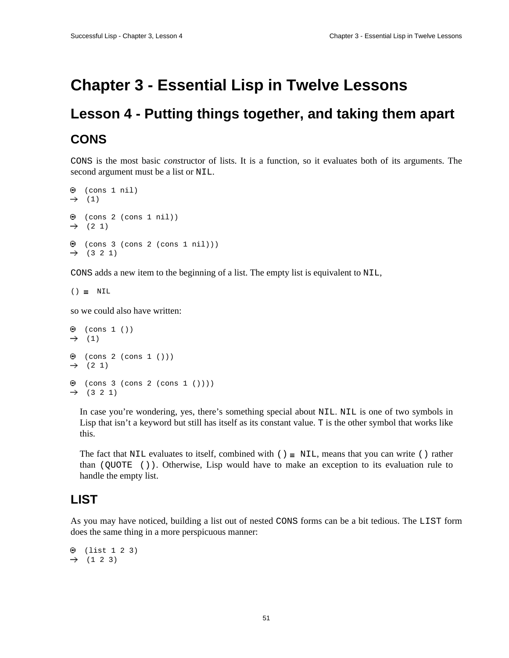# <span id="page-50-0"></span>**Lesson 4 - Putting things together, and taking them apart CONS**

CONS is the most basic *cons*tructor of lists. It is a function, so it evaluates both of its arguments. The second argument must be a list or NIL.

 (cons 1 nil)  $\rightarrow$  (1)  $\Theta$  (cons 2 (cons 1 nil))  $\rightarrow$  (2 1) (cons 3 (cons 2 (cons 1 nil)))  $\rightarrow$  (3 2 1)

CONS adds a new item to the beginning of a list. The empty list is equivalent to NIL,

 $() \equiv NIL$ 

so we could also have written:

```
\Theta (cons 1 ())
\rightarrow (1)
\Theta (cons 2 (cons 1 ()))
\rightarrow (2 1)
\Theta (cons 3 (cons 2 (cons 1 ())))
\rightarrow (3 2 1)
```
In case you're wondering, yes, there's something special about NIL. NIL is one of two symbols in Lisp that isn't a keyword but still has itself as its constant value. T is the other symbol that works like this.

The fact that NIL evaluates to itself, combined with ()  $\equiv$  NIL, means that you can write () rather than (QUOTE ()). Otherwise, Lisp would have to make an exception to its evaluation rule to handle the empty list.

#### **LIST**

As you may have noticed, building a list out of nested CONS forms can be a bit tedious. The LIST form does the same thing in a more perspicuous manner:

```
\Theta (list 1 2 3)
\rightarrow (1 2 3)
```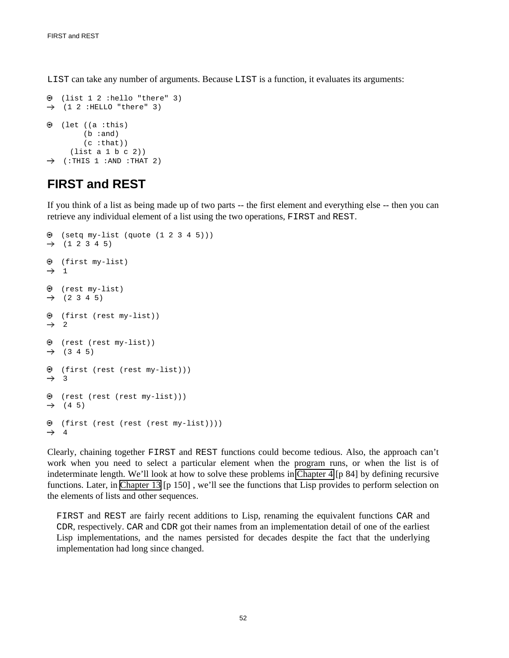LIST can take any number of arguments. Because LIST is a function, it evaluates its arguments:

```
 (list 1 2 :hello "there" 3)
\rightarrow (1 2 :HELLO "there" 3)
\Theta (let ((a :this)
          (b :and)
         (c :that)) (list a 1 b c 2))
\rightarrow (:THIS 1 :AND :THAT 2)
```
### **FIRST and REST**

If you think of a list as being made up of two parts -- the first element and everything else -- then you can retrieve any individual element of a list using the two operations, FIRST and REST.

```
\Theta (setq my-list (quote (1 2 3 4 5)))
\rightarrow (1 2 3 4 5)
 (first my-list)
\rightarrow 1
 (rest my-list)
\rightarrow (2 3 4 5)
 (first (rest my-list))
\rightarrow 2
 (rest (rest my-list))
\rightarrow (3 4 5)
 (first (rest (rest my-list)))
\rightarrow 3
 (rest (rest (rest my-list)))
\rightarrow (4 5)
 (first (rest (rest (rest my-list))))
\rightarrow 4
```
Clearly, chaining together FIRST and REST functions could become tedious. Also, the approach can't work when you need to select a particular element when the program runs, or when the list is of indeterminate length. We'll look at how to solve these problems in [Chapter 4](#page-83-0) [p 84] by defining recursive functions. Later, in [Chapter 13](#page-149-0) [p 150] , we'll see the functions that Lisp provides to perform selection on the elements of lists and other sequences.

FIRST and REST are fairly recent additions to Lisp, renaming the equivalent functions CAR and CDR, respectively. CAR and CDR got their names from an implementation detail of one of the earliest Lisp implementations, and the names persisted for decades despite the fact that the underlying implementation had long since changed.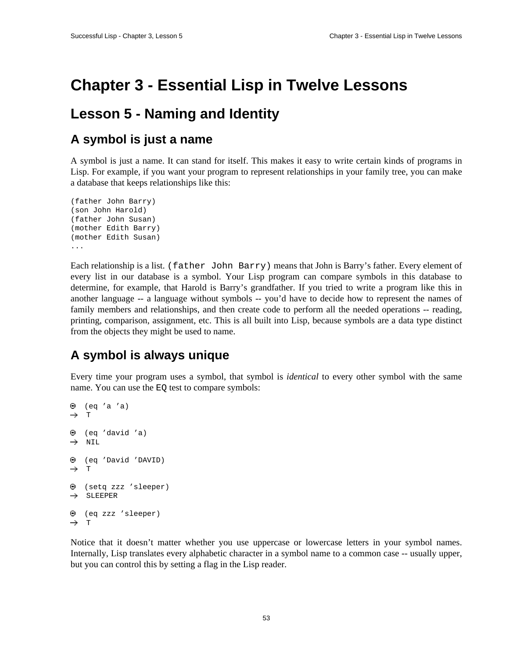## <span id="page-52-0"></span>**Lesson 5 - Naming and Identity**

#### **A symbol is just a name**

A symbol is just a name. It can stand for itself. This makes it easy to write certain kinds of programs in Lisp. For example, if you want your program to represent relationships in your family tree, you can make a database that keeps relationships like this:

```
(father John Barry)
(son John Harold)
(father John Susan)
(mother Edith Barry)
(mother Edith Susan)
...
```
Each relationship is a list. (father John Barry) means that John is Barry's father. Every element of every list in our database is a symbol. Your Lisp program can compare symbols in this database to determine, for example, that Harold is Barry's grandfather. If you tried to write a program like this in another language -- a language without symbols -- you'd have to decide how to represent the names of family members and relationships, and then create code to perform all the needed operations -- reading, printing, comparison, assignment, etc. This is all built into Lisp, because symbols are a data type distinct from the objects they might be used to name.

### **A symbol is always unique**

Every time your program uses a symbol, that symbol is *identical* to every other symbol with the same name. You can use the EQ test to compare symbols:

```
 (eq 'a 'a)
\rightarrow T
 (eq 'david 'a)
\rightarrow NTT.
 (eq 'David 'DAVID)
\rightarrow T
 (setq zzz 'sleeper)
\rightarrow SLEEPER
 (eq zzz 'sleeper)
\rightarrow T
```
Notice that it doesn't matter whether you use uppercase or lowercase letters in your symbol names. Internally, Lisp translates every alphabetic character in a symbol name to a common case -- usually upper, but you can control this by setting a flag in the Lisp reader.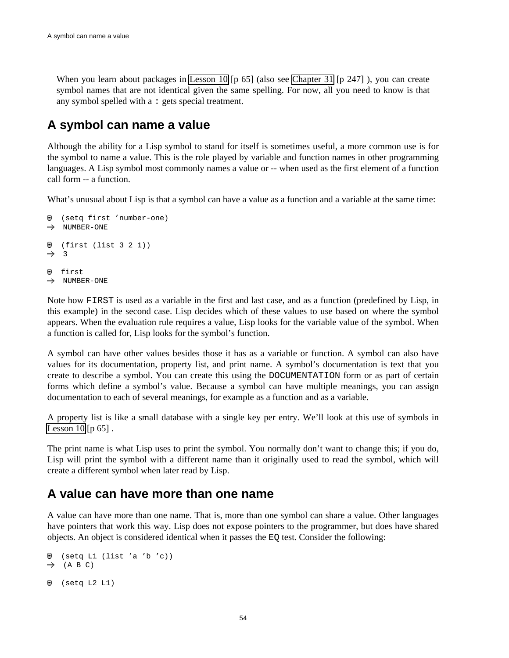When you learn about packages in [Lesson 10](#page-64-0) [p 65] (also see [Chapter 31](#page-246-0) [p 247]), you can create symbol names that are not identical given the same spelling. For now, all you need to know is that any symbol spelled with a : gets special treatment.

#### **A symbol can name a value**

Although the ability for a Lisp symbol to stand for itself is sometimes useful, a more common use is for the symbol to name a value. This is the role played by variable and function names in other programming languages. A Lisp symbol most commonly names a value or -- when used as the first element of a function call form -- a function.

What's unusual about Lisp is that a symbol can have a value as a function and a variable at the same time:

```
 (setq first 'number-one)
\rightarrow NUMBER-ONE
\Theta (first (list 3 2 1))
\rightarrow 3
0 first
\rightarrow NUMBER-ONE
```
Note how FIRST is used as a variable in the first and last case, and as a function (predefined by Lisp, in this example) in the second case. Lisp decides which of these values to use based on where the symbol appears. When the evaluation rule requires a value, Lisp looks for the variable value of the symbol. When a function is called for, Lisp looks for the symbol's function.

A symbol can have other values besides those it has as a variable or function. A symbol can also have values for its documentation, property list, and print name. A symbol's documentation is text that you create to describe a symbol. You can create this using the DOCUMENTATION form or as part of certain forms which define a symbol's value. Because a symbol can have multiple meanings, you can assign documentation to each of several meanings, for example as a function and as a variable.

A property list is like a small database with a single key per entry. We'll look at this use of symbols in Lesson  $10$  [p  $65$ ].

The print name is what Lisp uses to print the symbol. You normally don't want to change this; if you do, Lisp will print the symbol with a different name than it originally used to read the symbol, which will create a different symbol when later read by Lisp.

#### **A value can have more than one name**

A value can have more than one name. That is, more than one symbol can share a value. Other languages have pointers that work this way. Lisp does not expose pointers to the programmer, but does have shared objects. An object is considered identical when it passes the EQ test. Consider the following:

```
\Theta (setq L1 (list 'a 'b 'c))
\rightarrow (A B C)
\Theta (setq L2 L1)
```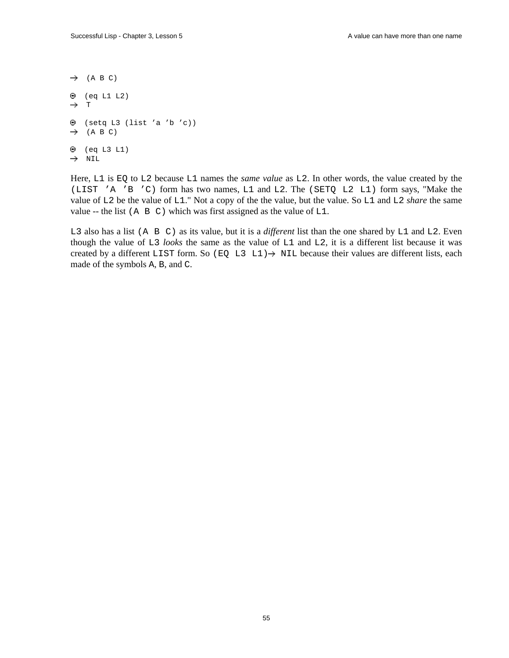$\rightarrow$  (A B C) (eq L1 L2)  $\rightarrow$  T  $\Theta$  (setq L3 (list 'a 'b 'c))  $\rightarrow$  (A B C) (eq L3 L1)  $\rightarrow$  NIL

Here, L1 is EQ to L2 because L1 names the *same value* as L2. In other words, the value created by the (LIST 'A 'B 'C) form has two names, L1 and L2. The (SETQ L2 L1) form says, "Make the value of L2 be the value of L1." Not a copy of the the value, but the value. So L1 and L2 *share* the same value -- the list (A B C) which was first assigned as the value of  $L1$ .

L3 also has a list (A B C) as its value, but it is a *different* list than the one shared by L1 and L2. Even though the value of L3 *looks* the same as the value of L1 and L2, it is a different list because it was created by a different LIST form. So (EQ L3 L1)  $\rightarrow$  NIL because their values are different lists, each made of the symbols A, B, and C.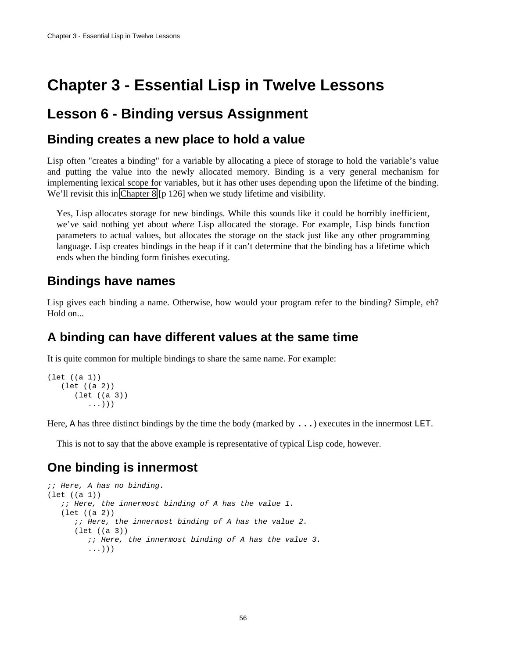# <span id="page-55-0"></span>**Lesson 6 - Binding versus Assignment**

#### **Binding creates a new place to hold a value**

Lisp often "creates a binding" for a variable by allocating a piece of storage to hold the variable's value and putting the value into the newly allocated memory. Binding is a very general mechanism for implementing lexical scope for variables, but it has other uses depending upon the lifetime of the binding. We'll revisit this in [Chapter 8](#page-125-0) [p 126] when we study lifetime and visibility.

Yes, Lisp allocates storage for new bindings. While this sounds like it could be horribly inefficient, we've said nothing yet about *where* Lisp allocated the storage. For example, Lisp binds function parameters to actual values, but allocates the storage on the stack just like any other programming language. Lisp creates bindings in the heap if it can't determine that the binding has a lifetime which ends when the binding form finishes executing.

#### **Bindings have names**

Lisp gives each binding a name. Otherwise, how would your program refer to the binding? Simple, eh? Hold on...

### **A binding can have different values at the same time**

It is quite common for multiple bindings to share the same name. For example:

```
(let ((a 1))
    (let ((a 2))
       (let ((a 3))
          ...)))
```
Here, A has three distinct bindings by the time the body (marked by  $\dots$ ) executes in the innermost LET.

This is not to say that the above example is representative of typical Lisp code, however.

### **One binding is innermost**

```
;; Here, A has no binding.
(let ((a 1))
    ;; Here, the innermost binding of A has the value 1.
    (let ((a 2))
       ;; Here, the innermost binding of A has the value 2.
       (let ((a 3))
          ;; Here, the innermost binding of A has the value 3.
          ...)))
```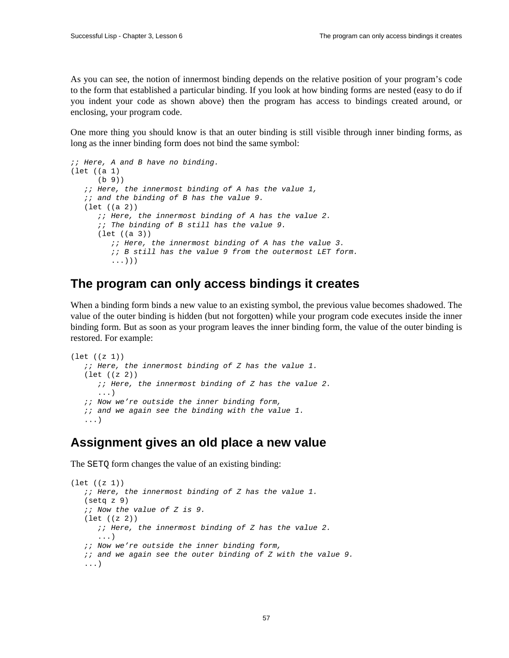As you can see, the notion of innermost binding depends on the relative position of your program's code to the form that established a particular binding. If you look at how binding forms are nested (easy to do if you indent your code as shown above) then the program has access to bindings created around, or enclosing, your program code.

One more thing you should know is that an outer binding is still visible through inner binding forms, as long as the inner binding form does not bind the same symbol:

```
;; Here, A and B have no binding.
(let ((a 1)
      (b 9))
   ;; Here, the innermost binding of A has the value 1,
   ;; and the binding of B has the value 9.
   (let ((a 2))
      ;; Here, the innermost binding of A has the value 2.
       ;; The binding of B still has the value 9.
      (let ((a 3))
          ;; Here, the innermost binding of A has the value 3.
          ;; B still has the value 9 from the outermost LET form.
          ...)))
```
#### **The program can only access bindings it creates**

When a binding form binds a new value to an existing symbol, the previous value becomes shadowed. The value of the outer binding is hidden (but not forgotten) while your program code executes inside the inner binding form. But as soon as your program leaves the inner binding form, the value of the outer binding is restored. For example:

```
(let ((z 1))
   ;; Here, the innermost binding of Z has the value 1.
   (let ((z 2))
      ;; Here, the innermost binding of Z has the value 2.
       ...)
    ;; Now we're outside the inner binding form,
    ;; and we again see the binding with the value 1.
    ...)
```
#### **Assignment gives an old place a new value**

The SETQ form changes the value of an existing binding:

```
(let ((z 1))
   ;; Here, the innermost binding of Z has the value 1.
   (setq z 9)
   ;; Now the value of Z is 9.
   (let ((z 2))
      ;; Here, the innermost binding of Z has the value 2.
       ...)
   ;; Now we're outside the inner binding form,
   ;; and we again see the outer binding of Z with the value 9.
    ...)
```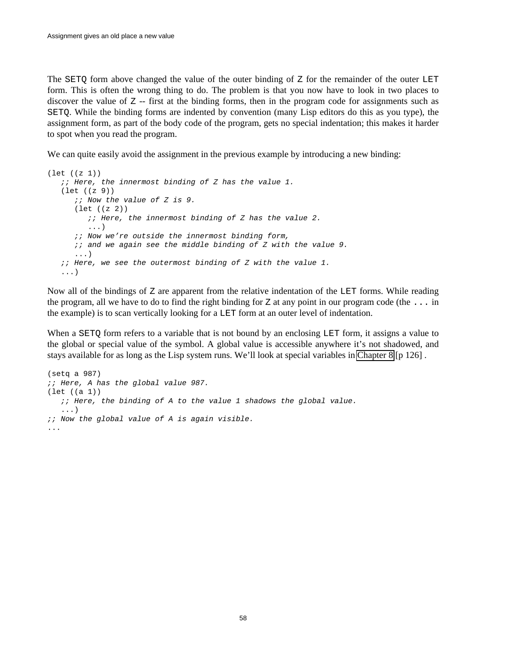The SETQ form above changed the value of the outer binding of Z for the remainder of the outer LET form. This is often the wrong thing to do. The problem is that you now have to look in two places to discover the value of Z -- first at the binding forms, then in the program code for assignments such as SETQ. While the binding forms are indented by convention (many Lisp editors do this as you type), the assignment form, as part of the body code of the program, gets no special indentation; this makes it harder to spot when you read the program.

We can quite easily avoid the assignment in the previous example by introducing a new binding:

```
(let ((z 1))
    ;; Here, the innermost binding of Z has the value 1.
    (let ((z 9))
       ;; Now the value of Z is 9.
       (let ((z 2))
          ;; Here, the innermost binding of Z has the value 2.
          ...)
       ;; Now we're outside the innermost binding form,
       ;; and we again see the middle binding of Z with the value 9.
       ...)
    ;; Here, we see the outermost binding of Z with the value 1.
    ...)
```
Now all of the bindings of Z are apparent from the relative indentation of the LET forms. While reading the program, all we have to do to find the right binding for  $Z$  at any point in our program code (the  $\dots$  in the example) is to scan vertically looking for a LET form at an outer level of indentation.

When a SETQ form refers to a variable that is not bound by an enclosing LET form, it assigns a value to the global or special value of the symbol. A global value is accessible anywhere it's not shadowed, and stays available for as long as the Lisp system runs. We'll look at special variables in [Chapter 8](#page-125-0) [p 126] .

```
(setq a 987)
;; Here, A has the global value 987.
(let ((a 1))
    ;; Here, the binding of A to the value 1 shadows the global value.
    ...)
;; Now the global value of A is again visible.
...
```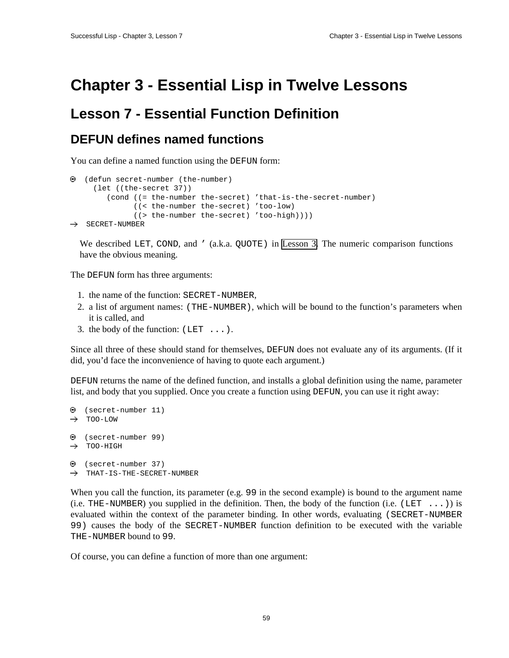### <span id="page-58-0"></span>**Lesson 7 - Essential Function Definition**

#### **DEFUN defines named functions**

You can define a named function using the DEFUN form:

```
 (defun secret-number (the-number)
      (let ((the-secret 37))
         (cond ((= the-number the-secret) 'that-is-the-secret-number)
                ((< the-number the-secret) 'too-low)
                ((> the-number the-secret) 'too-high))))
\rightarrow SECRET-NUMBER
```
We described LET, COND, and ' (a.k.a. QUOTE) in [Lesson 3.](#page-45-0) The numeric comparison functions have the obvious meaning.

The DEFUN form has three arguments:

- 1. the name of the function: SECRET-NUMBER,
- 2. a list of argument names: (THE-NUMBER), which will be bound to the function's parameters when it is called, and
- 3. the body of the function:  $(\text{LET } \dots)$ .

Since all three of these should stand for themselves, DEFUN does not evaluate any of its arguments. (If it did, you'd face the inconvenience of having to quote each argument.)

DEFUN returns the name of the defined function, and installs a global definition using the name, parameter list, and body that you supplied. Once you create a function using DEFUN, you can use it right away:

```
 (secret-number 11)
\rightarrow TOO-LOW
 (secret-number 99)
\rightarrow TOO-HIGH
 (secret-number 37)
\rightarrow THAT-IS-THE-SECRET-NUMBER
```
When you call the function, its parameter (e.g. 99 in the second example) is bound to the argument name (i.e. THE-NUMBER) you supplied in the definition. Then, the body of the function (i.e. (LET  $\dots$ )) is evaluated within the context of the parameter binding. In other words, evaluating (SECRET-NUMBER 99) causes the body of the SECRET-NUMBER function definition to be executed with the variable THE-NUMBER bound to 99.

Of course, you can define a function of more than one argument: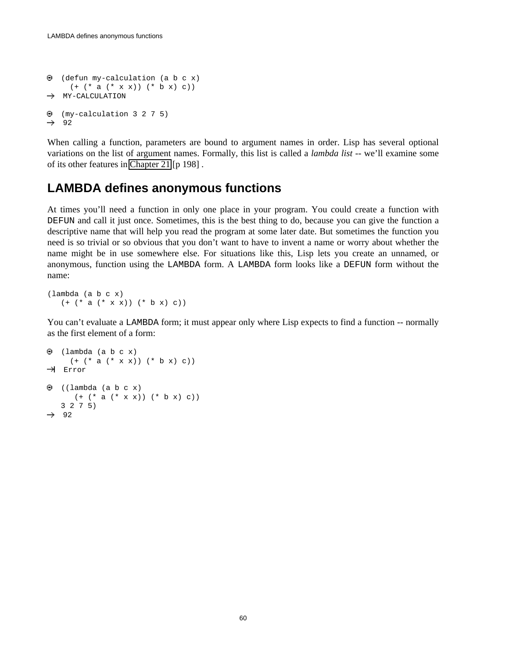```
 (defun my-calculation (a b c x)
      (+ (* a (* x x)) (* b x) c))
\rightarrow MY-CALCULATION
 (my-calculation 3 2 7 5)
\rightarrow 92
```
When calling a function, parameters are bound to argument names in order. Lisp has several optional variations on the list of argument names. Formally, this list is called a *lambda list* -- we'll examine some of its other features in [Chapter 21](#page-197-0) [p 198] .

### **LAMBDA defines anonymous functions**

At times you'll need a function in only one place in your program. You could create a function with DEFUN and call it just once. Sometimes, this is the best thing to do, because you can give the function a descriptive name that will help you read the program at some later date. But sometimes the function you need is so trivial or so obvious that you don't want to have to invent a name or worry about whether the name might be in use somewhere else. For situations like this, Lisp lets you create an unnamed, or anonymous, function using the LAMBDA form. A LAMBDA form looks like a DEFUN form without the name:

(lambda (a b c x)  $(+$   $(*$  a  $(* x x))$   $(*$  b x) c))

You can't evaluate a LAMBDA form; it must appear only where Lisp expects to find a function -- normally as the first element of a form:

```
 (lambda (a b c x)
      (+ (* a (* x x)) (* b x) c))
→ Error
\Theta ((lambda (a b c x)
       (+ (* a (* x x)) (* b x) c))
    3 2 7 5)
\rightarrow 92
```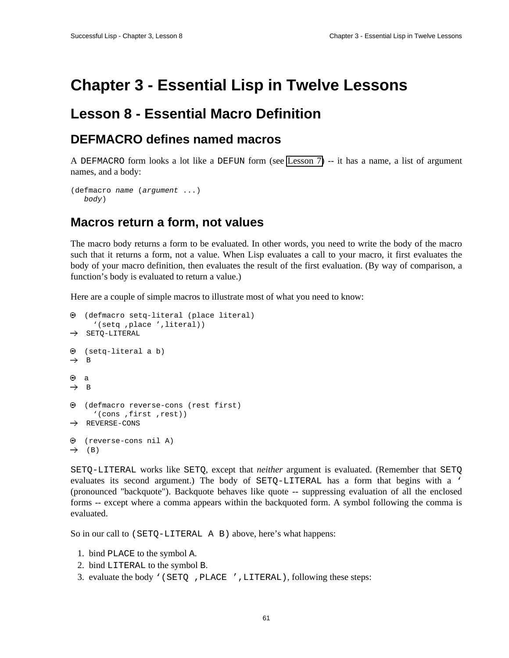### <span id="page-60-0"></span>**Lesson 8 - Essential Macro Definition**

#### **DEFMACRO defines named macros**

A DEFMACRO form looks a lot like a DEFUN form (see [Lesson 7\)](#page-58-0) -- it has a name, a list of argument names, and a body:

```
(defmacro name (argument ...)
   body)
```
#### **Macros return a form, not values**

The macro body returns a form to be evaluated. In other words, you need to write the body of the macro such that it returns a form, not a value. When Lisp evaluates a call to your macro, it first evaluates the body of your macro definition, then evaluates the result of the first evaluation. (By way of comparison, a function's body is evaluated to return a value.)

Here are a couple of simple macros to illustrate most of what you need to know:

```
 (defmacro setq-literal (place literal)
       '(setq ,place ',literal))
\rightarrow SETQ-LITERAL
\Theta (setq-literal a b)
\rightarrow B
\Theta a
\rightarrow B
 (defmacro reverse-cons (rest first)
       '(cons ,first ,rest))
\rightarrow REVERSE-CONS
 (reverse-cons nil A)
\rightarrow (B)
```
SETQ-LITERAL works like SETQ, except that *neither* argument is evaluated. (Remember that SETQ evaluates its second argument.) The body of SETQ-LITERAL has a form that begins with a ' (pronounced "backquote"). Backquote behaves like quote -- suppressing evaluation of all the enclosed forms -- except where a comma appears within the backquoted form. A symbol following the comma is evaluated.

So in our call to (SETQ-LITERAL A B) above, here's what happens:

- 1. bind PLACE to the symbol A.
- 2. bind LITERAL to the symbol B.
- 3. evaluate the body '(SETQ ,PLACE ',LITERAL), following these steps: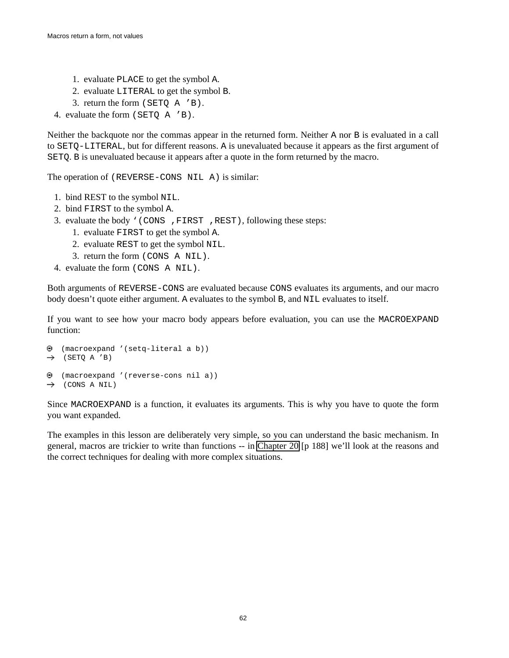- 1. evaluate PLACE to get the symbol A.
- 2. evaluate LITERAL to get the symbol B.
- 3. return the form (SETQ A 'B).
- 4. evaluate the form (SETQ A 'B).

Neither the backquote nor the commas appear in the returned form. Neither A nor B is evaluated in a call to SETQ-LITERAL, but for different reasons. A is unevaluated because it appears as the first argument of SETQ. B is unevaluated because it appears after a quote in the form returned by the macro.

The operation of (REVERSE-CONS NIL A) is similar:

- 1. bind REST to the symbol NIL.
- 2. bind FIRST to the symbol A.
- 3. evaluate the body '(CONS ,FIRST ,REST), following these steps:
	- 1. evaluate FIRST to get the symbol A.
	- 2. evaluate REST to get the symbol NIL.
	- 3. return the form (CONS A NIL).
- 4. evaluate the form (CONS A NIL).

Both arguments of REVERSE-CONS are evaluated because CONS evaluates its arguments, and our macro body doesn't quote either argument. A evaluates to the symbol B, and NIL evaluates to itself.

If you want to see how your macro body appears before evaluation, you can use the MACROEXPAND function:

```
 (macroexpand '(setq-literal a b))
\rightarrow (SETQ A 'B)
 (macroexpand '(reverse-cons nil a))
\rightarrow (CONS A NIL)
```
Since MACROEXPAND is a function, it evaluates its arguments. This is why you have to quote the form you want expanded.

The examples in this lesson are deliberately very simple, so you can understand the basic mechanism. In general, macros are trickier to write than functions -- in [Chapter 20](#page-187-0) [p 188] we'll look at the reasons and the correct techniques for dealing with more complex situations.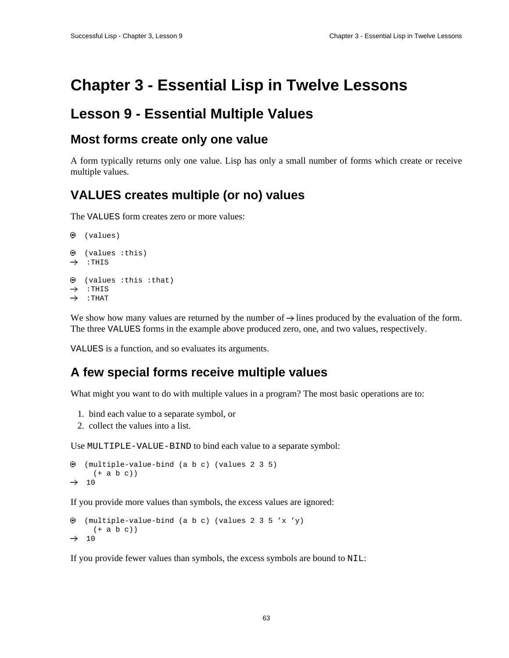### <span id="page-62-0"></span>**Lesson 9 - Essential Multiple Values**

#### **Most forms create only one value**

A form typically returns only one value. Lisp has only a small number of forms which create or receive multiple values.

### **VALUES creates multiple (or no) values**

The VALUES form creates zero or more values:

```
\Theta (values)
\Theta (values : this)
\rightarrow :THIS
 (values :this :that)
\rightarrow :THIS
\rightarrow : THAT
```
We show how many values are returned by the number of  $\rightarrow$  lines produced by the evaluation of the form. The three VALUES forms in the example above produced zero, one, and two values, respectively.

VALUES is a function, and so evaluates its arguments.

#### **A few special forms receive multiple values**

What might you want to do with multiple values in a program? The most basic operations are to:

- 1. bind each value to a separate symbol, or
- 2. collect the values into a list.

Use MULTIPLE-VALUE-BIND to bind each value to a separate symbol:

```
\Theta (multiple-value-bind (a b c) (values 2 3 5)
       (+ a b c))
\rightarrow 10
```
If you provide more values than symbols, the excess values are ignored:

```
\Theta (multiple-value-bind (a b c) (values 2 3 5 'x 'y)
       (+ a b c))
\rightarrow 10
```
If you provide fewer values than symbols, the excess symbols are bound to NIL: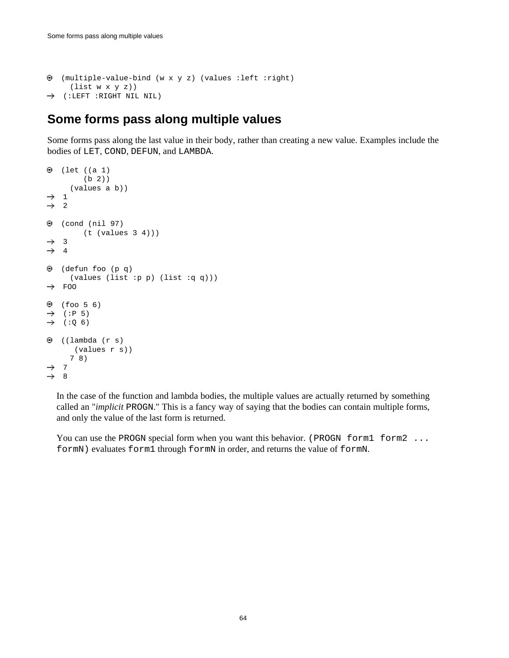```
 (multiple-value-bind (w x y z) (values :left :right)
      (list w x y z))
\rightarrow (:LEFT :RIGHT NIL NIL)
```
#### **Some forms pass along multiple values**

Some forms pass along the last value in their body, rather than creating a new value. Examples include the bodies of LET, COND, DEFUN, and LAMBDA.

```
\Theta (let ((a 1)
            (b 2))
        (values a b))
\rightarrow 1
\rightarrow 2
\Theta (cond (nil 97)
            (t (values 3 4)))
\rightarrow 3
\rightarrow 4
 (defun foo (p q)
        (values (list :p p) (list :q q)))
\rightarrow FOO
\Theta (foo 5 6)
\rightarrow (:P 5)
\rightarrow (:Q 6)
\Theta ((lambda (r s)
         (values r s))
        7 8)
\rightarrow 7
\rightarrow 8
```
In the case of the function and lambda bodies, the multiple values are actually returned by something called an "*implicit* PROGN." This is a fancy way of saying that the bodies can contain multiple forms, and only the value of the last form is returned.

You can use the PROGN special form when you want this behavior. (PROGN form1 form2 ... formN) evaluates form1 through formN in order, and returns the value of formN.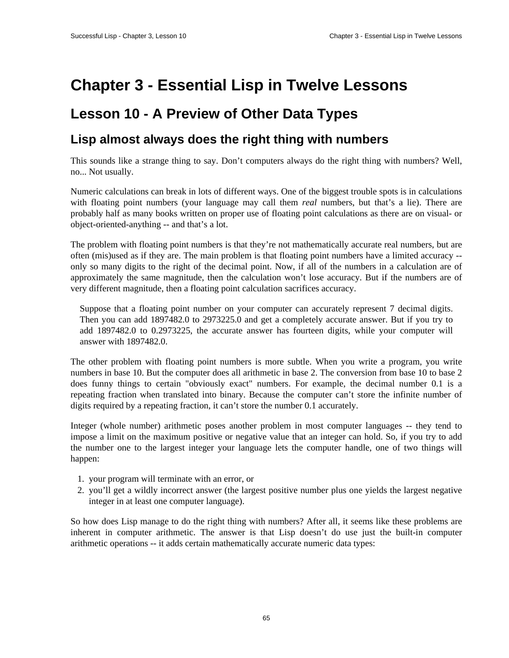# <span id="page-64-0"></span>**Lesson 10 - A Preview of Other Data Types**

#### **Lisp almost always does the right thing with numbers**

This sounds like a strange thing to say. Don't computers always do the right thing with numbers? Well, no... Not usually.

Numeric calculations can break in lots of different ways. One of the biggest trouble spots is in calculations with floating point numbers (your language may call them *real* numbers, but that's a lie). There are probably half as many books written on proper use of floating point calculations as there are on visual- or object-oriented-anything -- and that's a lot.

The problem with floating point numbers is that they're not mathematically accurate real numbers, but are often (mis)used as if they are. The main problem is that floating point numbers have a limited accuracy - only so many digits to the right of the decimal point. Now, if all of the numbers in a calculation are of approximately the same magnitude, then the calculation won't lose accuracy. But if the numbers are of very different magnitude, then a floating point calculation sacrifices accuracy.

Suppose that a floating point number on your computer can accurately represent 7 decimal digits. Then you can add 1897482.0 to 2973225.0 and get a completely accurate answer. But if you try to add 1897482.0 to 0.2973225, the accurate answer has fourteen digits, while your computer will answer with 1897482.0.

The other problem with floating point numbers is more subtle. When you write a program, you write numbers in base 10. But the computer does all arithmetic in base 2. The conversion from base 10 to base 2 does funny things to certain "obviously exact" numbers. For example, the decimal number 0.1 is a repeating fraction when translated into binary. Because the computer can't store the infinite number of digits required by a repeating fraction, it can't store the number 0.1 accurately.

Integer (whole number) arithmetic poses another problem in most computer languages -- they tend to impose a limit on the maximum positive or negative value that an integer can hold. So, if you try to add the number one to the largest integer your language lets the computer handle, one of two things will happen:

- 1. your program will terminate with an error, or
- 2. you'll get a wildly incorrect answer (the largest positive number plus one yields the largest negative integer in at least one computer language).

So how does Lisp manage to do the right thing with numbers? After all, it seems like these problems are inherent in computer arithmetic. The answer is that Lisp doesn't do use just the built-in computer arithmetic operations -- it adds certain mathematically accurate numeric data types: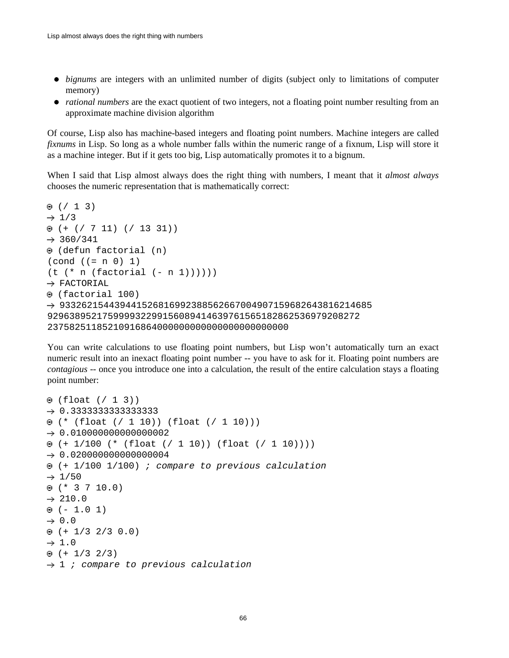- *bignums* are integers with an unlimited number of digits (subject only to limitations of computer memory)
- *rational numbers* are the exact quotient of two integers, not a floating point number resulting from an approximate machine division algorithm

Of course, Lisp also has machine-based integers and floating point numbers. Machine integers are called *fixnums* in Lisp. So long as a whole number falls within the numeric range of a fixnum, Lisp will store it as a machine integer. But if it gets too big, Lisp automatically promotes it to a bignum.

When I said that Lisp almost always does the right thing with numbers, I meant that it *almost always* chooses the numeric representation that is mathematically correct:

```
0 (/ 1 3)
\rightarrow 1/3
 (+ (/ 7 11) (/ 13 31))
\rightarrow 360/341
 (defun factorial (n)
(cond ((= n 0) 1)
(t (* n (factorial (- n 1))))))
\rightarrow FACTORIAL
 (factorial 100)
 933262154439441526816992388562667004907159682643816214685
929638952175999932299156089414639761565182862536979208272
23758251185210916864000000000000000000000000
```
You can write calculations to use floating point numbers, but Lisp won't automatically turn an exact numeric result into an inexact floating point number -- you have to ask for it. Floating point numbers are *contagious* -- once you introduce one into a calculation, the result of the entire calculation stays a floating point number:

```
\Theta (float (/ 1 3))
 0.3333333333333333
 (* (float (/ 1 10)) (float (/ 1 10)))
\rightarrow 0.01000000000000002( + 1/100 (* (float (/ 1 10)) (float (/ 1 10))))\rightarrow 0.02000000000000004 (+ 1/100 1/100) ; compare to previous calculation
\rightarrow 1/50
 (* 3 7 10.0)
\rightarrow 210.00 (- 1.0 1)\rightarrow 0.0( + 1/3 2/3 0.0)\rightarrow 1.0
( + 1/3 2/3 )\rightarrow 1 ; compare to previous calculation
```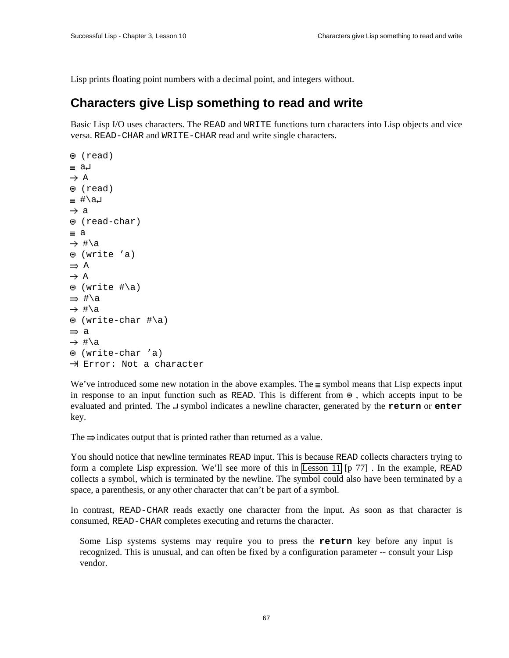Lisp prints floating point numbers with a decimal point, and integers without.

#### **Characters give Lisp something to read and write**

Basic Lisp I/O uses characters. The READ and WRITE functions turn characters into Lisp objects and vice versa. READ-CHAR and WRITE-CHAR read and write single characters.

```
 (read)
a = a\rightarrow A
 (read)
\equiv #\a<sup>1</sup>
\rightarrow a
 (read-char)
\equiv a
\rightarrow #\a
\Theta (write 'a)
\Rightarrow A
\rightarrow A
\Theta (write #\a)
\Rightarrow #\a
\rightarrow #\a
\Theta (write-char #\a)
\Rightarrow a
\rightarrow #\a
 (write-char 'a)
\rightarrow Error: Not a character
```
We've introduced some new notation in the above examples. The  $\equiv$  symbol means that Lisp expects input in response to an input function such as READ. This is different from  $\Theta$ , which accepts input to be evaluated and printed. The  $\Box$  symbol indicates a newline character, generated by the **return** or **enter** key.

The  $\Rightarrow$  indicates output that is printed rather than returned as a value.

You should notice that newline terminates READ input. This is because READ collects characters trying to form a complete Lisp expression. We'll see more of this in [Lesson 11](#page-76-0) [p 77] . In the example, READ collects a symbol, which is terminated by the newline. The symbol could also have been terminated by a space, a parenthesis, or any other character that can't be part of a symbol.

In contrast, READ-CHAR reads exactly one character from the input. As soon as that character is consumed, READ-CHAR completes executing and returns the character.

Some Lisp systems systems may require you to press the **return** key before any input is recognized. This is unusual, and can often be fixed by a configuration parameter -- consult your Lisp vendor.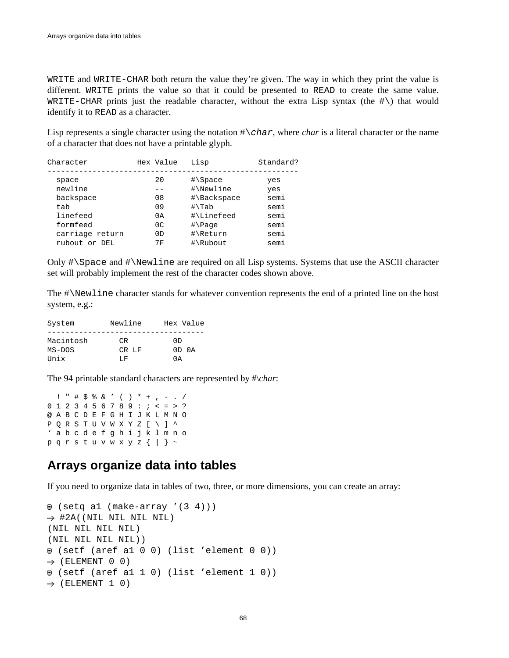WRITE and WRITE-CHAR both return the value they're given. The way in which they print the value is different. WRITE prints the value so that it could be presented to READ to create the same value. WRITE-CHAR prints just the readable character, without the extra Lisp syntax (the  $\# \setminus$ ) that would identify it to READ as a character.

Lisp represents a single character using the notation  $\{\hat{\}$  where *char* is a literal character or the name of a character that does not have a printable glyph.

| Character       | Hex Value      | Lisp        | Standard? |
|-----------------|----------------|-------------|-----------|
|                 |                |             |           |
| space           | 20             | #\Space     | yes       |
| newline         |                | #\Newline   | yes       |
| backspace       | 08             | #\Backspace | semi      |
| tab             | 09             | $\#$ \Tab   | semi      |
| linefeed        | 0A             | #\Linefeed  | semi      |
| formfeed        | 0C             | #\Page      | semi      |
| carriage return | 0 <sub>D</sub> | #\Return    | semi      |
| rubout or DEL   | 7 F            | #\Rubout    | semi      |

Only  $\#\$ Space and  $\#\$ Newline are required on all Lisp systems. Systems that use the ASCII character set will probably implement the rest of the character codes shown above.

The #\Newline character stands for whatever convention represents the end of a printed line on the host system, e.g.:

| System    | Newline | Hex Value |
|-----------|---------|-----------|
| Macintosh | CR.     | 0D.       |
| $MS-DOS$  | CR LF   | OD OA     |
| Unix      | T.F     | ΩA        |

The 94 printable standard characters are represented by #\*char*:

 ! " # \$ % & ' ( ) \* + , - . / 0 1 2 3 4 5 6 7 8 9 : ; < = > ? @ A B C D E F G H I J K L M N O P Q R S T U V W X Y Z [ \ ] ^ \_ ' a b c d e f g h i j k l m n o p q r s t u v w x y z { | } ~

#### **Arrays organize data into tables**

If you need to organize data in tables of two, three, or more dimensions, you can create an array:

```
 (setq a1 (make-array '(3 4)))
\rightarrow #2A((NIL NIL NIL)
(NIL NIL NIL NIL) 
(NIL NIL NIL NIL))
 (setf (aref a1 0 0) (list 'element 0 0))
\rightarrow (ELEMENT 0 0)
 (setf (aref a1 1 0) (list 'element 1 0))
\rightarrow (ELEMENT 1 0)
```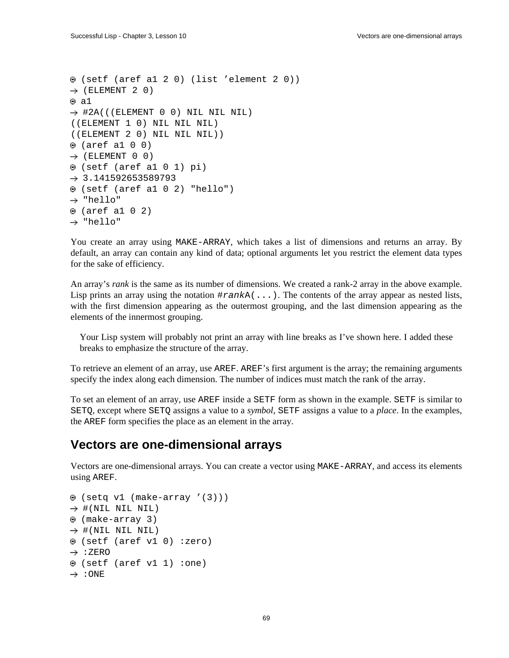```
 (setf (aref a1 2 0) (list 'element 2 0))
\rightarrow (ELEMENT 2 0)
0a1\rightarrow #2A(((ELEMENT 0 0) NIL NIL NIL)
((ELEMENT 1 0) NIL NIL NIL) 
((ELEMENT 2 0) NIL NIL NIL))
 (aref a1 0 0)
\rightarrow (ELEMENT 0 0)
 (setf (aref a1 0 1) pi)
\rightarrow 3.141592653589793
 (setf (aref a1 0 2) "hello")
\rightarrow "hello"
 (aref a1 0 2)
\rightarrow "hello"
```
You create an array using MAKE-ARRAY, which takes a list of dimensions and returns an array. By default, an array can contain any kind of data; optional arguments let you restrict the element data types for the sake of efficiency.

An array's *rank* is the same as its number of dimensions. We created a rank-2 array in the above example. Lisp prints an array using the notation  $\#rankA(\ldots)$ . The contents of the array appear as nested lists, with the first dimension appearing as the outermost grouping, and the last dimension appearing as the elements of the innermost grouping.

Your Lisp system will probably not print an array with line breaks as I've shown here. I added these breaks to emphasize the structure of the array.

To retrieve an element of an array, use AREF. AREF's first argument is the array; the remaining arguments specify the index along each dimension. The number of indices must match the rank of the array.

To set an element of an array, use AREF inside a SETF form as shown in the example. SETF is similar to SETQ, except where SETQ assigns a value to a *symbol*, SETF assigns a value to a *place*. In the examples, the AREF form specifies the place as an element in the array.

#### **Vectors are one-dimensional arrays**

Vectors are one-dimensional arrays. You can create a vector using MAKE-ARRAY, and access its elements using AREF.

```
 (setq v1 (make-array '(3)))
\rightarrow #(NIL NIL NIL)
 (make-array 3)
\rightarrow #(NIL NIL NIL)
 (setf (aref v1 0) :zero)
\rightarrow : ZERO
\Theta (setf (aref v1 1) : one)
\rightarrow :_{ONE}
```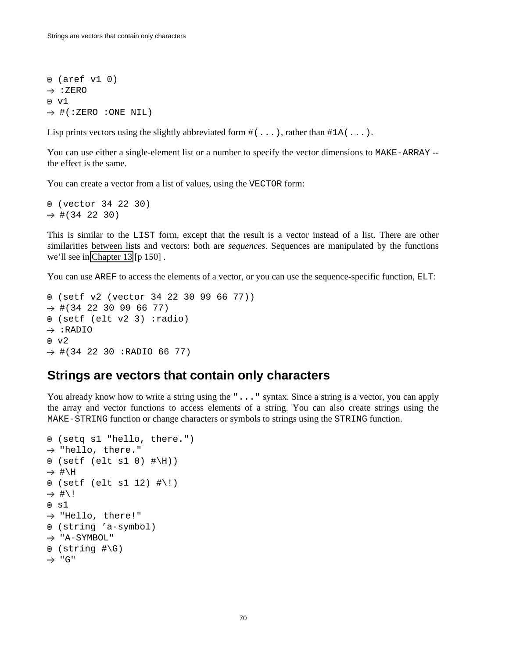$\Theta$  (aref v1 0)  $\rightarrow$  : ZERO  $\Theta$  v1  $\rightarrow$  #(:ZERO :ONE NIL)

Lisp prints vectors using the slightly abbreviated form  $\#(\ldots)$ , rather than  $\#1\mathbb{A}(\ldots)$ .

You can use either a single-element list or a number to specify the vector dimensions to MAKE-ARRAY - the effect is the same.

You can create a vector from a list of values, using the VECTOR form:

 (vector 34 22 30)  $\rightarrow$  #(34 22 30)

This is similar to the LIST form, except that the result is a vector instead of a list. There are other similarities between lists and vectors: both are *sequences*. Sequences are manipulated by the functions we'll see in [Chapter 13](#page-149-0) [p 150].

You can use AREF to access the elements of a vector, or you can use the sequence-specific function, ELT:

```
 (setf v2 (vector 34 22 30 99 66 77))
\rightarrow #(34 22 30 99 66 77)
 (setf (elt v2 3) :radio)
 :RADIO
\theta v2
\rightarrow #(34 22 30 :RADIO 66 77)
```
#### **Strings are vectors that contain only characters**

You already know how to write a string using the "..." syntax. Since a string is a vector, you can apply the array and vector functions to access elements of a string. You can also create strings using the MAKE-STRING function or change characters or symbols to strings using the STRING function.

```
 (setq s1 "hello, there.")
\rightarrow "hello, there."
\Theta (setf (elt s1 0) \# \H))
\rightarrow #\H
\Theta (setf (elt s1 12) #\!)
\rightarrow #\!
0 s1 "Hello, there!"
 (string 'a-symbol)
 "A-SYMBOL"
\Theta (string #\G)
→ "G"
```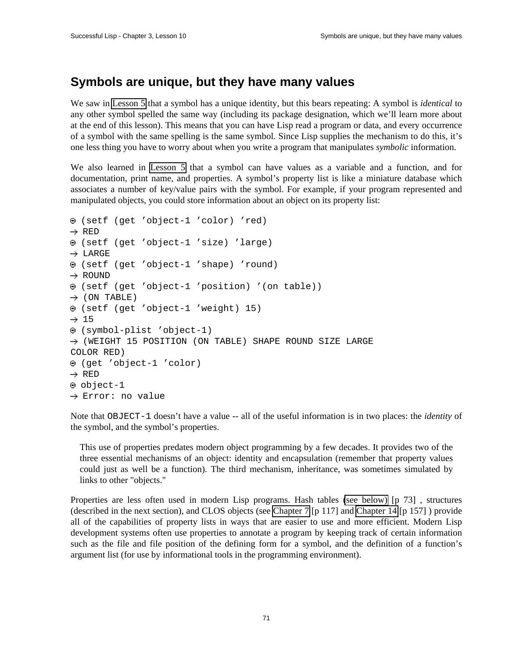#### **Symbols are unique, but they have many values**

We saw in [Lesson 5](#page-52-0) that a symbol has a unique identity, but this bears repeating: A symbol is *identical* to any other symbol spelled the same way (including its package designation, which we'll learn more about at the end of this lesson). This means that you can have Lisp read a program or data, and every occurrence of a symbol with the same spelling is the same symbol. Since Lisp supplies the mechanism to do this, it's one less thing you have to worry about when you write a program that manipulates *symbolic* information.

We also learned in [Lesson 5](#page-52-0) that a symbol can have values as a variable and a function, and for documentation, print name, and properties. A symbol's property list is like a miniature database which associates a number of key/value pairs with the symbol. For example, if your program represented and manipulated objects, you could store information about an object on its property list:

```
 (setf (get 'object-1 'color) 'red)
\rightarrow RED
 (setf (get 'object-1 'size) 'large)
\rightarrow LARGE
 (setf (get 'object-1 'shape) 'round)
\rightarrow ROUND
 (setf (get 'object-1 'position) '(on table))
\rightarrow (ON TABLE)
 (setf (get 'object-1 'weight) 15)
\rightarrow 15
 (symbol-plist 'object-1)
\rightarrow (WEIGHT 15 POSITION (ON TABLE) SHAPE ROUND SIZE LARGE
COLOR RED)
 (get 'object-1 'color)
\rightarrow RED
⊕ object-1
→ Error: no value
```
Note that OBJECT-1 doesn't have a value -- all of the useful information is in two places: the *identity* of the symbol, and the symbol's properties.

This use of properties predates modern object programming by a few decades. It provides two of the three essential mechanisms of an object: identity and encapsulation (remember that property values could just as well be a function). The third mechanism, inheritance, was sometimes simulated by links to other "objects."

Properties are less often used in modern Lisp programs. Hash tables [\(see below\)](#page-72-0) [p 73] , structures (described in the next section), and CLOS objects (see [Chapter 7](#page-116-0) [p 117] and [Chapter 14](#page-156-0) [p 157] ) provide all of the capabilities of property lists in ways that are easier to use and more efficient. Modern Lisp development systems often use properties to annotate a program by keeping track of certain information such as the file and file position of the defining form for a symbol, and the definition of a function's argument list (for use by informational tools in the programming environment).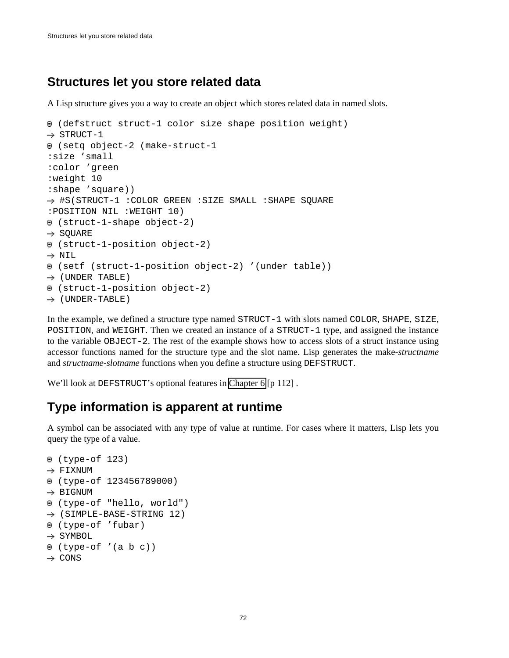### <span id="page-71-0"></span>**Structures let you store related data**

A Lisp structure gives you a way to create an object which stores related data in named slots.

```
0 (defstruct struct-1 color size shape position weight)
\rightarrow STRUCT-1
0 (setq object-2 (make-struct-1
:size 'small 
:color 'green 
:weight 10 
:shape 'square))
 #S(STRUCT-1 :COLOR GREEN :SIZE SMALL :SHAPE SQUARE 
:POSITION NIL :WEIGHT 10)
 (struct-1-shape object-2)
\rightarrow SQUARE
 (struct-1-position object-2)
\rightarrow NIL
 (setf (struct-1-position object-2) '(under table))
\rightarrow (UNDER TABLE)
 (struct-1-position object-2)
\rightarrow (UNDER-TABLE)
```
In the example, we defined a structure type named STRUCT-1 with slots named COLOR, SHAPE, SIZE, POSITION, and WEIGHT. Then we created an instance of a STRUCT-1 type, and assigned the instance to the variable OBJECT-2. The rest of the example shows how to access slots of a struct instance using accessor functions named for the structure type and the slot name. Lisp generates the make-*structname* and *structname*-*slotname* functions when you define a structure using DEFSTRUCT.

We'll look at DEFSTRUCT's optional features in [Chapter 6](#page-111-0) [p 112] .

### **Type information is apparent at runtime**

A symbol can be associated with any type of value at runtime. For cases where it matters, Lisp lets you query the type of a value.

```
 (type-of 123)
\rightarrow FIXNUM
 (type-of 123456789000)
\rightarrow BIGNUM
 (type-of "hello, world")
 (SIMPLE-BASE-STRING 12)
 (type-of 'fubar)
\rightarrow SYMBOL
 (type-of '(a b c))
\rightarrow CONS
```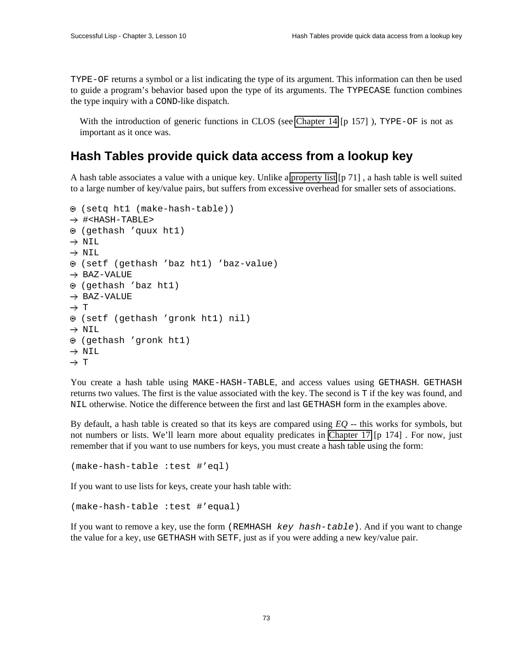TYPE-OF returns a symbol or a list indicating the type of its argument. This information can then be used to guide a program's behavior based upon the type of its arguments. The TYPECASE function combines the type inquiry with a COND-like dispatch.

With the introduction of generic functions in CLOS (see [Chapter 14](#page-156-0) [p 157]), TYPE-OF is not as important as it once was.

#### **Hash Tables provide quick data access from a lookup key**

A hash table associates a value with a unique key. Unlike a [property list](#page-70-0) [p 71] , a hash table is well suited to a large number of key/value pairs, but suffers from excessive overhead for smaller sets of associations.

```
 (setq ht1 (make-hash-table))
\rightarrow #<HASH-TABLE>
 (gethash 'quux ht1)
\rightarrow NIL
\rightarrow NIL
 (setf (gethash 'baz ht1) 'baz-value)
\rightarrow BAZ-VALUE
 (gethash 'baz ht1)
\rightarrow BAZ-VALUE
\rightarrow T
 (setf (gethash 'gronk ht1) nil)
\rightarrow NIL
 (gethash 'gronk ht1)
\rightarrow NIL
\rightarrow T
```
You create a hash table using MAKE-HASH-TABLE, and access values using GETHASH. GETHASH returns two values. The first is the value associated with the key. The second is T if the key was found, and NIL otherwise. Notice the difference between the first and last GETHASH form in the examples above.

By default, a hash table is created so that its keys are compared using *EQ* -- this works for symbols, but not numbers or lists. We'll learn more about equality predicates in [Chapter 17](#page-173-0) [p 174] . For now, just remember that if you want to use numbers for keys, you must create a hash table using the form:

(make-hash-table :test #'eql)

If you want to use lists for keys, create your hash table with:

(make-hash-table :test #'equal)

If you want to remove a key, use the form (REMHASH  $key$  hash-table). And if you want to change the value for a key, use GETHASH with SETF, just as if you were adding a new key/value pair.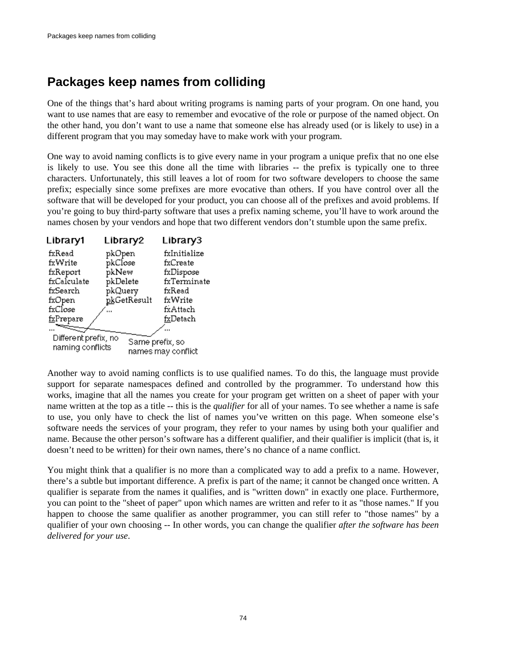### **Packages keep names from colliding**

One of the things that's hard about writing programs is naming parts of your program. On one hand, you want to use names that are easy to remember and evocative of the role or purpose of the named object. On the other hand, you don't want to use a name that someone else has already used (or is likely to use) in a different program that you may someday have to make work with your program.

One way to avoid naming conflicts is to give every name in your program a unique prefix that no one else is likely to use. You see this done all the time with libraries -- the prefix is typically one to three characters. Unfortunately, this still leaves a lot of room for two software developers to choose the same prefix; especially since some prefixes are more evocative than others. If you have control over all the software that will be developed for your product, you can choose all of the prefixes and avoid problems. If you're going to buy third-party software that uses a prefix naming scheme, you'll have to work around the names chosen by your vendors and hope that two different vendors don't stumble upon the same prefix.

| Library1                                 | Library2        | Library3           |  |
|------------------------------------------|-----------------|--------------------|--|
| fxRead                                   | pkOpen          | fxInitialize       |  |
| fxWrite                                  | pkClose         | fxCreate           |  |
| fxReport                                 | pkNew           | fxDispose          |  |
| fxCalculate                              | pkDelete        | fxTerminate        |  |
| fxSearch                                 | pkQuery         | fxRead             |  |
| fxOpen                                   | pkGetResult     | fxWrite            |  |
| fxClose                                  |                 | fxAttach           |  |
| fxPrepare                                |                 | fxDetach           |  |
|                                          |                 |                    |  |
| Different prefix, no<br>naming conflicts | Same prefix, so | names may conflict |  |

Another way to avoid naming conflicts is to use qualified names. To do this, the language must provide support for separate namespaces defined and controlled by the programmer. To understand how this works, imagine that all the names you create for your program get written on a sheet of paper with your name written at the top as a title -- this is the *qualifier* for all of your names. To see whether a name is safe to use, you only have to check the list of names you've written on this page. When someone else's software needs the services of your program, they refer to your names by using both your qualifier and name. Because the other person's software has a different qualifier, and their qualifier is implicit (that is, it doesn't need to be written) for their own names, there's no chance of a name conflict.

You might think that a qualifier is no more than a complicated way to add a prefix to a name. However, there's a subtle but important difference. A prefix is part of the name; it cannot be changed once written. A qualifier is separate from the names it qualifies, and is "written down" in exactly one place. Furthermore, you can point to the "sheet of paper" upon which names are written and refer to it as "those names." If you happen to choose the same qualifier as another programmer, you can still refer to "those names" by a qualifier of your own choosing -- In other words, you can change the qualifier *after the software has been delivered for your use*.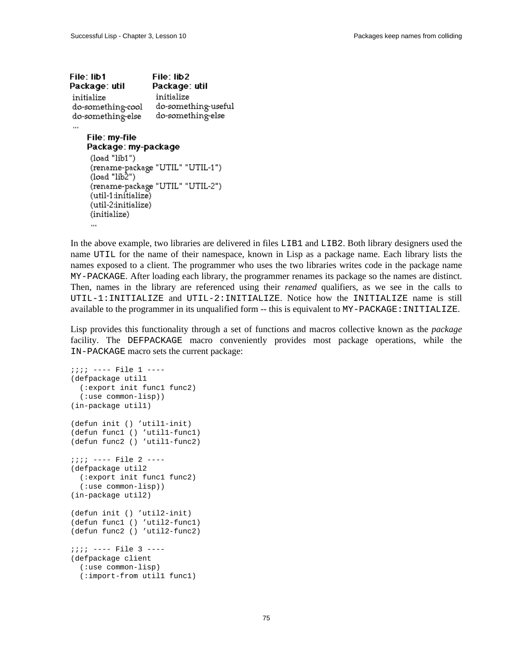$\ddot{\phantom{a}}$ 

```
File: lib1
                       File: lib2
Package: util
                       Package: util
                       initialize
initialize
                        do-something-useful
do-something-cool
                        do-something-else
do-something-else
 \ddot{\phantom{0}}File: my-file
    Package: my-package
     (load "lib1")(rename-package "UTIL" "UTIL-1")
     (\text{load "lib2")}(rename-package "UTIL" "UTIL-2")
     (util-1:initialize)
     (util-2:initialize)
     (initialize)
```
In the above example, two libraries are delivered in files LIB1 and LIB2. Both library designers used the name UTIL for the name of their namespace, known in Lisp as a package name. Each library lists the names exposed to a client. The programmer who uses the two libraries writes code in the package name MY-PACKAGE. After loading each library, the programmer renames its package so the names are distinct. Then, names in the library are referenced using their *renamed* qualifiers, as we see in the calls to UTIL-1:INITIALIZE and UTIL-2:INITIALIZE. Notice how the INITIALIZE name is still available to the programmer in its unqualified form -- this is equivalent to  $MY-PACKAGE:INITIALIZE$ .

Lisp provides this functionality through a set of functions and macros collective known as the *package* facility. The DEFPACKAGE macro conveniently provides most package operations, while the IN-PACKAGE macro sets the current package:

```
;;;; ---- File 1 ----
(defpackage util1
  (:export init func1 func2)
   (:use common-lisp))
(in-package util1)
(defun init () 'util1-init)
(defun func1 () 'util1-func1)
(defun func2 () 'util1-func2)
\frac{1}{1};; ---- File 2 ----
(defpackage util2
  (:export init func1 func2)
   (:use common-lisp))
(in-package util2)
(defun init () 'util2-init)
(defun func1 () 'util2-func1)
(defun func2 () 'util2-func2)
;;;; ---- File 3 ----
(defpackage client
   (:use common-lisp)
   (:import-from util1 func1)
```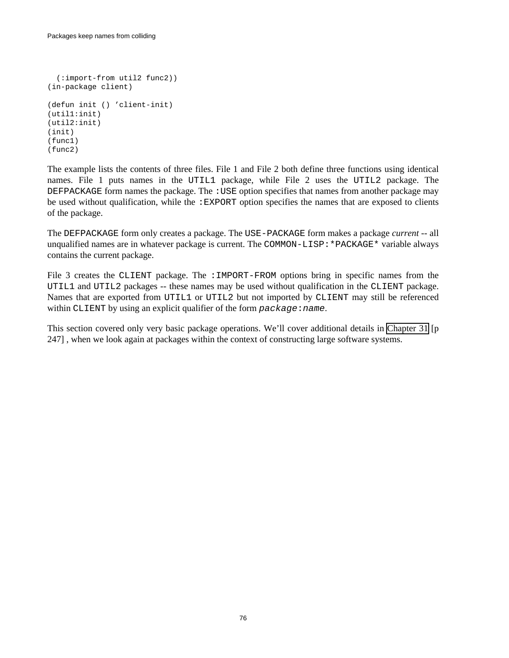```
 (:import-from util2 func2))
(in-package client)
(defun init () 'client-init)
(util1:init)
(util2:init)
(init)
(func1)
(func2)
```
The example lists the contents of three files. File 1 and File 2 both define three functions using identical names. File 1 puts names in the UTIL1 package, while File 2 uses the UTIL2 package. The DEFPACKAGE form names the package. The : USE option specifies that names from another package may be used without qualification, while the :EXPORT option specifies the names that are exposed to clients of the package.

The DEFPACKAGE form only creates a package. The USE-PACKAGE form makes a package *current* -- all unqualified names are in whatever package is current. The COMMON-LISP:\*PACKAGE\* variable always contains the current package.

File 3 creates the CLIENT package. The : IMPORT-FROM options bring in specific names from the UTIL1 and UTIL2 packages -- these names may be used without qualification in the CLIENT package. Names that are exported from UTIL1 or UTIL2 but not imported by CLIENT may still be referenced within CLIENT by using an explicit qualifier of the form  $package:name.$ 

This section covered only very basic package operations. We'll cover additional details in [Chapter 31](#page-246-0) [p 247] , when we look again at packages within the context of constructing large software systems.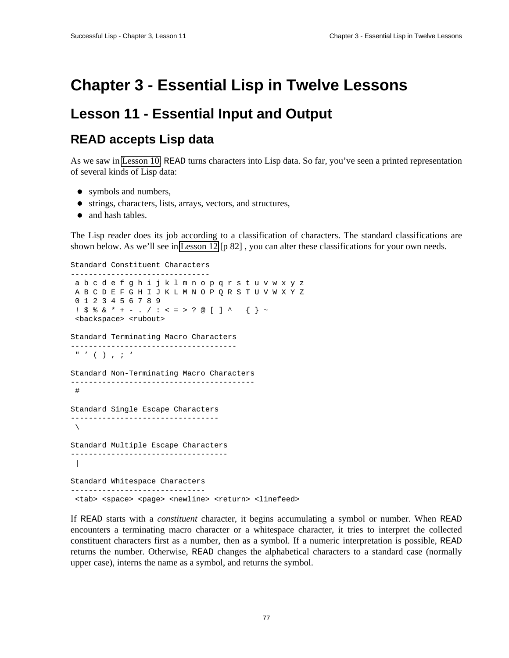# <span id="page-76-0"></span>**Chapter 3 - Essential Lisp in Twelve Lessons**

### **Lesson 11 - Essential Input and Output**

#### **READ accepts Lisp data**

As we saw in [Lesson 10,](#page-66-0) READ turns characters into Lisp data. So far, you've seen a printed representation of several kinds of Lisp data:

- symbols and numbers,
- strings, characters, lists, arrays, vectors, and structures,
- and hash tables.

The Lisp reader does its job according to a classification of characters. The standard classifications are shown below. As we'll see in [Lesson 12](#page-81-0) [p 82] , you can alter these classifications for your own needs.

Standard Constituent Characters ------------------------------ a b c d e f g h i j k l m n o p q r s t u v w x y z A B C D E F G H I J K L M N O P Q R S T U V W X Y Z 0 1 2 3 4 5 6 7 8 9  $!$   $\begin{array}{cccc} ; & \zeta & \hat{\zeta} & \hat{\zeta} & \hat{\zeta} & * & - \\ . & . & . & . & . \end{array}$   $\begin{array}{cccc} : & \zeta & = & > & ? & @ & [ & ] & ^{\wedge} & ] & \hat{\zeta} & \end{array}$  <backspace> <rubout> Standard Terminating Macro Characters -------------------------------------  $" '$  ( ),  $; '$ Standard Non-Terminating Macro Characters ----------------------------------------- # Standard Single Escape Characters ---------------------------------  $\bar{\mathcal{N}}$ Standard Multiple Escape Characters -----------------------------------  $\blacksquare$ Standard Whitespace Characters ------------------------------ <tab> <space> <page> <newline> <return> <linefeed>

If READ starts with a *constituent* character, it begins accumulating a symbol or number. When READ encounters a terminating macro character or a whitespace character, it tries to interpret the collected constituent characters first as a number, then as a symbol. If a numeric interpretation is possible, READ returns the number. Otherwise, READ changes the alphabetical characters to a standard case (normally upper case), interns the name as a symbol, and returns the symbol.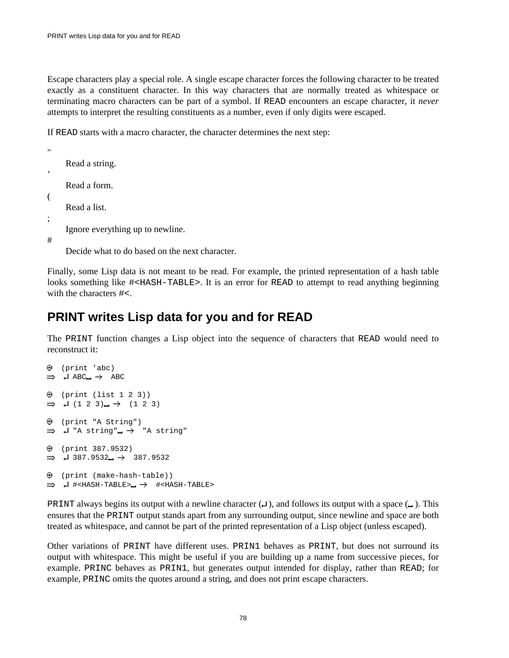Escape characters play a special role. A single escape character forces the following character to be treated exactly as a constituent character. In this way characters that are normally treated as whitespace or terminating macro characters can be part of a symbol. If READ encounters an escape character, it *never* attempts to interpret the resulting constituents as a number, even if only digits were escaped.

If READ starts with a macro character, the character determines the next step:

```
"Read a string. 
' 
     Read a form. 
( 
     Read a list. 
; 
     Ignore everything up to newline. 
# 
     Decide what to do based on the next character.
```
Finally, some Lisp data is not meant to be read. For example, the printed representation of a hash table looks something like #<HASH-TABLE>. It is an error for READ to attempt to read anything beginning with the characters #<.

#### **PRINT writes Lisp data for you and for READ**

The PRINT function changes a Lisp object into the sequence of characters that READ would need to reconstruct it:

```
 (print 'abc)
\Rightarrow \rightarrow ABC
\Theta (print (list 1 2 3))
\Rightarrow \rightarrow (1 2 3) \rightarrow (1 2 3)
 (print "A String")
\Rightarrow \exists "A string" \Rightarrow "A string"
 (print 387.9532)
\implies \Box 387.9532 \rightarrow 387.9532
 (print (make-hash-table))
\Rightarrow \downarrow #<HASH-TABLE> \rightarrow #<HASH-TABLE>
```
PRINT always begins its output with a newline character  $(1)$ , and follows its output with a space  $($ .). This ensures that the PRINT output stands apart from any surrounding output, since newline and space are both treated as whitespace, and cannot be part of the printed representation of a Lisp object (unless escaped).

Other variations of PRINT have different uses. PRIN1 behaves as PRINT, but does not surround its output with whitespace. This might be useful if you are building up a name from successive pieces, for example. PRINC behaves as PRIN1, but generates output intended for display, rather than READ; for example, PRINC omits the quotes around a string, and does not print escape characters.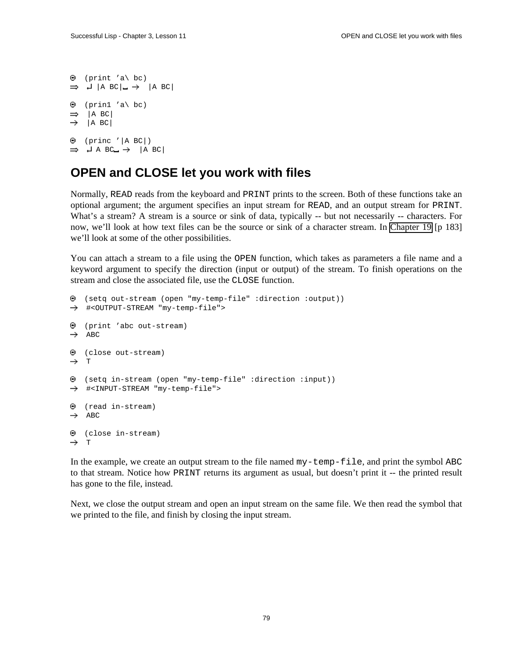```
\Theta (print 'a\ bc)
\Rightarrow \rightarrow |A BC| \rightarrow |A BC|
\Theta (prin1 'a\ bc)
\Rightarrow |A BC|
\rightarrow |A BC|
\Theta (princ '|A BC|)
\Rightarrow \exists A BC \Rightarrow |A BC|
```
#### **OPEN and CLOSE let you work with files**

Normally, READ reads from the keyboard and PRINT prints to the screen. Both of these functions take an optional argument; the argument specifies an input stream for READ, and an output stream for PRINT. What's a stream? A stream is a source or sink of data, typically -- but not necessarily -- characters. For now, we'll look at how text files can be the source or sink of a character stream. In [Chapter 19](#page-182-0) [p 183] we'll look at some of the other possibilities.

You can attach a stream to a file using the OPEN function, which takes as parameters a file name and a keyword argument to specify the direction (input or output) of the stream. To finish operations on the stream and close the associated file, use the CLOSE function.

```
 (setq out-stream (open "my-temp-file" :direction :output))
\rightarrow #<OUTPUT-STREAM "my-temp-file">
 (print 'abc out-stream)
\rightarrow ABC
 (close out-stream)
\rightarrow T
 (setq in-stream (open "my-temp-file" :direction :input))
 #<INPUT-STREAM "my-temp-file">
 (read in-stream)
\rightarrow ABC
 (close in-stream)
\rightarrow T
```
In the example, we create an output stream to the file named my-temp-file, and print the symbol ABC to that stream. Notice how PRINT returns its argument as usual, but doesn't print it -- the printed result has gone to the file, instead.

Next, we close the output stream and open an input stream on the same file. We then read the symbol that we printed to the file, and finish by closing the input stream.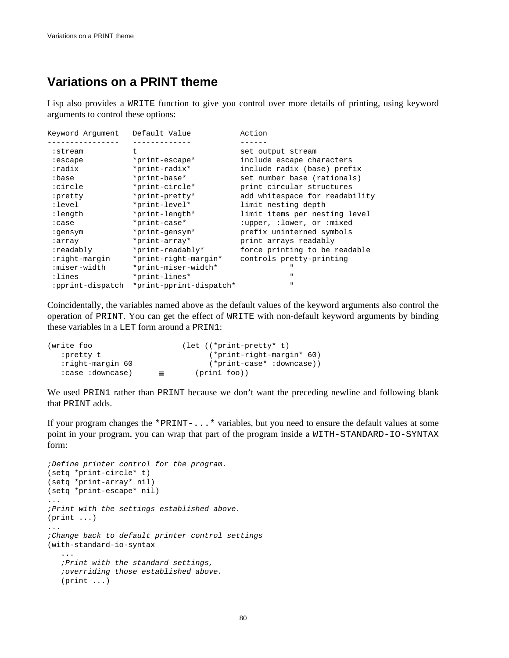### **Variations on a PRINT theme**

Lisp also provides a WRITE function to give you control over more details of printing, using keyword arguments to control these options:

| Keyword Arqument | Default Value           | Action                         |
|------------------|-------------------------|--------------------------------|
|                  |                         |                                |
| :stream          | t.                      | set output stream              |
| :escape          | *print-escape*          | include escape characters      |
| :radix           | *print-radix*           | include radix (base) prefix    |
| :base            | *print-base*            | set number base (rationals)    |
| :circle          | *print-circle*          | print circular structures      |
| :pretty          | *print-pretty*          | add whitespace for readability |
| :level           | *print-level*           | limit nesting depth            |
| :length          | *print-length*          | limit items per nesting level  |
| :case            | *print-case*            | :upper, :lower, or :mixed      |
| :gensym          | *print-gensym*          | prefix uninterned symbols      |
| :array           | *print-array*           | print arrays readably          |
| :readably        | *print-readably*        | force printing to be readable  |
| :right-margin    | *print-right-margin*    | controls pretty-printing       |
| :miser-width     | *print-miser-width*     |                                |
| :lines           | *print-lines*           | $\mathbf{u}$                   |
| :pprint-dispatch | *print-pprint-dispatch* | $\mathbf{H}$                   |

Coincidentally, the variables named above as the default values of the keyword arguments also control the operation of PRINT. You can get the effect of WRITE with non-default keyword arguments by binding these variables in a LET form around a PRIN1:

| (write foo       |    | $(\text{let } (\text{*print-pretry* } t))$ |
|------------------|----|--------------------------------------------|
| :pretty t        |    | (*print-right-margin* 60)                  |
| right-margin 60: |    | (*print-case* :downcase))                  |
| :case :downcase) | Ξ. | (prin1 foo)                                |

We used PRIN1 rather than PRINT because we don't want the preceding newline and following blank that PRINT adds.

If your program changes the \*PRINT-...\* variables, but you need to ensure the default values at some point in your program, you can wrap that part of the program inside a WITH-STANDARD-IO-SYNTAX form:

```
;Define printer control for the program.
(setq *print-circle* t)
(setq *print-array* nil)
(setq *print-escape* nil)
...
;Print with the settings established above.
(print ...)
...
;Change back to default printer control settings
(with-standard-io-syntax
    ...
    ;Print with the standard settings,
   ;overriding those established above.
   (print ...)
```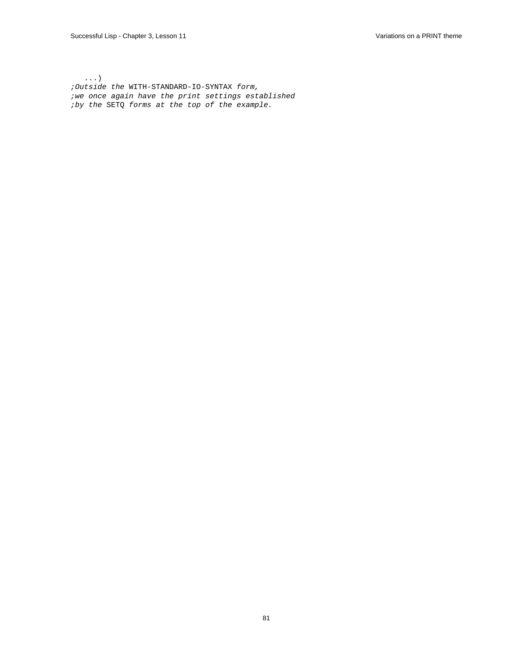...) ;Outside the WITH-STANDARD-IO-SYNTAX form, ;we once again have the print settings established ;by the SETQ forms at the top of the example.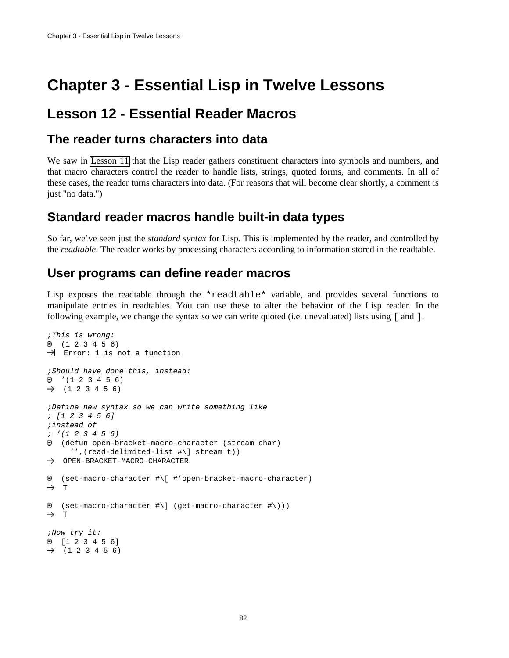# <span id="page-81-0"></span>**Chapter 3 - Essential Lisp in Twelve Lessons**

# **Lesson 12 - Essential Reader Macros**

#### **The reader turns characters into data**

We saw in [Lesson 11](#page-76-0) that the Lisp reader gathers constituent characters into symbols and numbers, and that macro characters control the reader to handle lists, strings, quoted forms, and comments. In all of these cases, the reader turns characters into data. (For reasons that will become clear shortly, a comment is just "no data.")

#### **Standard reader macros handle built-in data types**

So far, we've seen just the *standard syntax* for Lisp. This is implemented by the reader, and controlled by the *readtable*. The reader works by processing characters according to information stored in the readtable.

#### **User programs can define reader macros**

Lisp exposes the readtable through the \*readtable\* variable, and provides several functions to manipulate entries in readtables. You can use these to alter the behavior of the Lisp reader. In the following example, we change the syntax so we can write quoted (i.e. unevaluated) lists using [ and ].

```
;This is wrong:
(1 2 3 4 5 6)\rightarrow Error: 1 is not a function
;Should have done this, instead:
\Theta '(1 2 3 4 5 6)
\rightarrow (1 2 3 4 5 6)
;Define new syntax so we can write something like
; [1 2 3 4 5 6]
;instead of
; '(1 2 3 4 5 6)
 (defun open-bracket-macro-character (stream char)
      '',(read-delimited-list #\] stream t))
→ OPEN-BRACKET-MACRO-CHARACTER
 (set-macro-character #\[ #'open-bracket-macro-character)
\rightarrow T
\Theta (set-macro-character #\] (get-macro-character #\)))
\rightarrow T
;Now try it:
 [1 2 3 4 5 6]
\rightarrow (1 2 3 4 5 6)
```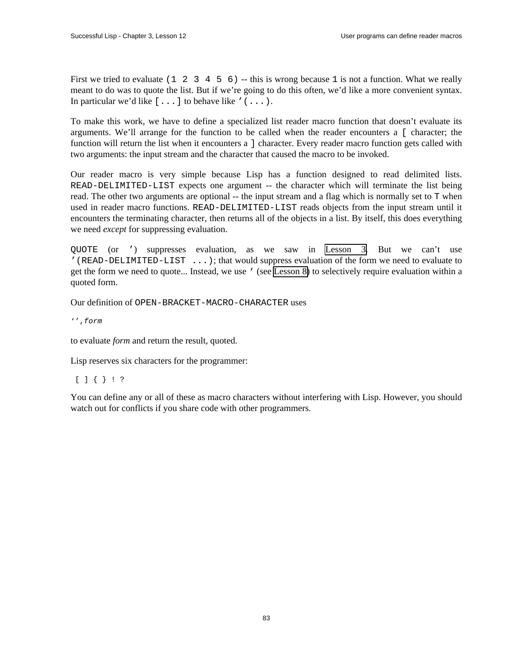First we tried to evaluate  $(1 \ 2 \ 3 \ 4 \ 5 \ 6)$  -- this is wrong because 1 is not a function. What we really meant to do was to quote the list. But if we're going to do this often, we'd like a more convenient syntax. In particular we'd like  $[\ldots]$  to behave like ' $(\ldots)$ .

To make this work, we have to define a specialized list reader macro function that doesn't evaluate its arguments. We'll arrange for the function to be called when the reader encounters a [ character; the function will return the list when it encounters a ] character. Every reader macro function gets called with two arguments: the input stream and the character that caused the macro to be invoked.

Our reader macro is very simple because Lisp has a function designed to read delimited lists. READ-DELIMITED-LIST expects one argument -- the character which will terminate the list being read. The other two arguments are optional -- the input stream and a flag which is normally set to T when used in reader macro functions. READ-DELIMITED-LIST reads objects from the input stream until it encounters the terminating character, then returns all of the objects in a list. By itself, this does everything we need *except* for suppressing evaluation.

QUOTE (or ') suppresses evaluation, as we saw in [Lesson 3.](#page-45-0) But we can't use '(READ-DELIMITED-LIST ...); that would suppress evaluation of the form we need to evaluate to get the form we need to quote... Instead, we use ' (see [Lesson 8\)](#page-60-0) to selectively require evaluation within a quoted form.

Our definition of OPEN-BRACKET-MACRO-CHARACTER uses

'',form

to evaluate *form* and return the result, quoted.

Lisp reserves six characters for the programmer:

[ ] { } ! ?

You can define any or all of these as macro characters without interfering with Lisp. However, you should watch out for conflicts if you share code with other programmers.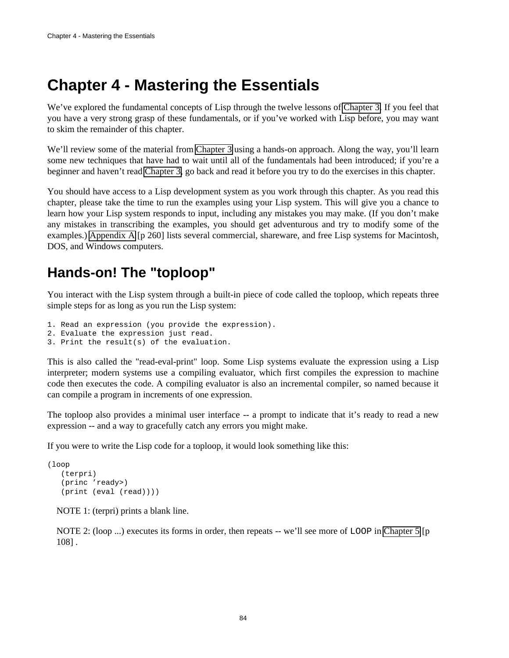# **Chapter 4 - Mastering the Essentials**

We've explored the fundamental concepts of Lisp through the twelve lessons of [Chapter 3.](#page-37-0) If you feel that you have a very strong grasp of these fundamentals, or if you've worked with Lisp before, you may want to skim the remainder of this chapter.

We'll review some of the material from [Chapter 3](#page-37-0) using a hands-on approach. Along the way, you'll learn some new techniques that have had to wait until all of the fundamentals had been introduced; if you're a beginner and haven't read [Chapter 3,](#page-37-0) go back and read it before you try to do the exercises in this chapter.

You should have access to a Lisp development system as you work through this chapter. As you read this chapter, please take the time to run the examples using your Lisp system. This will give you a chance to learn how your Lisp system responds to input, including any mistakes you may make. (If you don't make any mistakes in transcribing the examples, you should get adventurous and try to modify some of the examples.) [Appendix A](#page-259-0) [p 260] lists several commercial, shareware, and free Lisp systems for Macintosh, DOS, and Windows computers.

# **Hands-on! The "toploop"**

You interact with the Lisp system through a built-in piece of code called the toploop, which repeats three simple steps for as long as you run the Lisp system:

- 1. Read an expression (you provide the expression).
- 2. Evaluate the expression just read.
- 3. Print the result(s) of the evaluation.

This is also called the "read-eval-print" loop. Some Lisp systems evaluate the expression using a Lisp interpreter; modern systems use a compiling evaluator, which first compiles the expression to machine code then executes the code. A compiling evaluator is also an incremental compiler, so named because it can compile a program in increments of one expression.

The toploop also provides a minimal user interface -- a prompt to indicate that it's ready to read a new expression -- and a way to gracefully catch any errors you might make.

If you were to write the Lisp code for a toploop, it would look something like this:

```
(loop
    (terpri)
    (princ 'ready>)
    (print (eval (read))))
```
NOTE 1: (terpri) prints a blank line.

NOTE 2: (loop ...) executes its forms in order, then repeats -- we'll see more of LOOP in [Chapter 5](#page-107-0) [p 108] .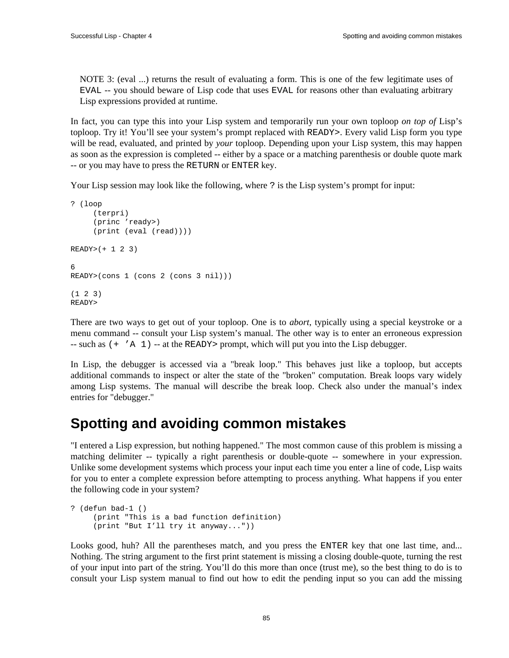NOTE 3: (eval ...) returns the result of evaluating a form. This is one of the few legitimate uses of EVAL -- you should beware of Lisp code that uses EVAL for reasons other than evaluating arbitrary Lisp expressions provided at runtime.

In fact, you can type this into your Lisp system and temporarily run your own toploop *on top of* Lisp's toploop. Try it! You'll see your system's prompt replaced with READY>. Every valid Lisp form you type will be read, evaluated, and printed by *your* toploop. Depending upon your Lisp system, this may happen as soon as the expression is completed -- either by a space or a matching parenthesis or double quote mark -- or you may have to press the RETURN or ENTER key.

Your Lisp session may look like the following, where ? is the Lisp system's prompt for input:

```
? (loop
      (terpri)
      (princ 'ready>)
      (print (eval (read))))
READV > (+ 1 2 3)6
READY>(cons 1 (cons 2 (cons 3 nil)))
(1 2 3)
READY>
```
There are two ways to get out of your toploop. One is to *abort*, typically using a special keystroke or a menu command -- consult your Lisp system's manual. The other way is to enter an erroneous expression -- such as  $(+ \text{'A} 1)$  -- at the READY prompt, which will put you into the Lisp debugger.

In Lisp, the debugger is accessed via a "break loop." This behaves just like a toploop, but accepts additional commands to inspect or alter the state of the "broken" computation. Break loops vary widely among Lisp systems. The manual will describe the break loop. Check also under the manual's index entries for "debugger."

### **Spotting and avoiding common mistakes**

"I entered a Lisp expression, but nothing happened." The most common cause of this problem is missing a matching delimiter -- typically a right parenthesis or double-quote -- somewhere in your expression. Unlike some development systems which process your input each time you enter a line of code, Lisp waits for you to enter a complete expression before attempting to process anything. What happens if you enter the following code in your system?

```
? (defun bad-1 ()
      (print "This is a bad function definition)
      (print "But I'll try it anyway..."))
```
Looks good, huh? All the parentheses match, and you press the ENTER key that one last time, and... Nothing. The string argument to the first print statement is missing a closing double-quote, turning the rest of your input into part of the string. You'll do this more than once (trust me), so the best thing to do is to consult your Lisp system manual to find out how to edit the pending input so you can add the missing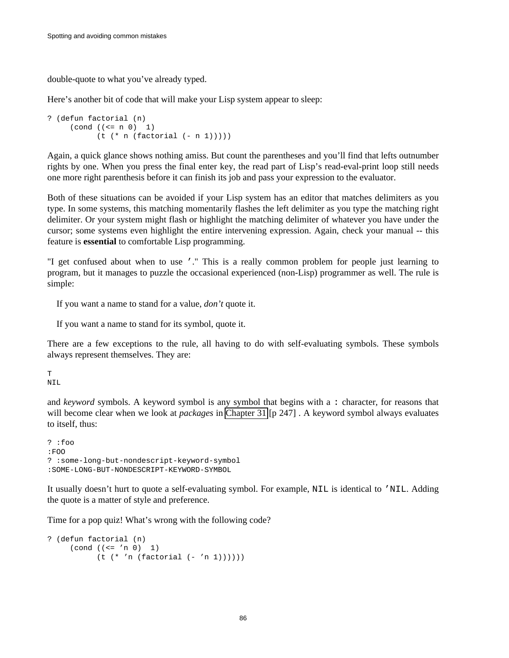double-quote to what you've already typed.

Here's another bit of code that will make your Lisp system appear to sleep:

```
? (defun factorial (n)
      (cond ((<= n 0) 1)
           (t (* n (factorial (-n 1)))))
```
Again, a quick glance shows nothing amiss. But count the parentheses and you'll find that lefts outnumber rights by one. When you press the final enter key, the read part of Lisp's read-eval-print loop still needs one more right parenthesis before it can finish its job and pass your expression to the evaluator.

Both of these situations can be avoided if your Lisp system has an editor that matches delimiters as you type. In some systems, this matching momentarily flashes the left delimiter as you type the matching right delimiter. Or your system might flash or highlight the matching delimiter of whatever you have under the cursor; some systems even highlight the entire intervening expression. Again, check your manual -- this feature is **essential** to comfortable Lisp programming.

"I get confused about when to use '." This is a really common problem for people just learning to program, but it manages to puzzle the occasional experienced (non-Lisp) programmer as well. The rule is simple:

If you want a name to stand for a value, *don't* quote it.

If you want a name to stand for its symbol, quote it.

There are a few exceptions to the rule, all having to do with self-evaluating symbols. These symbols always represent themselves. They are:

T NTT.

and *keyword* symbols. A keyword symbol is any symbol that begins with a : character, for reasons that will become clear when we look at *packages* in [Chapter 31](#page-246-0) [p 247] . A keyword symbol always evaluates to itself, thus:

```
? :foo
:FOO
? :some-long-but-nondescript-keyword-symbol
:SOME-LONG-BUT-NONDESCRIPT-KEYWORD-SYMBOL
```
It usually doesn't hurt to quote a self-evaluating symbol. For example, NIL is identical to 'NIL. Adding the quote is a matter of style and preference.

Time for a pop quiz! What's wrong with the following code?

```
? (defun factorial (n)
      (cond ((<= 'n 0) 1)
           (t (* 'n (factorial (- 'n 1))))))
```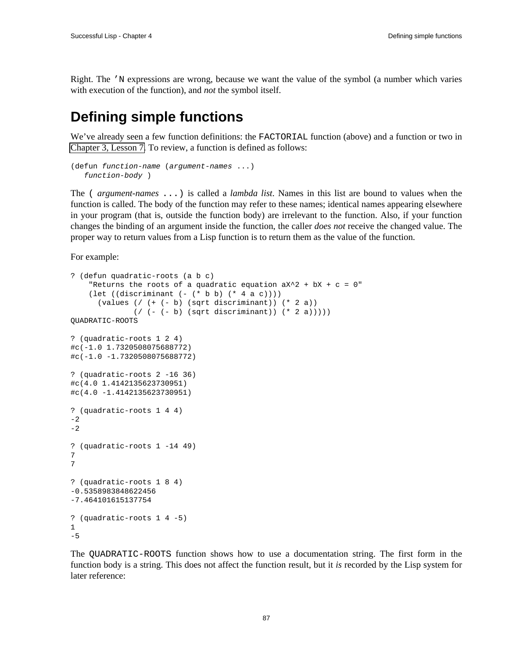Right. The 'N expressions are wrong, because we want the value of the symbol (a number which varies with execution of the function), and *not* the symbol itself.

# **Defining simple functions**

We've already seen a few function definitions: the FACTORIAL function (above) and a function or two in [Chapter 3, Lesson 7.](#page-58-0) To review, a function is defined as follows:

```
(defun function-name (argument-names ...)
   function-body )
```
The ( *argument-names* ...) is called a *lambda list*. Names in this list are bound to values when the function is called. The body of the function may refer to these names; identical names appearing elsewhere in your program (that is, outside the function body) are irrelevant to the function. Also, if your function changes the binding of an argument inside the function, the caller *does not* receive the changed value. The proper way to return values from a Lisp function is to return them as the value of the function.

For example:

```
? (defun quadratic-roots (a b c)
    "Returns the roots of a quadratic equation aX^2 + bX + c = 0"
    (let ((discriptionant (- (* b b) (* 4 a c)))) (values (/ (+ (- b) (sqrt discriminant)) (* 2 a))
               (/ (- (- b) (sqrt discriminant)) (* 2 a)))))
QUADRATIC-ROOTS
? (quadratic-roots 1 2 4)
#c(-1.0 1.7320508075688772)
#c(-1.0 -1.7320508075688772)
? (quadratic-roots 2 -16 36)
#c(4.0 1.4142135623730951)
#c(4.0 -1.4142135623730951)
? (quadratic-roots 1 4 4)
-2-2? (quadratic-roots 1 -14 49)
7
7
? (quadratic-roots 1 8 4)
-0.5358983848622456
-7.464101615137754
? (quadratic-roots 1 4 -5)
1
-5
```
The QUADRATIC-ROOTS function shows how to use a documentation string. The first form in the function body is a string. This does not affect the function result, but it *is* recorded by the Lisp system for later reference: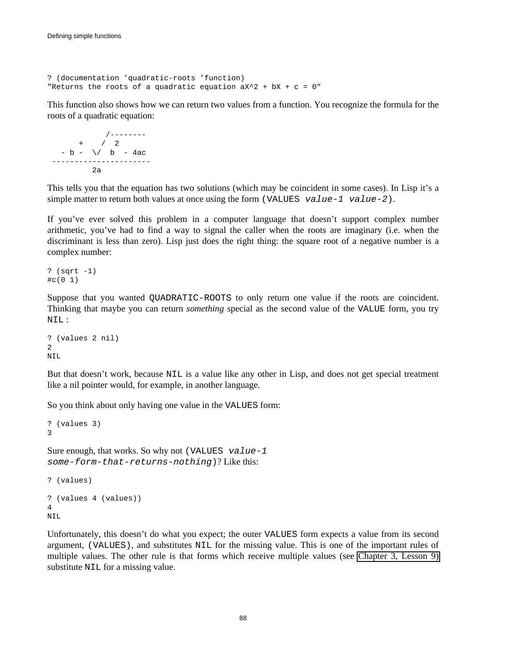```
? (documentation 'quadratic-roots 'function)
"Returns the roots of a quadratic equation aX^2 + bX + c = 0"
```
This function also shows how we can return two values from a function. You recognize the formula for the roots of a quadratic equation:

```
 /--------
      + / 2
 - b - \sqrt{b - 4ac} ----------------------
        2a
```
This tells you that the equation has two solutions (which may be coincident in some cases). In Lisp it's a simple matter to return both values at once using the form (VALUES value-1 value-2).

If you've ever solved this problem in a computer language that doesn't support complex number arithmetic, you've had to find a way to signal the caller when the roots are imaginary (i.e. when the discriminant is less than zero). Lisp just does the right thing: the square root of a negative number is a complex number:

```
? (sqrt -1)#c(0 1)
```
Suppose that you wanted QUADRATIC-ROOTS to only return one value if the roots are coincident. Thinking that maybe you can return *something* special as the second value of the VALUE form, you try NIL :

```
? (values 2 nil)
\mathcal{L}NIL
```
But that doesn't work, because NIL is a value like any other in Lisp, and does not get special treatment like a nil pointer would, for example, in another language.

So you think about only having one value in the VALUES form:

```
? (values 3)
3
```
Sure enough, that works. So why not (VALUES  $value-1$ some-form-that-returns-nothing)? Like this:

```
? (values)
? (values 4 (values))
4
NIL
```
Unfortunately, this doesn't do what you expect; the outer VALUES form expects a value from its second argument, (VALUES), and substitutes NIL for the missing value. This is one of the important rules of multiple values. The other rule is that forms which receive multiple values (see [Chapter 3, Lesson 9\)](#page-62-0) substitute NIL for a missing value.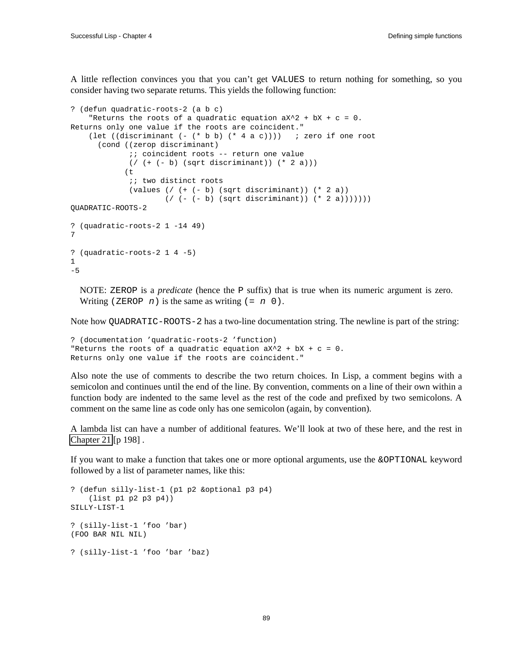A little reflection convinces you that you can't get VALUES to return nothing for something, so you consider having two separate returns. This yields the following function:

```
? (defun quadratic-roots-2 (a b c)
    "Returns the roots of a quadratic equation aX^2 + bX + c = 0.
Returns only one value if the roots are coincident."
    (let ((discriminant (- (* b b) (* 4 a c)))) ; zero if one root
        (cond ((zerop discriminant)
               ;; coincident roots -- return one value
              ((f + (-b) (sqrt d) \text{ is } t) (* 2 a)))
              (t
               ;; two distinct roots
              (values \left(\begin{array}{ccc} / & (+ & (- & b) & (sqrt & discriminant)) (* & 2 & a)\end{array}\right) (/ (- (- b) (sqrt discriminant)) (* 2 a)))))))
QUADRATIC-ROOTS-2
? (quadratic-roots-2 1 -14 49)
7
? (quadratic-roots-2 1 4 -5)
1
-5
```
NOTE: ZEROP is a *predicate* (hence the P suffix) that is true when its numeric argument is zero. Writing (ZEROP  $n$ ) is the same as writing (=  $n \cdot 0$ ).

Note how QUADRATIC-ROOTS-2 has a two-line documentation string. The newline is part of the string:

```
? (documentation 'quadratic-roots-2 'function)
"Returns the roots of a quadratic equation aX^2 + bX + c = 0.
Returns only one value if the roots are coincident."
```
Also note the use of comments to describe the two return choices. In Lisp, a comment begins with a semicolon and continues until the end of the line. By convention, comments on a line of their own within a function body are indented to the same level as the rest of the code and prefixed by two semicolons. A comment on the same line as code only has one semicolon (again, by convention).

A lambda list can have a number of additional features. We'll look at two of these here, and the rest in [Chapter 21](#page-197-0) [p 198] .

If you want to make a function that takes one or more optional arguments, use the &OPTIONAL keyword followed by a list of parameter names, like this:

```
? (defun silly-list-1 (p1 p2 &optional p3 p4)
     (list p1 p2 p3 p4))
SILLY-LIST-1
? (silly-list-1 'foo 'bar)
(FOO BAR NIL NIL)
? (silly-list-1 'foo 'bar 'baz)
```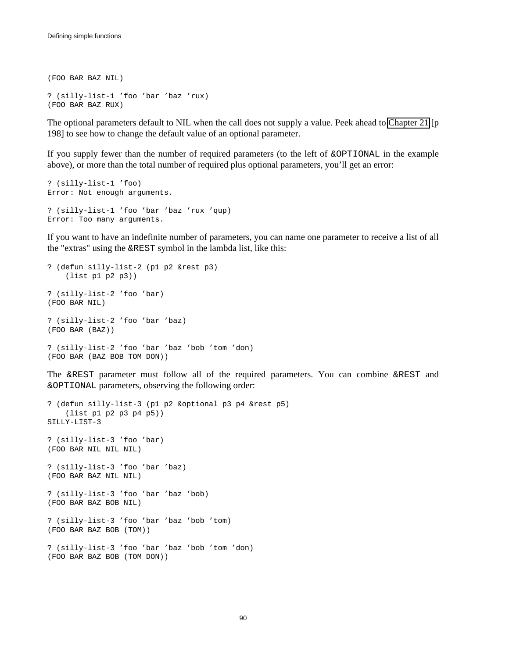(FOO BAR BAZ NIL) ? (silly-list-1 'foo 'bar 'baz 'rux) (FOO BAR BAZ RUX)

The optional parameters default to NIL when the call does not supply a value. Peek ahead to [Chapter 21](#page-197-0) [p 198] to see how to change the default value of an optional parameter.

If you supply fewer than the number of required parameters (to the left of &OPTIONAL in the example above), or more than the total number of required plus optional parameters, you'll get an error:

```
? (silly-list-1 'foo)
Error: Not enough arguments.
? (silly-list-1 'foo 'bar 'baz 'rux 'qup)
Error: Too many arguments.
```
If you want to have an indefinite number of parameters, you can name one parameter to receive a list of all the "extras" using the &REST symbol in the lambda list, like this:

```
? (defun silly-list-2 (p1 p2 &rest p3)
     (list p1 p2 p3))
? (silly-list-2 'foo 'bar)
(FOO BAR NIL)
? (silly-list-2 'foo 'bar 'baz)
(FOO BAR (BAZ))
? (silly-list-2 'foo 'bar 'baz 'bob 'tom 'don)
(FOO BAR (BAZ BOB TOM DON))
```
The &REST parameter must follow all of the required parameters. You can combine &REST and &OPTIONAL parameters, observing the following order:

```
? (defun silly-list-3 (p1 p2 &optional p3 p4 &rest p5)
     (list p1 p2 p3 p4 p5))
SILLY-LIST-3
? (silly-list-3 'foo 'bar)
(FOO BAR NIL NIL NIL)
? (silly-list-3 'foo 'bar 'baz)
(FOO BAR BAZ NIL NIL)
? (silly-list-3 'foo 'bar 'baz 'bob)
(FOO BAR BAZ BOB NIL)
? (silly-list-3 'foo 'bar 'baz 'bob 'tom)
(FOO BAR BAZ BOB (TOM))
? (silly-list-3 'foo 'bar 'baz 'bob 'tom 'don)
(FOO BAR BAZ BOB (TOM DON))
```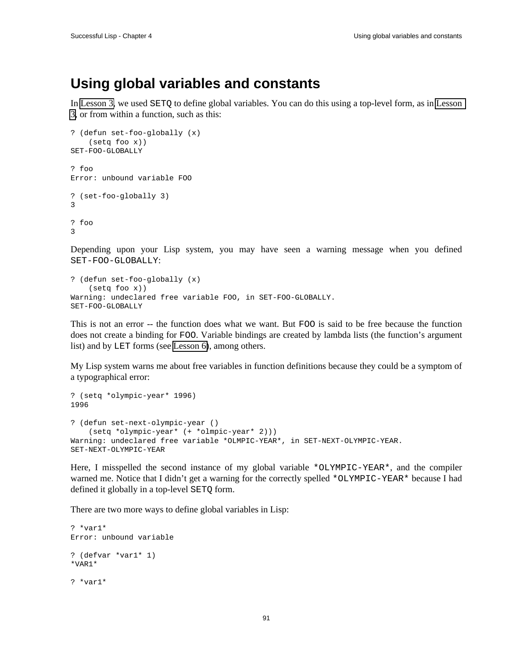#### <span id="page-90-0"></span>**Using global variables and constants**

In [Lesson 3,](#page-45-0) we used SETQ to define global variables. You can do this using a top-level form, as in [Lesson](#page-45-0)  [3,](#page-45-0) or from within a function, such as this:

```
? (defun set-foo-globally (x)
     (setq foo x))
SET-FOO-GLOBALLY
? foo
Error: unbound variable FOO
? (set-foo-globally 3)
3
? foo
3
```
Depending upon your Lisp system, you may have seen a warning message when you defined SET-FOO-GLOBALLY:

```
? (defun set-foo-globally (x)
    (setq foo x))
Warning: undeclared free variable FOO, in SET-FOO-GLOBALLY.
SET-FOO-GLOBALLY
```
This is not an error -- the function does what we want. But FOO is said to be free because the function does not create a binding for FOO. Variable bindings are created by lambda lists (the function's argument list) and by LET forms (see [Lesson 6\)](#page-55-0), among others.

My Lisp system warns me about free variables in function definitions because they could be a symptom of a typographical error:

```
? (setq *olympic-year* 1996)
1996
? (defun set-next-olympic-year ()
    (setq *olympic-year* (+ *olmpic-year* 2)))
Warning: undeclared free variable *OLMPIC-YEAR*, in SET-NEXT-OLYMPIC-YEAR.
SET-NEXT-OLYMPIC-YEAR
```
Here, I misspelled the second instance of my global variable \*OLYMPIC-YEAR\*, and the compiler warned me. Notice that I didn't get a warning for the correctly spelled \*OLYMPIC-YEAR\* because I had defined it globally in a top-level SETQ form.

There are two more ways to define global variables in Lisp:

```
? *var1*
Error: unbound variable
? (defvar *var1* 1)
*VAR1*
? *var1*
```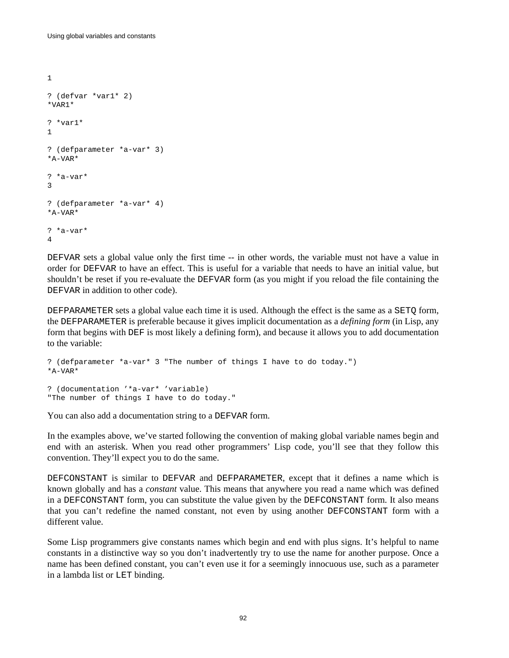```
1
? (defvar *var1* 2)
*VAR1*
? *var1*
1
? (defparameter *a-var* 3)
*A-VAR*
? *a-var*
3
? (defparameter *a-var* 4)
*A-VAR*
? *a-var*
4
```
DEFVAR sets a global value only the first time -- in other words, the variable must not have a value in order for DEFVAR to have an effect. This is useful for a variable that needs to have an initial value, but shouldn't be reset if you re-evaluate the DEFVAR form (as you might if you reload the file containing the DEFVAR in addition to other code).

DEFPARAMETER sets a global value each time it is used. Although the effect is the same as a SETQ form, the DEFPARAMETER is preferable because it gives implicit documentation as a *defining form* (in Lisp, any form that begins with DEF is most likely a defining form), and because it allows you to add documentation to the variable:

```
? (defparameter *a-var* 3 "The number of things I have to do today.")
*A-VAR*
? (documentation '*a-var* 'variable)
"The number of things I have to do today."
```
You can also add a documentation string to a DEFVAR form.

In the examples above, we've started following the convention of making global variable names begin and end with an asterisk. When you read other programmers' Lisp code, you'll see that they follow this convention. They'll expect you to do the same.

DEFCONSTANT is similar to DEFVAR and DEFPARAMETER, except that it defines a name which is known globally and has a *constant* value. This means that anywhere you read a name which was defined in a DEFCONSTANT form, you can substitute the value given by the DEFCONSTANT form. It also means that you can't redefine the named constant, not even by using another DEFCONSTANT form with a different value.

Some Lisp programmers give constants names which begin and end with plus signs. It's helpful to name constants in a distinctive way so you don't inadvertently try to use the name for another purpose. Once a name has been defined constant, you can't even use it for a seemingly innocuous use, such as a parameter in a lambda list or LET binding.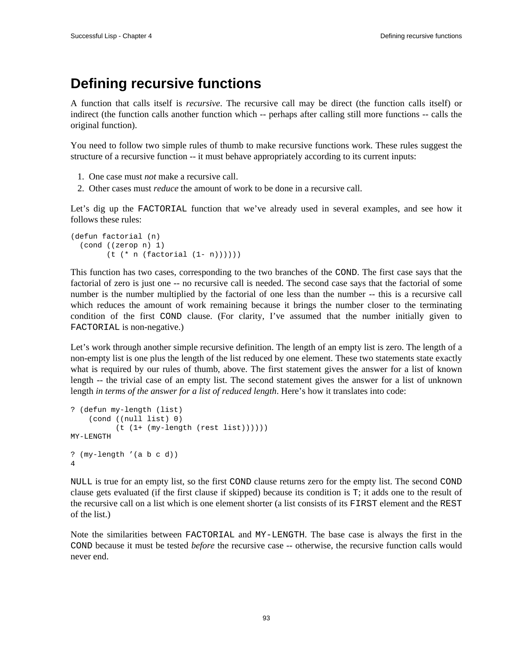# **Defining recursive functions**

A function that calls itself is *recursive*. The recursive call may be direct (the function calls itself) or indirect (the function calls another function which -- perhaps after calling still more functions -- calls the original function).

You need to follow two simple rules of thumb to make recursive functions work. These rules suggest the structure of a recursive function -- it must behave appropriately according to its current inputs:

- 1. One case must *not* make a recursive call.
- 2. Other cases must *reduce* the amount of work to be done in a recursive call.

Let's dig up the FACTORIAL function that we've already used in several examples, and see how it follows these rules:

```
(defun factorial (n)
   (cond ((zerop n) 1)
        (t (* n (factorial (1 - n))))))
```
This function has two cases, corresponding to the two branches of the COND. The first case says that the factorial of zero is just one -- no recursive call is needed. The second case says that the factorial of some number is the number multiplied by the factorial of one less than the number -- this is a recursive call which reduces the amount of work remaining because it brings the number closer to the terminating condition of the first COND clause. (For clarity, I've assumed that the number initially given to FACTORIAL is non-negative.)

Let's work through another simple recursive definition. The length of an empty list is zero. The length of a non-empty list is one plus the length of the list reduced by one element. These two statements state exactly what is required by our rules of thumb, above. The first statement gives the answer for a list of known length -- the trivial case of an empty list. The second statement gives the answer for a list of unknown length *in terms of the answer for a list of reduced length*. Here's how it translates into code:

```
? (defun my-length (list)
     (cond ((null list) 0)
           (t (1+ (my-length (rest list))))))
MY-LENGTH
? (my-length '(a b c d))
4
```
NULL is true for an empty list, so the first COND clause returns zero for the empty list. The second COND clause gets evaluated (if the first clause if skipped) because its condition is T; it adds one to the result of the recursive call on a list which is one element shorter (a list consists of its FIRST element and the REST of the list.)

Note the similarities between FACTORIAL and MY-LENGTH. The base case is always the first in the COND because it must be tested *before* the recursive case -- otherwise, the recursive function calls would never end.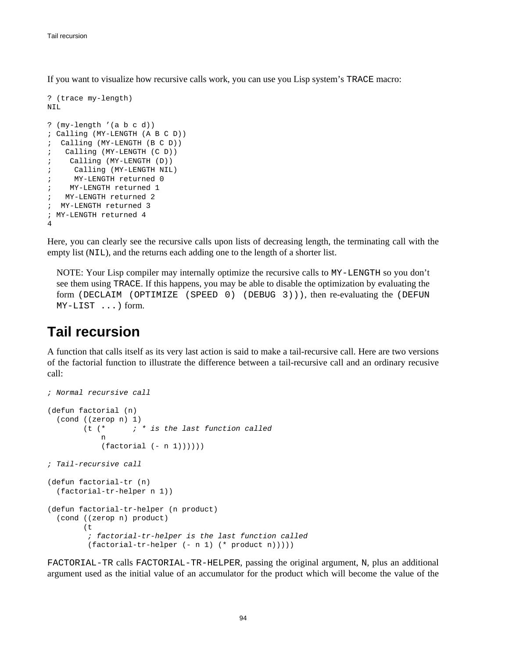If you want to visualize how recursive calls work, you can use you Lisp system's TRACE macro:

```
? (trace my-length)
NIL
? (my-length '(a b c d))
; Calling (MY-LENGTH (A B C D)) 
; Calling (MY-LENGTH (B C D)) 
; Calling (MY-LENGTH (C D)) 
; Calling (MY-LENGTH (D)) 
; Calling (MY-LENGTH NIL) 
; MY-LENGTH returned 0
; MY-LENGTH returned 1
  ; MY-LENGTH returned 2
; MY-LENGTH returned 3
; MY-LENGTH returned 4
4
```
Here, you can clearly see the recursive calls upon lists of decreasing length, the terminating call with the empty list (NIL), and the returns each adding one to the length of a shorter list.

NOTE: Your Lisp compiler may internally optimize the recursive calls to MY-LENGTH so you don't see them using TRACE. If this happens, you may be able to disable the optimization by evaluating the form (DECLAIM (OPTIMIZE (SPEED 0) (DEBUG 3))), then re-evaluating the (DEFUN MY-LIST ...) form.

### **Tail recursion**

A function that calls itself as its very last action is said to make a tail-recursive call. Here are two versions of the factorial function to illustrate the difference between a tail-recursive call and an ordinary recusive call:

```
; Normal recursive call
(defun factorial (n)
   (cond ((zerop n) 1)
       (t (* ; * is the last function called
 n
           (factorial (- n 1)))); Tail-recursive call
(defun factorial-tr (n)
  (factorial-tr-helper n 1))
(defun factorial-tr-helper (n product)
  (cond ((zerop n) product)
       (t) ; factorial-tr-helper is the last function called
         (factorial-tr-helper (- n 1) (* product n)))))
```
FACTORIAL-TR calls FACTORIAL-TR-HELPER, passing the original argument, N, plus an additional argument used as the initial value of an accumulator for the product which will become the value of the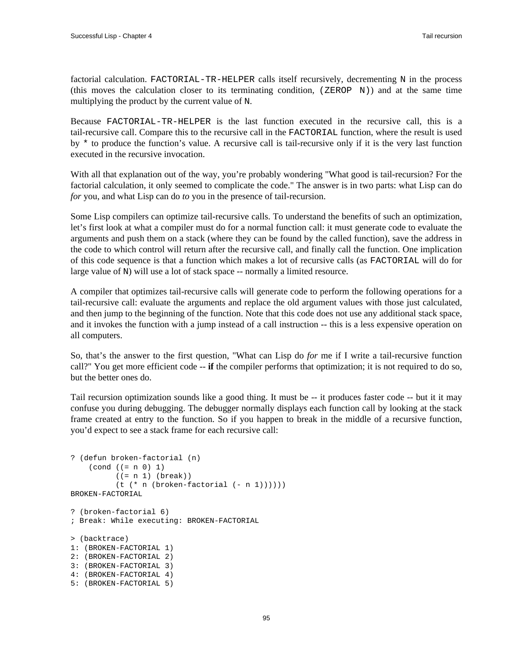factorial calculation. FACTORIAL-TR-HELPER calls itself recursively, decrementing N in the process (this moves the calculation closer to its terminating condition, (ZEROP N)) and at the same time multiplying the product by the current value of N.

Because FACTORIAL-TR-HELPER is the last function executed in the recursive call, this is a tail-recursive call. Compare this to the recursive call in the FACTORIAL function, where the result is used by \* to produce the function's value. A recursive call is tail-recursive only if it is the very last function executed in the recursive invocation.

With all that explanation out of the way, you're probably wondering "What good is tail-recursion? For the factorial calculation, it only seemed to complicate the code." The answer is in two parts: what Lisp can do *for* you, and what Lisp can do *to* you in the presence of tail-recursion.

Some Lisp compilers can optimize tail-recursive calls. To understand the benefits of such an optimization, let's first look at what a compiler must do for a normal function call: it must generate code to evaluate the arguments and push them on a stack (where they can be found by the called function), save the address in the code to which control will return after the recursive call, and finally call the function. One implication of this code sequence is that a function which makes a lot of recursive calls (as FACTORIAL will do for large value of N) will use a lot of stack space -- normally a limited resource.

A compiler that optimizes tail-recursive calls will generate code to perform the following operations for a tail-recursive call: evaluate the arguments and replace the old argument values with those just calculated, and then jump to the beginning of the function. Note that this code does not use any additional stack space, and it invokes the function with a jump instead of a call instruction -- this is a less expensive operation on all computers.

So, that's the answer to the first question, "What can Lisp do *for* me if I write a tail-recursive function call?" You get more efficient code -- **if** the compiler performs that optimization; it is not required to do so, but the better ones do.

Tail recursion optimization sounds like a good thing. It must be -- it produces faster code -- but it it may confuse you during debugging. The debugger normally displays each function call by looking at the stack frame created at entry to the function. So if you happen to break in the middle of a recursive function, you'd expect to see a stack frame for each recursive call:

```
? (defun broken-factorial (n)
     (cond ((= n 0) 1)
          ((= n 1) (break))(t (* n (broken-factorial (-n 1))))))
BROKEN-FACTORIAL
? (broken-factorial 6)
; Break: While executing: BROKEN-FACTORIAL
> (backtrace)
1: (BROKEN-FACTORIAL 1)
2: (BROKEN-FACTORIAL 2)
3: (BROKEN-FACTORIAL 3)
4: (BROKEN-FACTORIAL 4)
5: (BROKEN-FACTORIAL 5)
```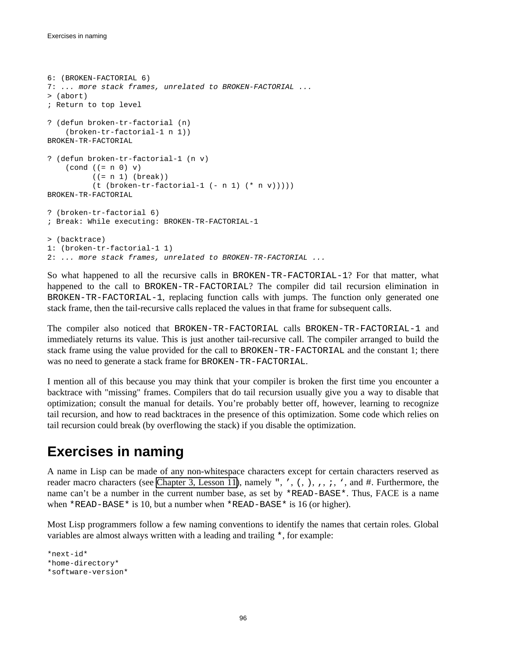```
6: (BROKEN-FACTORIAL 6)
7: ... more stack frames, unrelated to BROKEN-FACTORIAL ...
> (abort)
; Return to top level
? (defun broken-tr-factorial (n)
     (broken-tr-factorial-1 n 1))
BROKEN-TR-FACTORIAL
? (defun broken-tr-factorial-1 (n v)
     (cond ((= n 0) v)
         ((= n 1) (break))
          (t (broken-tr-factorial-1 (- n 1) (* n v))))BROKEN-TR-FACTORIAL
? (broken-tr-factorial 6)
; Break: While executing: BROKEN-TR-FACTORIAL-1
> (backtrace)
1: (broken-tr-factorial-1 1)
2: ... more stack frames, unrelated to BROKEN-TR-FACTORIAL ...
```
So what happened to all the recursive calls in BROKEN-TR-FACTORIAL-1? For that matter, what happened to the call to BROKEN-TR-FACTORIAL? The compiler did tail recursion elimination in BROKEN-TR-FACTORIAL-1, replacing function calls with jumps. The function only generated one stack frame, then the tail-recursive calls replaced the values in that frame for subsequent calls.

The compiler also noticed that BROKEN-TR-FACTORIAL calls BROKEN-TR-FACTORIAL-1 and immediately returns its value. This is just another tail-recursive call. The compiler arranged to build the stack frame using the value provided for the call to BROKEN-TR-FACTORIAL and the constant 1; there was no need to generate a stack frame for BROKEN-TR-FACTORIAL.

I mention all of this because you may think that your compiler is broken the first time you encounter a backtrace with "missing" frames. Compilers that do tail recursion usually give you a way to disable that optimization; consult the manual for details. You're probably better off, however, learning to recognize tail recursion, and how to read backtraces in the presence of this optimization. Some code which relies on tail recursion could break (by overflowing the stack) if you disable the optimization.

### **Exercises in naming**

A name in Lisp can be made of any non-whitespace characters except for certain characters reserved as reader macro characters (see [Chapter 3, Lesson 11\)](#page-76-0), namely ", ',  $\langle$ ,  $\rangle$ ,  $\langle$ ,  $\rangle$ ,  $\langle$ ,  $\rangle$ , and #. Furthermore, the name can't be a number in the current number base, as set by \*READ-BASE\*. Thus, FACE is a name when \*READ-BASE\* is 10, but a number when \*READ-BASE\* is 16 (or higher).

Most Lisp programmers follow a few naming conventions to identify the names that certain roles. Global variables are almost always written with a leading and trailing \*, for example:

```
*next-id*
*home-directory*
*software-version*
```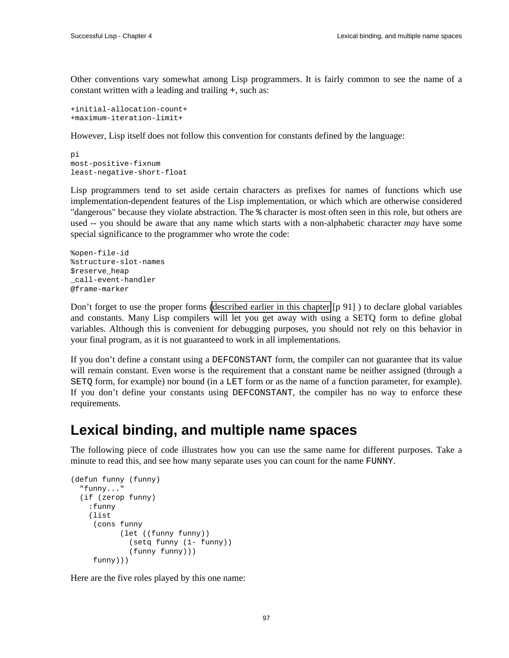Other conventions vary somewhat among Lisp programmers. It is fairly common to see the name of a constant written with a leading and trailing +, such as:

```
+initial-allocation-count+
+maximum-iteration-limit+
```
However, Lisp itself does not follow this convention for constants defined by the language:

pi most-positive-fixnum least-negative-short-float

Lisp programmers tend to set aside certain characters as prefixes for names of functions which use implementation-dependent features of the Lisp implementation, or which which are otherwise considered "dangerous" because they violate abstraction. The % character is most often seen in this role, but others are used -- you should be aware that any name which starts with a non-alphabetic character *may* have some special significance to the programmer who wrote the code:

```
%open-file-id
%structure-slot-names
$reserve_heap
_call-event-handler
@frame-marker
```
Don't forget to use the proper forms [\(described earlier in this chapter](#page-90-0) [p 91] ) to declare global variables and constants. Many Lisp compilers will let you get away with using a SETQ form to define global variables. Although this is convenient for debugging purposes, you should not rely on this behavior in your final program, as it is not guaranteed to work in all implementations.

If you don't define a constant using a DEFCONSTANT form, the compiler can not guarantee that its value will remain constant. Even worse is the requirement that a constant name be neither assigned (through a SETQ form, for example) nor bound (in a LET form or as the name of a function parameter, for example). If you don't define your constants using DEFCONSTANT, the compiler has no way to enforce these requirements.

### **Lexical binding, and multiple name spaces**

The following piece of code illustrates how you can use the same name for different purposes. Take a minute to read this, and see how many separate uses you can count for the name FUNNY.

```
(defun funny (funny)
   "funny..."
   (if (zerop funny)
     :funny
     (list
      (cons funny 
             (let ((funny funny))
               (setq funny (1- funny))
               (funny funny))) 
     funny)))
```
Here are the five roles played by this one name: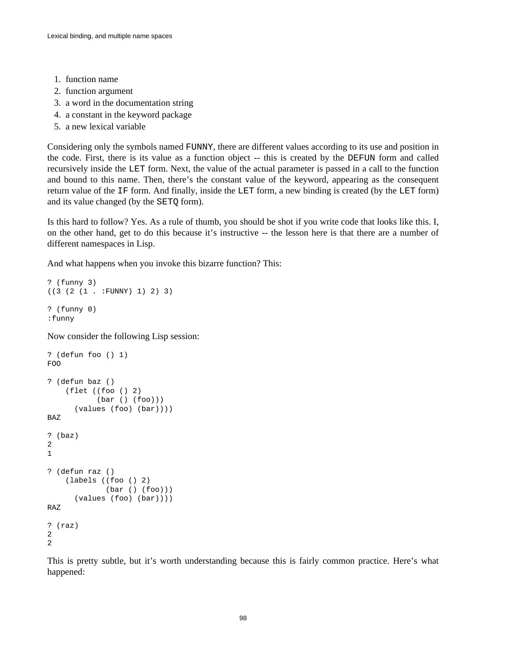- 1. function name
- 2. function argument
- 3. a word in the documentation string
- 4. a constant in the keyword package
- 5. a new lexical variable

Considering only the symbols named FUNNY, there are different values according to its use and position in the code. First, there is its value as a function object -- this is created by the DEFUN form and called recursively inside the LET form. Next, the value of the actual parameter is passed in a call to the function and bound to this name. Then, there's the constant value of the keyword, appearing as the consequent return value of the IF form. And finally, inside the LET form, a new binding is created (by the LET form) and its value changed (by the SETQ form).

Is this hard to follow? Yes. As a rule of thumb, you should be shot if you write code that looks like this. I, on the other hand, get to do this because it's instructive -- the lesson here is that there are a number of different namespaces in Lisp.

And what happens when you invoke this bizarre function? This:

```
? (funny 3)
((3 (2 (1 . :FUNNY) 1) 2) 3)
? (funny 0)
:funny
```
Now consider the following Lisp session:

```
? (defun foo () 1)
FOO
? (defun baz ()
     (flet ((foo () 2)
             (bar () (foo)))
       (values (foo) (bar))))
BAZ
? (baz)
2
1
? (defun raz ()
     (labels ((foo () 2)
              (bar () (foo)))
       (values (foo) (bar))))
RAZ
? (raz)
2
2
```
This is pretty subtle, but it's worth understanding because this is fairly common practice. Here's what happened: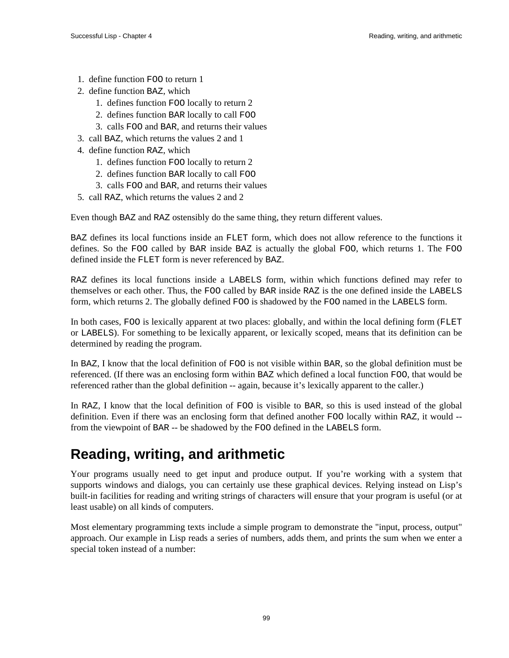- 1. define function FOO to return 1
- 2. define function BAZ, which
	- 1. defines function FOO locally to return 2
	- 2. defines function BAR locally to call FOO
	- 3. calls FOO and BAR, and returns their values
- 3. call BAZ, which returns the values 2 and 1
- 4. define function RAZ, which
	- 1. defines function FOO locally to return 2
	- 2. defines function BAR locally to call FOO
	- 3. calls FOO and BAR, and returns their values
- 5. call RAZ, which returns the values 2 and 2

Even though BAZ and RAZ ostensibly do the same thing, they return different values.

BAZ defines its local functions inside an FLET form, which does not allow reference to the functions it defines. So the FOO called by BAR inside BAZ is actually the global FOO, which returns 1. The FOO defined inside the FLET form is never referenced by BAZ.

RAZ defines its local functions inside a LABELS form, within which functions defined may refer to themselves or each other. Thus, the FOO called by BAR inside RAZ is the one defined inside the LABELS form, which returns 2. The globally defined FOO is shadowed by the FOO named in the LABELS form.

In both cases, FOO is lexically apparent at two places: globally, and within the local defining form (FLET or LABELS). For something to be lexically apparent, or lexically scoped, means that its definition can be determined by reading the program.

In BAZ, I know that the local definition of FOO is not visible within BAR, so the global definition must be referenced. (If there was an enclosing form within BAZ which defined a local function FOO, that would be referenced rather than the global definition -- again, because it's lexically apparent to the caller.)

In RAZ, I know that the local definition of FOO is visible to BAR, so this is used instead of the global definition. Even if there was an enclosing form that defined another FOO locally within RAZ, it would - from the viewpoint of BAR -- be shadowed by the FOO defined in the LABELS form.

# **Reading, writing, and arithmetic**

Your programs usually need to get input and produce output. If you're working with a system that supports windows and dialogs, you can certainly use these graphical devices. Relying instead on Lisp's built-in facilities for reading and writing strings of characters will ensure that your program is useful (or at least usable) on all kinds of computers.

Most elementary programming texts include a simple program to demonstrate the "input, process, output" approach. Our example in Lisp reads a series of numbers, adds them, and prints the sum when we enter a special token instead of a number: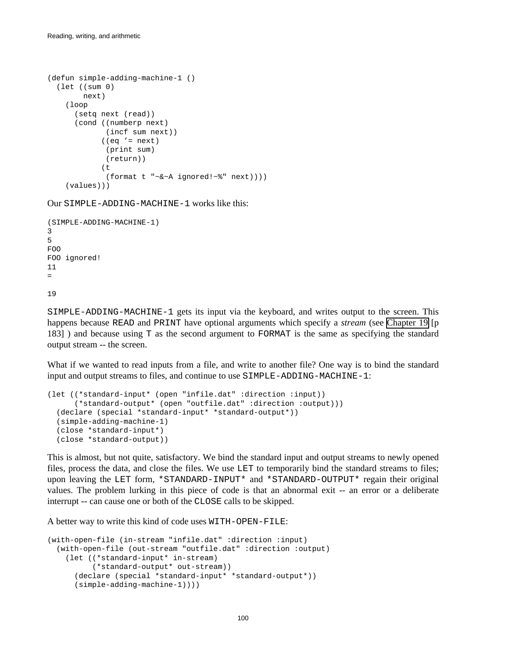```
(defun simple-adding-machine-1 ()
   (let ((sum 0)
         next)
     (loop
       (setq next (read))
       (cond ((numberp next)
              (incf sum next))
             ((eq ' = next) (print sum)
               (return))
              (t
               (format t "~&~A ignored!~%" next))))
     (values)))
```
Our SIMPLE-ADDING-MACHINE-1 works like this:

```
(SIMPLE-ADDING-MACHINE-1)
3
5
FOO
FOO ignored!
11
=
```
19

SIMPLE-ADDING-MACHINE-1 gets its input via the keyboard, and writes output to the screen. This happens because READ and PRINT have optional arguments which specify a *stream* (see [Chapter 19](#page-182-0) [p 183] ) and because using T as the second argument to FORMAT is the same as specifying the standard output stream -- the screen.

What if we wanted to read inputs from a file, and write to another file? One way is to bind the standard input and output streams to files, and continue to use SIMPLE-ADDING-MACHINE-1:

```
(let ((*standard-input* (open "infile.dat" :direction :input))
       (*standard-output* (open "outfile.dat" :direction :output)))
   (declare (special *standard-input* *standard-output*))
   (simple-adding-machine-1)
   (close *standard-input*)
  (close *standard-output))
```
This is almost, but not quite, satisfactory. We bind the standard input and output streams to newly opened files, process the data, and close the files. We use LET to temporarily bind the standard streams to files; upon leaving the LET form, \*STANDARD-INPUT\* and \*STANDARD-OUTPUT\* regain their original values. The problem lurking in this piece of code is that an abnormal exit -- an error or a deliberate interrupt -- can cause one or both of the CLOSE calls to be skipped.

A better way to write this kind of code uses WITH-OPEN-FILE:

```
(with-open-file (in-stream "infile.dat" :direction :input)
   (with-open-file (out-stream "outfile.dat" :direction :output)
     (let ((*standard-input* in-stream)
           (*standard-output* out-stream))
       (declare (special *standard-input* *standard-output*))
       (simple-adding-machine-1))))
```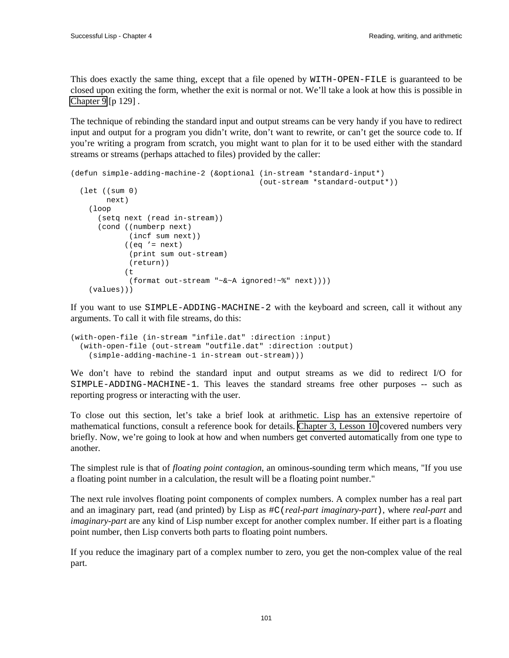This does exactly the same thing, except that a file opened by WITH-OPEN-FILE is guaranteed to be closed upon exiting the form, whether the exit is normal or not. We'll take a look at how this is possible in [Chapter 9](#page-128-0) [p 129] .

The technique of rebinding the standard input and output streams can be very handy if you have to redirect input and output for a program you didn't write, don't want to rewrite, or can't get the source code to. If you're writing a program from scratch, you might want to plan for it to be used either with the standard streams or streams (perhaps attached to files) provided by the caller:

```
(defun simple-adding-machine-2 (&optional (in-stream *standard-input*)
                                             (out-stream *standard-output*))
   (let ((sum 0)
        next)
     (loop
       (setq next (read in-stream))
       (cond ((numberp next)
              (incf sum next))
            ((eq ' = next)) (print sum out-stream)
              (return))
             (t
              (format out-stream "~&~A ignored!~%" next))))
     (values)))
```
If you want to use SIMPLE-ADDING-MACHINE-2 with the keyboard and screen, call it without any arguments. To call it with file streams, do this:

```
(with-open-file (in-stream "infile.dat" :direction :input)
   (with-open-file (out-stream "outfile.dat" :direction :output)
     (simple-adding-machine-1 in-stream out-stream)))
```
We don't have to rebind the standard input and output streams as we did to redirect I/O for SIMPLE-ADDING-MACHINE-1. This leaves the standard streams free other purposes -- such as reporting progress or interacting with the user.

To close out this section, let's take a brief look at arithmetic. Lisp has an extensive repertoire of mathematical functions, consult a reference book for details. [Chapter 3, Lesson 10](#page-64-0) covered numbers very briefly. Now, we're going to look at how and when numbers get converted automatically from one type to another.

The simplest rule is that of *floating point contagion*, an ominous-sounding term which means, "If you use a floating point number in a calculation, the result will be a floating point number."

The next rule involves floating point components of complex numbers. A complex number has a real part and an imaginary part, read (and printed) by Lisp as #C(*real-part imaginary-part*), where *real-part* and *imaginary-part* are any kind of Lisp number except for another complex number. If either part is a floating point number, then Lisp converts both parts to floating point numbers.

If you reduce the imaginary part of a complex number to zero, you get the non-complex value of the real part.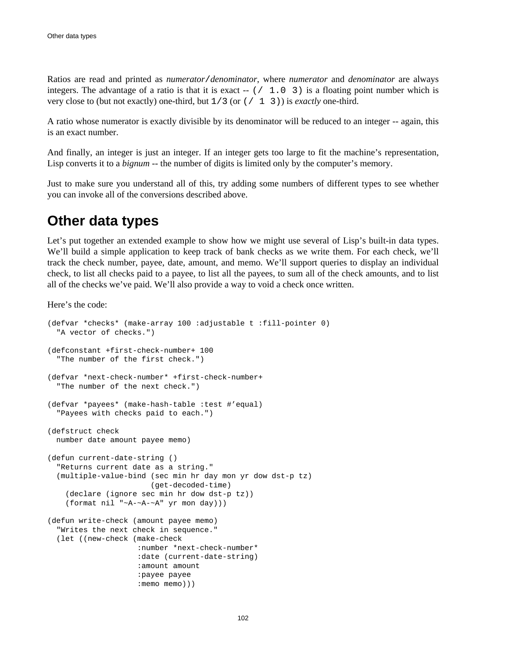Ratios are read and printed as *numerator*/*denominator*, where *numerator* and *denominator* are always integers. The advantage of a ratio is that it is exact  $-$  ( $/$  1.0 3) is a floating point number which is very close to (but not exactly) one-third, but 1/3 (or (/ 1 3)) is *exactly* one-third.

A ratio whose numerator is exactly divisible by its denominator will be reduced to an integer -- again, this is an exact number.

And finally, an integer is just an integer. If an integer gets too large to fit the machine's representation, Lisp converts it to a *bignum* -- the number of digits is limited only by the computer's memory.

Just to make sure you understand all of this, try adding some numbers of different types to see whether you can invoke all of the conversions described above.

### **Other data types**

Let's put together an extended example to show how we might use several of Lisp's built-in data types. We'll build a simple application to keep track of bank checks as we write them. For each check, we'll track the check number, payee, date, amount, and memo. We'll support queries to display an individual check, to list all checks paid to a payee, to list all the payees, to sum all of the check amounts, and to list all of the checks we've paid. We'll also provide a way to void a check once written.

Here's the code:

```
(defvar *checks* (make-array 100 :adjustable t :fill-pointer 0)
   "A vector of checks.")
(defconstant +first-check-number+ 100 
   "The number of the first check.")
(defvar *next-check-number* +first-check-number+ 
   "The number of the next check.")
(defvar *payees* (make-hash-table :test #'equal) 
   "Payees with checks paid to each.")
(defstruct check
  number date amount payee memo)
(defun current-date-string ()
   "Returns current date as a string."
   (multiple-value-bind (sec min hr day mon yr dow dst-p tz)
                        (get-decoded-time)
     (declare (ignore sec min hr dow dst-p tz))
     (format nil "~A-~A-~A" yr mon day)))
(defun write-check (amount payee memo)
   "Writes the next check in sequence."
   (let ((new-check (make-check 
                      :number *next-check-number*
                      :date (current-date-string)
                     :amount amount
                     :payee payee
                      :memo memo)))
```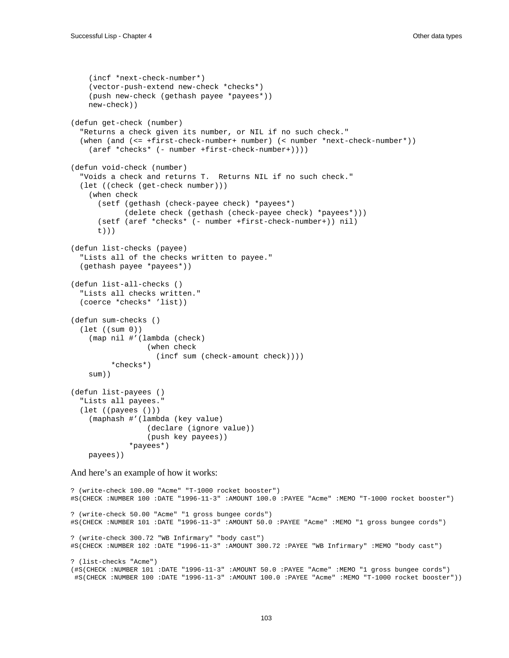```
 (incf *next-check-number*)
     (vector-push-extend new-check *checks*)
     (push new-check (gethash payee *payees*))
     new-check))
(defun get-check (number)
   "Returns a check given its number, or NIL if no such check."
   (when (and (<= +first-check-number+ number) (< number *next-check-number*))
     (aref *checks* (- number +first-check-number+))))
(defun void-check (number)
   "Voids a check and returns T. Returns NIL if no such check."
   (let ((check (get-check number)))
     (when check
       (setf (gethash (check-payee check) *payees*)
             (delete check (gethash (check-payee check) *payees*)))
       (setf (aref *checks* (- number +first-check-number+)) nil)
       t)))
(defun list-checks (payee)
   "Lists all of the checks written to payee."
   (gethash payee *payees*))
(defun list-all-checks ()
   "Lists all checks written."
   (coerce *checks* 'list))
(defun sum-checks ()
   (let ((sum 0))
     (map nil #'(lambda (check)
                   (when check
                     (incf sum (check-amount check))))
          *checks*)
     sum))
(defun list-payees ()
   "Lists all payees."
   (let ((payees ()))
     (maphash #'(lambda (key value)
                   (declare (ignore value))
                   (push key payees))
               *payees*)
     payees))
And here's an example of how it works:
```

```
? (write-check 100.00 "Acme" "T-1000 rocket booster")
#S(CHECK :NUMBER 100 :DATE "1996-11-3" :AMOUNT 100.0 :PAYEE "Acme" :MEMO "T-1000 rocket booster")
? (write-check 50.00 "Acme" "1 gross bungee cords")
#S(CHECK :NUMBER 101 :DATE "1996-11-3" :AMOUNT 50.0 :PAYEE "Acme" :MEMO "1 gross bungee cords")
? (write-check 300.72 "WB Infirmary" "body cast")
#S(CHECK :NUMBER 102 :DATE "1996-11-3" :AMOUNT 300.72 :PAYEE "WB Infirmary" :MEMO "body cast")
? (list-checks "Acme")
(#S(CHECK :NUMBER 101 :DATE "1996-11-3" :AMOUNT 50.0 :PAYEE "Acme" :MEMO "1 gross bungee cords")
 #S(CHECK :NUMBER 100 :DATE "1996-11-3" :AMOUNT 100.0 :PAYEE "Acme" :MEMO "T-1000 rocket booster"))
```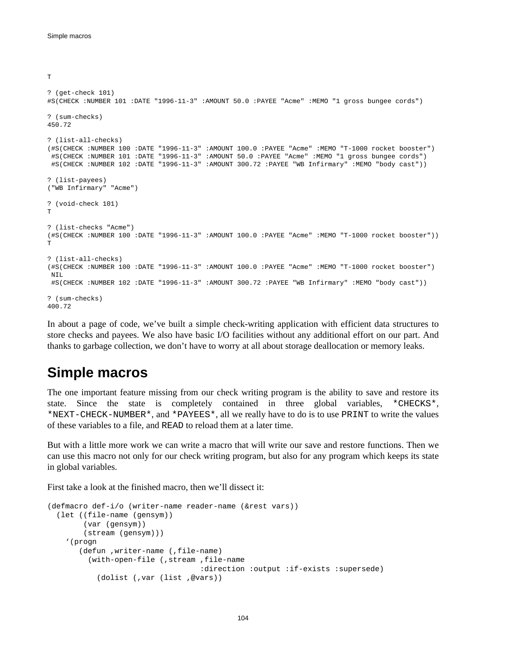$\mathbf{r}$ 

```
? (get-check 101)
#S(CHECK :NUMBER 101 :DATE "1996-11-3" :AMOUNT 50.0 :PAYEE "Acme" :MEMO "1 gross bungee cords")
? (sum-checks)
450.72
? (list-all-checks)
(#S(CHECK :NUMBER 100 :DATE "1996-11-3" :AMOUNT 100.0 :PAYEE "Acme" :MEMO "T-1000 rocket booster")
  #S(CHECK :NUMBER 101 :DATE "1996-11-3" :AMOUNT 50.0 :PAYEE "Acme" :MEMO "1 gross bungee cords")
  #S(CHECK :NUMBER 102 :DATE "1996-11-3" :AMOUNT 300.72 :PAYEE "WB Infirmary" :MEMO "body cast"))
? (list-payees)
("WB Infirmary" "Acme")
? (void-check 101)
T
? (list-checks "Acme")
(#S(CHECK :NUMBER 100 :DATE "1996-11-3" :AMOUNT 100.0 :PAYEE "Acme" :MEMO "T-1000 rocket booster"))
T
? (list-all-checks)
(#S(CHECK :NUMBER 100 :DATE "1996-11-3" :AMOUNT 100.0 :PAYEE "Acme" :MEMO "T-1000 rocket booster")
 NIL
  #S(CHECK :NUMBER 102 :DATE "1996-11-3" :AMOUNT 300.72 :PAYEE "WB Infirmary" :MEMO "body cast"))
? (sum-checks)
400.72
```
In about a page of code, we've built a simple check-writing application with efficient data structures to store checks and payees. We also have basic I/O facilities without any additional effort on our part. And thanks to garbage collection, we don't have to worry at all about storage deallocation or memory leaks.

### **Simple macros**

The one important feature missing from our check writing program is the ability to save and restore its state. Since the state is completely contained in three global variables, \*CHECKS\*, \*NEXT-CHECK-NUMBER\*, and \*PAYEES\*, all we really have to do is to use PRINT to write the values of these variables to a file, and READ to reload them at a later time.

But with a little more work we can write a macro that will write our save and restore functions. Then we can use this macro not only for our check writing program, but also for any program which keeps its state in global variables.

First take a look at the finished macro, then we'll dissect it:

```
(defmacro def-i/o (writer-name reader-name (&rest vars))
   (let ((file-name (gensym))
         (var (gensym))
         (stream (gensym)))
     '(progn
        (defun ,writer-name (,file-name)
          (with-open-file (,stream ,file-name
                                    :direction :output :if-exists :supersede)
            (dolist (,var (list ,@vars))
```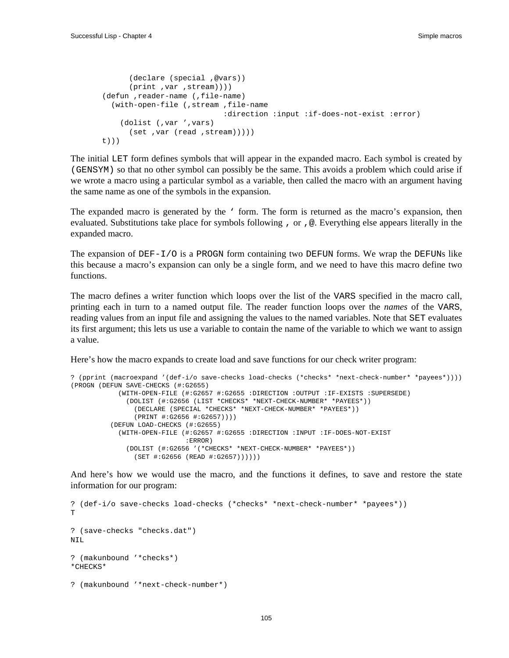```
 (declare (special ,@vars))
       (print ,var ,stream))))
 (defun ,reader-name (,file-name)
   (with-open-file (,stream ,file-name
                             :direction :input :if-does-not-exist :error)
     (dolist (,var ',vars)
       (set ,var (read ,stream)))))
 t)))
```
The initial LET form defines symbols that will appear in the expanded macro. Each symbol is created by (GENSYM) so that no other symbol can possibly be the same. This avoids a problem which could arise if we wrote a macro using a particular symbol as a variable, then called the macro with an argument having the same name as one of the symbols in the expansion.

The expanded macro is generated by the ' form. The form is returned as the macro's expansion, then evaluated. Substitutions take place for symbols following , or ,@. Everything else appears literally in the expanded macro.

The expansion of  $DEF-I/O$  is a PROGN form containing two DEFUN forms. We wrap the DEFUNs like this because a macro's expansion can only be a single form, and we need to have this macro define two functions.

The macro defines a writer function which loops over the list of the VARS specified in the macro call, printing each in turn to a named output file. The reader function loops over the *names* of the VARS, reading values from an input file and assigning the values to the named variables. Note that SET evaluates its first argument; this lets us use a variable to contain the name of the variable to which we want to assign a value.

Here's how the macro expands to create load and save functions for our check writer program:

```
? (pprint (macroexpand '(def-i/o save-checks load-checks (*checks* *next-check-number* *payees*))))
(PROGN (DEFUN SAVE-CHECKS (#:G2655)
            (WITH-OPEN-FILE (#:G2657 #:G2655 :DIRECTION :OUTPUT :IF-EXISTS :SUPERSEDE)
               (DOLIST (#:G2656 (LIST *CHECKS* *NEXT-CHECK-NUMBER* *PAYEES*))
                 (DECLARE (SPECIAL *CHECKS* *NEXT-CHECK-NUMBER* *PAYEES*))
                 (PRINT #:G2656 #:G2657))))
           (DEFUN LOAD-CHECKS (#:G2655)
             (WITH-OPEN-FILE (#:G2657 #:G2655 :DIRECTION :INPUT :IF-DOES-NOT-EXIST
                              :ERROR)
               (DOLIST (#:G2656 '(*CHECKS* *NEXT-CHECK-NUMBER* *PAYEES*))
                 (SET #:G2656 (READ #:G2657))))))
```
And here's how we would use the macro, and the functions it defines, to save and restore the state information for our program:

```
? (def-i/o save-checks load-checks (*checks* *next-check-number* *payees*))
T
? (save-checks "checks.dat")
NTT.
? (makunbound '*checks*)
*CHECKS*
? (makunbound '*next-check-number*)
```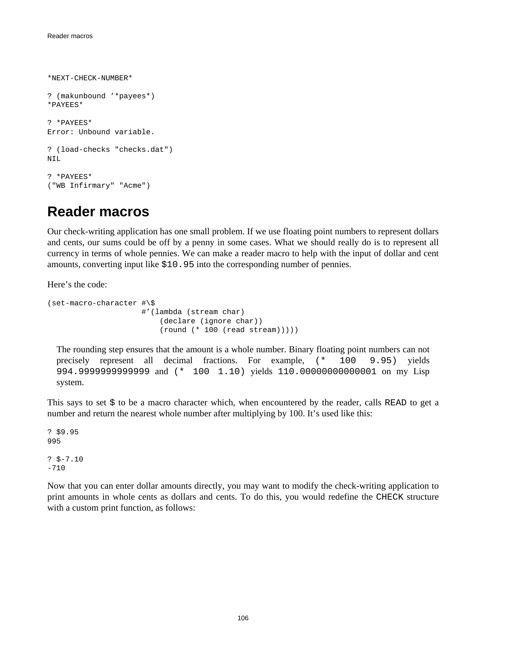```
*NEXT-CHECK-NUMBER*
? (makunbound '*payees*)
*PAYEES*
? *PAYEES*
Error: Unbound variable.
? (load-checks "checks.dat")
NIL
? *PAYEES*
("WB Infirmary" "Acme")
```
### **Reader macros**

Our check-writing application has one small problem. If we use floating point numbers to represent dollars and cents, our sums could be off by a penny in some cases. What we should really do is to represent all currency in terms of whole pennies. We can make a reader macro to help with the input of dollar and cent amounts, converting input like \$10.95 into the corresponding number of pennies.

Here's the code:

```
(set-macro-character #\$
                       #'(lambda (stream char)
                           (declare (ignore char))
                           (round (* 100 (read stream)))))
```
The rounding step ensures that the amount is a whole number. Binary floating point numbers can not precisely represent all decimal fractions. For example, (\* 100 9.95) yields 994.9999999999999 and (\* 100 1.10) yields 110.00000000000001 on my Lisp system.

This says to set  $\frac{1}{5}$  to be a macro character which, when encountered by the reader, calls READ to get a number and return the nearest whole number after multiplying by 100. It's used like this:

? \$9.95 995  $? $-7.10$  $-710$ 

Now that you can enter dollar amounts directly, you may want to modify the check-writing application to print amounts in whole cents as dollars and cents. To do this, you would redefine the CHECK structure with a custom print function, as follows: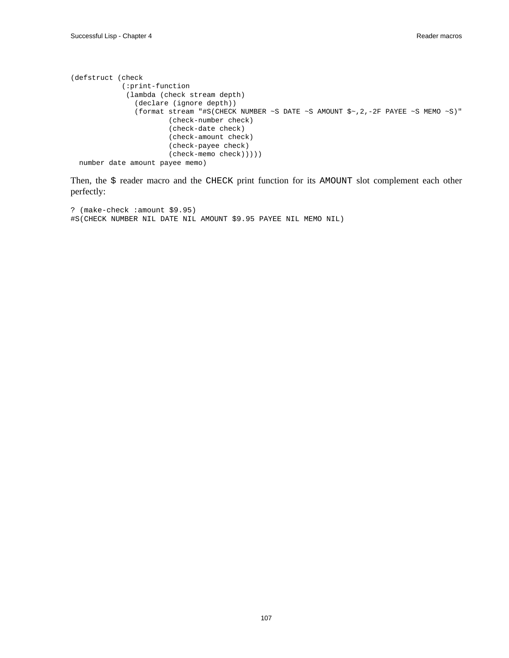```
(defstruct (check
             (:print-function
              (lambda (check stream depth)
                (declare (ignore depth))
               (format stream "#S(CHECK NUMBER ~S DATE ~S AMOUNT \zeta \sim 2, -2F PAYEE ~S MEMO ~S)"
                         (check-number check)
                         (check-date check)
                         (check-amount check)
                         (check-payee check)
                         (check-memo check)))))
  number date amount payee memo)
```
Then, the \$ reader macro and the CHECK print function for its AMOUNT slot complement each other perfectly:

? (make-check :amount \$9.95) #S(CHECK NUMBER NIL DATE NIL AMOUNT \$9.95 PAYEE NIL MEMO NIL)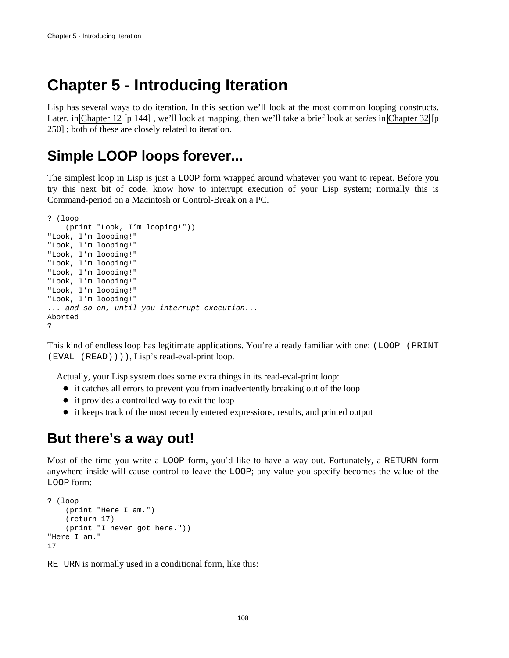# <span id="page-107-0"></span>**Chapter 5 - Introducing Iteration**

Lisp has several ways to do iteration. In this section we'll look at the most common looping constructs. Later, in [Chapter 12](#page-143-0) [p 144] , we'll look at mapping, then we'll take a brief look at *series* in [Chapter 32](#page-249-0) [p 250] ; both of these are closely related to iteration.

### **Simple LOOP loops forever...**

The simplest loop in Lisp is just a LOOP form wrapped around whatever you want to repeat. Before you try this next bit of code, know how to interrupt execution of your Lisp system; normally this is Command-period on a Macintosh or Control-Break on a PC.

```
? (loop
     (print "Look, I'm looping!"))
"Look, I'm looping!" 
"Look, I'm looping!" 
"Look, I'm looping!" 
"Look, I'm looping!" 
"Look, I'm looping!" 
"Look, I'm looping!" 
"Look, I'm looping!" 
"Look, I'm looping!" 
... and so on, until you interrupt execution...
Aborted
?
```
This kind of endless loop has legitimate applications. You're already familiar with one: (LOOP (PRINT (EVAL (READ)))), Lisp's read-eval-print loop.

Actually, your Lisp system does some extra things in its read-eval-print loop:

- it catches all errors to prevent you from inadvertently breaking out of the loop
- it provides a controlled way to exit the loop
- it keeps track of the most recently entered expressions, results, and printed output

### **But there's a way out!**

Most of the time you write a LOOP form, you'd like to have a way out. Fortunately, a RETURN form anywhere inside will cause control to leave the LOOP; any value you specify becomes the value of the LOOP form:

```
? (loop
     (print "Here I am.")
     (return 17)
    (print "I never got here."))
"Here I am."
17
```
RETURN is normally used in a conditional form, like this: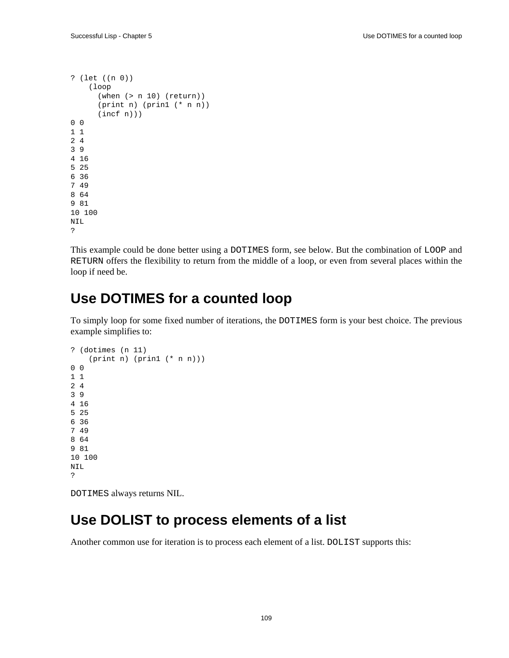```
? (let ((n 0))
     (loop
       (when (> n 10) (return))
       (print n) (prin1 (* n n))
      (interf n))0 0
1 1
2 4
3 9
4 16
5 25
6 36
7 49
8 64
9 81
10 100
NIL
?
```
This example could be done better using a DOTIMES form, see below. But the combination of LOOP and RETURN offers the flexibility to return from the middle of a loop, or even from several places within the loop if need be.

### **Use DOTIMES for a counted loop**

To simply loop for some fixed number of iterations, the DOTIMES form is your best choice. The previous example simplifies to:

```
? (dotimes (n 11)
     (print n) (prin1 (* n n)))
0 0
1 1
2 4
3 9
4 16
5 25
6 36
7 49
8 64
9 81
10 100
NIL
?
```
DOTIMES always returns NIL.

### **Use DOLIST to process elements of a list**

Another common use for iteration is to process each element of a list. DOLIST supports this: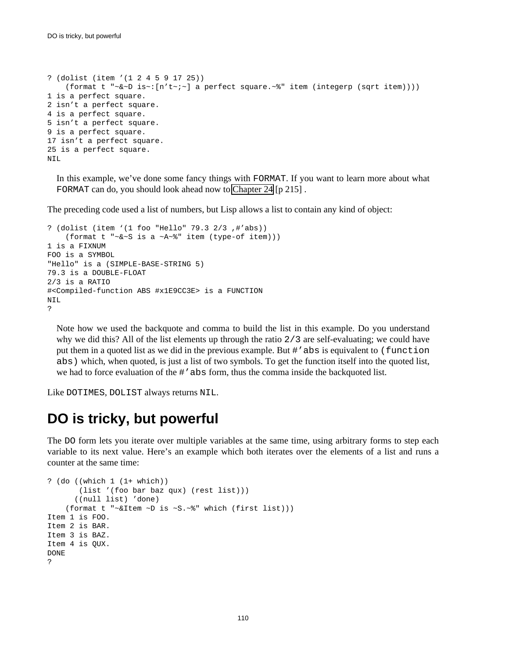```
? (dolist (item '(1 2 4 5 9 17 25))
     (format t "~&~D is~:[n't~;~] a perfect square.~%" item (integerp (sqrt item))))
1 is a perfect square.
2 isn't a perfect square.
4 is a perfect square.
5 isn't a perfect square.
9 is a perfect square.
17 isn't a perfect square.
25 is a perfect square.
NTT.
```
In this example, we've done some fancy things with FORMAT. If you want to learn more about what FORMAT can do, you should look ahead now to [Chapter 24](#page-214-0) [p 215] .

The preceding code used a list of numbers, but Lisp allows a list to contain any kind of object:

```
? (dolist (item '(1 foo "Hello" 79.3 2/3 ,#'abs))
     (format t "~&~S is a ~A~%" item (type-of item)))
1 is a FIXNUM
FOO is a SYMBOL
"Hello" is a (SIMPLE-BASE-STRING 5)
79.3 is a DOUBLE-FLOAT
2/3 is a RATIO
#<Compiled-function ABS #x1E9CC3E> is a FUNCTION
NTT.
?
```
Note how we used the backquote and comma to build the list in this example. Do you understand why we did this? All of the list elements up through the ratio 2/3 are self-evaluating; we could have put them in a quoted list as we did in the previous example. But #'abs is equivalent to (function abs) which, when quoted, is just a list of two symbols. To get the function itself into the quoted list, we had to force evaluation of the #'abs form, thus the comma inside the backquoted list.

Like DOTIMES, DOLIST always returns NIL.

#### **DO is tricky, but powerful**

The DO form lets you iterate over multiple variables at the same time, using arbitrary forms to step each variable to its next value. Here's an example which both iterates over the elements of a list and runs a counter at the same time:

```
? (do ((which 1 (1+ which))
        (list '(foo bar baz qux) (rest list)))
       ((null list) 'done)
     (format t "~&Item ~D is ~S.~%" which (first list)))
Item 1 is FOO.
Item 2 is BAR.
Item 3 is BAZ.
Item 4 is QUX.
DONE
?
```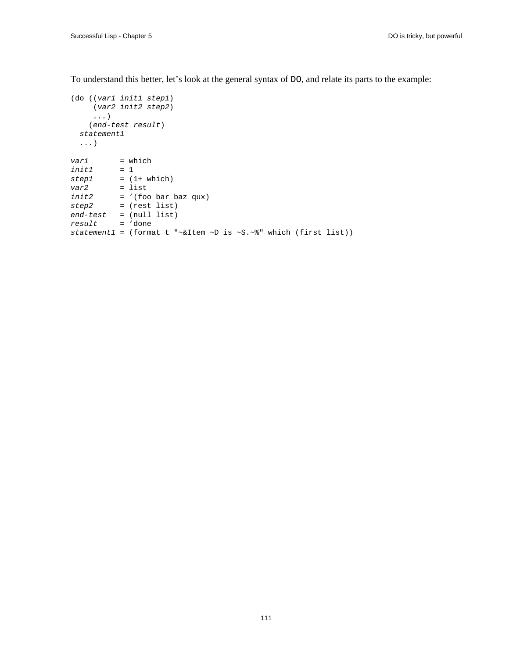To understand this better, let's look at the general syntax of DO, and relate its parts to the example:

```
(do ((var1 init1 step1)
     (var2 init2 step2)
     ...)
    (end-test result)
  statement1
  ...)
var1 = which
init1 = \n1step1 = (1 + which)var2 = 1ist
init2 = '(foo bar baz qux)step2 = (rest list)
end-test = (null list)
result = 'done
statement1 = (format t "~&Item ~D is ~S.~%" which (first list))
```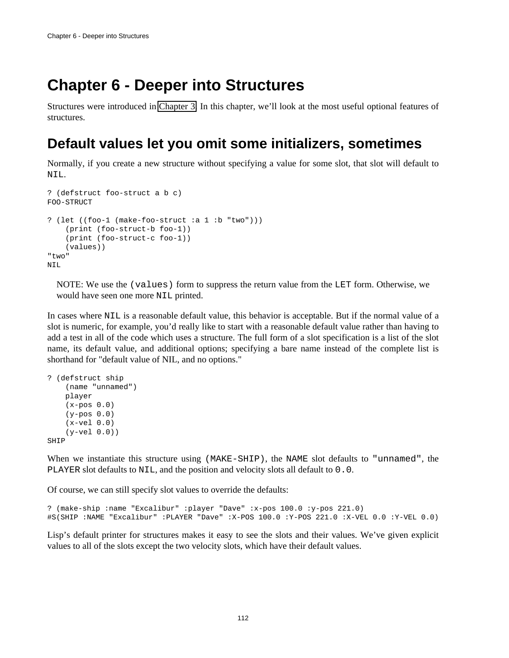## <span id="page-111-0"></span>**Chapter 6 - Deeper into Structures**

Structures were introduced in [Chapter 3.](#page-64-0) In this chapter, we'll look at the most useful optional features of structures.

#### **Default values let you omit some initializers, sometimes**

Normally, if you create a new structure without specifying a value for some slot, that slot will default to NIL.

```
? (defstruct foo-struct a b c)
FOO-STRUCT
? (let ((foo-1 (make-foo-struct :a 1 :b "two")))
     (print (foo-struct-b foo-1))
     (print (foo-struct-c foo-1))
     (values))
"two"
NIL
```
NOTE: We use the (values) form to suppress the return value from the LET form. Otherwise, we would have seen one more NIL printed.

In cases where NIL is a reasonable default value, this behavior is acceptable. But if the normal value of a slot is numeric, for example, you'd really like to start with a reasonable default value rather than having to add a test in all of the code which uses a structure. The full form of a slot specification is a list of the slot name, its default value, and additional options; specifying a bare name instead of the complete list is shorthand for "default value of NIL, and no options."

```
? (defstruct ship
     (name "unnamed")
     player
     (x-pos 0.0)
     (y-pos 0.0)
     (x-vel 0.0)
     (y-vel 0.0))
SHIP
```
When we instantiate this structure using (MAKE-SHIP), the NAME slot defaults to "unnamed", the PLAYER slot defaults to NIL, and the position and velocity slots all default to 0.0.

Of course, we can still specify slot values to override the defaults:

```
? (make-ship :name "Excalibur" :player "Dave" :x-pos 100.0 :y-pos 221.0)
#S(SHIP :NAME "Excalibur" :PLAYER "Dave" :X-POS 100.0 :Y-POS 221.0 :X-VEL 0.0 :Y-VEL 0.0)
```
Lisp's default printer for structures makes it easy to see the slots and their values. We've given explicit values to all of the slots except the two velocity slots, which have their default values.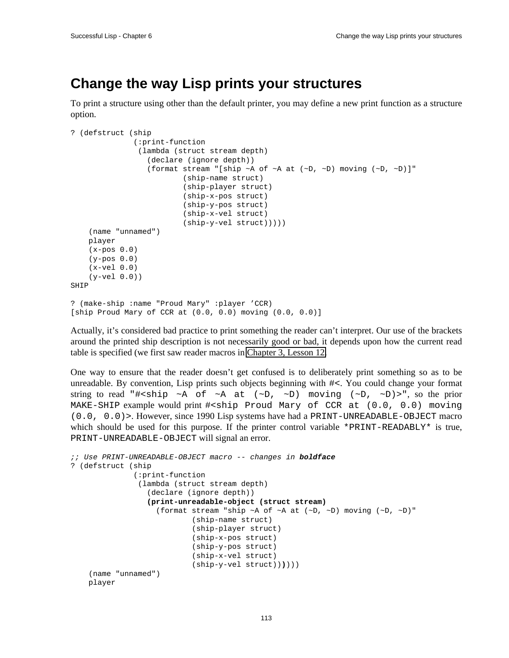#### **Change the way Lisp prints your structures**

To print a structure using other than the default printer, you may define a new print function as a structure option.

```
? (defstruct (ship
                (:print-function
                 (lambda (struct stream depth)
                   (declare (ignore depth))
                   (format stream "[ship ~A of ~A at (~D, ~D) moving (~D, ~D)]"
                           (ship-name struct)
                           (ship-player struct)
                           (ship-x-pos struct)
                           (ship-y-pos struct)
                           (ship-x-vel struct)
                           (ship-y-vel struct)))))
     (name "unnamed")
     player
     (x-pos 0.0)
     (y-pos 0.0)
     (x-vel 0.0)
     (y-vel 0.0))
SHIP
? (make-ship :name "Proud Mary" :player 'CCR)
[ship Proud Mary of CCR at (0.0, 0.0) moving (0.0, 0.0)]
```
Actually, it's considered bad practice to print something the reader can't interpret. Our use of the brackets around the printed ship description is not necessarily good or bad, it depends upon how the current read table is specified (we first saw reader macros in [Chapter 3, Lesson 12.](#page-81-0)

One way to ensure that the reader doesn't get confused is to deliberately print something so as to be unreadable. By convention, Lisp prints such objects beginning with #<. You could change your format string to read "#<ship ~A of ~A at (~D, ~D) moving (~D, ~D)>", so the prior MAKE-SHIP example would print #<ship Proud Mary of CCR at (0.0, 0.0) moving (0.0, 0.0)>. However, since 1990 Lisp systems have had a PRINT-UNREADABLE-OBJECT macro which should be used for this purpose. If the printer control variable \*PRINT-READABLY\* is true, PRINT-UNREADABLE-OBJECT will signal an error.

```
;; Use PRINT-UNREADABLE-OBJECT macro -- changes in boldface
? (defstruct (ship
               (:print-function
                (lambda (struct stream depth)
                   (declare (ignore depth))
                   (print-unreadable-object (struct stream)
                     (format stream "ship ~A of ~A at (~D, ~D) moving (~D, ~D)"
                             (ship-name struct)
                             (ship-player struct)
                             (ship-x-pos struct)
                             (ship-y-pos struct)
                             (ship-x-vel struct)
                             (ship-y-vel struct))))))
     (name "unnamed")
     player
```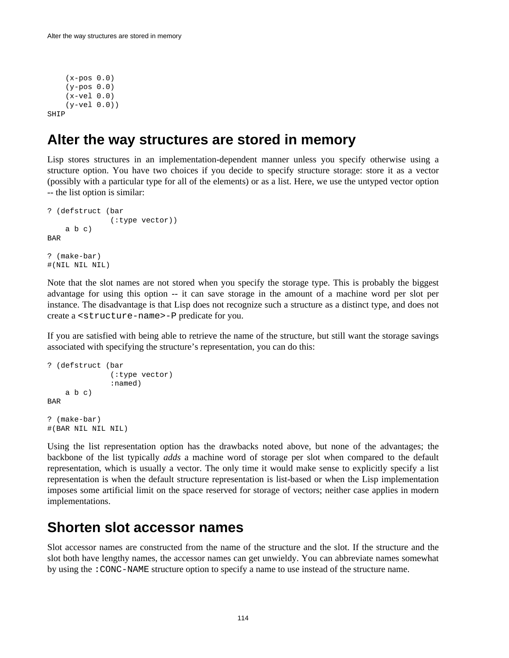```
 (x-pos 0.0)
     (y-pos 0.0)
     (x-vel 0.0)
     (y-vel 0.0))
SHIP
```
#### **Alter the way structures are stored in memory**

Lisp stores structures in an implementation-dependent manner unless you specify otherwise using a structure option. You have two choices if you decide to specify structure storage: store it as a vector (possibly with a particular type for all of the elements) or as a list. Here, we use the untyped vector option -- the list option is similar:

```
? (defstruct (bar
               (:type vector))
     a b c)
BAR
? (make-bar)
#(NIL NIL NIL)
```
Note that the slot names are not stored when you specify the storage type. This is probably the biggest advantage for using this option -- it can save storage in the amount of a machine word per slot per instance. The disadvantage is that Lisp does not recognize such a structure as a distinct type, and does not create a <structure-name>-P predicate for you.

If you are satisfied with being able to retrieve the name of the structure, but still want the storage savings associated with specifying the structure's representation, you can do this:

```
? (defstruct (bar
                (:type vector)
                :named)
    a b c)BAR
? (make-bar)
#(BAR NIL NIL NIL)
```
Using the list representation option has the drawbacks noted above, but none of the advantages; the backbone of the list typically *adds* a machine word of storage per slot when compared to the default representation, which is usually a vector. The only time it would make sense to explicitly specify a list representation is when the default structure representation is list-based or when the Lisp implementation imposes some artificial limit on the space reserved for storage of vectors; neither case applies in modern implementations.

#### **Shorten slot accessor names**

Slot accessor names are constructed from the name of the structure and the slot. If the structure and the slot both have lengthy names, the accessor names can get unwieldy. You can abbreviate names somewhat by using the :CONC-NAME structure option to specify a name to use instead of the structure name.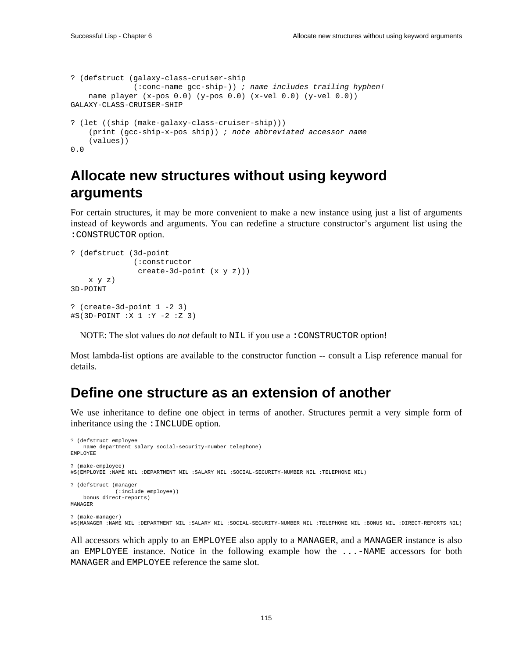```
? (defstruct (galaxy-class-cruiser-ship
               (:conc-name gcc-ship-)) ; name includes trailing hyphen!
     name player (x-pos 0.0) (y-pos 0.0) (x-vel 0.0) (y-vel 0.0))
GALAXY-CLASS-CRUISER-SHIP
? (let ((ship (make-galaxy-class-cruiser-ship)))
     (print (gcc-ship-x-pos ship)) ; note abbreviated accessor name
     (values))
0.0
```
### **Allocate new structures without using keyword arguments**

For certain structures, it may be more convenient to make a new instance using just a list of arguments instead of keywords and arguments. You can redefine a structure constructor's argument list using the :CONSTRUCTOR option.

```
? (defstruct (3d-point
               (:constructor
                create-3d-point (x y z)))
    x y z)
3D-POINT
? (create-3d-point 1 -2 3)
#S(3D-POINT :X 1 :Y -2 :Z 3)
```
NOTE: The slot values do *not* default to NIL if you use a :CONSTRUCTOR option!

Most lambda-list options are available to the constructor function -- consult a Lisp reference manual for details.

#### **Define one structure as an extension of another**

We use inheritance to define one object in terms of another. Structures permit a very simple form of inheritance using the : INCLUDE option.

```
? (defstruct employee
    name department salary social-security-number telephone)
EMPLOYEE
? (make-employee)
#S(EMPLOYEE :NAME NIL :DEPARTMENT NIL :SALARY NIL :SOCIAL-SECURITY-NUMBER NIL :TELEPHONE NIL)
? (defstruct (manager
               (:include employee))
     bonus direct-reports)
MANAGER
? (make-manager)
#S(MANAGER :NAME NIL :DEPARTMENT NIL :SALARY NIL :SOCIAL-SECURITY-NUMBER NIL :TELEPHONE NIL :BONUS NIL :DIRECT-REPORTS NIL)
```
All accessors which apply to an EMPLOYEE also apply to a MANAGER, and a MANAGER instance is also an EMPLOYEE instance. Notice in the following example how the ...-NAME accessors for both MANAGER and EMPLOYEE reference the same slot.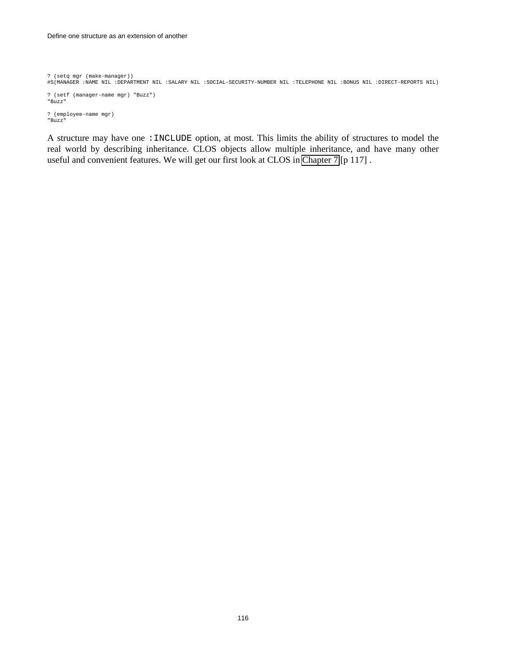? (setq mgr (make-manager)) #S(MANAGER :NAME NIL :DEPARTMENT NIL :SALARY NIL :SOCIAL-SECURITY-NUMBER NIL :TELEPHONE NIL :BONUS NIL :DIRECT-REPORTS NIL) ? (setf (manager-name mgr) "Buzz")

```
"Buzz"
? (employee-name mgr)
"Buzz"
```
A structure may have one :INCLUDE option, at most. This limits the ability of structures to model the real world by describing inheritance. CLOS objects allow multiple inheritance, and have many other useful and convenient features. We will get our first look at CLOS in [Chapter 7](#page-116-0) [p 117] .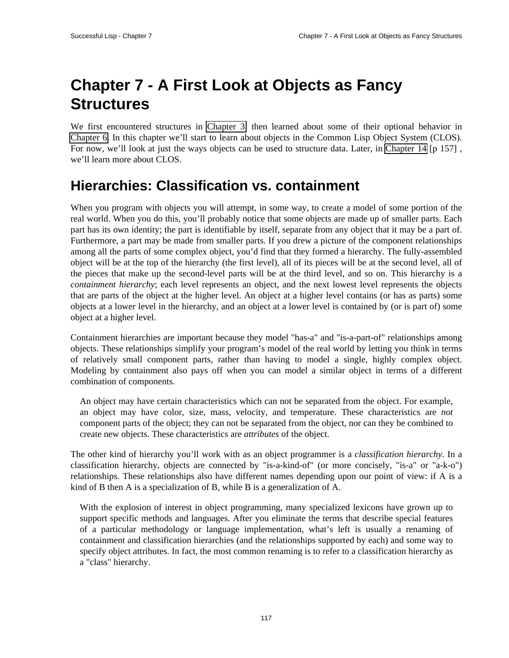# <span id="page-116-0"></span>**Chapter 7 - A First Look at Objects as Fancy Structures**

We first encountered structures in [Chapter 3,](#page-71-0) then learned about some of their optional behavior in [Chapter 6.](#page-111-0) In this chapter we'll start to learn about objects in the Common Lisp Object System (CLOS). For now, we'll look at just the ways objects can be used to structure data. Later, in [Chapter 14](#page-156-0) [p 157], we'll learn more about CLOS.

### **Hierarchies: Classification vs. containment**

When you program with objects you will attempt, in some way, to create a model of some portion of the real world. When you do this, you'll probably notice that some objects are made up of smaller parts. Each part has its own identity; the part is identifiable by itself, separate from any object that it may be a part of. Furthermore, a part may be made from smaller parts. If you drew a picture of the component relationships among all the parts of some complex object, you'd find that they formed a hierarchy. The fully-assembled object will be at the top of the hierarchy (the first level), all of its pieces will be at the second level, all of the pieces that make up the second-level parts will be at the third level, and so on. This hierarchy is a *containment hierarchy*; each level represents an object, and the next lowest level represents the objects that are parts of the object at the higher level. An object at a higher level contains (or has as parts) some objects at a lower level in the hierarchy, and an object at a lower level is contained by (or is part of) some object at a higher level.

Containment hierarchies are important because they model "has-a" and "is-a-part-of" relationships among objects. These relationships simplify your program's model of the real world by letting you think in terms of relatively small component parts, rather than having to model a single, highly complex object. Modeling by containment also pays off when you can model a similar object in terms of a different combination of components.

An object may have certain characteristics which can not be separated from the object. For example, an object may have color, size, mass, velocity, and temperature. These characteristics are *not* component parts of the object; they can not be separated from the object, nor can they be combined to create new objects. These characteristics are *attributes* of the object.

The other kind of hierarchy you'll work with as an object programmer is a *classification hierarchy*. In a classification hierarchy, objects are connected by "is-a-kind-of" (or more concisely, "is-a" or "a-k-o") relationships. These relationships also have different names depending upon our point of view: if A is a kind of B then A is a specialization of B, while B is a generalization of A.

With the explosion of interest in object programming, many specialized lexicons have grown up to support specific methods and languages. After you eliminate the terms that describe special features of a particular methodology or language implementation, what's left is usually a renaming of containment and classification hierarchies (and the relationships supported by each) and some way to specify object attributes. In fact, the most common renaming is to refer to a classification hierarchy as a "class" hierarchy.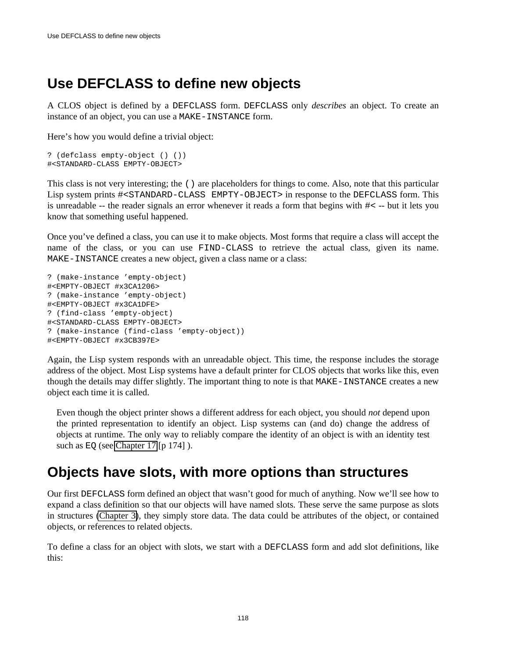#### **Use DEFCLASS to define new objects**

A CLOS object is defined by a DEFCLASS form. DEFCLASS only *describes* an object. To create an instance of an object, you can use a MAKE-INSTANCE form.

Here's how you would define a trivial object:

```
? (defclass empty-object () ())
#<STANDARD-CLASS EMPTY-OBJECT>
```
This class is not very interesting; the () are placeholders for things to come. Also, note that this particular Lisp system prints #<STANDARD-CLASS EMPTY-OBJECT> in response to the DEFCLASS form. This is unreadable -- the reader signals an error whenever it reads a form that begins with #< -- but it lets you know that something useful happened.

Once you've defined a class, you can use it to make objects. Most forms that require a class will accept the name of the class, or you can use FIND-CLASS to retrieve the actual class, given its name. MAKE-INSTANCE creates a new object, given a class name or a class:

```
? (make-instance 'empty-object)
#<EMPTY-OBJECT #x3CA1206>
? (make-instance 'empty-object)
#<EMPTY-OBJECT #x3CA1DFE>
? (find-class 'empty-object)
#<STANDARD-CLASS EMPTY-OBJECT>
? (make-instance (find-class 'empty-object))
#<EMPTY-OBJECT #x3CB397E>
```
Again, the Lisp system responds with an unreadable object. This time, the response includes the storage address of the object. Most Lisp systems have a default printer for CLOS objects that works like this, even though the details may differ slightly. The important thing to note is that MAKE-INSTANCE creates a new object each time it is called.

Even though the object printer shows a different address for each object, you should *not* depend upon the printed representation to identify an object. Lisp systems can (and do) change the address of objects at runtime. The only way to reliably compare the identity of an object is with an identity test such as EQ (see [Chapter 17](#page-173-0) [p 174]).

#### **Objects have slots, with more options than structures**

Our first DEFCLASS form defined an object that wasn't good for much of anything. Now we'll see how to expand a class definition so that our objects will have named slots. These serve the same purpose as slots in structures [\(Chapter 3\)](#page-71-0), they simply store data. The data could be attributes of the object, or contained objects, or references to related objects.

To define a class for an object with slots, we start with a DEFCLASS form and add slot definitions, like this: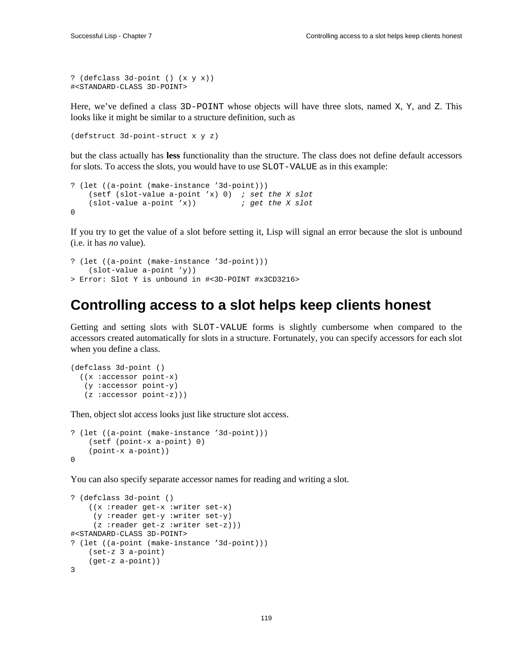```
? (defclass 3d-point () (x y x))
#<STANDARD-CLASS 3D-POINT>
```
Here, we've defined a class 3D-POINT whose objects will have three slots, named X, Y, and Z. This looks like it might be similar to a structure definition, such as

```
(defstruct 3d-point-struct x y z)
```
but the class actually has **less** functionality than the structure. The class does not define default accessors for slots. To access the slots, you would have to use SLOT-VALUE as in this example:

```
? (let ((a-point (make-instance '3d-point)))
   (setf (slot-value a-point 'x) 0) ; set the X slot
   (slot-value a-point 'x) ; get the X slot
0
```
If you try to get the value of a slot before setting it, Lisp will signal an error because the slot is unbound (i.e. it has *no* value).

```
? (let ((a-point (make-instance '3d-point)))
     (slot-value a-point 'y))
> Error: Slot Y is unbound in #<3D-POINT #x3CD3216>
```
#### **Controlling access to a slot helps keep clients honest**

Getting and setting slots with SLOT-VALUE forms is slightly cumbersome when compared to the accessors created automatically for slots in a structure. Fortunately, you can specify accessors for each slot when you define a class.

```
(defclass 3d-point ()
  ((x :accessor point-x)
   (y :accessor point-y)
   (z :accessor point-z)))
```
Then, object slot access looks just like structure slot access.

```
? (let ((a-point (make-instance '3d-point)))
     (setf (point-x a-point) 0)
     (point-x a-point))
\cap
```
You can also specify separate accessor names for reading and writing a slot.

```
? (defclass 3d-point ()
     ((x :reader get-x :writer set-x)
      (y :reader get-y :writer set-y)
      (z :reader get-z :writer set-z)))
#<STANDARD-CLASS 3D-POINT>
? (let ((a-point (make-instance '3d-point)))
     (set-z 3 a-point)
     (get-z a-point))
3
```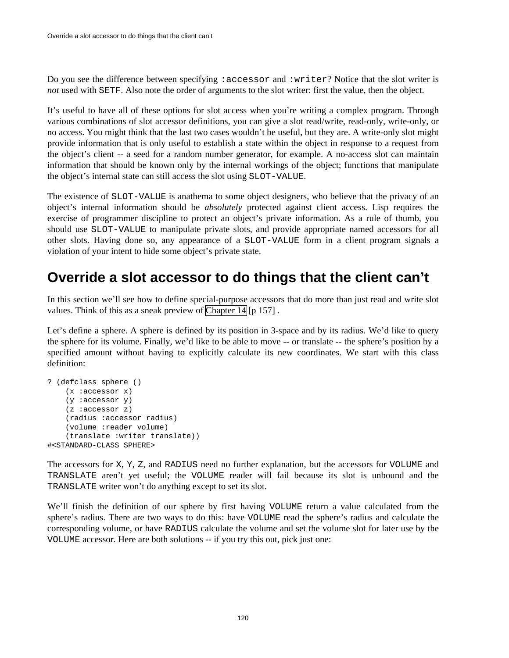Do you see the difference between specifying :accessor and :writer? Notice that the slot writer is *not* used with SETF. Also note the order of arguments to the slot writer: first the value, then the object.

It's useful to have all of these options for slot access when you're writing a complex program. Through various combinations of slot accessor definitions, you can give a slot read/write, read-only, write-only, or no access. You might think that the last two cases wouldn't be useful, but they are. A write-only slot might provide information that is only useful to establish a state within the object in response to a request from the object's client -- a seed for a random number generator, for example. A no-access slot can maintain information that should be known only by the internal workings of the object; functions that manipulate the object's internal state can still access the slot using SLOT-VALUE.

The existence of SLOT-VALUE is anathema to some object designers, who believe that the privacy of an object's internal information should be *absolutely* protected against client access. Lisp requires the exercise of programmer discipline to protect an object's private information. As a rule of thumb, you should use SLOT-VALUE to manipulate private slots, and provide appropriate named accessors for all other slots. Having done so, any appearance of a SLOT-VALUE form in a client program signals a violation of your intent to hide some object's private state.

### **Override a slot accessor to do things that the client can't**

In this section we'll see how to define special-purpose accessors that do more than just read and write slot values. Think of this as a sneak preview of [Chapter 14](#page-156-0) [p 157] .

Let's define a sphere. A sphere is defined by its position in 3-space and by its radius. We'd like to query the sphere for its volume. Finally, we'd like to be able to move -- or translate -- the sphere's position by a specified amount without having to explicitly calculate its new coordinates. We start with this class definition:

```
? (defclass sphere ()
     (x :accessor x)
     (y :accessor y)
     (z :accessor z)
     (radius :accessor radius)
     (volume :reader volume)
     (translate :writer translate))
#<STANDARD-CLASS SPHERE>
```
The accessors for X, Y, Z, and RADIUS need no further explanation, but the accessors for VOLUME and TRANSLATE aren't yet useful; the VOLUME reader will fail because its slot is unbound and the TRANSLATE writer won't do anything except to set its slot.

We'll finish the definition of our sphere by first having VOLUME return a value calculated from the sphere's radius. There are two ways to do this: have VOLUME read the sphere's radius and calculate the corresponding volume, or have RADIUS calculate the volume and set the volume slot for later use by the VOLUME accessor. Here are both solutions -- if you try this out, pick just one: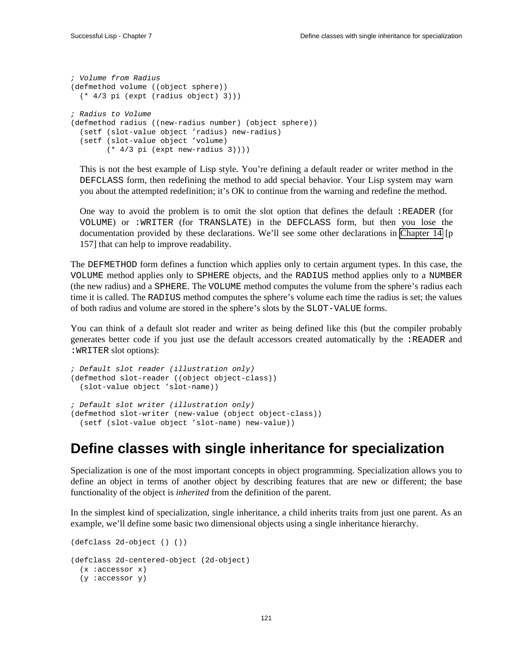```
; Volume from Radius
(defmethod volume ((object sphere))
   (* 4/3 pi (expt (radius object) 3)))
; Radius to Volume
(defmethod radius ((new-radius number) (object sphere))
   (setf (slot-value object 'radius) new-radius)
   (setf (slot-value object 'volume)
         (* 4/3 pi (expt new-radius 3))))
```
This is not the best example of Lisp style. You're defining a default reader or writer method in the DEFCLASS form, then redefining the method to add special behavior. Your Lisp system may warn you about the attempted redefinition; it's OK to continue from the warning and redefine the method.

One way to avoid the problem is to omit the slot option that defines the default :READER (for VOLUME) or :WRITER (for TRANSLATE) in the DEFCLASS form, but then you lose the documentation provided by these declarations. We'll see some other declarations in [Chapter 14](#page-156-0) [p 157] that can help to improve readability.

The DEFMETHOD form defines a function which applies only to certain argument types. In this case, the VOLUME method applies only to SPHERE objects, and the RADIUS method applies only to a NUMBER (the new radius) and a SPHERE. The VOLUME method computes the volume from the sphere's radius each time it is called. The RADIUS method computes the sphere's volume each time the radius is set; the values of both radius and volume are stored in the sphere's slots by the SLOT-VALUE forms.

You can think of a default slot reader and writer as being defined like this (but the compiler probably generates better code if you just use the default accessors created automatically by the :READER and :WRITER slot options):

```
; Default slot reader (illustration only)
(defmethod slot-reader ((object object-class))
  (slot-value object 'slot-name))
; Default slot writer (illustration only)
(defmethod slot-writer (new-value (object object-class))
  (setf (slot-value object 'slot-name) new-value))
```
### **Define classes with single inheritance for specialization**

Specialization is one of the most important concepts in object programming. Specialization allows you to define an object in terms of another object by describing features that are new or different; the base functionality of the object is *inherited* from the definition of the parent.

In the simplest kind of specialization, single inheritance, a child inherits traits from just one parent. As an example, we'll define some basic two dimensional objects using a single inheritance hierarchy.

```
(defclass 2d-object () ())
(defclass 2d-centered-object (2d-object)
  (x :accessor x)
   (y :accessor y)
```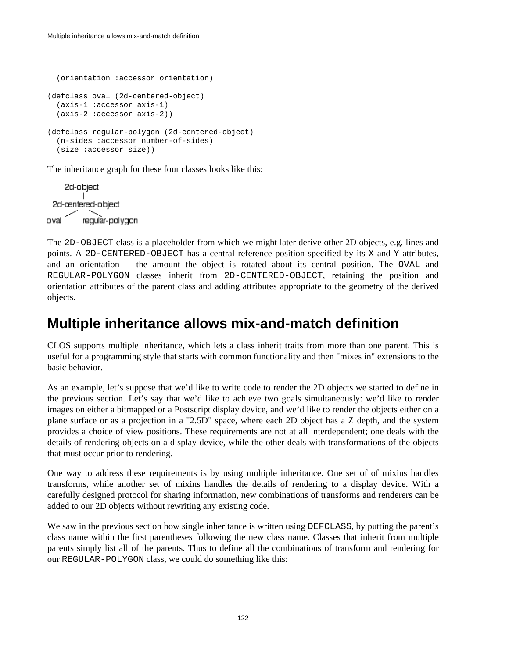```
 (orientation :accessor orientation)
(defclass oval (2d-centered-object)
  (axis-1 :accessor axis-1)
   (axis-2 :accessor axis-2))
(defclass regular-polygon (2d-centered-object)
   (n-sides :accessor number-of-sides)
  (size :accessor size))
```
The inheritance graph for these four classes looks like this:

2d-object 2d-centered-object requiar-polygon oval

The 2D-OBJECT class is a placeholder from which we might later derive other 2D objects, e.g. lines and points. A 2D-CENTERED-OBJECT has a central reference position specified by its X and Y attributes, and an orientation -- the amount the object is rotated about its central position. The OVAL and REGULAR-POLYGON classes inherit from 2D-CENTERED-OBJECT, retaining the position and orientation attributes of the parent class and adding attributes appropriate to the geometry of the derived objects.

#### **Multiple inheritance allows mix-and-match definition**

CLOS supports multiple inheritance, which lets a class inherit traits from more than one parent. This is useful for a programming style that starts with common functionality and then "mixes in" extensions to the basic behavior.

As an example, let's suppose that we'd like to write code to render the 2D objects we started to define in the previous section. Let's say that we'd like to achieve two goals simultaneously: we'd like to render images on either a bitmapped or a Postscript display device, and we'd like to render the objects either on a plane surface or as a projection in a "2.5D" space, where each 2D object has a Z depth, and the system provides a choice of view positions. These requirements are not at all interdependent; one deals with the details of rendering objects on a display device, while the other deals with transformations of the objects that must occur prior to rendering.

One way to address these requirements is by using multiple inheritance. One set of of mixins handles transforms, while another set of mixins handles the details of rendering to a display device. With a carefully designed protocol for sharing information, new combinations of transforms and renderers can be added to our 2D objects without rewriting any existing code.

We saw in the previous section how single inheritance is written using DEFCLASS, by putting the parent's class name within the first parentheses following the new class name. Classes that inherit from multiple parents simply list all of the parents. Thus to define all the combinations of transform and rendering for our REGULAR-POLYGON class, we could do something like this: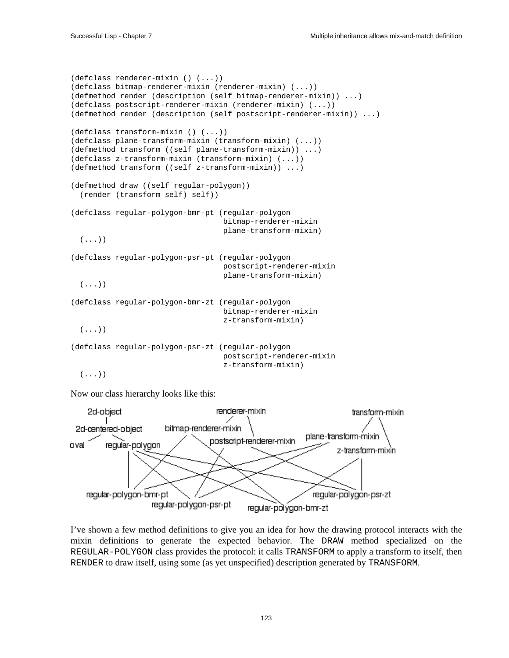```
(defclass renderer-mixin () (...))
(defclass bitmap-renderer-mixin (renderer-mixin) (...))
(defmethod render (description (self bitmap-renderer-mixin)) ...)
(defclass postscript-renderer-mixin (renderer-mixin) (...))
(defmethod render (description (self postscript-renderer-mixin)) ...)
(defclass transform-mixin () (...))
(defclass plane-transform-mixin (transform-mixin) (...))
(defmethod transform ((self plane-transform-mixin)) ...)
(defclass z-transform-mixin (transform-mixin) (...))
(defmethod transform ((self z-transform-mixin)) ...)
(defmethod draw ((self regular-polygon))
  (render (transform self) self))
(defclass regular-polygon-bmr-pt (regular-polygon
                                   bitmap-renderer-mixin 
                                   plane-transform-mixin)
   (...))
(defclass regular-polygon-psr-pt (regular-polygon
                                   postscript-renderer-mixin
                                   plane-transform-mixin)
  (\ldots)(defclass regular-polygon-bmr-zt (regular-polygon
                                   bitmap-renderer-mixin
                                    z-transform-mixin)
  ( \ldots )(defclass regular-polygon-psr-zt (regular-polygon
                                   postscript-renderer-mixin
                                   z-transform-mixin)
  (\ldots)
```
Now our class hierarchy looks like this:



I've shown a few method definitions to give you an idea for how the drawing protocol interacts with the mixin definitions to generate the expected behavior. The DRAW method specialized on the REGULAR-POLYGON class provides the protocol: it calls TRANSFORM to apply a transform to itself, then RENDER to draw itself, using some (as yet unspecified) description generated by TRANSFORM.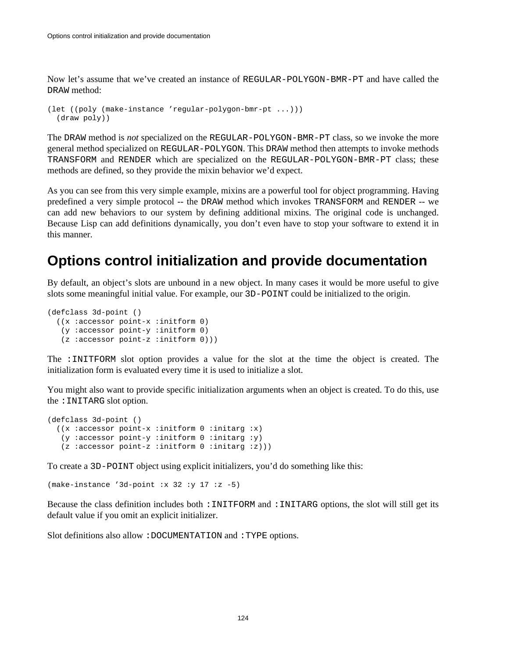Now let's assume that we've created an instance of REGULAR-POLYGON-BMR-PT and have called the DRAW method:

```
(let ((poly (make-instance 'regular-polygon-bmr-pt ...)))
   (draw poly))
```
The DRAW method is *not* specialized on the REGULAR-POLYGON-BMR-PT class, so we invoke the more general method specialized on REGULAR-POLYGON. This DRAW method then attempts to invoke methods TRANSFORM and RENDER which are specialized on the REGULAR-POLYGON-BMR-PT class; these methods are defined, so they provide the mixin behavior we'd expect.

As you can see from this very simple example, mixins are a powerful tool for object programming. Having predefined a very simple protocol -- the DRAW method which invokes TRANSFORM and RENDER -- we can add new behaviors to our system by defining additional mixins. The original code is unchanged. Because Lisp can add definitions dynamically, you don't even have to stop your software to extend it in this manner.

#### **Options control initialization and provide documentation**

By default, an object's slots are unbound in a new object. In many cases it would be more useful to give slots some meaningful initial value. For example, our 3D-POINT could be initialized to the origin.

```
(defclass 3d-point ()
   ((x :accessor point-x :initform 0)
    (y :accessor point-y :initform 0)
    (z :accessor point-z :initform 0)))
```
The :INITFORM slot option provides a value for the slot at the time the object is created. The initialization form is evaluated every time it is used to initialize a slot.

You might also want to provide specific initialization arguments when an object is created. To do this, use the :INITARG slot option.

```
(defclass 3d-point ()
   ((x :accessor point-x :initform 0 :initarg :x)
    (y :accessor point-y :initform 0 :initarg :y)
    (z :accessor point-z :initform 0 :initarg :z)))
```
To create a 3D-POINT object using explicit initializers, you'd do something like this:

 $(make-instance '3d-point :x 32 :y 17 :z -5)$ 

Because the class definition includes both  $:INTFORM$  and  $:INTARG$  options, the slot will still get its default value if you omit an explicit initializer.

Slot definitions also allow : DOCUMENTATION and : TYPE options.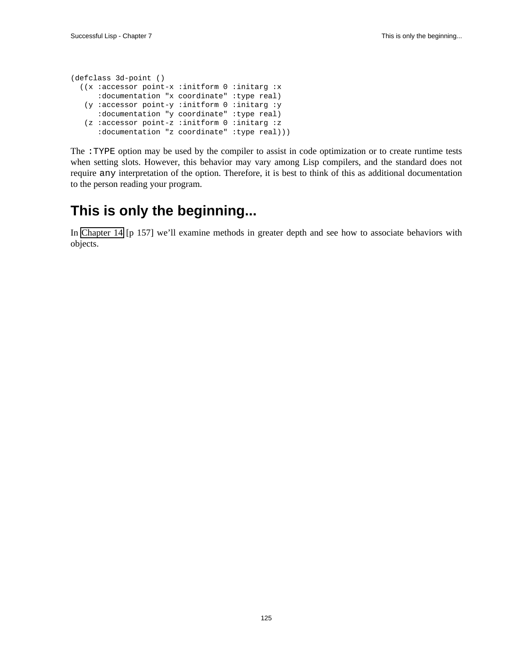```
(defclass 3d-point ()
   ((x :accessor point-x :initform 0 :initarg :x
       :documentation "x coordinate" :type real)
    (y :accessor point-y :initform 0 :initarg :y
       :documentation "y coordinate" :type real)
    (z :accessor point-z :initform 0 :initarg :z
       :documentation "z coordinate" :type real)))
```
The :TYPE option may be used by the compiler to assist in code optimization or to create runtime tests when setting slots. However, this behavior may vary among Lisp compilers, and the standard does not require any interpretation of the option. Therefore, it is best to think of this as additional documentation to the person reading your program.

#### **This is only the beginning...**

In [Chapter 14](#page-156-0) [p 157] we'll examine methods in greater depth and see how to associate behaviors with objects.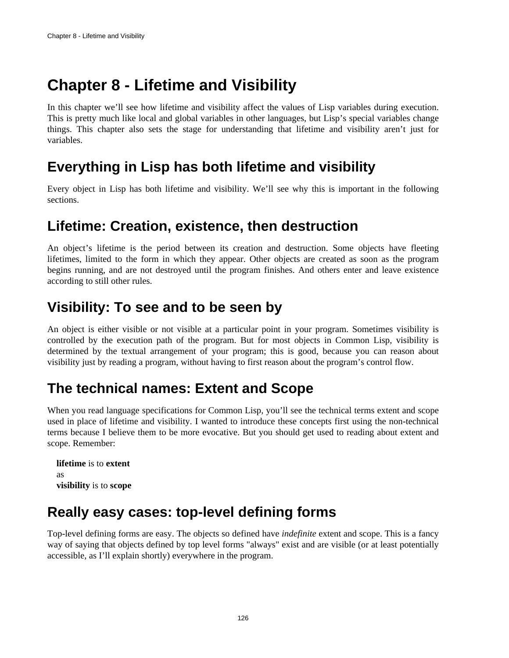# **Chapter 8 - Lifetime and Visibility**

In this chapter we'll see how lifetime and visibility affect the values of Lisp variables during execution. This is pretty much like local and global variables in other languages, but Lisp's special variables change things. This chapter also sets the stage for understanding that lifetime and visibility aren't just for variables.

## **Everything in Lisp has both lifetime and visibility**

Every object in Lisp has both lifetime and visibility. We'll see why this is important in the following sections.

### **Lifetime: Creation, existence, then destruction**

An object's lifetime is the period between its creation and destruction. Some objects have fleeting lifetimes, limited to the form in which they appear. Other objects are created as soon as the program begins running, and are not destroyed until the program finishes. And others enter and leave existence according to still other rules.

### **Visibility: To see and to be seen by**

An object is either visible or not visible at a particular point in your program. Sometimes visibility is controlled by the execution path of the program. But for most objects in Common Lisp, visibility is determined by the textual arrangement of your program; this is good, because you can reason about visibility just by reading a program, without having to first reason about the program's control flow.

### **The technical names: Extent and Scope**

When you read language specifications for Common Lisp, you'll see the technical terms extent and scope used in place of lifetime and visibility. I wanted to introduce these concepts first using the non-technical terms because I believe them to be more evocative. But you should get used to reading about extent and scope. Remember:

```
lifetime is to extent
as
visibility is to scope
```
### **Really easy cases: top-level defining forms**

Top-level defining forms are easy. The objects so defined have *indefinite* extent and scope. This is a fancy way of saying that objects defined by top level forms "always" exist and are visible (or at least potentially accessible, as I'll explain shortly) everywhere in the program.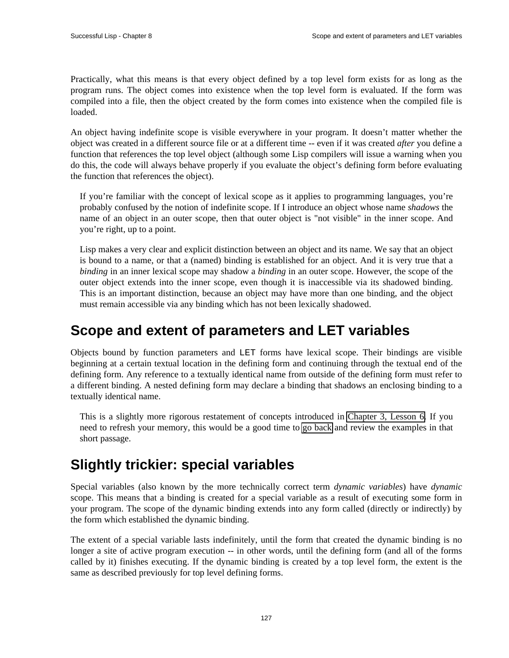Practically, what this means is that every object defined by a top level form exists for as long as the program runs. The object comes into existence when the top level form is evaluated. If the form was compiled into a file, then the object created by the form comes into existence when the compiled file is loaded.

An object having indefinite scope is visible everywhere in your program. It doesn't matter whether the object was created in a different source file or at a different time -- even if it was created *after* you define a function that references the top level object (although some Lisp compilers will issue a warning when you do this, the code will always behave properly if you evaluate the object's defining form before evaluating the function that references the object).

If you're familiar with the concept of lexical scope as it applies to programming languages, you're probably confused by the notion of indefinite scope. If I introduce an object whose name *shadows* the name of an object in an outer scope, then that outer object is "not visible" in the inner scope. And you're right, up to a point.

Lisp makes a very clear and explicit distinction between an object and its name. We say that an object is bound to a name, or that a (named) binding is established for an object. And it is very true that a *binding* in an inner lexical scope may shadow a *binding* in an outer scope. However, the scope of the outer object extends into the inner scope, even though it is inaccessible via its shadowed binding. This is an important distinction, because an object may have more than one binding, and the object must remain accessible via any binding which has not been lexically shadowed.

### **Scope and extent of parameters and LET variables**

Objects bound by function parameters and LET forms have lexical scope. Their bindings are visible beginning at a certain textual location in the defining form and continuing through the textual end of the defining form. Any reference to a textually identical name from outside of the defining form must refer to a different binding. A nested defining form may declare a binding that shadows an enclosing binding to a textually identical name.

This is a slightly more rigorous restatement of concepts introduced in [Chapter 3, Lesson 6.](#page-55-0) If you need to refresh your memory, this would be a good time to [go back](#page-55-0) and review the examples in that short passage.

### **Slightly trickier: special variables**

Special variables (also known by the more technically correct term *dynamic variables*) have *dynamic* scope. This means that a binding is created for a special variable as a result of executing some form in your program. The scope of the dynamic binding extends into any form called (directly or indirectly) by the form which established the dynamic binding.

The extent of a special variable lasts indefinitely, until the form that created the dynamic binding is no longer a site of active program execution -- in other words, until the defining form (and all of the forms called by it) finishes executing. If the dynamic binding is created by a top level form, the extent is the same as described previously for top level defining forms.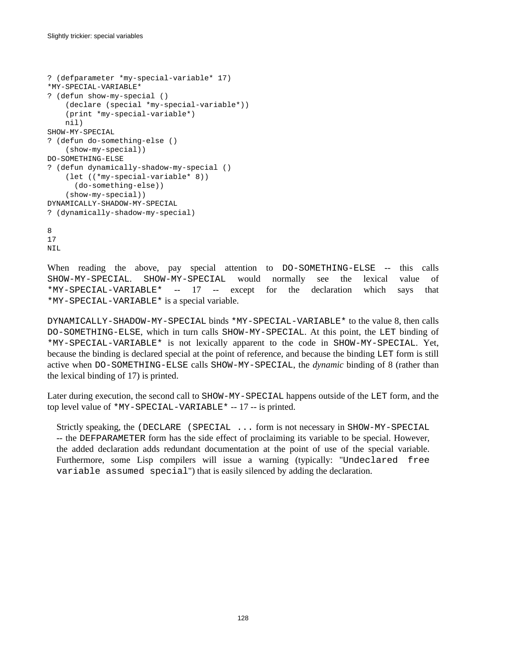```
? (defparameter *my-special-variable* 17)
*MY-SPECIAL-VARIABLE*
? (defun show-my-special ()
     (declare (special *my-special-variable*))
     (print *my-special-variable*)
     nil)
SHOW-MY-SPECIAL
? (defun do-something-else ()
     (show-my-special))
DO-SOMETHING-ELSE
? (defun dynamically-shadow-my-special ()
     (let ((*my-special-variable* 8))
       (do-something-else))
     (show-my-special))
DYNAMICALLY-SHADOW-MY-SPECIAL
? (dynamically-shadow-my-special)
8
17
```
NIL

When reading the above, pay special attention to DO-SOMETHING-ELSE -- this calls SHOW-MY-SPECIAL. SHOW-MY-SPECIAL would normally see the lexical value of \*MY-SPECIAL-VARIABLE\* -- 17 -- except for the declaration which says that \*MY-SPECIAL-VARIABLE\* is a special variable.

DYNAMICALLY-SHADOW-MY-SPECIAL binds \*MY-SPECIAL-VARIABLE\* to the value 8, then calls DO-SOMETHING-ELSE, which in turn calls SHOW-MY-SPECIAL. At this point, the LET binding of \*MY-SPECIAL-VARIABLE\* is not lexically apparent to the code in SHOW-MY-SPECIAL. Yet, because the binding is declared special at the point of reference, and because the binding LET form is still active when DO-SOMETHING-ELSE calls SHOW-MY-SPECIAL, the *dynamic* binding of 8 (rather than the lexical binding of 17) is printed.

Later during execution, the second call to SHOW-MY-SPECIAL happens outside of the LET form, and the top level value of \*MY-SPECIAL-VARIABLE\* -- 17 -- is printed.

Strictly speaking, the (DECLARE (SPECIAL ... form is not necessary in SHOW-MY-SPECIAL -- the DEFPARAMETER form has the side effect of proclaiming its variable to be special. However, the added declaration adds redundant documentation at the point of use of the special variable. Furthermore, some Lisp compilers will issue a warning (typically: "Undeclared free variable assumed special") that is easily silenced by adding the declaration.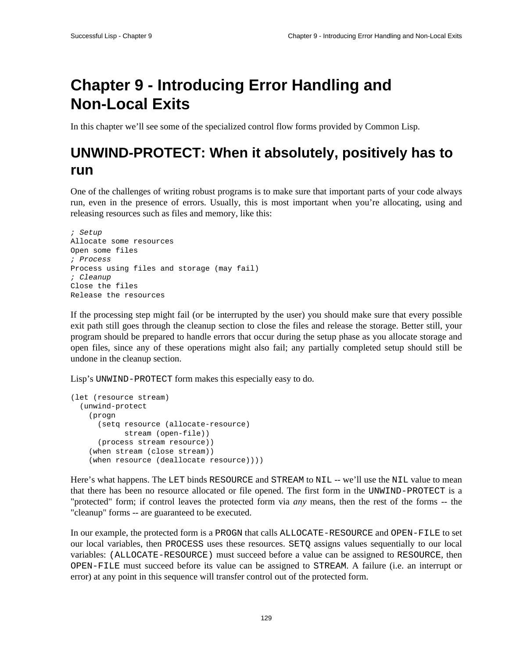# **Chapter 9 - Introducing Error Handling and Non-Local Exits**

In this chapter we'll see some of the specialized control flow forms provided by Common Lisp.

## **UNWIND-PROTECT: When it absolutely, positively has to run**

One of the challenges of writing robust programs is to make sure that important parts of your code always run, even in the presence of errors. Usually, this is most important when you're allocating, using and releasing resources such as files and memory, like this:

```
; Setup
Allocate some resources
Open some files
; Process
Process using files and storage (may fail)
; Cleanup
Close the files
Release the resources
```
If the processing step might fail (or be interrupted by the user) you should make sure that every possible exit path still goes through the cleanup section to close the files and release the storage. Better still, your program should be prepared to handle errors that occur during the setup phase as you allocate storage and open files, since any of these operations might also fail; any partially completed setup should still be undone in the cleanup section.

Lisp's UNWIND-PROTECT form makes this especially easy to do.

```
(let (resource stream)
  (unwind-protect
    (progn
      (setq resource (allocate-resource)
             stream (open-file))
       (process stream resource))
     (when stream (close stream))
     (when resource (deallocate resource))))
```
Here's what happens. The LET binds RESOURCE and STREAM to NIL -- we'll use the NIL value to mean that there has been no resource allocated or file opened. The first form in the UNWIND-PROTECT is a "protected" form; if control leaves the protected form via *any* means, then the rest of the forms -- the "cleanup" forms -- are guaranteed to be executed.

In our example, the protected form is a PROGN that calls ALLOCATE-RESOURCE and OPEN-FILE to set our local variables, then PROCESS uses these resources. SETQ assigns values sequentially to our local variables: (ALLOCATE-RESOURCE) must succeed before a value can be assigned to RESOURCE, then OPEN-FILE must succeed before its value can be assigned to STREAM. A failure (i.e. an interrupt or error) at any point in this sequence will transfer control out of the protected form.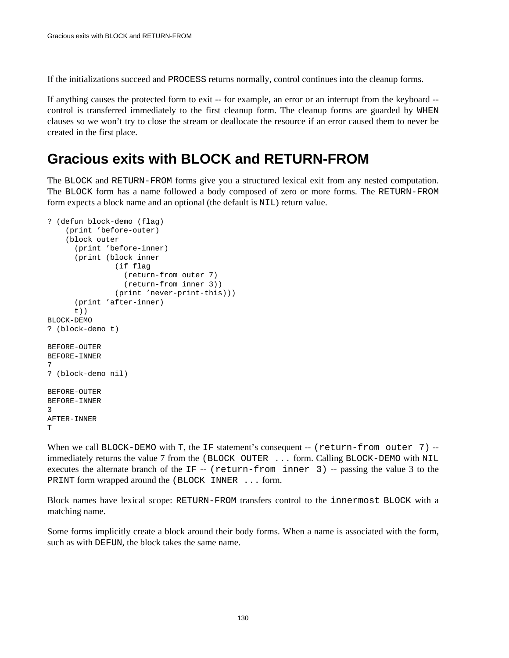If the initializations succeed and PROCESS returns normally, control continues into the cleanup forms.

If anything causes the protected form to exit -- for example, an error or an interrupt from the keyboard - control is transferred immediately to the first cleanup form. The cleanup forms are guarded by WHEN clauses so we won't try to close the stream or deallocate the resource if an error caused them to never be created in the first place.

#### **Gracious exits with BLOCK and RETURN-FROM**

The BLOCK and RETURN-FROM forms give you a structured lexical exit from any nested computation. The BLOCK form has a name followed a body composed of zero or more forms. The RETURN-FROM form expects a block name and an optional (the default is NIL) return value.

```
? (defun block-demo (flag)
     (print 'before-outer)
     (block outer
       (print 'before-inner)
       (print (block inner
                (if flag
                   (return-from outer 7)
                   (return-from inner 3))
                 (print 'never-print-this)))
       (print 'after-inner)
       t))
BLOCK-DEMO
? (block-demo t)
BEFORE-OUTER
BEFORE-INNER
7
? (block-demo nil)
BEFORE-OUTER
BEFORE-INNER
3
AFTER-INNER
T
```
When we call BLOCK-DEMO with T, the IF statement's consequent -- (return-from outer 7) -immediately returns the value 7 from the (BLOCK OUTER ... form. Calling BLOCK-DEMO with NIL executes the alternate branch of the IF -- (return-from inner 3) -- passing the value 3 to the PRINT form wrapped around the (BLOCK INNER ... form.

Block names have lexical scope: RETURN-FROM transfers control to the innermost BLOCK with a matching name.

Some forms implicitly create a block around their body forms. When a name is associated with the form, such as with DEFUN, the block takes the same name.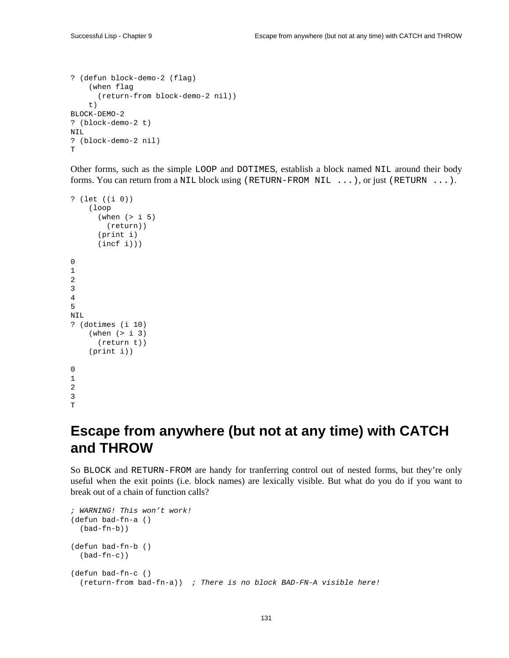```
? (defun block-demo-2 (flag)
     (when flag
       (return-from block-demo-2 nil))
     t)
BLOCK-DEMO-2
? (block-demo-2 t)
NTT.
? (block-demo-2 nil)
T
```
Other forms, such as the simple LOOP and DOTIMES, establish a block named NIL around their body forms. You can return from a NIL block using (RETURN-FROM NIL ...), or just (RETURN ...).

```
? (let ((i 0))
      (loop
       (\text{when } (\text{& } i 5) (return))
        (print i)
       (intcf i))0
1
2
3
4
5
NIL
? (dotimes (i 10)
      (when (> i 3)
        (return t))
     (print i))
0
1
2
3
T
```
#### **Escape from anywhere (but not at any time) with CATCH and THROW**

So BLOCK and RETURN-FROM are handy for tranferring control out of nested forms, but they're only useful when the exit points (i.e. block names) are lexically visible. But what do you do if you want to break out of a chain of function calls?

```
; WARNING! This won't work!
(defun bad-fn-a ()
   (bad-fn-b))
(defun bad-fn-b ()
  (bad-fn-c))
(defun bad-fn-c ()
   (return-from bad-fn-a)) ; There is no block BAD-FN-A visible here!
```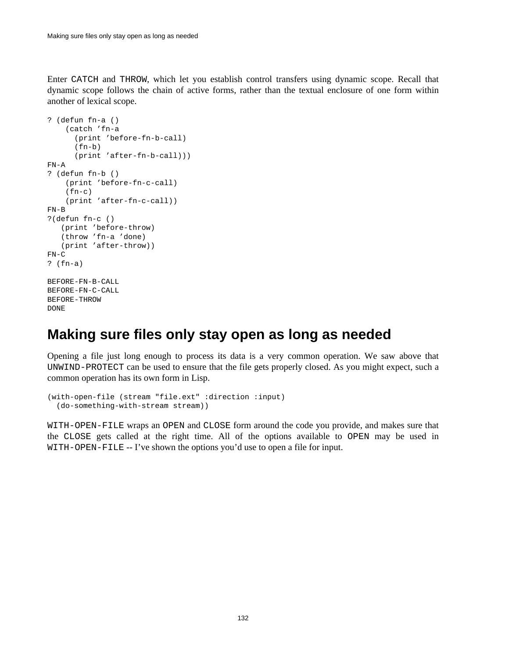Enter CATCH and THROW, which let you establish control transfers using dynamic scope. Recall that dynamic scope follows the chain of active forms, rather than the textual enclosure of one form within another of lexical scope.

```
? (defun fn-a ()
     (catch 'fn-a
       (print 'before-fn-b-call)
       (fn-b)
       (print 'after-fn-b-call)))
FN-A
? (defun fn-b ()
     (print 'before-fn-c-call)
    (fn-c) (print 'after-fn-c-call))
FN-B
?(defun fn-c ()
    (print 'before-throw)
    (throw 'fn-a 'done)
    (print 'after-throw))
FN-C
? (fn-a)
BEFORE-FN-B-CALL 
BEFORE-FN-C-CALL 
BEFORE-THROW 
DONE
```
#### **Making sure files only stay open as long as needed**

Opening a file just long enough to process its data is a very common operation. We saw above that UNWIND-PROTECT can be used to ensure that the file gets properly closed. As you might expect, such a common operation has its own form in Lisp.

```
(with-open-file (stream "file.ext" :direction :input)
   (do-something-with-stream stream))
```
WITH-OPEN-FILE wraps an OPEN and CLOSE form around the code you provide, and makes sure that the CLOSE gets called at the right time. All of the options available to OPEN may be used in WITH-OPEN-FILE -- I've shown the options you'd use to open a file for input.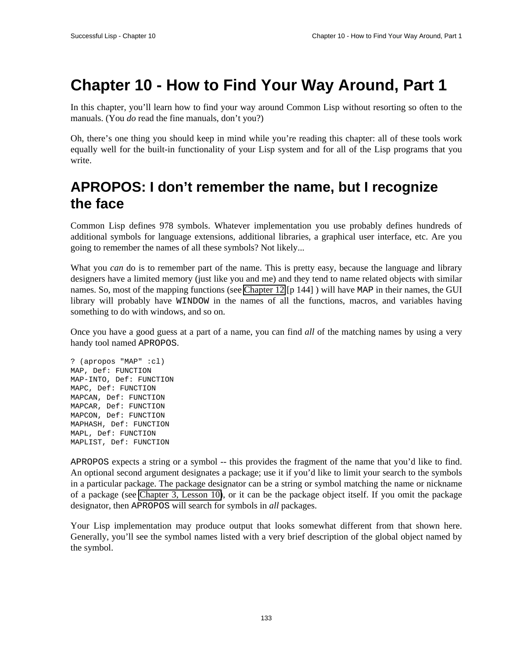# **Chapter 10 - How to Find Your Way Around, Part 1**

In this chapter, you'll learn how to find your way around Common Lisp without resorting so often to the manuals. (You *do* read the fine manuals, don't you?)

Oh, there's one thing you should keep in mind while you're reading this chapter: all of these tools work equally well for the built-in functionality of your Lisp system and for all of the Lisp programs that you write.

## **APROPOS: I don't remember the name, but I recognize the face**

Common Lisp defines 978 symbols. Whatever implementation you use probably defines hundreds of additional symbols for language extensions, additional libraries, a graphical user interface, etc. Are you going to remember the names of all these symbols? Not likely...

What you *can* do is to remember part of the name. This is pretty easy, because the language and library designers have a limited memory (just like you and me) and they tend to name related objects with similar names. So, most of the mapping functions (see [Chapter 12](#page-143-0) [p 144] ) will have MAP in their names, the GUI library will probably have WINDOW in the names of all the functions, macros, and variables having something to do with windows, and so on.

Once you have a good guess at a part of a name, you can find *all* of the matching names by using a very handy tool named APROPOS.

? (apropos "MAP" :cl) MAP, Def: FUNCTION MAP-INTO, Def: FUNCTION MAPC, Def: FUNCTION MAPCAN, Def: FUNCTION MAPCAR, Def: FUNCTION MAPCON, Def: FUNCTION MAPHASH, Def: FUNCTION MAPL, Def: FUNCTION MAPLIST, Def: FUNCTION

APROPOS expects a string or a symbol -- this provides the fragment of the name that you'd like to find. An optional second argument designates a package; use it if you'd like to limit your search to the symbols in a particular package. The package designator can be a string or symbol matching the name or nickname of a package (see [Chapter 3, Lesson 10\)](#page-64-0), or it can be the package object itself. If you omit the package designator, then APROPOS will search for symbols in *all* packages.

Your Lisp implementation may produce output that looks somewhat different from that shown here. Generally, you'll see the symbol names listed with a very brief description of the global object named by the symbol.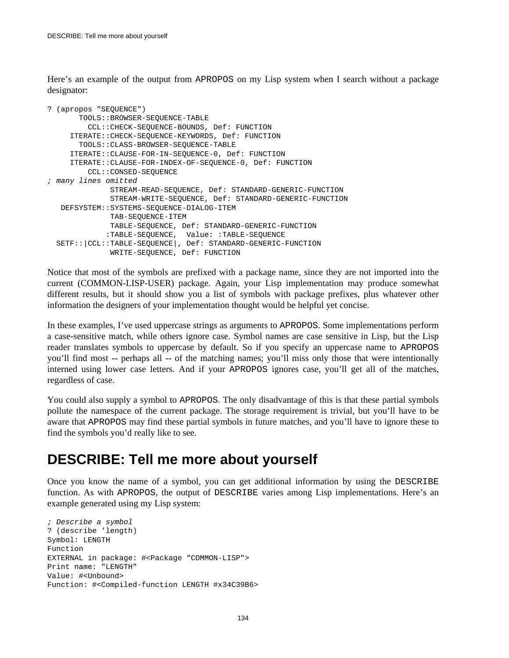Here's an example of the output from APROPOS on my Lisp system when I search without a package designator:

```
? (apropos "SEQUENCE")
       TOOLS::BROWSER-SEQUENCE-TABLE
         CCL::CHECK-SEQUENCE-BOUNDS, Def: FUNCTION
     ITERATE::CHECK-SEQUENCE-KEYWORDS, Def: FUNCTION
       TOOLS::CLASS-BROWSER-SEQUENCE-TABLE
     ITERATE::CLAUSE-FOR-IN-SEQUENCE-0, Def: FUNCTION
     ITERATE::CLAUSE-FOR-INDEX-OF-SEQUENCE-0, Def: FUNCTION
         CCL::CONSED-SEQUENCE
; many lines omitted
              STREAM-READ-SEQUENCE, Def: STANDARD-GENERIC-FUNCTION
              STREAM-WRITE-SEQUENCE, Def: STANDARD-GENERIC-FUNCTION
   DEFSYSTEM::SYSTEMS-SEQUENCE-DIALOG-ITEM
              TAB-SEQUENCE-ITEM
              TABLE-SEQUENCE, Def: STANDARD-GENERIC-FUNCTION
             :TABLE-SEQUENCE, Value: :TABLE-SEQUENCE
  SETF::|CCL::TABLE-SEQUENCE|, Def: STANDARD-GENERIC-FUNCTION
              WRITE-SEQUENCE, Def: FUNCTION
```
Notice that most of the symbols are prefixed with a package name, since they are not imported into the current (COMMON-LISP-USER) package. Again, your Lisp implementation may produce somewhat different results, but it should show you a list of symbols with package prefixes, plus whatever other information the designers of your implementation thought would be helpful yet concise.

In these examples, I've used uppercase strings as arguments to APROPOS. Some implementations perform a case-sensitive match, while others ignore case. Symbol names are case sensitive in Lisp, but the Lisp reader translates symbols to uppercase by default. So if you specify an uppercase name to APROPOS you'll find most -- perhaps all -- of the matching names; you'll miss only those that were intentionally interned using lower case letters. And if your APROPOS ignores case, you'll get all of the matches, regardless of case.

You could also supply a symbol to APROPOS. The only disadvantage of this is that these partial symbols pollute the namespace of the current package. The storage requirement is trivial, but you'll have to be aware that APROPOS may find these partial symbols in future matches, and you'll have to ignore these to find the symbols you'd really like to see.

#### **DESCRIBE: Tell me more about yourself**

Once you know the name of a symbol, you can get additional information by using the DESCRIBE function. As with APROPOS, the output of DESCRIBE varies among Lisp implementations. Here's an example generated using my Lisp system:

```
; Describe a symbol
? (describe 'length)
Symbol: LENGTH
Function
EXTERNAL in package: #<Package "COMMON-LISP">
Print name: "LENGTH"
Value: #<Unbound>
Function: #<Compiled-function LENGTH #x34C39B6>
```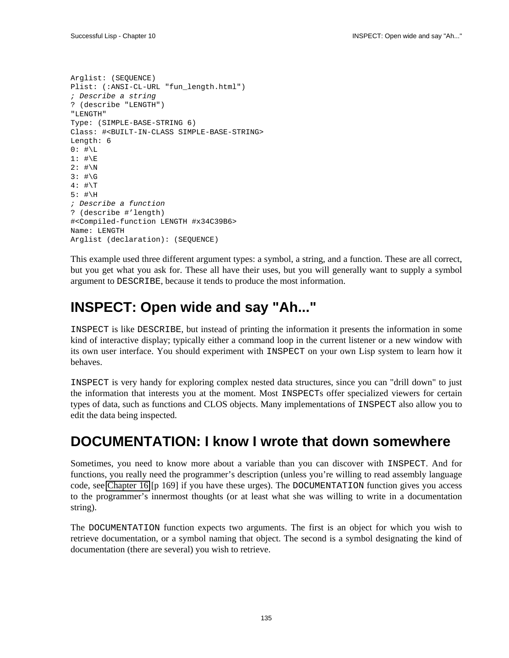```
Arglist: (SEQUENCE)
Plist: (:ANSI-CL-URL "fun_length.html")
; Describe a string
? (describe "LENGTH")
"LENGTH"
Type: (SIMPLE-BASE-STRING 6)
Class: #<BUILT-IN-CLASS SIMPLE-BASE-STRING>
Length: 6
0: #\L_{\perp}1: #\E2: \# \N3: #\G
4: #\T5: # \H
; Describe a function
? (describe #'length)
#<Compiled-function LENGTH #x34C39B6>
Name: LENGTH
Arglist (declaration): (SEQUENCE)
```
This example used three different argument types: a symbol, a string, and a function. These are all correct, but you get what you ask for. These all have their uses, but you will generally want to supply a symbol argument to DESCRIBE, because it tends to produce the most information.

## **INSPECT: Open wide and say "Ah..."**

INSPECT is like DESCRIBE, but instead of printing the information it presents the information in some kind of interactive display; typically either a command loop in the current listener or a new window with its own user interface. You should experiment with INSPECT on your own Lisp system to learn how it behaves.

INSPECT is very handy for exploring complex nested data structures, since you can "drill down" to just the information that interests you at the moment. Most INSPECTs offer specialized viewers for certain types of data, such as functions and CLOS objects. Many implementations of INSPECT also allow you to edit the data being inspected.

### **DOCUMENTATION: I know I wrote that down somewhere**

Sometimes, you need to know more about a variable than you can discover with INSPECT. And for functions, you really need the programmer's description (unless you're willing to read assembly language code, see [Chapter 16](#page-168-0) [p 169] if you have these urges). The DOCUMENTATION function gives you access to the programmer's innermost thoughts (or at least what she was willing to write in a documentation string).

The DOCUMENTATION function expects two arguments. The first is an object for which you wish to retrieve documentation, or a symbol naming that object. The second is a symbol designating the kind of documentation (there are several) you wish to retrieve.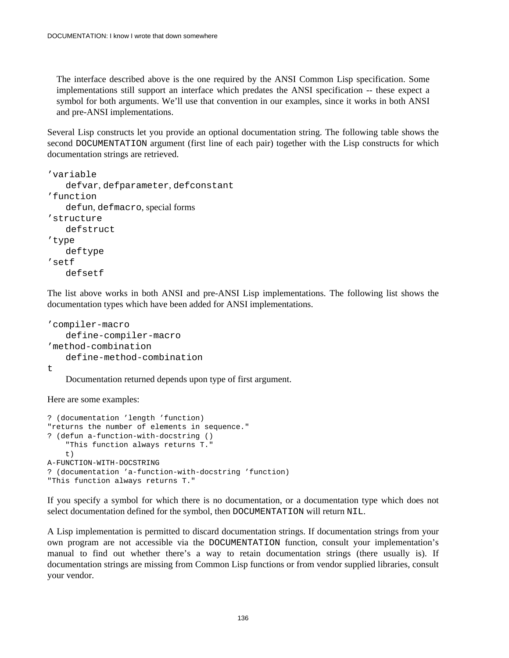The interface described above is the one required by the ANSI Common Lisp specification. Some implementations still support an interface which predates the ANSI specification -- these expect a symbol for both arguments. We'll use that convention in our examples, since it works in both ANSI and pre-ANSI implementations.

Several Lisp constructs let you provide an optional documentation string. The following table shows the second DOCUMENTATION argument (first line of each pair) together with the Lisp constructs for which documentation strings are retrieved.

```
'variable
   defvar, defparameter, defconstant
'function
   defun, defmacro, special forms 
'structure
   defstruct
'type
   deftype
'setf
   defsetf
```
The list above works in both ANSI and pre-ANSI Lisp implementations. The following list shows the documentation types which have been added for ANSI implementations.

```
'compiler-macro
   define-compiler-macro
'method-combination
   define-method-combination
t
```
Documentation returned depends upon type of first argument.

Here are some examples:

```
? (documentation 'length 'function)
"returns the number of elements in sequence."
? (defun a-function-with-docstring ()
     "This function always returns T."
     t)
A-FUNCTION-WITH-DOCSTRING
? (documentation 'a-function-with-docstring 'function)
"This function always returns T."
```
If you specify a symbol for which there is no documentation, or a documentation type which does not select documentation defined for the symbol, then DOCUMENTATION will return NIL.

A Lisp implementation is permitted to discard documentation strings. If documentation strings from your own program are not accessible via the DOCUMENTATION function, consult your implementation's manual to find out whether there's a way to retain documentation strings (there usually is). If documentation strings are missing from Common Lisp functions or from vendor supplied libraries, consult your vendor.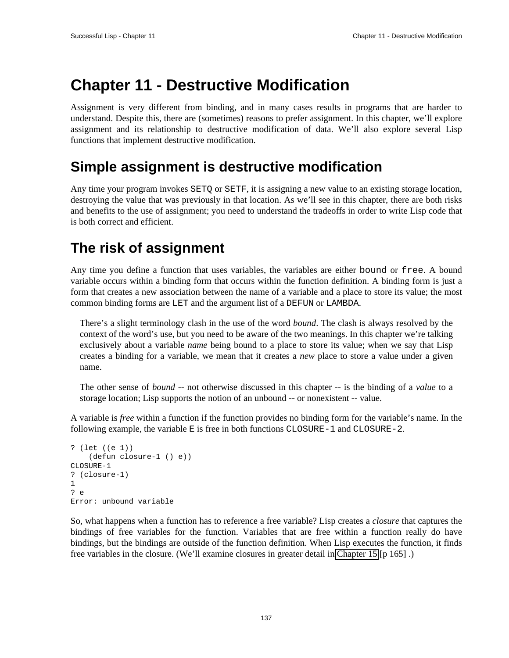## **Chapter 11 - Destructive Modification**

Assignment is very different from binding, and in many cases results in programs that are harder to understand. Despite this, there are (sometimes) reasons to prefer assignment. In this chapter, we'll explore assignment and its relationship to destructive modification of data. We'll also explore several Lisp functions that implement destructive modification.

## **Simple assignment is destructive modification**

Any time your program invokes SETQ or SETF, it is assigning a new value to an existing storage location, destroying the value that was previously in that location. As we'll see in this chapter, there are both risks and benefits to the use of assignment; you need to understand the tradeoffs in order to write Lisp code that is both correct and efficient.

## **The risk of assignment**

Any time you define a function that uses variables, the variables are either bound or free. A bound variable occurs within a binding form that occurs within the function definition. A binding form is just a form that creates a new association between the name of a variable and a place to store its value; the most common binding forms are LET and the argument list of a DEFUN or LAMBDA.

There's a slight terminology clash in the use of the word *bound*. The clash is always resolved by the context of the word's use, but you need to be aware of the two meanings. In this chapter we're talking exclusively about a variable *name* being bound to a place to store its value; when we say that Lisp creates a binding for a variable, we mean that it creates a *new* place to store a value under a given name.

The other sense of *bound* -- not otherwise discussed in this chapter -- is the binding of a *value* to a storage location; Lisp supports the notion of an unbound -- or nonexistent -- value.

A variable is *free* within a function if the function provides no binding form for the variable's name. In the following example, the variable E is free in both functions CLOSURE-1 and CLOSURE-2.

```
? (let ((e 1))
     (defun closure-1 () e))
CLOSURE-1
? (closure-1)
1
? e
Error: unbound variable
```
So, what happens when a function has to reference a free variable? Lisp creates a *closure* that captures the bindings of free variables for the function. Variables that are free within a function really do have bindings, but the bindings are outside of the function definition. When Lisp executes the function, it finds free variables in the closure. (We'll examine closures in greater detail in [Chapter 15](#page-164-0) [p 165] .)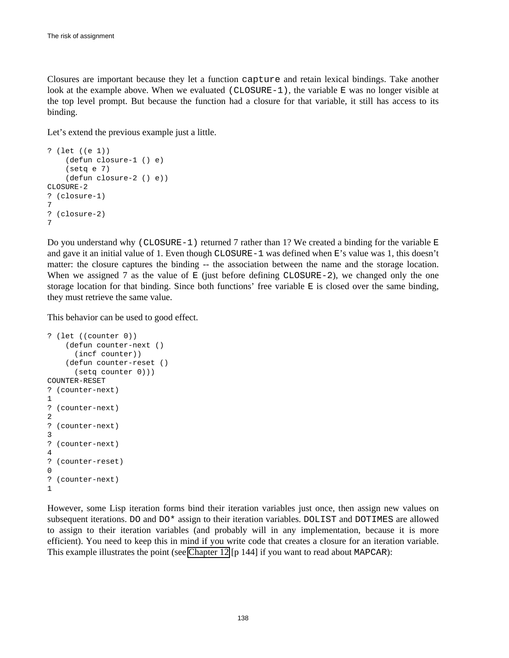Closures are important because they let a function capture and retain lexical bindings. Take another look at the example above. When we evaluated (CLOSURE-1), the variable E was no longer visible at the top level prompt. But because the function had a closure for that variable, it still has access to its binding.

Let's extend the previous example just a little.

```
? (let ((e 1))
     (defun closure-1 () e)
     (setq e 7)
     (defun closure-2 () e))
CLOSURE-2
? (closure-1)
7
? (closure-2)
7
```
Do you understand why (CLOSURE-1) returned 7 rather than 1? We created a binding for the variable  $E$ and gave it an initial value of 1. Even though CLOSURE-1 was defined when E's value was 1, this doesn't matter: the closure captures the binding -- the association between the name and the storage location. When we assigned 7 as the value of  $E$  (just before defining CLOSURE-2), we changed only the one storage location for that binding. Since both functions' free variable  $E$  is closed over the same binding, they must retrieve the same value.

This behavior can be used to good effect.

```
? (let ((counter 0))
     (defun counter-next ()
       (incf counter))
     (defun counter-reset ()
       (setq counter 0)))
COUNTER-RESET
? (counter-next)
1
? (counter-next)
2
? (counter-next)
3
? (counter-next)
4
? (counter-reset)
\Omega? (counter-next)
1
```
However, some Lisp iteration forms bind their iteration variables just once, then assign new values on subsequent iterations. DO and DO\* assign to their iteration variables. DOLIST and DOTIMES are allowed to assign to their iteration variables (and probably will in any implementation, because it is more efficient). You need to keep this in mind if you write code that creates a closure for an iteration variable. This example illustrates the point (see [Chapter 12](#page-143-0) [p 144] if you want to read about MAPCAR):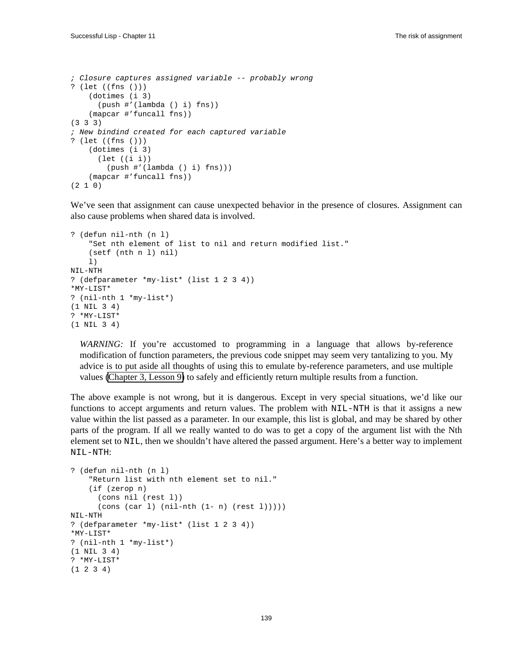```
; Closure captures assigned variable -- probably wrong
? (let ((fns ()))
     (dotimes (i 3)
       (push #'(lambda () i) fns))
     (mapcar #'funcall fns))
(3 3 3)
; New bindind created for each captured variable
? (let ((fns ()))
    (dotimes (i 3)
      (let ((i i))
        (push #'(lambda () i) fns)))
     (mapcar #'funcall fns))
(2 1 0)
```
We've seen that assignment can cause unexpected behavior in the presence of closures. Assignment can also cause problems when shared data is involved.

```
? (defun nil-nth (n l)
      "Set nth element of list to nil and return modified list."
      (setf (nth n l) nil)
     \left( \begin{array}{c} \end{array} \right)NIL-NTH
? (defparameter *my-list* (list 1 2 3 4))
*MY-LIST*
? (nil-nth 1 *my-list*)
(1 NIL 3 4)
? *MY-LIST*
(1 NIL 3 4)
```
*WARNING:* If you're accustomed to programming in a language that allows by-reference modification of function parameters, the previous code snippet may seem very tantalizing to you. My advice is to put aside all thoughts of using this to emulate by-reference parameters, and use multiple values [\(Chapter 3, Lesson 9\)](#page-62-0) to safely and efficiently return multiple results from a function.

The above example is not wrong, but it is dangerous. Except in very special situations, we'd like our functions to accept arguments and return values. The problem with  $NIL-NTH$  is that it assigns a new value within the list passed as a parameter. In our example, this list is global, and may be shared by other parts of the program. If all we really wanted to do was to get a copy of the argument list with the Nth element set to NIL, then we shouldn't have altered the passed argument. Here's a better way to implement NIL-NTH:

```
? (defun nil-nth (n l)
     "Return list with nth element set to nil."
     (if (zerop n)
       (cons nil (rest l))
      (cons (car 1) (nil-nth (1-n) (rest 1))))NIL-NTH
? (defparameter *my-list* (list 1 2 3 4))
*MY-LIST*
? (nil-nth 1 *my-list*)
(1 NIL 3 4)
? *MY-LIST*
(1 2 3 4)
```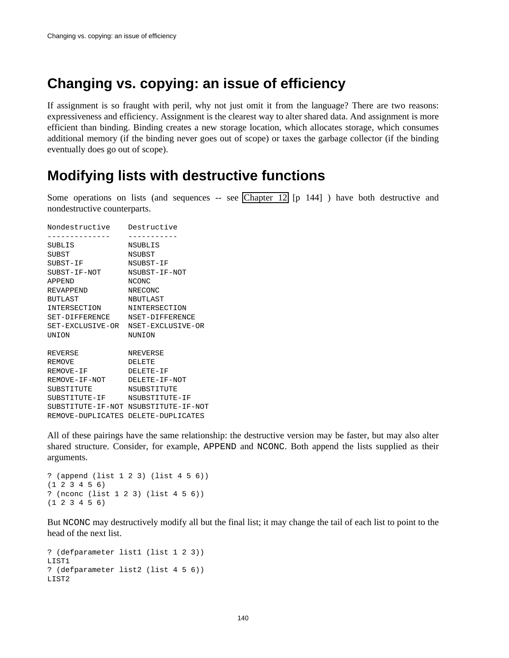#### **Changing vs. copying: an issue of efficiency**

If assignment is so fraught with peril, why not just omit it from the language? There are two reasons: expressiveness and efficiency. Assignment is the clearest way to alter shared data. And assignment is more efficient than binding. Binding creates a new storage location, which allocates storage, which consumes additional memory (if the binding never goes out of scope) or taxes the garbage collector (if the binding eventually does go out of scope).

#### **Modifying lists with destructive functions**

Some operations on lists (and sequences -- see [Chapter 12](#page-143-0) [p 144] ) have both destructive and nondestructive counterparts.

| Nondestructive      | Destructive                          |
|---------------------|--------------------------------------|
|                     |                                      |
| <b>SUBLIS</b>       | NSUBLIS                              |
| SUBST               | <b>NSUBST</b>                        |
| SUBST-IF            | NSUBST-IF                            |
| SUBST-IF-NOT        | NSUBST-IF-NOT                        |
| APPEND              | <b>NCONC</b>                         |
| <b>REVAPPEND</b>    | <b>NRECONC</b>                       |
| <b>BUTLAST</b>      | NBUTLAST                             |
| <b>INTERSECTION</b> | NINTERSECTION                        |
| SET-DIFFERENCE      | NSET-DIFFERENCE                      |
| SET-EXCLUSIVE-OR    | NSET-EXCLUSIVE-OR                    |
| UNION               | <b>NUNION</b>                        |
|                     |                                      |
| <b>REVERSE</b>      | NREVERSE                             |
| <b>REMOVE</b>       | <b>DELETE</b>                        |
| REMOVE-IF           | DELETE-IF                            |
| REMOVE-IF-NOT       | DELETE-IF-NOT                        |
| SUBSTITUTE          | NSUBSTITUTE                          |
| SUBSTITUTE-IF       | NSUBSTITUTE-IF                       |
|                     | SUBSTITUTE-IF-NOT NSUBSTITUTE-IF-NOT |
|                     | REMOVE-DUPLICATES DELETE-DUPLICATES  |
|                     |                                      |

All of these pairings have the same relationship: the destructive version may be faster, but may also alter shared structure. Consider, for example, APPEND and NCONC. Both append the lists supplied as their arguments.

```
? (append (list 1 2 3) (list 4 5 6))
(1 2 3 4 5 6)
? (nconc (list 1 2 3) (list 4 5 6))
(1 2 3 4 5 6)
```
But NCONC may destructively modify all but the final list; it may change the tail of each list to point to the head of the next list.

```
? (defparameter list1 (list 1 2 3))
LIST1
? (defparameter list2 (list 4 5 6))
LIST2
```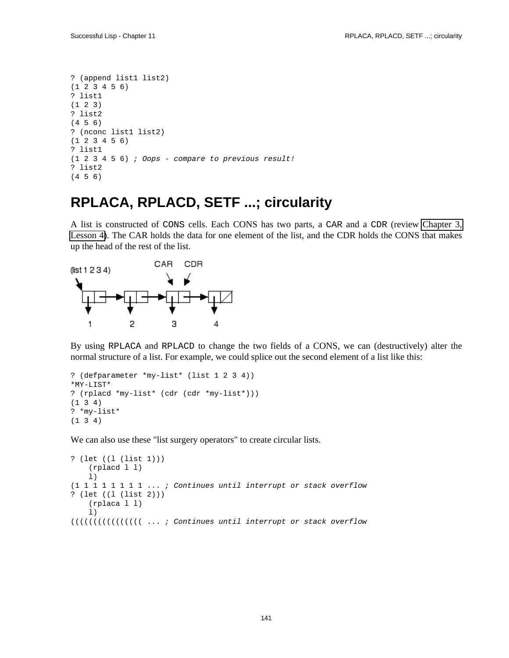```
? (append list1 list2)
(1 2 3 4 5 6)
? list1
(1 2 3)
? list2
(4 5 6)
? (nconc list1 list2)
(1 2 3 4 5 6)
? list1
(1 2 3 4 5 6) ; Oops - compare to previous result!
? list2
(4 5 6)
```
#### **RPLACA, RPLACD, SETF ...; circularity**

A list is constructed of CONS cells. Each CONS has two parts, a CAR and a CDR (review [Chapter 3,](#page-50-0) [Lesson 4\)](#page-50-0). The CAR holds the data for one element of the list, and the CDR holds the CONS that makes up the head of the rest of the list.



By using RPLACA and RPLACD to change the two fields of a CONS, we can (destructively) alter the normal structure of a list. For example, we could splice out the second element of a list like this:

```
? (defparameter *my-list* (list 1 2 3 4))
*MY-LIST*
? (rplacd *my-list* (cdr (cdr *my-list*)))
(1 3 4)
? *my-list*
(1 3 4)
```
We can also use these "list surgery operators" to create circular lists.

```
? (let ((l (list 1)))
     (rplacd l l)
    1)(1 1 1 1 1 1 1 1 ... ; Continues until interrupt or stack overflow
? (let ((l (list 2)))
     (rplaca l l)
    1)(((((((((((((((( ... ; Continues until interrupt or stack overflow
```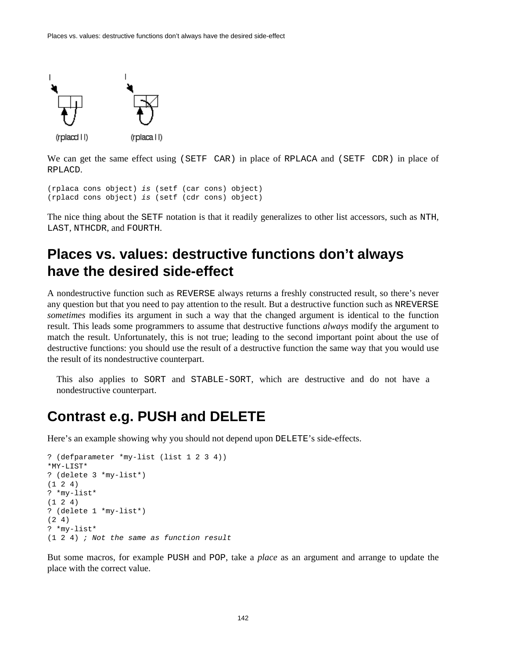

We can get the same effect using (SETF CAR) in place of RPLACA and (SETF CDR) in place of RPLACD.

```
(rplaca cons object) is (setf (car cons) object)
(rplacd cons object) is (setf (cdr cons) object)
```
The nice thing about the SETF notation is that it readily generalizes to other list accessors, such as NTH, LAST, NTHCDR, and FOURTH.

### **Places vs. values: destructive functions don't always have the desired side-effect**

A nondestructive function such as REVERSE always returns a freshly constructed result, so there's never any question but that you need to pay attention to the result. But a destructive function such as NREVERSE *sometimes* modifies its argument in such a way that the changed argument is identical to the function result. This leads some programmers to assume that destructive functions *always* modify the argument to match the result. Unfortunately, this is not true; leading to the second important point about the use of destructive functions: you should use the result of a destructive function the same way that you would use the result of its nondestructive counterpart.

This also applies to SORT and STABLE-SORT, which are destructive and do not have a nondestructive counterpart.

### **Contrast e.g. PUSH and DELETE**

Here's an example showing why you should not depend upon DELETE's side-effects.

```
? (defparameter *my-list (list 1 2 3 4))
*MY-LIST*
? (delete 3 *my-list*)
(1 2 4)
? *my-list*
(1 2 4)
? (delete 1 *my-list*)
(2 4)
? *my-list*
(1 2 4) ; Not the same as function result
```
But some macros, for example PUSH and POP, take a *place* as an argument and arrange to update the place with the correct value.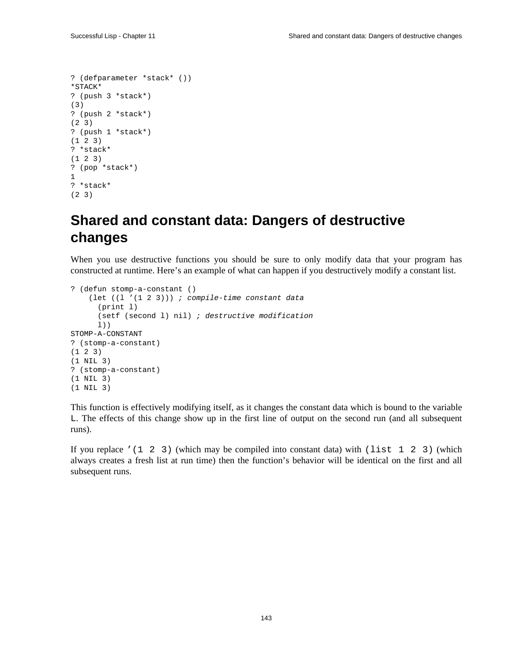```
? (defparameter *stack* ())
*STACK*
? (push 3 *stack*)
(3)
? (push 2 *stack*)
(2 3)
? (push 1 *stack*)
(1 2 3)
? *stack*
(1 2 3)
? (pop *stack*)
1
? *stack*
(2 3)
```
### **Shared and constant data: Dangers of destructive changes**

When you use destructive functions you should be sure to only modify data that your program has constructed at runtime. Here's an example of what can happen if you destructively modify a constant list.

```
? (defun stomp-a-constant ()
     (let ((l '(1 2 3))) ; compile-time constant data
       (print l)
       (setf (second l) nil) ; destructive modification
       l))
STOMP-A-CONSTANT
? (stomp-a-constant)
(1 2 3)
(1 NIL 3)
? (stomp-a-constant)
(1 NIL 3)
(1 NIL 3)
```
This function is effectively modifying itself, as it changes the constant data which is bound to the variable L. The effects of this change show up in the first line of output on the second run (and all subsequent runs).

If you replace '(1 2 3) (which may be compiled into constant data) with (list 1 2 3) (which always creates a fresh list at run time) then the function's behavior will be identical on the first and all subsequent runs.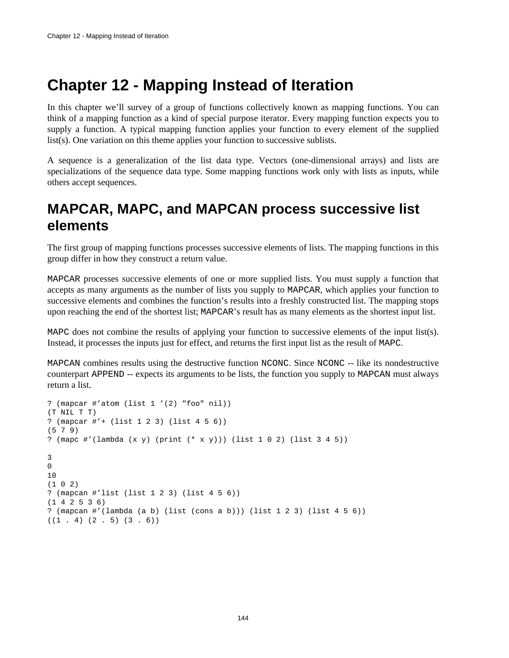# <span id="page-143-0"></span>**Chapter 12 - Mapping Instead of Iteration**

In this chapter we'll survey of a group of functions collectively known as mapping functions. You can think of a mapping function as a kind of special purpose iterator. Every mapping function expects you to supply a function. A typical mapping function applies your function to every element of the supplied list(s). One variation on this theme applies your function to successive sublists.

A sequence is a generalization of the list data type. Vectors (one-dimensional arrays) and lists are specializations of the sequence data type. Some mapping functions work only with lists as inputs, while others accept sequences.

## **MAPCAR, MAPC, and MAPCAN process successive list elements**

The first group of mapping functions processes successive elements of lists. The mapping functions in this group differ in how they construct a return value.

MAPCAR processes successive elements of one or more supplied lists. You must supply a function that accepts as many arguments as the number of lists you supply to MAPCAR, which applies your function to successive elements and combines the function's results into a freshly constructed list. The mapping stops upon reaching the end of the shortest list; MAPCAR's result has as many elements as the shortest input list.

MAPC does not combine the results of applying your function to successive elements of the input list(s). Instead, it processes the inputs just for effect, and returns the first input list as the result of MAPC.

MAPCAN combines results using the destructive function NCONC. Since NCONC -- like its nondestructive counterpart APPEND -- expects its arguments to be lists, the function you supply to MAPCAN must always return a list.

```
? (mapcar #'atom (list 1 '(2) "foo" nil))
(T NIL T T)
? (mapcar #'+ (list 1 2 3) (list 4 5 6))
(5 7 9)
? (mapc #'(lambda (x y) (print (* x y))) (list 1 0 2) (list 3 4 5))
3
\Omega10
(1 0 2)
? (mapcan #'list (list 1 2 3) (list 4 5 6))
(1 4 2 5 3 6)
? (mapcan #'(lambda (a b) (list (cons a b))) (list 1 2 3) (list 4 5 6))
((1 . 4) (2 . 5) (3 . 6))
```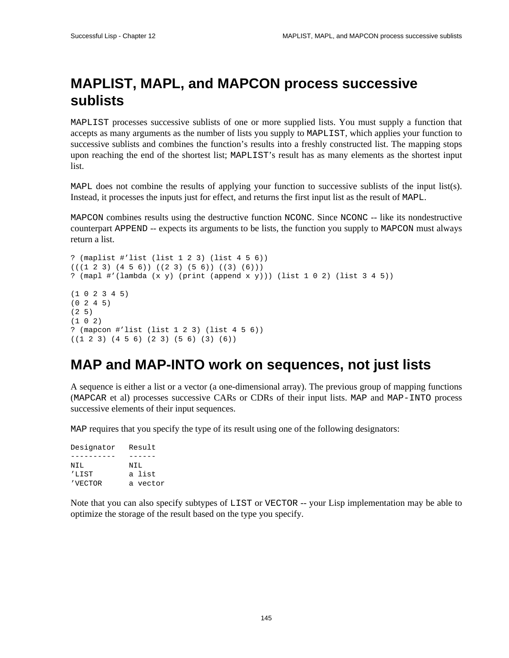## **MAPLIST, MAPL, and MAPCON process successive sublists**

MAPLIST processes successive sublists of one or more supplied lists. You must supply a function that accepts as many arguments as the number of lists you supply to MAPLIST, which applies your function to successive sublists and combines the function's results into a freshly constructed list. The mapping stops upon reaching the end of the shortest list; MAPLIST's result has as many elements as the shortest input list.

MAPL does not combine the results of applying your function to successive sublists of the input list(s). Instead, it processes the inputs just for effect, and returns the first input list as the result of MAPL.

MAPCON combines results using the destructive function NCONC. Since NCONC -- like its nondestructive counterpart APPEND -- expects its arguments to be lists, the function you supply to MAPCON must always return a list.

```
? (maplist #'list (list 1 2 3) (list 4 5 6))
(( (1 2 3) (4 5 6)) ( (2 3) (5 6)) ( (3) (6)))? (mapl \#'(lambda (x y) (print (append x y))) (list 1 0 2) (list 3 4 5))
(1 0 2 3 4 5) 
(0 2 4 5) 
(2 5) 
(1 0 2)
? (mapcon #'list (list 1 2 3) (list 4 5 6))
((1 2 3) (4 5 6) (2 3) (5 6) (3) (6))
```
## **MAP and MAP-INTO work on sequences, not just lists**

A sequence is either a list or a vector (a one-dimensional array). The previous group of mapping functions (MAPCAR et al) processes successive CARs or CDRs of their input lists. MAP and MAP-INTO process successive elements of their input sequences.

MAP requires that you specify the type of its result using one of the following designators:

Designator Result ---------- ------ NIL NIL 'LIST a list 'VECTOR a vector

Note that you can also specify subtypes of LIST or VECTOR -- your Lisp implementation may be able to optimize the storage of the result based on the type you specify.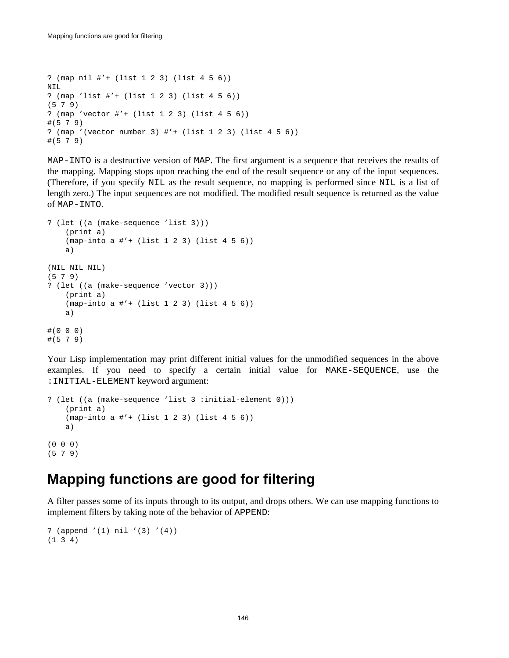```
? (map nil #'+ (list 1 2 3) (list 4 5 6))
NIL
? (map 'list #'+ (list 1 2 3) (list 4 5 6))
(5 7 9)
? (map 'vector #'+ (list 1 2 3) (list 4 5 6))
#(5 7 9)
? (map '(vector number 3) #'+ (list 1 2 3) (list 4 5 6))
#(5 7 9)
```
MAP-INTO is a destructive version of MAP. The first argument is a sequence that receives the results of the mapping. Mapping stops upon reaching the end of the result sequence or any of the input sequences. (Therefore, if you specify NIL as the result sequence, no mapping is performed since NIL is a list of length zero.) The input sequences are not modified. The modified result sequence is returned as the value of MAP-INTO.

```
? (let ((a (make-sequence 'list 3)))
     (print a)
     (map-into a #'+ (list 1 2 3) (list 4 5 6))
     a)
(NIL NIL NIL)
(5 7 9)
? (let ((a (make-sequence 'vector 3)))
     (print a)
     (map-into a #'+ (list 1 2 3) (list 4 5 6))
     a)
#(0 0 0)
#(5 7 9)
```
Your Lisp implementation may print different initial values for the unmodified sequences in the above examples. If you need to specify a certain initial value for MAKE-SEQUENCE, use the :INITIAL-ELEMENT keyword argument:

```
? (let ((a (make-sequence 'list 3 :initial-element 0)))
     (print a)
     (map-into a #'+ (list 1 2 3) (list 4 5 6))
    a)
(0 0 0)
(5 7 9)
```
### **Mapping functions are good for filtering**

A filter passes some of its inputs through to its output, and drops others. We can use mapping functions to implement filters by taking note of the behavior of APPEND:

```
? (append '(1) nil '(3) '(4))
(1 3 4)
```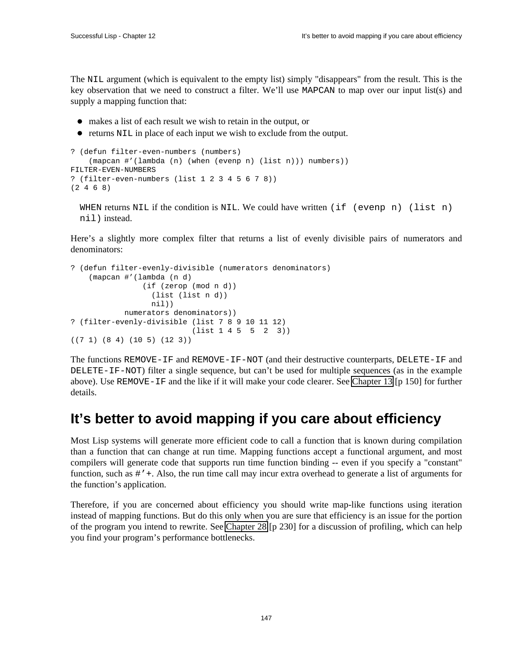The NIL argument (which is equivalent to the empty list) simply "disappears" from the result. This is the key observation that we need to construct a filter. We'll use MAPCAN to map over our input list(s) and supply a mapping function that:

- makes a list of each result we wish to retain in the output, or
- returns NIL in place of each input we wish to exclude from the output.

```
? (defun filter-even-numbers (numbers)
     (mapcan #'(lambda (n) (when (evenp n) (list n))) numbers))
FILTER-EVEN-NUMBERS
? (filter-even-numbers (list 1 2 3 4 5 6 7 8))
(2 4 6 8)
```

```
WHEN returns NIL if the condition is NIL. We could have written (if (evenp n) (list n)
nil) instead.
```
Here's a slightly more complex filter that returns a list of evenly divisible pairs of numerators and denominators:

```
? (defun filter-evenly-divisible (numerators denominators)
     (mapcan #'(lambda (n d)
                 (if (zerop (mod n d))
                   (list (list n d))
                   nil))
             numerators denominators))
? (filter-evenly-divisible (list 7 8 9 10 11 12)
                            (list 1 4 5 5 2 3))
((7 1) (8 4) (10 5) (12 3))
```
The functions REMOVE-IF and REMOVE-IF-NOT (and their destructive counterparts, DELETE-IF and DELETE-IF-NOT) filter a single sequence, but can't be used for multiple sequences (as in the example above). Use REMOVE-IF and the like if it will make your code clearer. See [Chapter 13](#page-149-0) [p 150] for further details.

### **It's better to avoid mapping if you care about efficiency**

Most Lisp systems will generate more efficient code to call a function that is known during compilation than a function that can change at run time. Mapping functions accept a functional argument, and most compilers will generate code that supports run time function binding -- even if you specify a "constant" function, such as #'+. Also, the run time call may incur extra overhead to generate a list of arguments for the function's application.

Therefore, if you are concerned about efficiency you should write map-like functions using iteration instead of mapping functions. But do this only when you are sure that efficiency is an issue for the portion of the program you intend to rewrite. See [Chapter 28](#page-229-0) [p 230] for a discussion of profiling, which can help you find your program's performance bottlenecks.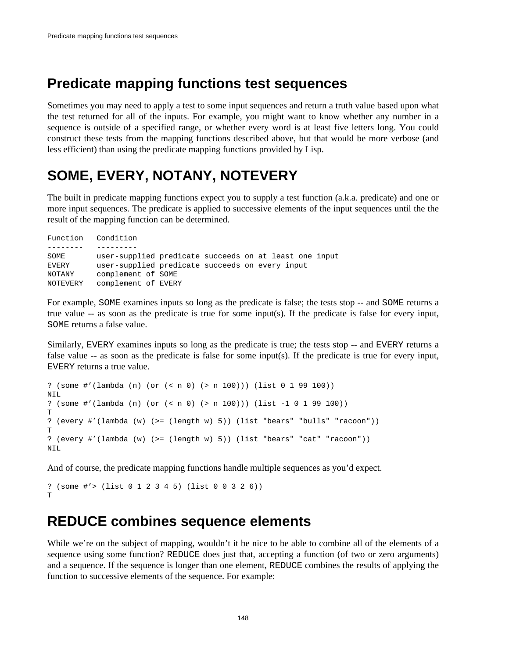### **Predicate mapping functions test sequences**

Sometimes you may need to apply a test to some input sequences and return a truth value based upon what the test returned for all of the inputs. For example, you might want to know whether any number in a sequence is outside of a specified range, or whether every word is at least five letters long. You could construct these tests from the mapping functions described above, but that would be more verbose (and less efficient) than using the predicate mapping functions provided by Lisp.

## **SOME, EVERY, NOTANY, NOTEVERY**

The built in predicate mapping functions expect you to supply a test function (a.k.a. predicate) and one or more input sequences. The predicate is applied to successive elements of the input sequences until the the result of the mapping function can be determined.

```
Function Condition
-------- ---------
SOME user-supplied predicate succeeds on at least one input
EVERY user-supplied predicate succeeds on every input
NOTANY complement of SOME
NOTEVERY complement of EVERY
```
For example, SOME examines inputs so long as the predicate is false; the tests stop -- and SOME returns a true value -- as soon as the predicate is true for some input(s). If the predicate is false for every input, SOME returns a false value.

Similarly, EVERY examines inputs so long as the predicate is true; the tests stop -- and EVERY returns a false value -- as soon as the predicate is false for some input(s). If the predicate is true for every input, EVERY returns a true value.

```
? (some #'(lambda (n) (or (< n 0) (> n 100))) (list 0 1 99 100))
NIL
? (some #'(lambda (n) (or (< n 0) (> n 100))) (list -1 0 1 99 100))
\mathbf T? (every #'(lambda (w) (>= (length w) 5)) (list "bears" "bulls" "racoon"))
T
? (every #'(lambda (w) (>= (length w) 5)) (list "bears" "cat" "racoon"))
NTT.
```
And of course, the predicate mapping functions handle multiple sequences as you'd expect.

```
? (some #'> (list 0 1 2 3 4 5) (list 0 0 3 2 6))
T
```
### **REDUCE combines sequence elements**

While we're on the subject of mapping, wouldn't it be nice to be able to combine all of the elements of a sequence using some function? REDUCE does just that, accepting a function (of two or zero arguments) and a sequence. If the sequence is longer than one element, REDUCE combines the results of applying the function to successive elements of the sequence. For example: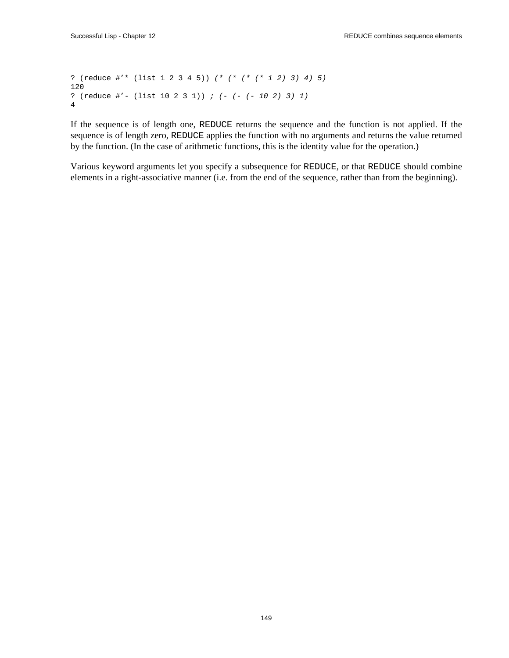? (reduce #'\* (list 1 2 3 4 5)) (\* (\* (\* (\* 1 2) 3) 4) 5) 120 ? (reduce #'- (list 10 2 3 1)) ; (- (- (- 10 2) 3) 1) 4

If the sequence is of length one, REDUCE returns the sequence and the function is not applied. If the sequence is of length zero, REDUCE applies the function with no arguments and returns the value returned by the function. (In the case of arithmetic functions, this is the identity value for the operation.)

Various keyword arguments let you specify a subsequence for REDUCE, or that REDUCE should combine elements in a right-associative manner (i.e. from the end of the sequence, rather than from the beginning).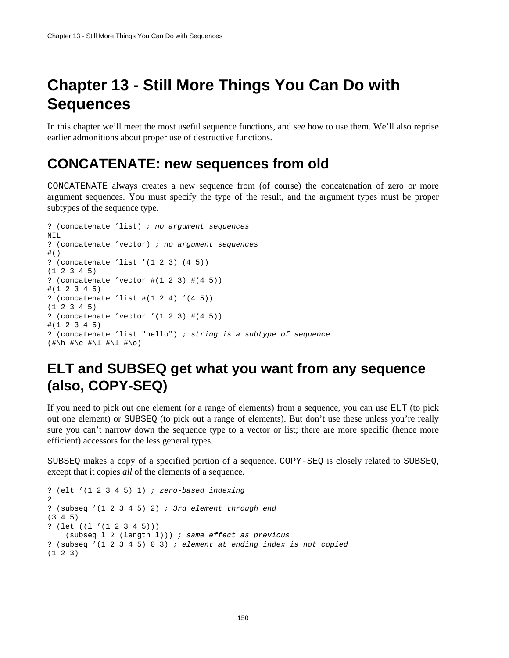# <span id="page-149-0"></span>**Chapter 13 - Still More Things You Can Do with Sequences**

In this chapter we'll meet the most useful sequence functions, and see how to use them. We'll also reprise earlier admonitions about proper use of destructive functions.

## **CONCATENATE: new sequences from old**

CONCATENATE always creates a new sequence from (of course) the concatenation of zero or more argument sequences. You must specify the type of the result, and the argument types must be proper subtypes of the sequence type.

```
? (concatenate 'list) ; no argument sequences
NIL
? (concatenate 'vector) ; no argument sequences
#()? (concatenate 'list '(1 2 3) (4 5))
(1 2 3 4 5)
? (concatenate 'vector #(1 2 3) #(4 5))
#(1 2 3 4 5)
? (concatenate 'list #(1 2 4) '(4 5))
(1 2 3 4 5)
? (concatenate 'vector '(1 2 3) #(4 5))
#(1 2 3 4 5)
? (concatenate 'list "hello") ; string is a subtype of sequence
(\# \hbox{$\wedge$} \# \e \# \lbox{$\wedge$} \# \lbox{$\wedge$} \# \lbox{$\wedge$} \# \lbox{$\wedge$})
```
## **ELT and SUBSEQ get what you want from any sequence (also, COPY-SEQ)**

If you need to pick out one element (or a range of elements) from a sequence, you can use ELT (to pick out one element) or SUBSEQ (to pick out a range of elements). But don't use these unless you're really sure you can't narrow down the sequence type to a vector or list; there are more specific (hence more efficient) accessors for the less general types.

SUBSEQ makes a copy of a specified portion of a sequence. COPY-SEQ is closely related to SUBSEQ, except that it copies *all* of the elements of a sequence.

```
? (elt '(1 2 3 4 5) 1) ; zero-based indexing
2
? (subseq '(1 2 3 4 5) 2) ; 3rd element through end
(3 4 5)
? (let ((l '(1 2 3 4 5)))
     (subseq l 2 (length l))) ; same effect as previous
? (subseq '(1 2 3 4 5) 0 3) ; element at ending index is not copied
(1 2 3)
```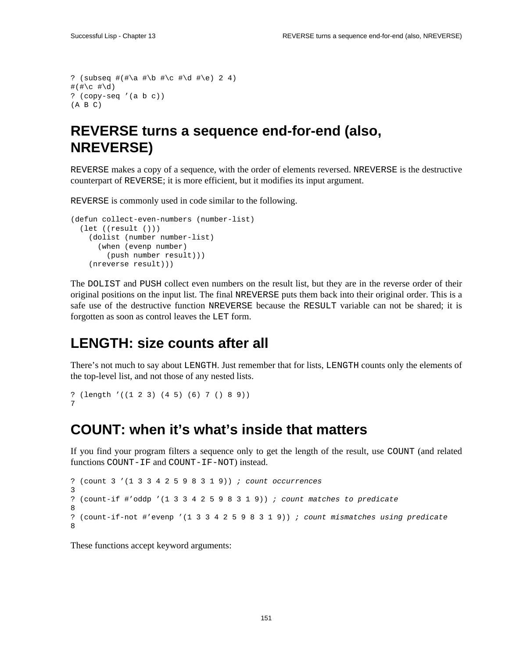```
? (subseq #(#\a #\b #\c #\d #\e) 2 4)
\#(\# \c \# \d)
? (copy-seq '(a b c))
(A B C)
```
## **REVERSE turns a sequence end-for-end (also, NREVERSE)**

REVERSE makes a copy of a sequence, with the order of elements reversed. NREVERSE is the destructive counterpart of REVERSE; it is more efficient, but it modifies its input argument.

REVERSE is commonly used in code similar to the following.

```
(defun collect-even-numbers (number-list)
   (let ((result ()))
    (dolist (number number-list)
      (when (evenp number)
         (push number result)))
     (nreverse result)))
```
The DOLIST and PUSH collect even numbers on the result list, but they are in the reverse order of their original positions on the input list. The final NREVERSE puts them back into their original order. This is a safe use of the destructive function NREVERSE because the RESULT variable can not be shared; it is forgotten as soon as control leaves the LET form.

#### **LENGTH: size counts after all**

There's not much to say about LENGTH. Just remember that for lists, LENGTH counts only the elements of the top-level list, and not those of any nested lists.

```
? (length '((1 2 3) (4 5) (6) 7 () 8 9))
7
```
### **COUNT: when it's what's inside that matters**

If you find your program filters a sequence only to get the length of the result, use COUNT (and related functions COUNT-IF and COUNT-IF-NOT) instead.

```
? (count 3 '(1 3 3 4 2 5 9 8 3 1 9)) ; count occurrences
3
? (count-if #'oddp '(1 3 3 4 2 5 9 8 3 1 9)) ; count matches to predicate
8
? (count-if-not #'evenp '(1 3 3 4 2 5 9 8 3 1 9)) ; count mismatches using predicate
8
```
These functions accept keyword arguments: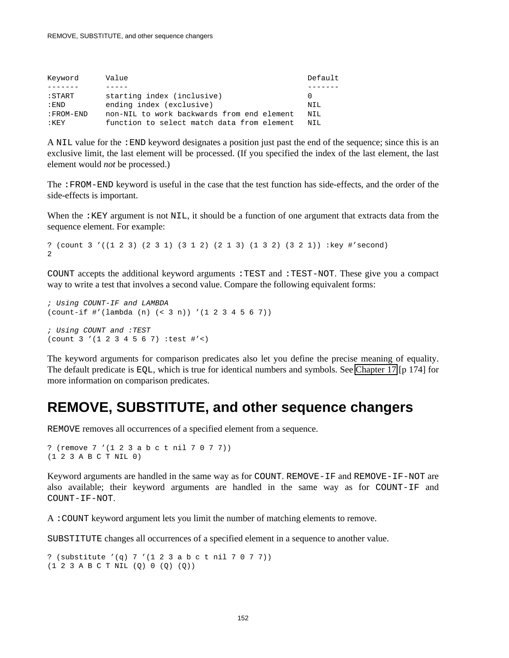| Keyword    | Value                                      | Default  |
|------------|--------------------------------------------|----------|
|            |                                            |          |
| : START    | starting index (inclusive)                 | $\Omega$ |
| : END      | ending index (exclusive)                   | NIL      |
| : FROM-END | non-NIL to work backwards from end element | NTT.     |
| $:$ KF.Y   | function to select match data from element | NTT.     |

A NIL value for the :END keyword designates a position just past the end of the sequence; since this is an exclusive limit, the last element will be processed. (If you specified the index of the last element, the last element would *not* be processed.)

The :FROM-END keyword is useful in the case that the test function has side-effects, and the order of the side-effects is important.

When the :KEY argument is not NIL, it should be a function of one argument that extracts data from the sequence element. For example:

? (count 3 '((1 2 3) (2 3 1) (3 1 2) (2 1 3) (1 3 2) (3 2 1)) :key #'second) 2

COUNT accepts the additional keyword arguments :TEST and :TEST-NOT. These give you a compact way to write a test that involves a second value. Compare the following equivalent forms:

```
; Using COUNT-IF and LAMBDA
(count-if #'(lambda (n) (< 3 n)) '(1 2 3 4 5 6 7))
; Using COUNT and :TEST
(count 3 '(1 2 3 4 5 6 7) :test #'<)
```
The keyword arguments for comparison predicates also let you define the precise meaning of equality. The default predicate is EQL, which is true for identical numbers and symbols. See [Chapter 17](#page-173-0) [p 174] for more information on comparison predicates.

## **REMOVE, SUBSTITUTE, and other sequence changers**

REMOVE removes all occurrences of a specified element from a sequence.

? (remove 7 '(1 2 3 a b c t nil 7 0 7 7)) (1 2 3 A B C T NIL 0)

Keyword arguments are handled in the same way as for COUNT. REMOVE-IF and REMOVE-IF-NOT are also available; their keyword arguments are handled in the same way as for COUNT-IF and COUNT-IF-NOT.

A :COUNT keyword argument lets you limit the number of matching elements to remove.

SUBSTITUTE changes all occurrences of a specified element in a sequence to another value.

? (substitute '(q) 7 '(1 2 3 a b c t nil 7 0 7 7)) (1 2 3 A B C T NIL (Q) 0 (Q) (Q))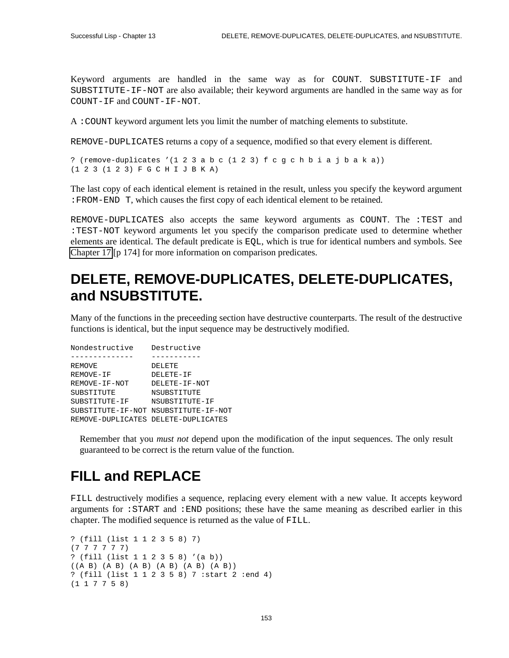Keyword arguments are handled in the same way as for COUNT. SUBSTITUTE-IF and SUBSTITUTE-IF-NOT are also available; their keyword arguments are handled in the same way as for COUNT-IF and COUNT-IF-NOT.

A :COUNT keyword argument lets you limit the number of matching elements to substitute.

REMOVE-DUPLICATES returns a copy of a sequence, modified so that every element is different.

? (remove-duplicates '(1 2 3 a b c (1 2 3) f c g c h b i a j b a k a)) (1 2 3 (1 2 3) F G C H I J B K A)

The last copy of each identical element is retained in the result, unless you specify the keyword argument :FROM-END T, which causes the first copy of each identical element to be retained.

REMOVE-DUPLICATES also accepts the same keyword arguments as COUNT. The :TEST and :TEST-NOT keyword arguments let you specify the comparison predicate used to determine whether elements are identical. The default predicate is EQL, which is true for identical numbers and symbols. See [Chapter 17](#page-173-0) [p 174] for more information on comparison predicates.

## **DELETE, REMOVE-DUPLICATES, DELETE-DUPLICATES, and NSUBSTITUTE.**

Many of the functions in the preceeding section have destructive counterparts. The result of the destructive functions is identical, but the input sequence may be destructively modified.

| Nondestructive                      | Destructive                          |
|-------------------------------------|--------------------------------------|
|                                     |                                      |
| REMOVE                              | DELETE                               |
| REMOVE-IF                           | DELETE-IF                            |
| REMOVE-IF-NOT                       | DELETE-IF-NOT                        |
| SUBSTITUTE                          | NSUBSTITUTE                          |
| SUBSTITUTE-IF                       | NSUBSTITUTE-IF                       |
|                                     | SUBSTITUTE-IF-NOT NSUBSTITUTE-IF-NOT |
| REMOVE-DUPLICATES DELETE-DUPLICATES |                                      |

Remember that you *must not* depend upon the modification of the input sequences. The only result guaranteed to be correct is the return value of the function.

## **FILL and REPLACE**

FILL destructively modifies a sequence, replacing every element with a new value. It accepts keyword arguments for :START and :END positions; these have the same meaning as described earlier in this chapter. The modified sequence is returned as the value of FILL.

```
? (fill (list 1 1 2 3 5 8) 7)
(7 7 7 7 7 7)
? (fill (list 1 1 2 3 5 8) '(a b))
((A B) (A B) (A B) (A B) (A B) (A B))
? (fill (list 1 1 2 3 5 8) 7 :start 2 :end 4)
(1 1 7 7 5 8)
```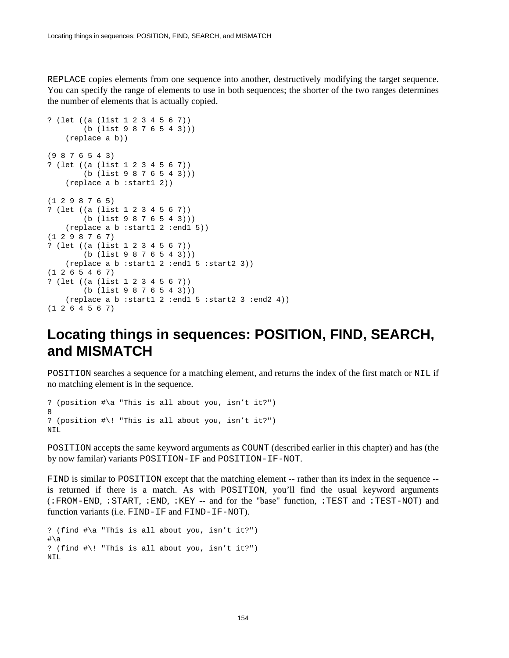REPLACE copies elements from one sequence into another, destructively modifying the target sequence. You can specify the range of elements to use in both sequences; the shorter of the two ranges determines the number of elements that is actually copied.

```
? (let ((a (list 1 2 3 4 5 6 7))
         (b (list 9 8 7 6 5 4 3)))
     (replace a b))
(9 8 7 6 5 4 3)
? (let ((a (list 1 2 3 4 5 6 7))
        (b (list 9 8 7 6 5 4 3)))
     (replace a b :start1 2))
(1 2 9 8 7 6 5)
? (let ((a (list 1 2 3 4 5 6 7))
         (b (list 9 8 7 6 5 4 3)))
    (replace a b :start1 2 :end1 5))
(1 2 9 8 7 6 7)
? (let ((a (list 1 2 3 4 5 6 7))
        (b (list 9 8 7 6 5 4 3)))
   (replace a b:start1 2:end1 5:start2 3))(1 2 6 5 4 6 7)
? (let ((a (list 1 2 3 4 5 6 7))
         (b (list 9 8 7 6 5 4 3)))
    (replace a b : start1 2 : end1 5 : start2 3 : end2 4))
(1 2 6 4 5 6 7)
```
### **Locating things in sequences: POSITION, FIND, SEARCH, and MISMATCH**

POSITION searches a sequence for a matching element, and returns the index of the first match or NIL if no matching element is in the sequence.

```
? (position #\a "This is all about you, isn't it?")
8
? (position #\! "This is all about you, isn't it?")
NIL
```
POSITION accepts the same keyword arguments as COUNT (described earlier in this chapter) and has (the by now familar) variants POSITION-IF and POSITION-IF-NOT.

FIND is similar to POSITION except that the matching element -- rather than its index in the sequence - is returned if there is a match. As with POSITION, you'll find the usual keyword arguments (:FROM-END, :START, :END, :KEY -- and for the "base" function, :TEST and :TEST-NOT) and function variants (i.e. FIND-IF and FIND-IF-NOT).

```
? (find #\a "This is all about you, isn't it?")
#\a
? (find #\! "This is all about you, isn't it?")
NTT.
```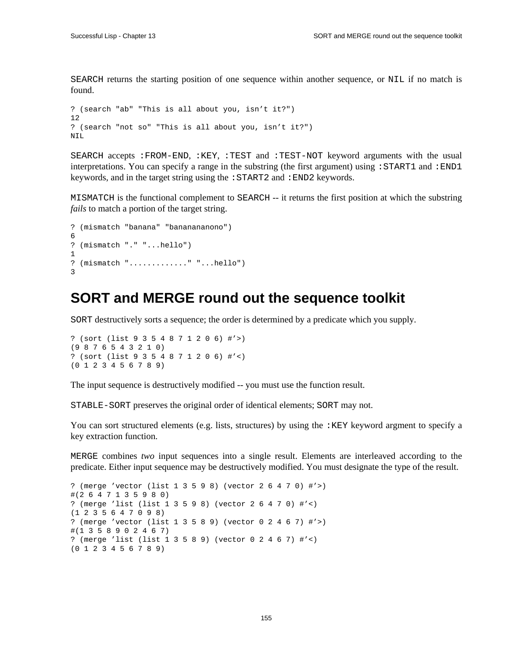SEARCH returns the starting position of one sequence within another sequence, or NIL if no match is found.

```
? (search "ab" "This is all about you, isn't it?")
12
? (search "not so" "This is all about you, isn't it?")
NTT.
```
SEARCH accepts :FROM-END, :KEY, :TEST and :TEST-NOT keyword arguments with the usual interpretations. You can specify a range in the substring (the first argument) using : START1 and : END1 keywords, and in the target string using the : START2 and : END2 keywords.

MISMATCH is the functional complement to SEARCH -- it returns the first position at which the substring *fails* to match a portion of the target string.

```
? (mismatch "banana" "bananananono")
6
? (mismatch "." "...hello")
1
? (mismatch "............." "...hello")
3
```
### **SORT and MERGE round out the sequence toolkit**

SORT destructively sorts a sequence; the order is determined by a predicate which you supply.

```
? (sort (list 9 3 5 4 8 7 1 2 0 6) #'>)
(9 8 7 6 5 4 3 2 1 0)
? (sort (list 9 3 5 4 8 7 1 2 0 6) #'<)
(0 1 2 3 4 5 6 7 8 9)
```
The input sequence is destructively modified -- you must use the function result.

STABLE-SORT preserves the original order of identical elements; SORT may not.

You can sort structured elements (e.g. lists, structures) by using the :KEY keyword argment to specify a key extraction function.

MERGE combines *two* input sequences into a single result. Elements are interleaved according to the predicate. Either input sequence may be destructively modified. You must designate the type of the result.

```
? (merge 'vector (list 1 3 5 9 8) (vector 2 6 4 7 0) #'>)
#(2 6 4 7 1 3 5 9 8 0)
? (merge 'list (list 1 3 5 9 8) (vector 2 6 4 7 0) #'<)
(1 2 3 5 6 4 7 0 9 8)
? (merge 'vector (list 1 3 5 8 9) (vector 0 2 4 6 7) #'>)
#(1 3 5 8 9 0 2 4 6 7)
? (merge 'list (list 1 3 5 8 9) (vector 0 2 4 6 7) #'<)
(0 1 2 3 4 5 6 7 8 9)
```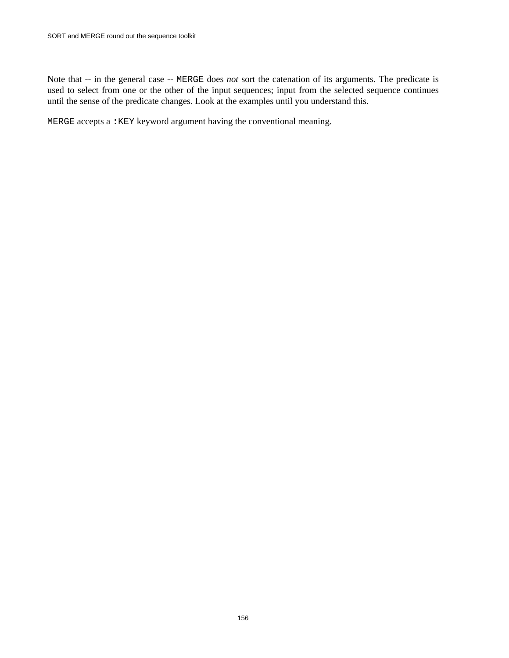Note that -- in the general case -- MERGE does *not* sort the catenation of its arguments. The predicate is used to select from one or the other of the input sequences; input from the selected sequence continues until the sense of the predicate changes. Look at the examples until you understand this.

MERGE accepts a :KEY keyword argument having the conventional meaning.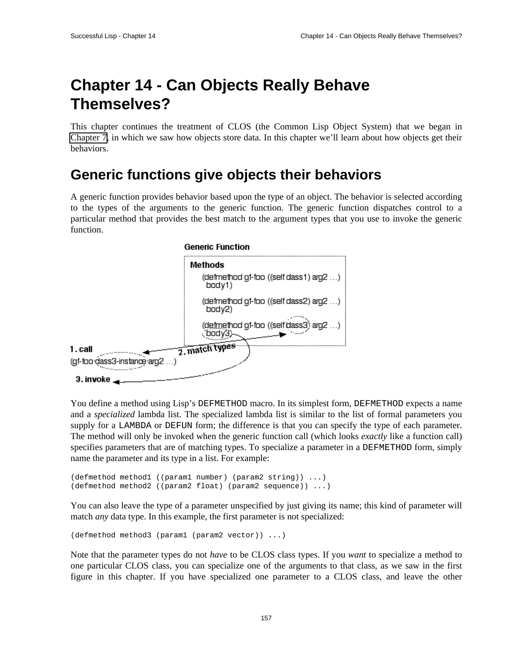# **Chapter 14 - Can Objects Really Behave Themselves?**

This chapter continues the treatment of CLOS (the Common Lisp Object System) that we began in [Chapter 7,](#page-116-0) in which we saw how objects store data. In this chapter we'll learn about how objects get their behaviors.

### **Generic functions give objects their behaviors**

A generic function provides behavior based upon the type of an object. The behavior is selected according to the types of the arguments to the generic function. The generic function dispatches control to a particular method that provides the best match to the argument types that you use to invoke the generic function.



You define a method using Lisp's DEFMETHOD macro. In its simplest form, DEFMETHOD expects a name and a *specialized* lambda list. The specialized lambda list is similar to the list of formal parameters you supply for a LAMBDA or DEFUN form; the difference is that you can specify the type of each parameter. The method will only be invoked when the generic function call (which looks *exactly* like a function call) specifies parameters that are of matching types. To specialize a parameter in a DEFMETHOD form, simply name the parameter and its type in a list. For example:

```
(defmethod method1 ((param1 number) (param2 string)) ...)
(defmethod method2 ((param2 float) (param2 sequence)) ...)
```
You can also leave the type of a parameter unspecified by just giving its name; this kind of parameter will match *any* data type. In this example, the first parameter is not specialized:

(defmethod method3 (param1 (param2 vector)) ...)

Note that the parameter types do not *have* to be CLOS class types. If you *want* to specialize a method to one particular CLOS class, you can specialize one of the arguments to that class, as we saw in the first figure in this chapter. If you have specialized one parameter to a CLOS class, and leave the other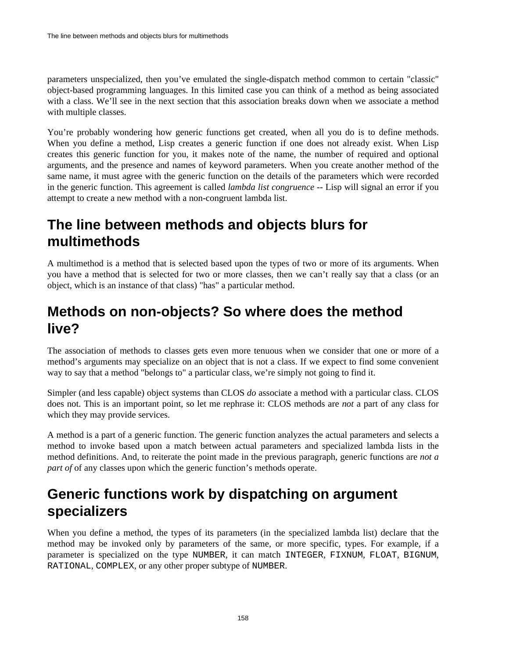parameters unspecialized, then you've emulated the single-dispatch method common to certain "classic" object-based programming languages. In this limited case you can think of a method as being associated with a class. We'll see in the next section that this association breaks down when we associate a method with multiple classes.

You're probably wondering how generic functions get created, when all you do is to define methods. When you define a method, Lisp creates a generic function if one does not already exist. When Lisp creates this generic function for you, it makes note of the name, the number of required and optional arguments, and the presence and names of keyword parameters. When you create another method of the same name, it must agree with the generic function on the details of the parameters which were recorded in the generic function. This agreement is called *lambda list congruence* -- Lisp will signal an error if you attempt to create a new method with a non-congruent lambda list.

## **The line between methods and objects blurs for multimethods**

A multimethod is a method that is selected based upon the types of two or more of its arguments. When you have a method that is selected for two or more classes, then we can't really say that a class (or an object, which is an instance of that class) "has" a particular method.

## **Methods on non-objects? So where does the method live?**

The association of methods to classes gets even more tenuous when we consider that one or more of a method's arguments may specialize on an object that is not a class. If we expect to find some convenient way to say that a method "belongs to" a particular class, we're simply not going to find it.

Simpler (and less capable) object systems than CLOS *do* associate a method with a particular class. CLOS does not. This is an important point, so let me rephrase it: CLOS methods are *not* a part of any class for which they may provide services.

A method is a part of a generic function. The generic function analyzes the actual parameters and selects a method to invoke based upon a match between actual parameters and specialized lambda lists in the method definitions. And, to reiterate the point made in the previous paragraph, generic functions are *not a part of* of any classes upon which the generic function's methods operate.

## **Generic functions work by dispatching on argument specializers**

When you define a method, the types of its parameters (in the specialized lambda list) declare that the method may be invoked only by parameters of the same, or more specific, types. For example, if a parameter is specialized on the type NUMBER, it can match INTEGER, FIXNUM, FLOAT, BIGNUM, RATIONAL, COMPLEX, or any other proper subtype of NUMBER.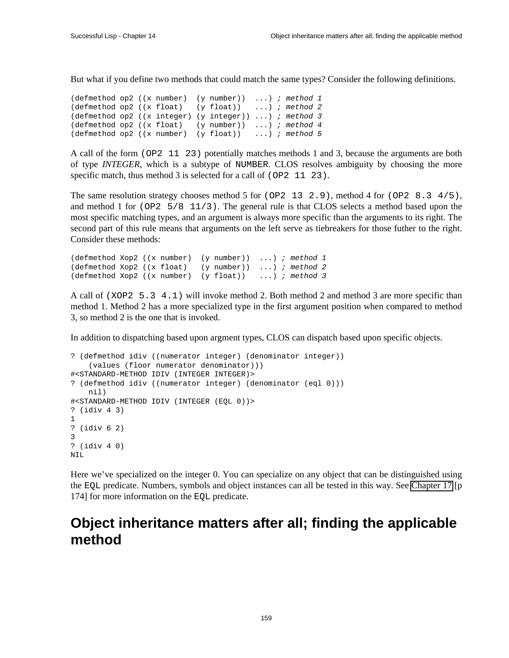But what if you define two methods that could match the same types? Consider the following definitions.

```
(defmethod op2 ((x number) (y number)) ...) ; method 1
(defmethod op2 ((x float) (y float)) ...) ; method 2
(defmethod op2 ((x integer) (y integer)) ...) ; method 3
(defmethod op2 ((x float) (y number)) ...) ; method 4
(defmethod op2 ((x number) (y float)) ...) ; method 5
```
A call of the form (OP2 11 23) potentially matches methods 1 and 3, because the arguments are both of type *INTEGER*, which is a subtype of NUMBER. CLOS resolves ambiguity by choosing the more specific match, thus method 3 is selected for a call of (OP2 11 23).

The same resolution strategy chooses method 5 for (OP2 13 2.9), method 4 for (OP2 8.3 4/5), and method 1 for (OP2 5/8 11/3). The general rule is that CLOS selects a method based upon the most specific matching types, and an argument is always more specific than the arguments to its right. The second part of this rule means that arguments on the left serve as tiebreakers for those futher to the right. Consider these methods:

(defmethod Xop2 ((x number) (y number)) ...) ; method 1 (defmethod Xop2 ((x float) (y number)) ...) ; method 2 (defmethod Xop2 ((x number) (y float)) ...) ; method 3

A call of (XOP2 5.3 4.1) will invoke method 2. Both method 2 and method 3 are more specific than method 1. Method 2 has a more specialized type in the first argument position when compared to method 3, so method 2 is the one that is invoked.

In addition to dispatching based upon argment types, CLOS can dispatch based upon specific objects.

```
? (defmethod idiv ((numerator integer) (denominator integer))
     (values (floor numerator denominator)))
#<STANDARD-METHOD IDIV (INTEGER INTEGER)>
? (defmethod idiv ((numerator integer) (denominator (eql 0)))
     nil)
#<STANDARD-METHOD IDIV (INTEGER (EQL 0))>
? (idiv 4 3)
1
? (idiv 6 2)
3
? (idiv 4 0)
NTL
```
Here we've specialized on the integer 0. You can specialize on any object that can be distinguished using the EQL predicate. Numbers, symbols and object instances can all be tested in this way. See [Chapter 17](#page-173-0) [p 174] for more information on the EQL predicate.

### **Object inheritance matters after all; finding the applicable method**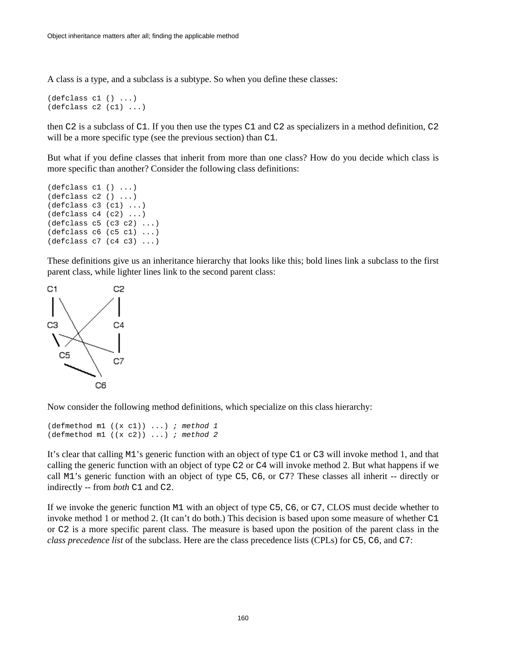A class is a type, and a subclass is a subtype. So when you define these classes:

(defclass c1 () ...) (defclass c2 (c1) ...)

then C2 is a subclass of C1. If you then use the types C1 and C2 as specializers in a method definition, C2 will be a more specific type (see the previous section) than  $C_1$ .

But what if you define classes that inherit from more than one class? How do you decide which class is more specific than another? Consider the following class definitions:

```
(defclass c1 () ...)
(defclass c2 () ...)
(defclass c3 (c1) ...)
(defclass c4 (c2) ...)
(defclass c5 (c3 c2) ...)
(defclass c6 (c5 c1) ...)
(defclass c7 (c4 c3) ...)
```
These definitions give us an inheritance hierarchy that looks like this; bold lines link a subclass to the first parent class, while lighter lines link to the second parent class:



Now consider the following method definitions, which specialize on this class hierarchy:

```
(defmethod m1 ((x c1)) ...) ; method 1
(defmethod m1 ((x c2)) ...) ; method 2
```
It's clear that calling M1's generic function with an object of type C1 or C3 will invoke method 1, and that calling the generic function with an object of type C2 or C4 will invoke method 2. But what happens if we call M1's generic function with an object of type C5, C6, or C7? These classes all inherit -- directly or indirectly -- from *both* C1 and C2.

If we invoke the generic function M1 with an object of type C5, C6, or C7, CLOS must decide whether to invoke method 1 or method 2. (It can't do both.) This decision is based upon some measure of whether C1 or C2 is a more specific parent class. The measure is based upon the position of the parent class in the *class precedence list* of the subclass. Here are the class precedence lists (CPLs) for C5, C6, and C7: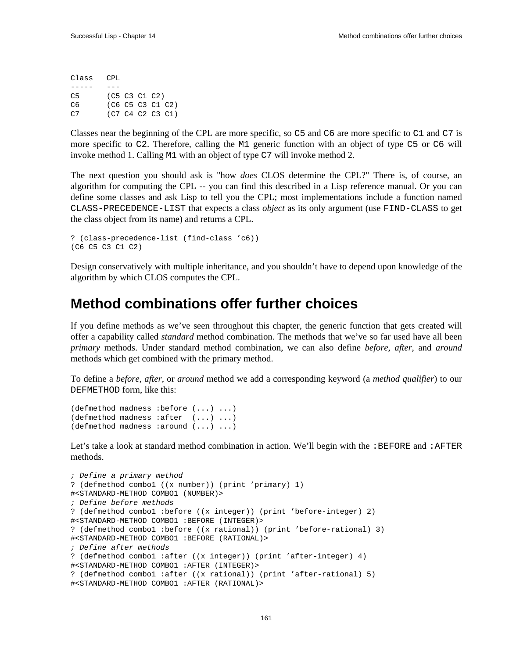Class CPL ----- --- C5 (C5 C3 C1 C2) C6 (C6 C5 C3 C1 C2) C7 (C7 C4 C2 C3 C1)

Classes near the beginning of the CPL are more specific, so C5 and C6 are more specific to C1 and C7 is more specific to C2. Therefore, calling the M1 generic function with an object of type C5 or C6 will invoke method 1. Calling M1 with an object of type C7 will invoke method 2.

The next question you should ask is "how *does* CLOS determine the CPL?" There is, of course, an algorithm for computing the CPL -- you can find this described in a Lisp reference manual. Or you can define some classes and ask Lisp to tell you the CPL; most implementations include a function named CLASS-PRECEDENCE-LIST that expects a class *object* as its only argument (use FIND-CLASS to get the class object from its name) and returns a CPL.

```
? (class-precedence-list (find-class 'c6))
(C6 C5 C3 C1 C2)
```
Design conservatively with multiple inheritance, and you shouldn't have to depend upon knowledge of the algorithm by which CLOS computes the CPL.

### **Method combinations offer further choices**

If you define methods as we've seen throughout this chapter, the generic function that gets created will offer a capability called *standard* method combination. The methods that we've so far used have all been *primary* methods. Under standard method combination, we can also define *before*, *after*, and *around* methods which get combined with the primary method.

To define a *before*, *after*, or *around* method we add a corresponding keyword (a *method qualifier*) to our DEFMETHOD form, like this:

```
(defmethod madness :before (...) ...)
(defmethod madness :after (...) ...)
(defmethod madness :around (...) ...)
```
Let's take a look at standard method combination in action. We'll begin with the : BEFORE and : AFTER methods.

```
; Define a primary method
? (defmethod combo1 ((x number)) (print 'primary) 1)
#<STANDARD-METHOD COMBO1 (NUMBER)>
; Define before methods
? (defmethod combo1 :before ((x integer)) (print 'before-integer) 2)
#<STANDARD-METHOD COMBO1 :BEFORE (INTEGER)>
? (defmethod combo1 :before ((x rational)) (print 'before-rational) 3)
#<STANDARD-METHOD COMBO1 :BEFORE (RATIONAL)>
; Define after methods
? (defmethod combo1 :after ((x integer)) (print 'after-integer) 4)
#<STANDARD-METHOD COMBO1 :AFTER (INTEGER)>
? (defmethod combo1 :after ((x rational)) (print 'after-rational) 5)
#<STANDARD-METHOD COMBO1 :AFTER (RATIONAL)>
```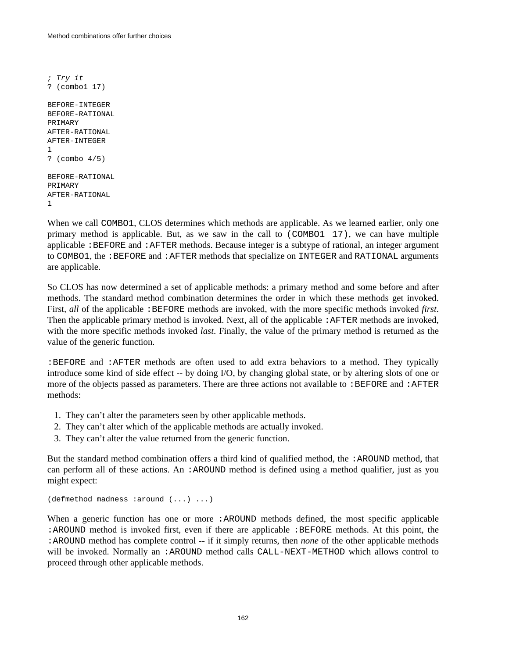Method combinations offer further choices

```
; Try it
? (combo1 17)
BEFORE-INTEGER
BEFORE-RATIONAL
PRIMARY
AFTER-RATIONAL
AFTER-INTEGER
1
? (combo 4/5)
BEFORE-RATIONAL
PRIMARY
AFTER-RATIONAL
1
```
When we call COMBO1, CLOS determines which methods are applicable. As we learned earlier, only one primary method is applicable. But, as we saw in the call to (COMBO1 17), we can have multiple applicable :BEFORE and :AFTER methods. Because integer is a subtype of rational, an integer argument to COMBO1, the :BEFORE and :AFTER methods that specialize on INTEGER and RATIONAL arguments are applicable.

So CLOS has now determined a set of applicable methods: a primary method and some before and after methods. The standard method combination determines the order in which these methods get invoked. First, *all* of the applicable :BEFORE methods are invoked, with the more specific methods invoked *first*. Then the applicable primary method is invoked. Next, all of the applicable :AFTER methods are invoked, with the more specific methods invoked *last*. Finally, the value of the primary method is returned as the value of the generic function.

:BEFORE and :AFTER methods are often used to add extra behaviors to a method. They typically introduce some kind of side effect -- by doing I/O, by changing global state, or by altering slots of one or more of the objects passed as parameters. There are three actions not available to :BEFORE and :AFTER methods:

- 1. They can't alter the parameters seen by other applicable methods.
- 2. They can't alter which of the applicable methods are actually invoked.
- 3. They can't alter the value returned from the generic function.

But the standard method combination offers a third kind of qualified method, the :AROUND method, that can perform all of these actions. An :AROUND method is defined using a method qualifier, just as you might expect:

```
(defmethod madness :around (...) ...)
```
When a generic function has one or more :AROUND methods defined, the most specific applicable :AROUND method is invoked first, even if there are applicable :BEFORE methods. At this point, the :AROUND method has complete control -- if it simply returns, then *none* of the other applicable methods will be invoked. Normally an :AROUND method calls CALL-NEXT-METHOD which allows control to proceed through other applicable methods.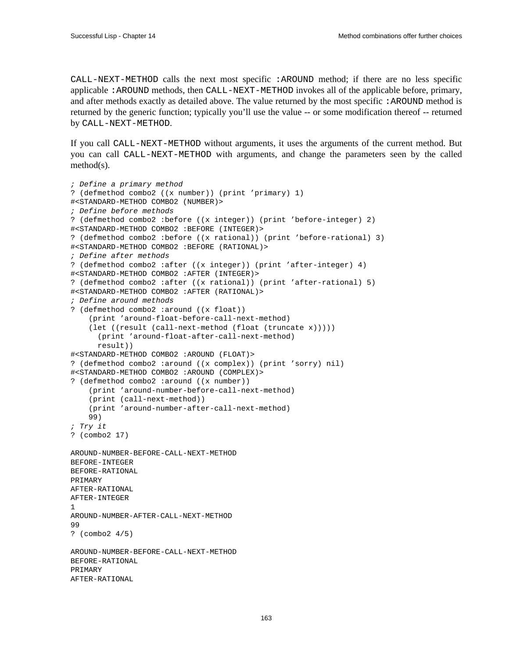CALL-NEXT-METHOD calls the next most specific :AROUND method; if there are no less specific applicable :AROUND methods, then CALL-NEXT-METHOD invokes all of the applicable before, primary, and after methods exactly as detailed above. The value returned by the most specific : AROUND method is returned by the generic function; typically you'll use the value -- or some modification thereof -- returned by CALL-NEXT-METHOD.

If you call CALL-NEXT-METHOD without arguments, it uses the arguments of the current method. But you can call CALL-NEXT-METHOD with arguments, and change the parameters seen by the called method(s).

```
; Define a primary method
? (defmethod combo2 ((x number)) (print 'primary) 1)
#<STANDARD-METHOD COMBO2 (NUMBER)>
; Define before methods
? (defmethod combo2 :before ((x integer)) (print 'before-integer) 2)
#<STANDARD-METHOD COMBO2 :BEFORE (INTEGER)>
? (defmethod combo2 :before ((x rational)) (print 'before-rational) 3)
#<STANDARD-METHOD COMBO2 :BEFORE (RATIONAL)>
; Define after methods
? (defmethod combo2 :after ((x integer)) (print 'after-integer) 4)
#<STANDARD-METHOD COMBO2 :AFTER (INTEGER)>
? (defmethod combo2 :after ((x rational)) (print 'after-rational) 5)
#<STANDARD-METHOD COMBO2 :AFTER (RATIONAL)>
; Define around methods
? (defmethod combo2 :around ((x float))
     (print 'around-float-before-call-next-method)
     (let ((result (call-next-method (float (truncate x)))))
       (print 'around-float-after-call-next-method)
       result))
#<STANDARD-METHOD COMBO2 :AROUND (FLOAT)>
? (defmethod combo2 :around ((x complex)) (print 'sorry) nil)
#<STANDARD-METHOD COMBO2 :AROUND (COMPLEX)>
? (defmethod combo2 :around ((x number))
     (print 'around-number-before-call-next-method)
     (print (call-next-method))
     (print 'around-number-after-call-next-method)
     99)
; Try it
? (combo2 17)
AROUND-NUMBER-BEFORE-CALL-NEXT-METHOD 
BEFORE-INTEGER 
BEFORE-RATIONAL 
PRIMARY 
AFTER-RATIONAL 
AFTER-INTEGER 
1 
AROUND-NUMBER-AFTER-CALL-NEXT-METHOD 
99
? (combo2 4/5)
AROUND-NUMBER-BEFORE-CALL-NEXT-METHOD 
BEFORE-RATIONAL 
PRIMARY 
AFTER-RATIONAL
```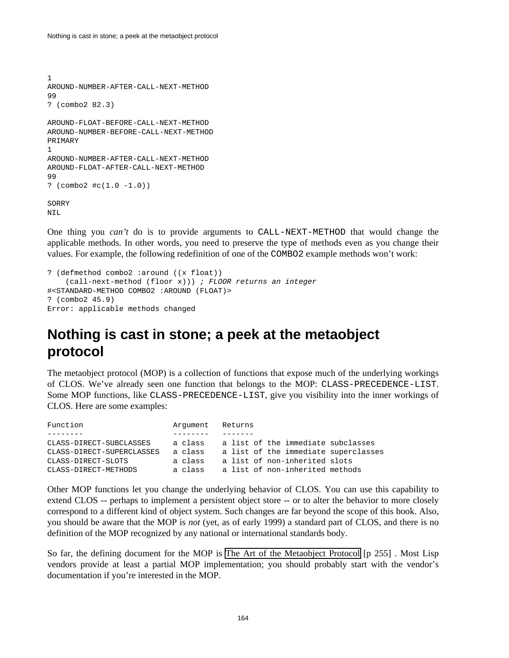```
1 
AROUND-NUMBER-AFTER-CALL-NEXT-METHOD 
99
? (combo2 82.3)
AROUND-FLOAT-BEFORE-CALL-NEXT-METHOD 
AROUND-NUMBER-BEFORE-CALL-NEXT-METHOD 
PRIMARY 
1 
AROUND-NUMBER-AFTER-CALL-NEXT-METHOD 
AROUND-FLOAT-AFTER-CALL-NEXT-METHOD 
99
? (combo2 \#c(1.0 -1.0))
SORRY 
NTT.
```
One thing you *can't* do is to provide arguments to CALL-NEXT-METHOD that would change the applicable methods. In other words, you need to preserve the type of methods even as you change their values. For example, the following redefinition of one of the COMBO2 example methods won't work:

```
? (defmethod combo2 :around ((x float))
     (call-next-method (floor x))) ; FLOOR returns an integer
#<STANDARD-METHOD COMBO2 :AROUND (FLOAT)>
? (combo2 45.9)
Error: applicable methods changed
```
## **Nothing is cast in stone; a peek at the metaobject protocol**

The metaobject protocol (MOP) is a collection of functions that expose much of the underlying workings of CLOS. We've already seen one function that belongs to the MOP: CLASS-PRECEDENCE-LIST. Some MOP functions, like CLASS-PRECEDENCE-LIST, give you visibility into the inner workings of CLOS. Here are some examples:

| Function                  | Arqument Returns |                                      |
|---------------------------|------------------|--------------------------------------|
|                           |                  |                                      |
| CLASS-DIRECT-SUBCLASSES   | a class          | a list of the immediate subclasses   |
| CLASS-DIRECT-SUPERCLASSES | a class          | a list of the immediate superclasses |
| CLASS-DIRECT-SLOTS        | a class          | a list of non-inherited slots        |
| CLASS-DIRECT-METHODS      | a class          | a list of non-inherited methods      |

Other MOP functions let you change the underlying behavior of CLOS. You can use this capability to extend CLOS -- perhaps to implement a persistent object store -- or to alter the behavior to more closely correspond to a different kind of object system. Such changes are far beyond the scope of this book. Also, you should be aware that the MOP is *not* (yet, as of early 1999) a standard part of CLOS, and there is no definition of the MOP recognized by any national or international standards body.

So far, the defining document for the MOP is [The Art of the Metaobject Protocol](#page-254-0) [p 255] . Most Lisp vendors provide at least a partial MOP implementation; you should probably start with the vendor's documentation if you're interested in the MOP.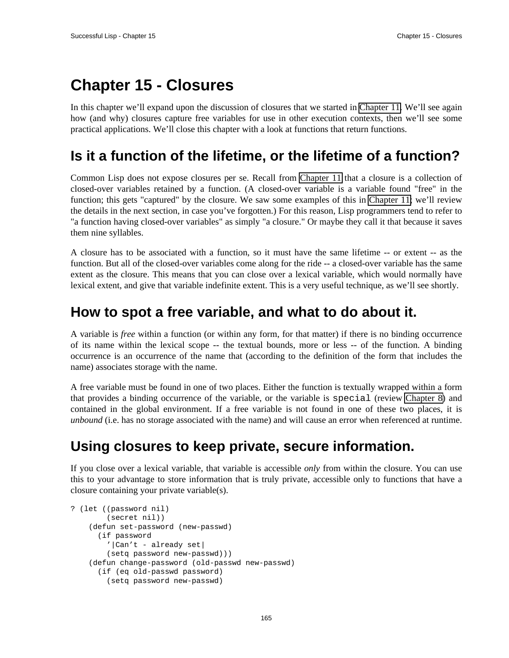## **Chapter 15 - Closures**

In this chapter we'll expand upon the discussion of closures that we started in [Chapter 11.](#page-136-0) We'll see again how (and why) closures capture free variables for use in other execution contexts, then we'll see some practical applications. We'll close this chapter with a look at functions that return functions.

### **Is it a function of the lifetime, or the lifetime of a function?**

Common Lisp does not expose closures per se. Recall from [Chapter 11](#page-136-0) that a closure is a collection of closed-over variables retained by a function. (A closed-over variable is a variable found "free" in the function; this gets "captured" by the closure. We saw some examples of this in [Chapter 11;](#page-136-0) we'll review the details in the next section, in case you've forgotten.) For this reason, Lisp programmers tend to refer to "a function having closed-over variables" as simply "a closure." Or maybe they call it that because it saves them nine syllables.

A closure has to be associated with a function, so it must have the same lifetime -- or extent -- as the function. But all of the closed-over variables come along for the ride -- a closed-over variable has the same extent as the closure. This means that you can close over a lexical variable, which would normally have lexical extent, and give that variable indefinite extent. This is a very useful technique, as we'll see shortly.

### **How to spot a free variable, and what to do about it.**

A variable is *free* within a function (or within any form, for that matter) if there is no binding occurrence of its name within the lexical scope -- the textual bounds, more or less -- of the function. A binding occurrence is an occurrence of the name that (according to the definition of the form that includes the name) associates storage with the name.

A free variable must be found in one of two places. Either the function is textually wrapped within a form that provides a binding occurrence of the variable, or the variable is special (review [Chapter 8\)](#page-126-0) and contained in the global environment. If a free variable is not found in one of these two places, it is *unbound* (i.e. has no storage associated with the name) and will cause an error when referenced at runtime.

## **Using closures to keep private, secure information.**

If you close over a lexical variable, that variable is accessible *only* from within the closure. You can use this to your advantage to store information that is truly private, accessible only to functions that have a closure containing your private variable(s).

```
? (let ((password nil)
         (secret nil))
     (defun set-password (new-passwd)
       (if password
         '|Can't - already set|
         (setq password new-passwd)))
     (defun change-password (old-passwd new-passwd)
       (if (eq old-passwd password)
         (setq password new-passwd)
```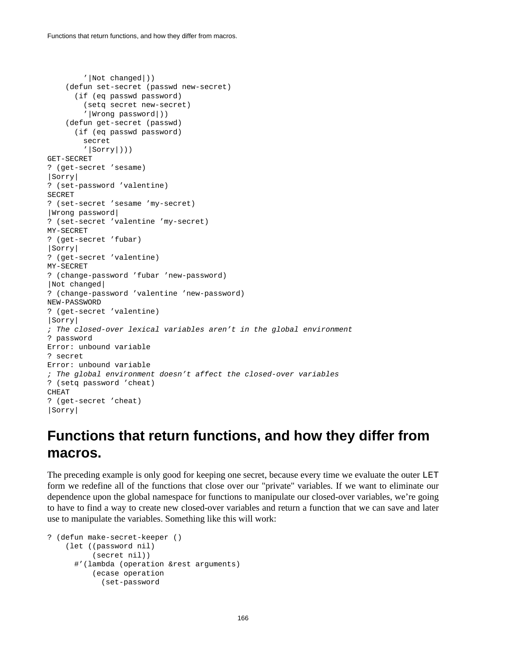```
 '|Not changed|))
     (defun set-secret (passwd new-secret)
       (if (eq passwd password)
         (setq secret new-secret)
         '|Wrong password|))
     (defun get-secret (passwd)
       (if (eq passwd password)
         secret
         '|Sorry|)))
GET-SECRET
? (get-secret 'sesame)
|Sorry|
? (set-password 'valentine)
SECRET
? (set-secret 'sesame 'my-secret)
|Wrong password|
? (set-secret 'valentine 'my-secret)
MY-SECRET
? (get-secret 'fubar)
|Sorry|
? (get-secret 'valentine)
MY-SECRET
? (change-password 'fubar 'new-password)
|Not changed|
? (change-password 'valentine 'new-password)
NEW-PASSWORD
? (get-secret 'valentine)
|Sorry|
; The closed-over lexical variables aren't in the global environment
? password
Error: unbound variable
? secret
Error: unbound variable
; The global environment doesn't affect the closed-over variables
? (setq password 'cheat)
CHEAT
? (get-secret 'cheat)
|Sorry|
```
## **Functions that return functions, and how they differ from macros.**

The preceding example is only good for keeping one secret, because every time we evaluate the outer LET form we redefine all of the functions that close over our "private" variables. If we want to eliminate our dependence upon the global namespace for functions to manipulate our closed-over variables, we're going to have to find a way to create new closed-over variables and return a function that we can save and later use to manipulate the variables. Something like this will work:

```
? (defun make-secret-keeper ()
     (let ((password nil)
           (secret nil))
       #'(lambda (operation &rest arguments)
           (ecase operation
             (set-password
```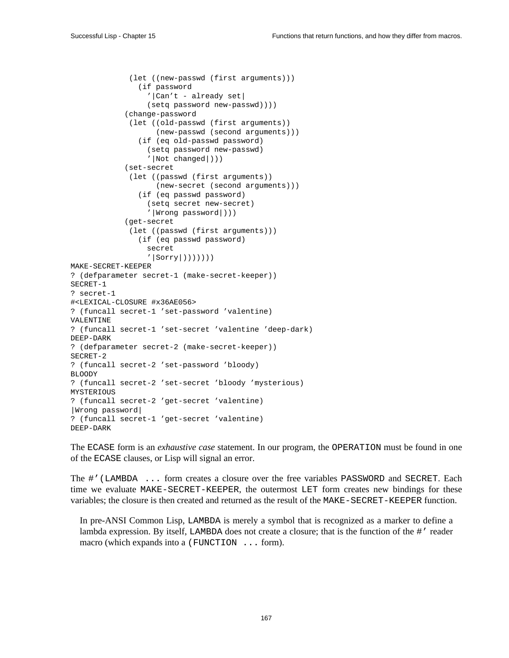```
 (let ((new-passwd (first arguments)))
                 (if password
                   '|Can't - already set|
                   (setq password new-passwd))))
              (change-password
              (let ((old-passwd (first arguments))
                    (new-passwd (second arguments)))
                 (if (eq old-passwd password)
                   (setq password new-passwd)
                   '|Not changed|)))
             (set-secret
              (let ((passwd (first arguments))
                     (new-secret (second arguments)))
                 (if (eq passwd password)
                   (setq secret new-secret)
                   '|Wrong password|)))
             (get-secret
              (let ((passwd (first arguments)))
                 (if (eq passwd password)
                  secret
                   '|Sorry|)))))))
MAKE-SECRET-KEEPER
? (defparameter secret-1 (make-secret-keeper))
SECRET-1
? secret-1
#<LEXICAL-CLOSURE #x36AE056>
? (funcall secret-1 'set-password 'valentine)
VALENTINE
? (funcall secret-1 'set-secret 'valentine 'deep-dark)
DEEP-DARK
? (defparameter secret-2 (make-secret-keeper))
SECRET-2
? (funcall secret-2 'set-password 'bloody)
BLOODY
? (funcall secret-2 'set-secret 'bloody 'mysterious)
MYSTERIOUS
? (funcall secret-2 'get-secret 'valentine)
|Wrong password|
? (funcall secret-1 'get-secret 'valentine)
DEEP-DARK
```
The ECASE form is an *exhaustive case* statement. In our program, the OPERATION must be found in one of the ECASE clauses, or Lisp will signal an error.

The #'(LAMBDA ... form creates a closure over the free variables PASSWORD and SECRET. Each time we evaluate MAKE-SECRET-KEEPER, the outermost LET form creates new bindings for these variables; the closure is then created and returned as the result of the MAKE-SECRET-KEEPER function.

In pre-ANSI Common Lisp, LAMBDA is merely a symbol that is recognized as a marker to define a lambda expression. By itself, LAMBDA does not create a closure; that is the function of the #' reader macro (which expands into a (FUNCTION . . . form).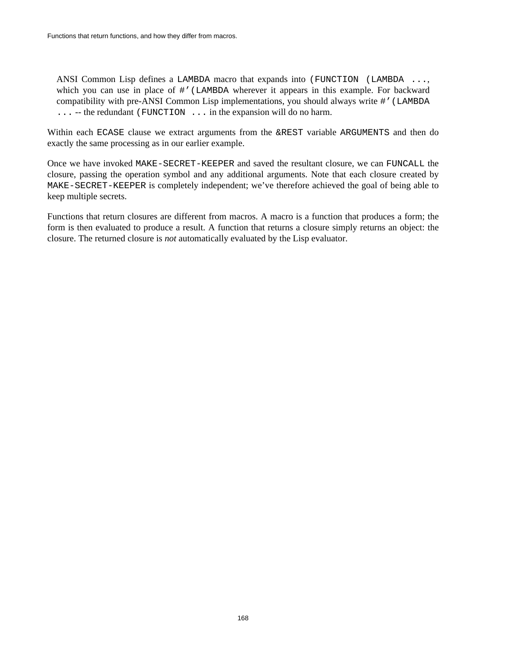ANSI Common Lisp defines a LAMBDA macro that expands into (FUNCTION (LAMBDA ..., which you can use in place of #'(LAMBDA wherever it appears in this example. For backward compatibility with pre-ANSI Common Lisp implementations, you should always write #'(LAMBDA ... -- the redundant (FUNCTION ... in the expansion will do no harm.

Within each ECASE clause we extract arguments from the &REST variable ARGUMENTS and then do exactly the same processing as in our earlier example.

Once we have invoked MAKE-SECRET-KEEPER and saved the resultant closure, we can FUNCALL the closure, passing the operation symbol and any additional arguments. Note that each closure created by MAKE-SECRET-KEEPER is completely independent; we've therefore achieved the goal of being able to keep multiple secrets.

Functions that return closures are different from macros. A macro is a function that produces a form; the form is then evaluated to produce a result. A function that returns a closure simply returns an object: the closure. The returned closure is *not* automatically evaluated by the Lisp evaluator.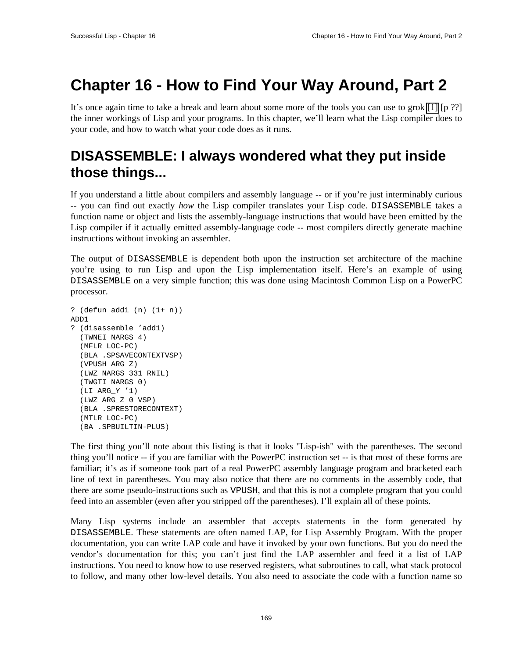## **Chapter 16 - How to Find Your Way Around, Part 2**

It's once again time to take a break and learn about some more of the tools you can use to grok [1] [p ??] the inner workings of Lisp and your programs. In this chapter, we'll learn what the Lisp compiler does to your code, and how to watch what your code does as it runs.

## **DISASSEMBLE: I always wondered what they put inside those things...**

If you understand a little about compilers and assembly language -- or if you're just interminably curious -- you can find out exactly *how* the Lisp compiler translates your Lisp code. DISASSEMBLE takes a function name or object and lists the assembly-language instructions that would have been emitted by the Lisp compiler if it actually emitted assembly-language code -- most compilers directly generate machine instructions without invoking an assembler.

The output of DISASSEMBLE is dependent both upon the instruction set architecture of the machine you're using to run Lisp and upon the Lisp implementation itself. Here's an example of using DISASSEMBLE on a very simple function; this was done using Macintosh Common Lisp on a PowerPC processor.

```
? (defun add1 (n) (1+ n))
ADD1
? (disassemble 'add1)
   (TWNEI NARGS 4)
   (MFLR LOC-PC)
   (BLA .SPSAVECONTEXTVSP)
   (VPUSH ARG_Z)
   (LWZ NARGS 331 RNIL)
   (TWGTI NARGS 0)
   (LI ARG_Y '1)
   (LWZ ARG_Z 0 VSP)
   (BLA .SPRESTORECONTEXT)
   (MTLR LOC-PC)
   (BA .SPBUILTIN-PLUS)
```
The first thing you'll note about this listing is that it looks "Lisp-ish" with the parentheses. The second thing you'll notice -- if you are familiar with the PowerPC instruction set -- is that most of these forms are familiar; it's as if someone took part of a real PowerPC assembly language program and bracketed each line of text in parentheses. You may also notice that there are no comments in the assembly code, that there are some pseudo-instructions such as VPUSH, and that this is not a complete program that you could feed into an assembler (even after you stripped off the parentheses). I'll explain all of these points.

Many Lisp systems include an assembler that accepts statements in the form generated by DISASSEMBLE. These statements are often named LAP, for Lisp Assembly Program. With the proper documentation, you can write LAP code and have it invoked by your own functions. But you do need the vendor's documentation for this; you can't just find the LAP assembler and feed it a list of LAP instructions. You need to know how to use reserved registers, what subroutines to call, what stack protocol to follow, and many other low-level details. You also need to associate the code with a function name so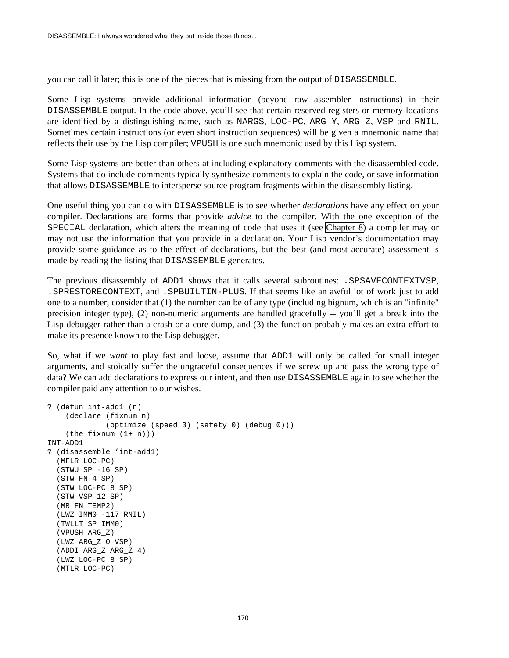you can call it later; this is one of the pieces that is missing from the output of DISASSEMBLE.

Some Lisp systems provide additional information (beyond raw assembler instructions) in their DISASSEMBLE output. In the code above, you'll see that certain reserved registers or memory locations are identified by a distinguishing name, such as NARGS, LOC-PC, ARG\_Y, ARG\_Z, VSP and RNIL. Sometimes certain instructions (or even short instruction sequences) will be given a mnemonic name that reflects their use by the Lisp compiler; VPUSH is one such mnemonic used by this Lisp system.

Some Lisp systems are better than others at including explanatory comments with the disassembled code. Systems that do include comments typically synthesize comments to explain the code, or save information that allows DISASSEMBLE to intersperse source program fragments within the disassembly listing.

One useful thing you can do with DISASSEMBLE is to see whether *declarations* have any effect on your compiler. Declarations are forms that provide *advice* to the compiler. With the one exception of the SPECIAL declaration, which alters the meaning of code that uses it (see [Chapter 8\)](#page-126-0) a compiler may or may not use the information that you provide in a declaration. Your Lisp vendor's documentation may provide some guidance as to the effect of declarations, but the best (and most accurate) assessment is made by reading the listing that DISASSEMBLE generates.

The previous disassembly of ADD1 shows that it calls several subroutines: .SPSAVECONTEXTVSP, .SPRESTORECONTEXT, and .SPBUILTIN-PLUS. If that seems like an awful lot of work just to add one to a number, consider that (1) the number can be of any type (including bignum, which is an "infinite" precision integer type), (2) non-numeric arguments are handled gracefully -- you'll get a break into the Lisp debugger rather than a crash or a core dump, and (3) the function probably makes an extra effort to make its presence known to the Lisp debugger.

So, what if we *want* to play fast and loose, assume that ADD1 will only be called for small integer arguments, and stoically suffer the ungraceful consequences if we screw up and pass the wrong type of data? We can add declarations to express our intent, and then use DISASSEMBLE again to see whether the compiler paid any attention to our wishes.

```
? (defun int-add1 (n)
     (declare (fixnum n)
              (optimize (speed 3) (safety 0) (debug 0)))
     (the fixnum (1+ n)))
INT-ADD1
? (disassemble 'int-add1)
   (MFLR LOC-PC)
   (STWU SP -16 SP)
   (STW FN 4 SP)
   (STW LOC-PC 8 SP)
   (STW VSP 12 SP)
   (MR FN TEMP2)
   (LWZ IMM0 -117 RNIL)
   (TWLLT SP IMM0)
   (VPUSH ARG_Z)
   (LWZ ARG_Z 0 VSP)
   (ADDI ARG_Z ARG_Z 4)
   (LWZ LOC-PC 8 SP)
   (MTLR LOC-PC)
```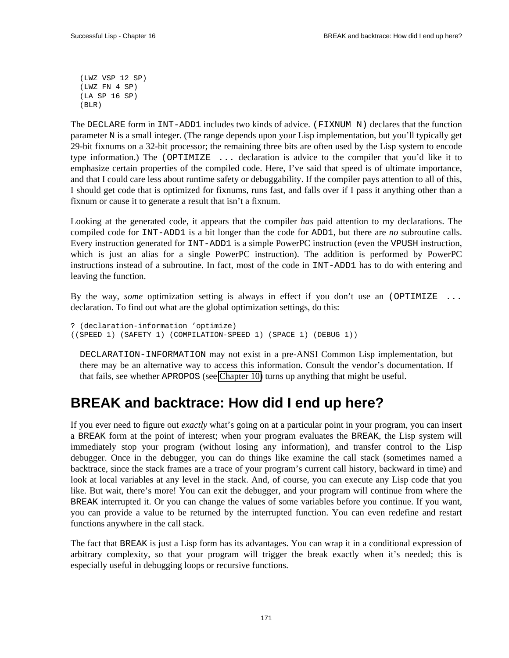(LWZ VSP 12 SP) (LWZ FN 4 SP) (LA SP 16 SP) (BLR)

The DECLARE form in INT-ADD1 includes two kinds of advice. (FIXNUM N) declares that the function parameter N is a small integer. (The range depends upon your Lisp implementation, but you'll typically get 29-bit fixnums on a 32-bit processor; the remaining three bits are often used by the Lisp system to encode type information.) The (OPTIMIZE ... declaration is advice to the compiler that you'd like it to emphasize certain properties of the compiled code. Here, I've said that speed is of ultimate importance, and that I could care less about runtime safety or debuggability. If the compiler pays attention to all of this, I should get code that is optimized for fixnums, runs fast, and falls over if I pass it anything other than a fixnum or cause it to generate a result that isn't a fixnum.

Looking at the generated code, it appears that the compiler *has* paid attention to my declarations. The compiled code for INT-ADD1 is a bit longer than the code for ADD1, but there are *no* subroutine calls. Every instruction generated for INT-ADD1 is a simple PowerPC instruction (even the VPUSH instruction, which is just an alias for a single PowerPC instruction). The addition is performed by PowerPC instructions instead of a subroutine. In fact, most of the code in INT-ADD1 has to do with entering and leaving the function.

By the way, *some* optimization setting is always in effect if you don't use an (OPTIMIZE ... declaration. To find out what are the global optimization settings, do this:

```
? (declaration-information 'optimize)
((SPEED 1) (SAFETY 1) (COMPILATION-SPEED 1) (SPACE 1) (DEBUG 1))
```
DECLARATION-INFORMATION may not exist in a pre-ANSI Common Lisp implementation, but there may be an alternative way to access this information. Consult the vendor's documentation. If that fails, see whether APROPOS (see [Chapter 10\)](#page-132-0) turns up anything that might be useful.

### **BREAK and backtrace: How did I end up here?**

If you ever need to figure out *exactly* what's going on at a particular point in your program, you can insert a BREAK form at the point of interest; when your program evaluates the BREAK, the Lisp system will immediately stop your program (without losing any information), and transfer control to the Lisp debugger. Once in the debugger, you can do things like examine the call stack (sometimes named a backtrace, since the stack frames are a trace of your program's current call history, backward in time) and look at local variables at any level in the stack. And, of course, you can execute any Lisp code that you like. But wait, there's more! You can exit the debugger, and your program will continue from where the BREAK interrupted it. Or you can change the values of some variables before you continue. If you want, you can provide a value to be returned by the interrupted function. You can even redefine and restart functions anywhere in the call stack.

The fact that BREAK is just a Lisp form has its advantages. You can wrap it in a conditional expression of arbitrary complexity, so that your program will trigger the break exactly when it's needed; this is especially useful in debugging loops or recursive functions.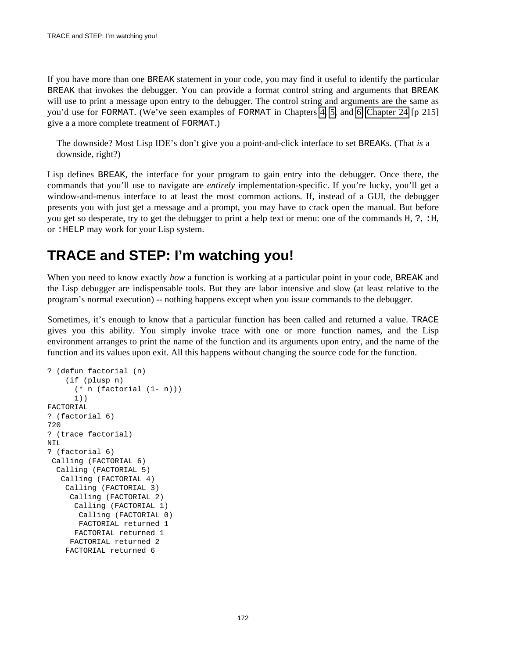If you have more than one BREAK statement in your code, you may find it useful to identify the particular BREAK that invokes the debugger. You can provide a format control string and arguments that BREAK will use to print a message upon entry to the debugger. The control string and arguments are the same as you'd use for FORMAT. (We've seen examples of FORMAT in Chapters [4,](#page-83-0) [5,](#page-107-0) and [6.](#page-111-0) [Chapter 24](#page-214-0) [p 215] give a a more complete treatment of FORMAT.)

The downside? Most Lisp IDE's don't give you a point-and-click interface to set BREAKs. (That *is* a downside, right?)

Lisp defines BREAK, the interface for your program to gain entry into the debugger. Once there, the commands that you'll use to navigate are *entirely* implementation-specific. If you're lucky, you'll get a window-and-menus interface to at least the most common actions. If, instead of a GUI, the debugger presents you with just get a message and a prompt, you may have to crack open the manual. But before you get so desperate, try to get the debugger to print a help text or menu: one of the commands H, ?, :H, or :HELP may work for your Lisp system.

## **TRACE and STEP: I'm watching you!**

When you need to know exactly *how* a function is working at a particular point in your code, BREAK and the Lisp debugger are indispensable tools. But they are labor intensive and slow (at least relative to the program's normal execution) -- nothing happens except when you issue commands to the debugger.

Sometimes, it's enough to know that a particular function has been called and returned a value. TRACE gives you this ability. You simply invoke trace with one or more function names, and the Lisp environment arranges to print the name of the function and its arguments upon entry, and the name of the function and its values upon exit. All this happens without changing the source code for the function.

```
? (defun factorial (n)
     (if (plusp n)
       (* n (factorial (1- n)))
       1))
FACTORIAL
? (factorial 6)
720
? (trace factorial)
NTT.
? (factorial 6)
 Calling (FACTORIAL 6) 
   Calling (FACTORIAL 5) 
    Calling (FACTORIAL 4) 
     Calling (FACTORIAL 3) 
      Calling (FACTORIAL 2) 
       Calling (FACTORIAL 1) 
        Calling (FACTORIAL 0) 
       FACTORIAL returned 1
       FACTORIAL returned 1
      FACTORIAL returned 2
     FACTORIAL returned 6
```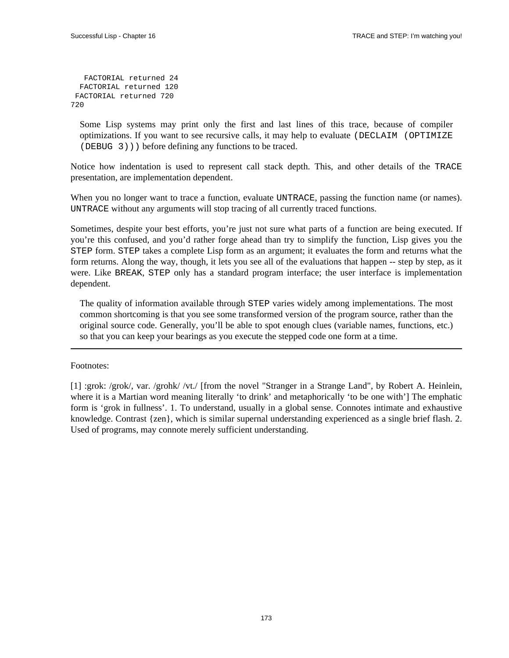```
 FACTORIAL returned 24
  FACTORIAL returned 120
 FACTORIAL returned 720
720
```
Some Lisp systems may print only the first and last lines of this trace, because of compiler optimizations. If you want to see recursive calls, it may help to evaluate (DECLAIM (OPTIMIZE (DEBUG 3))) before defining any functions to be traced.

Notice how indentation is used to represent call stack depth. This, and other details of the TRACE presentation, are implementation dependent.

When you no longer want to trace a function, evaluate UNTRACE, passing the function name (or names). UNTRACE without any arguments will stop tracing of all currently traced functions.

Sometimes, despite your best efforts, you're just not sure what parts of a function are being executed. If you're this confused, and you'd rather forge ahead than try to simplify the function, Lisp gives you the STEP form. STEP takes a complete Lisp form as an argument; it evaluates the form and returns what the form returns. Along the way, though, it lets you see all of the evaluations that happen -- step by step, as it were. Like BREAK, STEP only has a standard program interface; the user interface is implementation dependent.

The quality of information available through STEP varies widely among implementations. The most common shortcoming is that you see some transformed version of the program source, rather than the original source code. Generally, you'll be able to spot enough clues (variable names, functions, etc.) so that you can keep your bearings as you execute the stepped code one form at a time.

Footnotes:

[1] :grok: /grok/, var. /grohk/ /vt./ [from the novel "Stranger in a Strange Land", by Robert A. Heinlein, where it is a Martian word meaning literally 'to drink' and metaphorically 'to be one with'] The emphatic form is 'grok in fullness'. 1. To understand, usually in a global sense. Connotes intimate and exhaustive knowledge. Contrast {zen}, which is similar supernal understanding experienced as a single brief flash. 2. Used of programs, may connote merely sufficient understanding.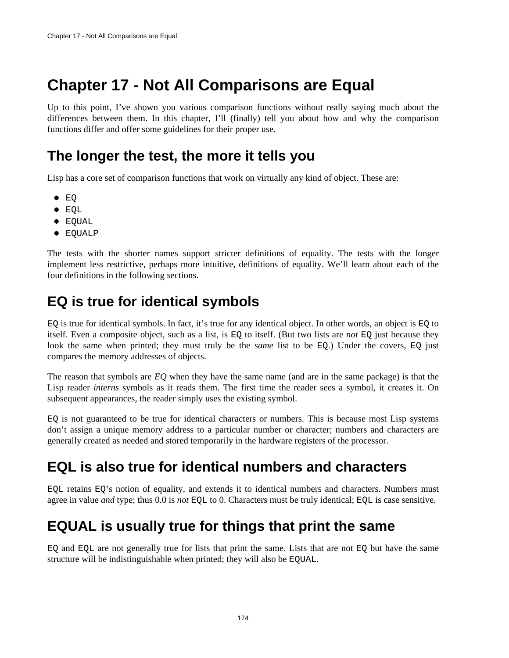# <span id="page-173-0"></span>**Chapter 17 - Not All Comparisons are Equal**

Up to this point, I've shown you various comparison functions without really saying much about the differences between them. In this chapter, I'll (finally) tell you about how and why the comparison functions differ and offer some guidelines for their proper use.

### **The longer the test, the more it tells you**

Lisp has a core set of comparison functions that work on virtually any kind of object. These are:

- $\bullet$  EQ
- $\bullet$  EQL
- EQUAL
- $\bullet$  EQUALP

The tests with the shorter names support stricter definitions of equality. The tests with the longer implement less restrictive, perhaps more intuitive, definitions of equality. We'll learn about each of the four definitions in the following sections.

## **EQ is true for identical symbols**

EQ is true for identical symbols. In fact, it's true for any identical object. In other words, an object is EQ to itself. Even a composite object, such as a list, is EQ to itself. (But two lists are *not* EQ just because they look the same when printed; they must truly be the *same* list to be EQ.) Under the covers, EQ just compares the memory addresses of objects.

The reason that symbols are *EQ* when they have the same name (and are in the same package) is that the Lisp reader *interns* symbols as it reads them. The first time the reader sees a symbol, it creates it. On subsequent appearances, the reader simply uses the existing symbol.

EQ is not guaranteed to be true for identical characters or numbers. This is because most Lisp systems don't assign a unique memory address to a particular number or character; numbers and characters are generally created as needed and stored temporarily in the hardware registers of the processor.

## **EQL is also true for identical numbers and characters**

EQL retains EQ's notion of equality, and extends it to identical numbers and characters. Numbers must agree in value *and* type; thus 0.0 is *not* EQL to 0. Characters must be truly identical; EQL is case sensitive.

### **EQUAL is usually true for things that print the same**

EQ and EQL are not generally true for lists that print the same. Lists that are not EQ but have the same structure will be indistinguishable when printed; they will also be EQUAL.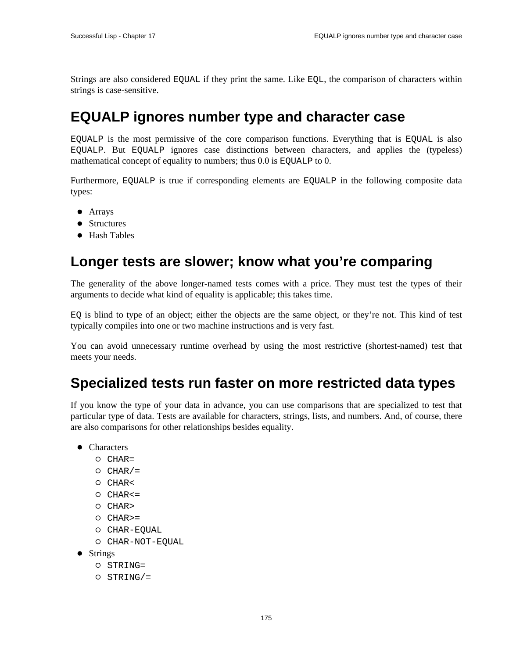Strings are also considered EQUAL if they print the same. Like EQL, the comparison of characters within strings is case-sensitive.

## **EQUALP ignores number type and character case**

EQUALP is the most permissive of the core comparison functions. Everything that is EQUAL is also EQUALP. But EQUALP ignores case distinctions between characters, and applies the (typeless) mathematical concept of equality to numbers; thus 0.0 is EQUALP to 0.

Furthermore, EQUALP is true if corresponding elements are EQUALP in the following composite data types:

- Arrays
- Structures
- Hash Tables

### **Longer tests are slower; know what you're comparing**

The generality of the above longer-named tests comes with a price. They must test the types of their arguments to decide what kind of equality is applicable; this takes time.

 $EQ$  is blind to type of an object; either the objects are the same object, or they're not. This kind of test typically compiles into one or two machine instructions and is very fast.

You can avoid unnecessary runtime overhead by using the most restrictive (shortest-named) test that meets your needs.

### **Specialized tests run faster on more restricted data types**

If you know the type of your data in advance, you can use comparisons that are specialized to test that particular type of data. Tests are available for characters, strings, lists, and numbers. And, of course, there are also comparisons for other relationships besides equality.

```
• Characters
```
- CHAR=
- $O$  CHAR/=
- O CHAR<
- $O$  CHAR $\leq$
- O CHAR>
- $O$  CHAR $>=$
- O CHAR-EQUAL
- CHAR-NOT-EQUAL
- Strings
	- STRING=
	- $O$  STRING/=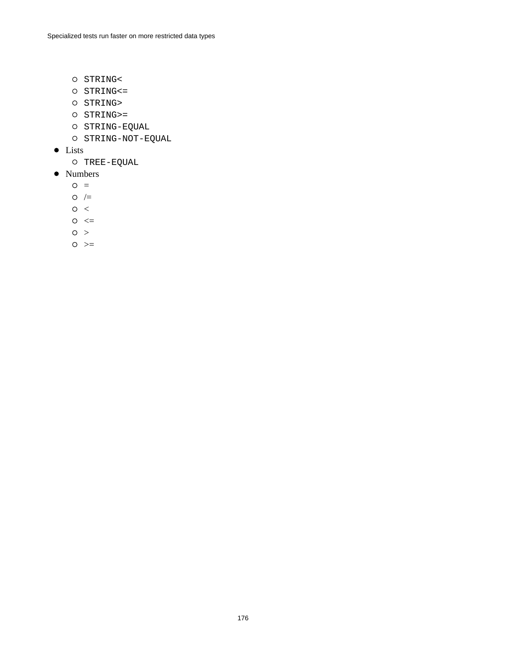- O STRING<
- O STRING<=
- O STRING>
- O STRING>=
- O STRING-EQUAL
- O STRING-NOT-EQUAL
- Lists
- O TREE-EQUAL
- Numbers
	- $O =$
	- $\circ$  /=
	- $\circ$   $\ \ \, <$
	- $\circ$   $\leq$
	- $\circ$  >
	- $\circ$   $>=$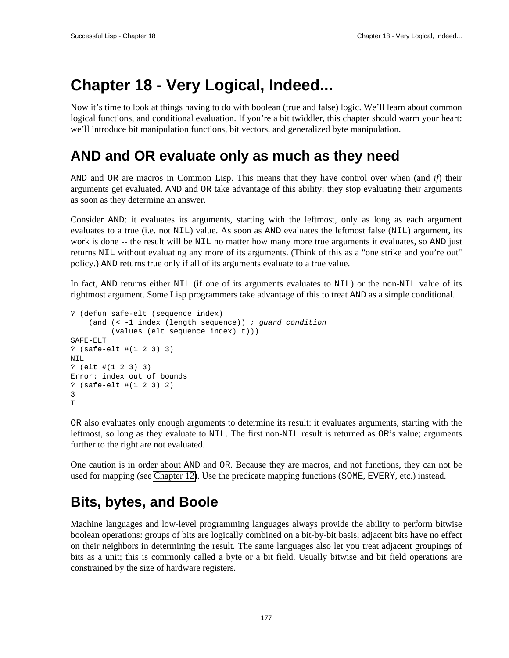## **Chapter 18 - Very Logical, Indeed...**

Now it's time to look at things having to do with boolean (true and false) logic. We'll learn about common logical functions, and conditional evaluation. If you're a bit twiddler, this chapter should warm your heart: we'll introduce bit manipulation functions, bit vectors, and generalized byte manipulation.

### **AND and OR evaluate only as much as they need**

AND and OR are macros in Common Lisp. This means that they have control over when (and *if*) their arguments get evaluated. AND and OR take advantage of this ability: they stop evaluating their arguments as soon as they determine an answer.

Consider AND: it evaluates its arguments, starting with the leftmost, only as long as each argument evaluates to a true (i.e. not NIL) value. As soon as AND evaluates the leftmost false (NIL) argument, its work is done -- the result will be NIL no matter how many more true arguments it evaluates, so AND just returns NIL without evaluating any more of its arguments. (Think of this as a "one strike and you're out" policy.) AND returns true only if all of its arguments evaluate to a true value.

In fact, AND returns either NIL (if one of its arguments evaluates to NIL) or the non-NIL value of its rightmost argument. Some Lisp programmers take advantage of this to treat AND as a simple conditional.

```
? (defun safe-elt (sequence index)
     (and (< -1 index (length sequence)) ; guard condition
          (values (elt sequence index) t)))
SAFE-ELT
? (safe-elt #(1 2 3) 3)
NTT.
? (elt #(1 2 3) 3)
Error: index out of bounds
? (safe-elt #(1 2 3) 2)
3
T
```
OR also evaluates only enough arguments to determine its result: it evaluates arguments, starting with the leftmost, so long as they evaluate to NIL. The first non-NIL result is returned as OR's value; arguments further to the right are not evaluated.

One caution is in order about AND and OR. Because they are macros, and not functions, they can not be used for mapping (see [Chapter 12\)](#page-143-0). Use the predicate mapping functions (SOME, EVERY, etc.) instead.

## **Bits, bytes, and Boole**

Machine languages and low-level programming languages always provide the ability to perform bitwise boolean operations: groups of bits are logically combined on a bit-by-bit basis; adjacent bits have no effect on their neighbors in determining the result. The same languages also let you treat adjacent groupings of bits as a unit; this is commonly called a byte or a bit field. Usually bitwise and bit field operations are constrained by the size of hardware registers.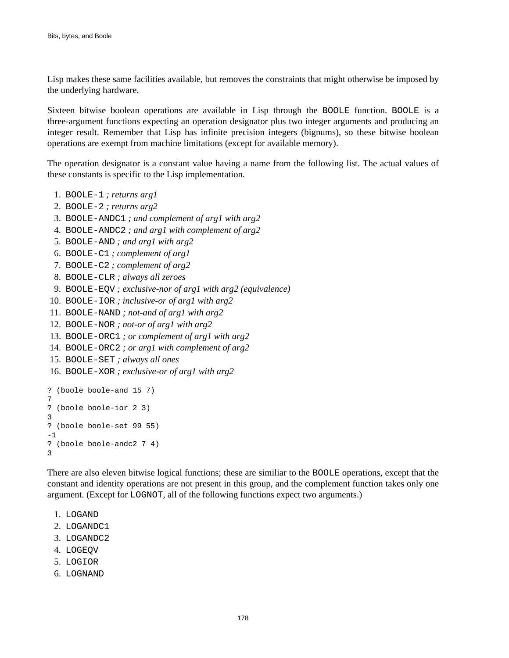Lisp makes these same facilities available, but removes the constraints that might otherwise be imposed by the underlying hardware.

Sixteen bitwise boolean operations are available in Lisp through the BOOLE function. BOOLE is a three-argument functions expecting an operation designator plus two integer arguments and producing an integer result. Remember that Lisp has infinite precision integers (bignums), so these bitwise boolean operations are exempt from machine limitations (except for available memory).

The operation designator is a constant value having a name from the following list. The actual values of these constants is specific to the Lisp implementation.

- 1. BOOLE-1 *; returns arg1*
- 2. BOOLE-2 *; returns arg2*
- 3. BOOLE-ANDC1 *; and complement of arg1 with arg2*
- 4. BOOLE-ANDC2 *; and arg1 with complement of arg2*
- 5. BOOLE-AND *; and arg1 with arg2*
- 6. BOOLE-C1 *; complement of arg1*
- 7. BOOLE-C2 *; complement of arg2*
- 8. BOOLE-CLR *; always all zeroes*
- 9. BOOLE-EQV *; exclusive-nor of arg1 with arg2 (equivalence)*
- 10. BOOLE-IOR *; inclusive-or of arg1 with arg2*
- 11. BOOLE-NAND *; not-and of arg1 with arg2*
- 12. BOOLE-NOR *; not-or of arg1 with arg2*
- 13. BOOLE-ORC1 *; or complement of arg1 with arg2*
- 14. BOOLE-ORC2 *; or arg1 with complement of arg2*
- 15. BOOLE-SET *; always all ones*
- 16. BOOLE-XOR *; exclusive-or of arg1 with arg2*

```
? (boole boole-and 15 7)
7
? (boole boole-ior 2 3)
3
? (boole boole-set 99 55)
-1
? (boole boole-andc2 7 4)
3
```
There are also eleven bitwise logical functions; these are similiar to the BOOLE operations, except that the constant and identity operations are not present in this group, and the complement function takes only one argument. (Except for LOGNOT, all of the following functions expect two arguments.)

- 1. LOGAND
- 2. LOGANDC1
- 3. LOGANDC2
- 4. LOGEQV
- 5. LOGIOR
- 6. LOGNAND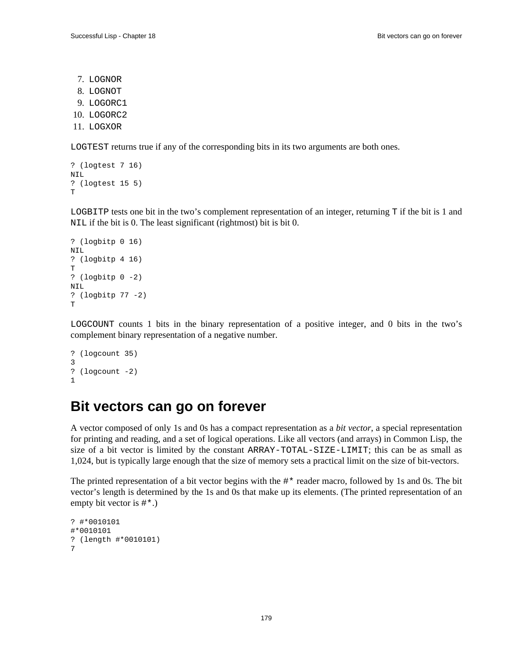- 7. LOGNOR
- 8. LOGNOT
- 9. LOGORC1
- 10. LOGORC2
- 11. LOGXOR

LOGTEST returns true if any of the corresponding bits in its two arguments are both ones.

```
? (logtest 7 16)
NIL
? (logtest 15 5)
T
```
LOGBITP tests one bit in the two's complement representation of an integer, returning T if the bit is 1 and NIL if the bit is 0. The least significant (rightmost) bit is bit 0.

```
? (logbitp 0 16)
NIL
? (logbitp 4 16)
T
? (logbitp 0 -2)
NTT.
? (logbitp 77 -2)
T
```
LOGCOUNT counts 1 bits in the binary representation of a positive integer, and 0 bits in the two's complement binary representation of a negative number.

```
? (logcount 35)
3
? (logcount -2)1
```
### **Bit vectors can go on forever**

A vector composed of only 1s and 0s has a compact representation as a *bit vector*, a special representation for printing and reading, and a set of logical operations. Like all vectors (and arrays) in Common Lisp, the size of a bit vector is limited by the constant ARRAY-TOTAL-SIZE-LIMIT; this can be as small as 1,024, but is typically large enough that the size of memory sets a practical limit on the size of bit-vectors.

The printed representation of a bit vector begins with the  $\#^*$  reader macro, followed by 1s and 0s. The bit vector's length is determined by the 1s and 0s that make up its elements. (The printed representation of an empty bit vector is #\*.)

```
? #*0010101
#*0010101
? (length #*0010101)
7
```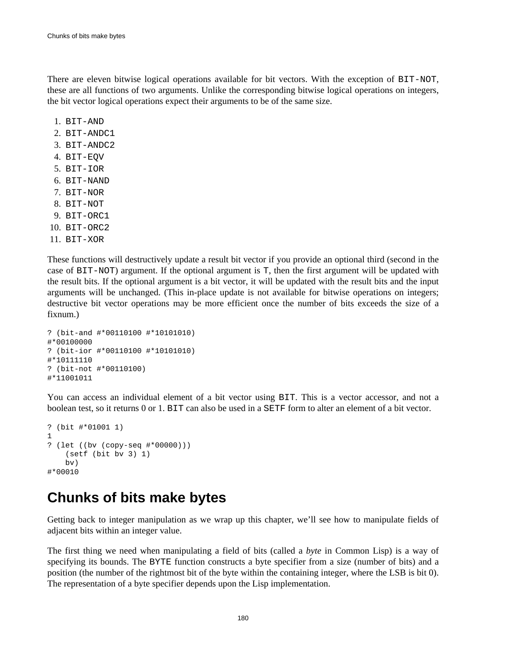There are eleven bitwise logical operations available for bit vectors. With the exception of BIT-NOT, these are all functions of two arguments. Unlike the corresponding bitwise logical operations on integers, the bit vector logical operations expect their arguments to be of the same size.

- 1. BIT-AND
- 2. BIT-ANDC1
- 3. BIT-ANDC2
- 4. BIT-EQV
- 5. BIT-IOR
- 6. BIT-NAND
- 7. BIT-NOR
- 8. BIT-NOT
- 9. BIT-ORC1
- 10. BIT-ORC2
- 11. BIT-XOR

These functions will destructively update a result bit vector if you provide an optional third (second in the case of BIT-NOT) argument. If the optional argument is T, then the first argument will be updated with the result bits. If the optional argument is a bit vector, it will be updated with the result bits and the input arguments will be unchanged. (This in-place update is not available for bitwise operations on integers; destructive bit vector operations may be more efficient once the number of bits exceeds the size of a fixnum.)

```
? (bit-and #*00110100 #*10101010)
#*00100000
? (bit-ior #*00110100 #*10101010)
#*10111110
? (bit-not #*00110100)
#*11001011
```
You can access an individual element of a bit vector using BIT. This is a vector accessor, and not a boolean test, so it returns 0 or 1. BIT can also be used in a SETF form to alter an element of a bit vector.

```
? (bit #*01001 1)
1
? (let ((bv (copy-seq #*00000)))
     (setf (bit bv 3) 1)
     bv)
#*00010
```
## **Chunks of bits make bytes**

Getting back to integer manipulation as we wrap up this chapter, we'll see how to manipulate fields of adjacent bits within an integer value.

The first thing we need when manipulating a field of bits (called a *byte* in Common Lisp) is a way of specifying its bounds. The BYTE function constructs a byte specifier from a size (number of bits) and a position (the number of the rightmost bit of the byte within the containing integer, where the LSB is bit 0). The representation of a byte specifier depends upon the Lisp implementation.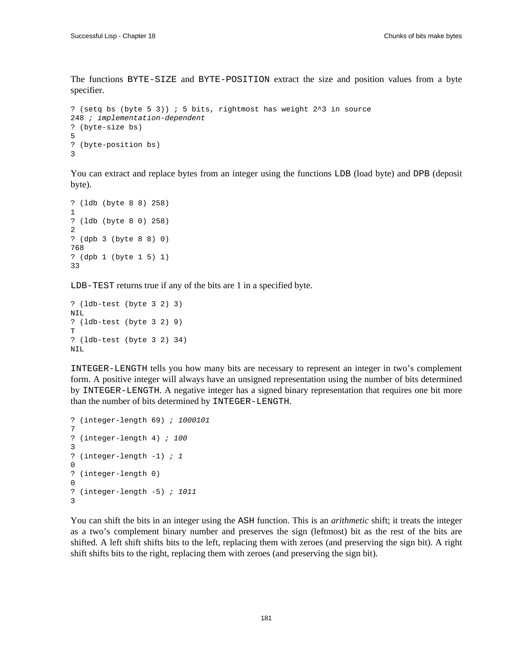The functions BYTE-SIZE and BYTE-POSITION extract the size and position values from a byte specifier.

```
? (setq bs (byte 5 3)) ; 5 bits, rightmost has weight 2^3 in source 
248 ; implementation-dependent
? (byte-size bs)
5
? (byte-position bs)
3
```
You can extract and replace bytes from an integer using the functions LDB (load byte) and DPB (deposit byte).

```
? (ldb (byte 8 8) 258)
1
? (ldb (byte 8 0) 258)
2
? (dpb 3 (byte 8 8) 0)
768
? (dpb 1 (byte 1 5) 1)
33
```
LDB-TEST returns true if any of the bits are 1 in a specified byte.

```
? (ldb-test (byte 3 2) 3)
NIL
? (ldb-test (byte 3 2) 9)
T
? (ldb-test (byte 3 2) 34)
NIL
```
INTEGER-LENGTH tells you how many bits are necessary to represent an integer in two's complement form. A positive integer will always have an unsigned representation using the number of bits determined by INTEGER-LENGTH. A negative integer has a signed binary representation that requires one bit more than the number of bits determined by INTEGER-LENGTH.

```
? (integer-length 69) ; 1000101
7
? (integer-length 4) ; 100
3
? (integer-length -1) ; 1
\Omega? (integer-length 0)
0
? (integer-length -5) ; 1011
3
```
You can shift the bits in an integer using the ASH function. This is an *arithmetic* shift; it treats the integer as a two's complement binary number and preserves the sign (leftmost) bit as the rest of the bits are shifted. A left shift shifts bits to the left, replacing them with zeroes (and preserving the sign bit). A right shift shifts bits to the right, replacing them with zeroes (and preserving the sign bit).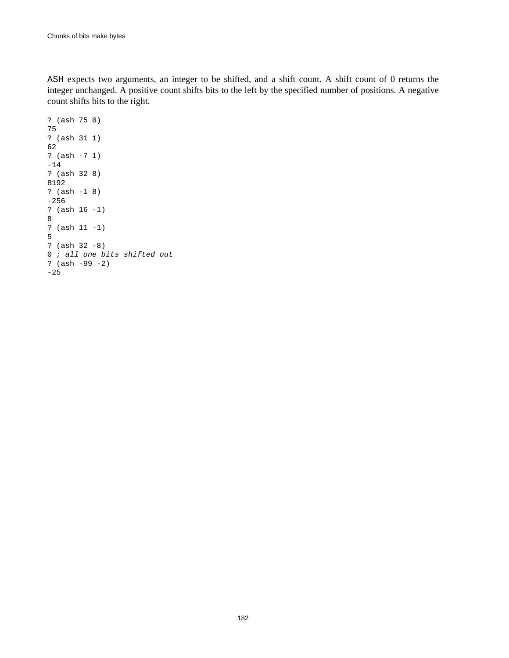ASH expects two arguments, an integer to be shifted, and a shift count. A shift count of 0 returns the integer unchanged. A positive count shifts bits to the left by the specified number of positions. A negative count shifts bits to the right.

```
? (ash 75 0)
75
? (ash 31 1)
62
? (ash -7 1)
-14
? (ash 32 8)
8192
? (ash -1 8)
-256
? (ash 16 -1)
8
? (ash 11 -1)
5
? (ash 32 -8)
0 ; all one bits shifted out
? (ash -99 -2)
-25
```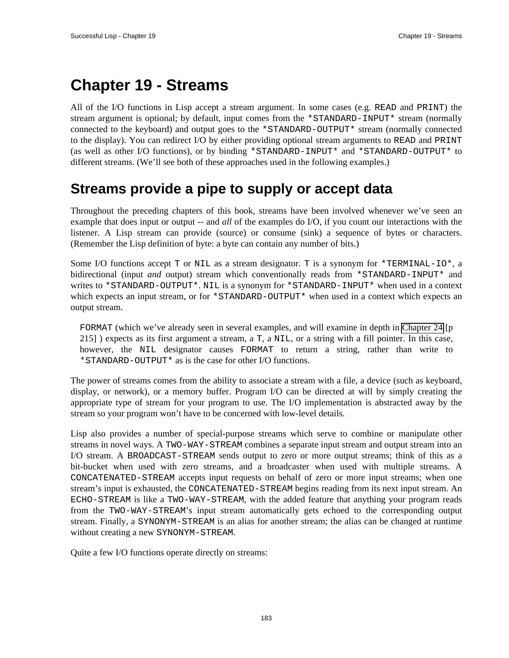# <span id="page-182-0"></span>**Chapter 19 - Streams**

All of the I/O functions in Lisp accept a stream argument. In some cases (e.g. READ and PRINT) the stream argument is optional; by default, input comes from the \*STANDARD-INPUT\* stream (normally connected to the keyboard) and output goes to the \*STANDARD-OUTPUT\* stream (normally connected to the display). You can redirect I/O by either providing optional stream arguments to READ and PRINT (as well as other I/O functions), or by binding \*STANDARD-INPUT\* and \*STANDARD-OUTPUT\* to different streams. (We'll see both of these approaches used in the following examples.)

#### **Streams provide a pipe to supply or accept data**

Throughout the preceding chapters of this book, streams have been involved whenever we've seen an example that does input or output -- and *all* of the examples do I/O, if you count our interactions with the listener. A Lisp stream can provide (source) or consume (sink) a sequence of bytes or characters. (Remember the Lisp definition of byte: a byte can contain any number of bits.)

Some I/O functions accept T or NIL as a stream designator. T is a synonym for  $*TERMINAL-IO*, a$ bidirectional (input *and* output) stream which conventionally reads from \*STANDARD-INPUT\* and writes to \*STANDARD-OUTPUT\*. NIL is a synonym for \*STANDARD-INPUT\* when used in a context which expects an input stream, or for \*STANDARD-OUTPUT\* when used in a context which expects an output stream.

FORMAT (which we've already seen in several examples, and will examine in depth in [Chapter 24](#page-214-0) [p 215] ) expects as its first argument a stream, a T, a NIL, or a string with a fill pointer. In this case, however, the NIL designator causes FORMAT to return a string, rather than write to \*STANDARD-OUTPUT\* as is the case for other I/O functions.

The power of streams comes from the ability to associate a stream with a file, a device (such as keyboard, display, or network), or a memory buffer. Program I/O can be directed at will by simply creating the appropriate type of stream for your program to use. The I/O implementation is abstracted away by the stream so your program won't have to be concerned with low-level details.

Lisp also provides a number of special-purpose streams which serve to combine or manipulate other streams in novel ways. A TWO-WAY-STREAM combines a separate input stream and output stream into an I/O stream. A BROADCAST-STREAM sends output to zero or more output streams; think of this as a bit-bucket when used with zero streams, and a broadcaster when used with multiple streams. A CONCATENATED-STREAM accepts input requests on behalf of zero or more input streams; when one stream's input is exhausted, the CONCATENATED-STREAM begins reading from its next input stream. An ECHO-STREAM is like a TWO-WAY-STREAM, with the added feature that anything your program reads from the TWO-WAY-STREAM's input stream automatically gets echoed to the corresponding output stream. Finally, a SYNONYM-STREAM is an alias for another stream; the alias can be changed at runtime without creating a new SYNONYM-STREAM.

Quite a few I/O functions operate directly on streams: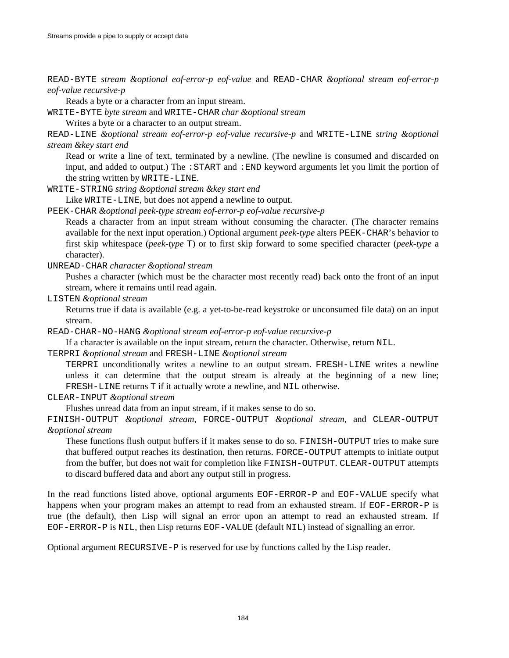READ-BYTE *stream &optional eof-error-p eof-value* and READ-CHAR *&optional stream eof-error-p eof-value recursive-p*

Reads a byte or a character from an input stream.

WRITE-BYTE *byte stream* and WRITE-CHAR *char &optional stream*

Writes a byte or a character to an output stream.

READ-LINE *&optional stream eof-error-p eof-value recursive-p* and WRITE-LINE *string &optional stream &key start end*

Read or write a line of text, terminated by a newline. (The newline is consumed and discarded on input, and added to output.) The :START and :END keyword arguments let you limit the portion of the string written by WRITE-LINE.

WRITE-STRING *string &optional stream &key start end*

Like WRITE-LINE, but does not append a newline to output.

PEEK-CHAR *&optional peek-type stream eof-error-p eof-value recursive-p*

Reads a character from an input stream without consuming the character. (The character remains available for the next input operation.) Optional argument *peek-type* alters PEEK-CHAR's behavior to first skip whitespace (*peek-type* T) or to first skip forward to some specified character (*peek-type* a character).

UNREAD-CHAR *character &optional stream*

Pushes a character (which must be the character most recently read) back onto the front of an input stream, where it remains until read again.

LISTEN *&optional stream*

Returns true if data is available (e.g. a yet-to-be-read keystroke or unconsumed file data) on an input stream.

READ-CHAR-NO-HANG *&optional stream eof-error-p eof-value recursive-p*

If a character is available on the input stream, return the character. Otherwise, return NIL.

#### TERPRI *&optional stream* and FRESH-LINE *&optional stream*

TERPRI unconditionally writes a newline to an output stream. FRESH-LINE writes a newline unless it can determine that the output stream is already at the beginning of a new line; FRESH-LINE returns T if it actually wrote a newline, and NIL otherwise.

CLEAR-INPUT *&optional stream*

Flushes unread data from an input stream, if it makes sense to do so.

FINISH-OUTPUT *&optional stream*, FORCE-OUTPUT *&optional stream*, and CLEAR-OUTPUT *&optional stream*

These functions flush output buffers if it makes sense to do so. FINISH-OUTPUT tries to make sure that buffered output reaches its destination, then returns. FORCE-OUTPUT attempts to initiate output from the buffer, but does not wait for completion like FINISH-OUTPUT. CLEAR-OUTPUT attempts to discard buffered data and abort any output still in progress.

In the read functions listed above, optional arguments EOF-ERROR-P and EOF-VALUE specify what happens when your program makes an attempt to read from an exhausted stream. If EOF-ERROR-P is true (the default), then Lisp will signal an error upon an attempt to read an exhausted stream. If EOF-ERROR-P is NIL, then Lisp returns EOF-VALUE (default NIL) instead of signalling an error.

Optional argument RECURSIVE-P is reserved for use by functions called by the Lisp reader.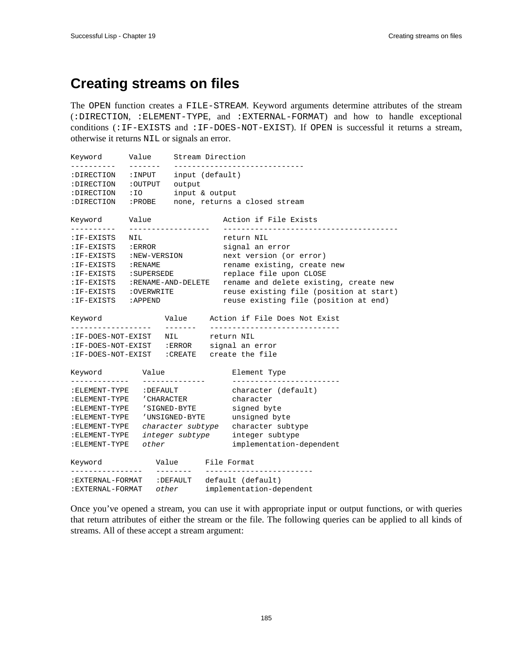#### **Creating streams on files**

The OPEN function creates a FILE-STREAM. Keyword arguments determine attributes of the stream (:DIRECTION, :ELEMENT-TYPE, and :EXTERNAL-FORMAT) and how to handle exceptional conditions (:IF-EXISTS and :IF-DOES-NOT-EXIST). If OPEN is successful it returns a stream, otherwise it returns NIL or signals an error.

| Keyword                                          | Value                         |                            | Stream Direction |                                                            |  |
|--------------------------------------------------|-------------------------------|----------------------------|------------------|------------------------------------------------------------|--|
| :DIRECTION : INPUT<br>:DIRECTION : OUTPUT output |                               | input (default)            |                  |                                                            |  |
| : DIRECTION                                      | :10                           | input & output             |                  |                                                            |  |
| :DIRECTION                                       | : PROBE                       |                            |                  | none, returns a closed stream                              |  |
| Keyword                                          | Value                         |                            |                  | Action if File Exists<br>--------------------------------- |  |
| :IF-EXISTS                                       | NIL                           |                            |                  | return NIL                                                 |  |
|                                                  | $:\tt IF-EXISTS$ $:\tt ERROR$ |                            |                  | signal an error                                            |  |
|                                                  |                               |                            |                  | next version (or error)                                    |  |
| :IF-EXISTS                                       | : RENAME                      |                            |                  | rename existing, create new                                |  |
| :IF-EXISTS : SUPERSEDE                           |                               |                            |                  | replace file upon CLOSE                                    |  |
|                                                  |                               |                            |                  | rename and delete existing, create new                     |  |
| $:F-EXISTS$ : OVERWRITE                          |                               |                            |                  | reuse existing file (position at start)                    |  |
| :IF-EXISTS :APPEND                               |                               |                            |                  | reuse existing file (position at end)                      |  |
| Keyword                                          |                               | Value                      |                  | Action if File Does Not Exist                              |  |
| ---------------<br>:IF-DOES-NOT-EXIST            |                               | --------<br>NIL <b>NIL</b> |                  | -------------------------------<br>return NIL              |  |
| :IF-DOES-NOT-EXIST :ERROR signal an error        |                               |                            |                  |                                                            |  |
|                                                  |                               |                            |                  | create the file                                            |  |
| Keyword                                          | Value                         |                            |                  | Element Type                                               |  |
| ----------<br>:ELEMENT-TYPE                      | : DEFAULT                     | . <u>.</u> .               |                  | -------------------------<br>character (default)           |  |
| :ELEMENT-TYPE                                    |                               | ' CHARACTER                |                  | character                                                  |  |
| :ELEMENT-TYPE                                    |                               | 'SIGNED-BYTE               |                  | signed byte                                                |  |
| 'UNSIGNED-BYTE<br>:ELEMENT-TYPE                  |                               |                            |                  | unsigned byte                                              |  |
| :ELEMENT-TYPE                                    |                               |                            |                  | character subtype character subtype                        |  |
| integer subtype<br>:ELEMENT-TYPE                 |                               |                            |                  | integer subtype                                            |  |
| :ELEMENT-TYPE                                    | other                         |                            |                  | implementation-dependent                                   |  |
| Keyword                                          |                               | Value File Format          |                  | ________________________                                   |  |
| ------------<br>:EXTERNAL-FORMAT :DEFAULT        |                               | --------                   |                  | default (default)                                          |  |
| other<br>:EXTERNAL-FORMAT                        |                               |                            |                  | implementation-dependent                                   |  |

Once you've opened a stream, you can use it with appropriate input or output functions, or with queries that return attributes of either the stream or the file. The following queries can be applied to all kinds of streams. All of these accept a stream argument: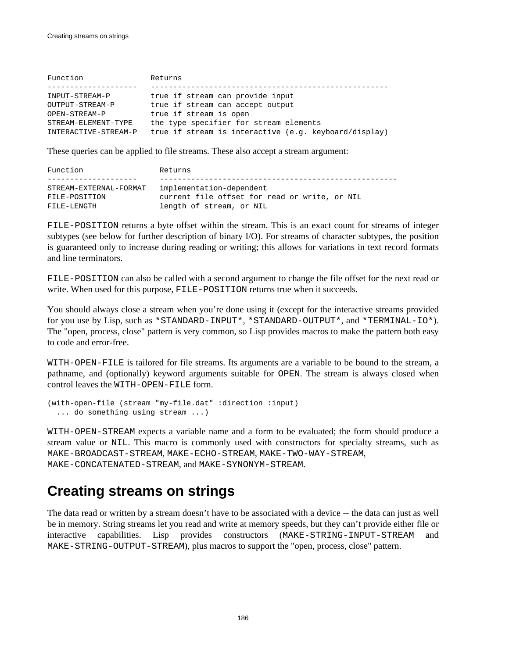| Function             | Returns                                               |
|----------------------|-------------------------------------------------------|
|                      |                                                       |
| INPUT-STREAM-P       | true if stream can provide input                      |
| OUTPUT-STREAM-P      | true if stream can accept output                      |
| OPEN-STREAM-P        | true if stream is open                                |
| STREAM-ELEMENT-TYPE  | the type specifier for stream elements                |
| INTERACTIVE-STREAM-P | true if stream is interactive (e.g. keyboard/display) |

These queries can be applied to file streams. These also accept a stream argument:

| Function               | Returns                                       |
|------------------------|-----------------------------------------------|
|                        |                                               |
| STREAM-EXTERNAL-FORMAT | implementation-dependent                      |
| FILE-POSITION          | current file offset for read or write, or NIL |
| FILE-LENGTH            | length of stream, or NIL                      |

FILE-POSITION returns a byte offset within the stream. This is an exact count for streams of integer subtypes (see below for further description of binary I/O). For streams of character subtypes, the position is guaranteed only to increase during reading or writing; this allows for variations in text record formats and line terminators.

FILE-POSITION can also be called with a second argument to change the file offset for the next read or write. When used for this purpose, FILE-POSITION returns true when it succeeds.

You should always close a stream when you're done using it (except for the interactive streams provided for you use by Lisp, such as \*STANDARD-INPUT\*, \*STANDARD-OUTPUT\*, and \*TERMINAL-IO\*). The "open, process, close" pattern is very common, so Lisp provides macros to make the pattern both easy to code and error-free.

WITH-OPEN-FILE is tailored for file streams. Its arguments are a variable to be bound to the stream, a pathname, and (optionally) keyword arguments suitable for OPEN. The stream is always closed when control leaves the WITH-OPEN-FILE form.

```
(with-open-file (stream "my-file.dat" :direction :input)
   ... do something using stream ...)
```
WITH-OPEN-STREAM expects a variable name and a form to be evaluated; the form should produce a stream value or NIL. This macro is commonly used with constructors for specialty streams, such as MAKE-BROADCAST-STREAM, MAKE-ECHO-STREAM, MAKE-TWO-WAY-STREAM, MAKE-CONCATENATED-STREAM, and MAKE-SYNONYM-STREAM.

#### **Creating streams on strings**

The data read or written by a stream doesn't have to be associated with a device -- the data can just as well be in memory. String streams let you read and write at memory speeds, but they can't provide either file or interactive capabilities. Lisp provides constructors (MAKE-STRING-INPUT-STREAM and MAKE-STRING-OUTPUT-STREAM), plus macros to support the "open, process, close" pattern.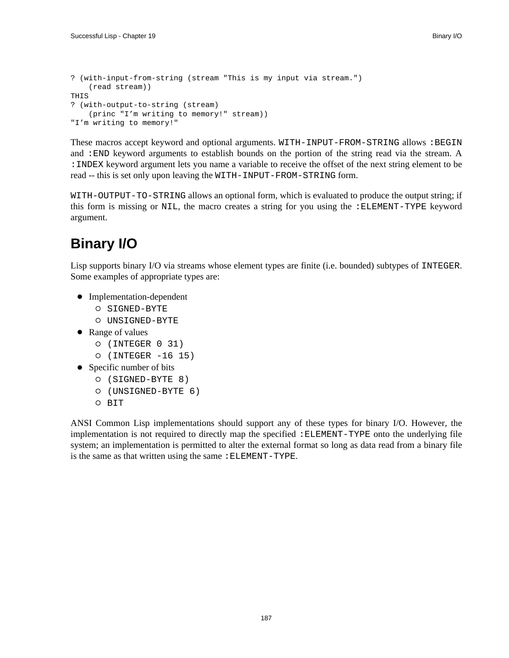```
? (with-input-from-string (stream "This is my input via stream.")
     (read stream))
THIS
? (with-output-to-string (stream)
     (princ "I'm writing to memory!" stream))
"I'm writing to memory!"
```
These macros accept keyword and optional arguments. WITH-INPUT-FROM-STRING allows :BEGIN and :END keyword arguments to establish bounds on the portion of the string read via the stream. A :INDEX keyword argument lets you name a variable to receive the offset of the next string element to be read -- this is set only upon leaving the WITH-INPUT-FROM-STRING form.

WITH-OUTPUT-TO-STRING allows an optional form, which is evaluated to produce the output string; if this form is missing or NIL, the macro creates a string for you using the :ELEMENT-TYPE keyword argument.

# **Binary I/O**

Lisp supports binary I/O via streams whose element types are finite (i.e. bounded) subtypes of INTEGER. Some examples of appropriate types are:

- Implementation-dependent
	- O SIGNED-BYTE
	- UNSIGNED-BYTE
- Range of values
	- (INTEGER 0 31)
	- (INTEGER -16 15)
- Specific number of bits
	- (SIGNED-BYTE 8)
	- (UNSIGNED-BYTE 6)
	- O BIT

ANSI Common Lisp implementations should support any of these types for binary I/O. However, the implementation is not required to directly map the specified :ELEMENT-TYPE onto the underlying file system; an implementation is permitted to alter the external format so long as data read from a binary file is the same as that written using the same :ELEMENT-TYPE.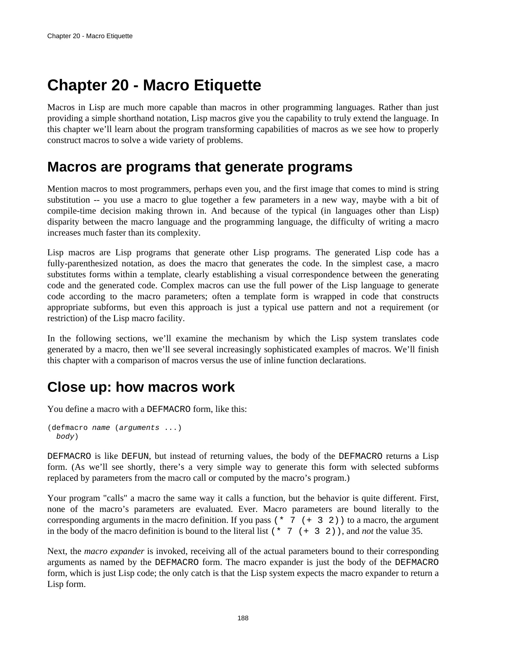# **Chapter 20 - Macro Etiquette**

Macros in Lisp are much more capable than macros in other programming languages. Rather than just providing a simple shorthand notation, Lisp macros give you the capability to truly extend the language. In this chapter we'll learn about the program transforming capabilities of macros as we see how to properly construct macros to solve a wide variety of problems.

#### **Macros are programs that generate programs**

Mention macros to most programmers, perhaps even you, and the first image that comes to mind is string substitution -- you use a macro to glue together a few parameters in a new way, maybe with a bit of compile-time decision making thrown in. And because of the typical (in languages other than Lisp) disparity between the macro language and the programming language, the difficulty of writing a macro increases much faster than its complexity.

Lisp macros are Lisp programs that generate other Lisp programs. The generated Lisp code has a fully-parenthesized notation, as does the macro that generates the code. In the simplest case, a macro substitutes forms within a template, clearly establishing a visual correspondence between the generating code and the generated code. Complex macros can use the full power of the Lisp language to generate code according to the macro parameters; often a template form is wrapped in code that constructs appropriate subforms, but even this approach is just a typical use pattern and not a requirement (or restriction) of the Lisp macro facility.

In the following sections, we'll examine the mechanism by which the Lisp system translates code generated by a macro, then we'll see several increasingly sophisticated examples of macros. We'll finish this chapter with a comparison of macros versus the use of inline function declarations.

# **Close up: how macros work**

You define a macro with a DEFMACRO form, like this:

```
(defmacro name (arguments ...)
   body)
```
DEFMACRO is like DEFUN, but instead of returning values, the body of the DEFMACRO returns a Lisp form. (As we'll see shortly, there's a very simple way to generate this form with selected subforms replaced by parameters from the macro call or computed by the macro's program.)

Your program "calls" a macro the same way it calls a function, but the behavior is quite different. First, none of the macro's parameters are evaluated. Ever. Macro parameters are bound literally to the corresponding arguments in the macro definition. If you pass  $(* 7 (+ 3 2))$  to a macro, the argument in the body of the macro definition is bound to the literal list  $(* 7 (+ 3 2))$ , and *not* the value 35.

Next, the *macro expander* is invoked, receiving all of the actual parameters bound to their corresponding arguments as named by the DEFMACRO form. The macro expander is just the body of the DEFMACRO form, which is just Lisp code; the only catch is that the Lisp system expects the macro expander to return a Lisp form.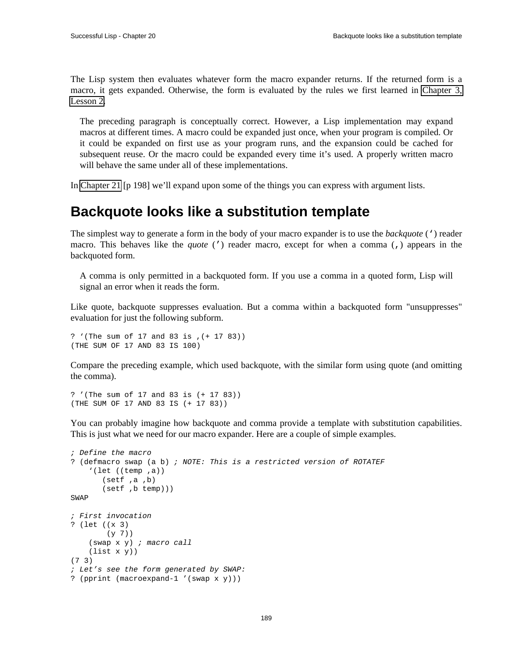The Lisp system then evaluates whatever form the macro expander returns. If the returned form is a macro, it gets expanded. Otherwise, the form is evaluated by the rules we first learned in [Chapter 3,](#page-40-0) [Lesson 2.](#page-40-0)

The preceding paragraph is conceptually correct. However, a Lisp implementation may expand macros at different times. A macro could be expanded just once, when your program is compiled. Or it could be expanded on first use as your program runs, and the expansion could be cached for subsequent reuse. Or the macro could be expanded every time it's used. A properly written macro will behave the same under all of these implementations.

In [Chapter 21](#page-197-0) [p 198] we'll expand upon some of the things you can express with argument lists.

#### **Backquote looks like a substitution template**

The simplest way to generate a form in the body of your macro expander is to use the *backquote* (') reader macro. This behaves like the *quote* (') reader macro, except for when a comma (,) appears in the backquoted form.

A comma is only permitted in a backquoted form. If you use a comma in a quoted form, Lisp will signal an error when it reads the form.

Like quote, backquote suppresses evaluation. But a comma within a backquoted form "unsuppresses" evaluation for just the following subform.

```
? '(The sum of 17 and 83 is ,(+ 17 83))
(THE SUM OF 17 AND 83 IS 100)
```
Compare the preceding example, which used backquote, with the similar form using quote (and omitting the comma).

? '(The sum of 17 and 83 is (+ 17 83)) (THE SUM OF 17 AND 83 IS (+ 17 83))

You can probably imagine how backquote and comma provide a template with substitution capabilities. This is just what we need for our macro expander. Here are a couple of simple examples.

```
; Define the macro
? (defmacro swap (a b) ; NOTE: This is a restricted version of ROTATEF
     '(let ((temp ,a))
        (setf ,a ,b)
        (setf ,b temp)))
SWAP
; First invocation
? (let ((x 3)
         (y 7))
     (swap x y) ; macro call
     (list x y))
(7 3)
; Let's see the form generated by SWAP:
? (pprint (macroexpand-1 '(swap x y)))
```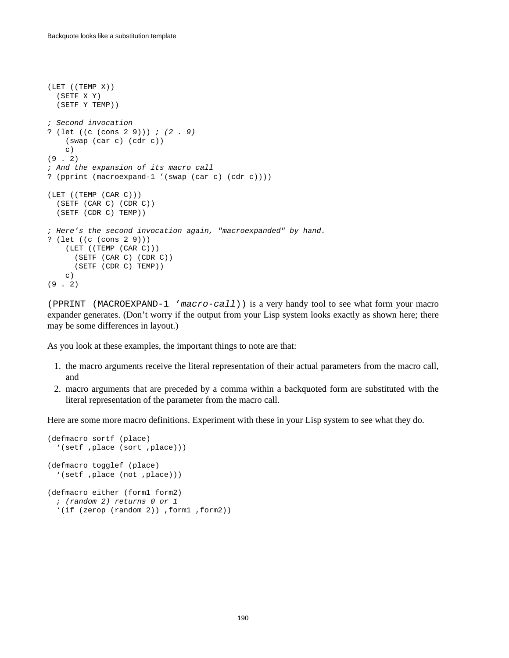```
(LET ((TEMP X))
  (SETF X Y)
   (SETF Y TEMP))
; Second invocation
? (let ((c (cons 2 9))) ; (2 . 9)
     (swap (car c) (cdr c))
    \cap)
(9 . 2)
; And the expansion of its macro call
? (pprint (macroexpand-1 '(swap (car c) (cdr c))))
(LET ((TEMP (CAR C)))
  (SETF (CAR C) (CDR C))
   (SETF (CDR C) TEMP))
; Here's the second invocation again, "macroexpanded" by hand.
? (let ((c (cons 2 9)))
    (\verb|LET | ((\verb|TEMP | (CAR C)) |) (SETF (CAR C) (CDR C))
       (SETF (CDR C) TEMP))
     c)
(9 . 2)
```
(PPRINT (MACROEXPAND-1 'macro-call)) is a very handy tool to see what form your macro expander generates. (Don't worry if the output from your Lisp system looks exactly as shown here; there may be some differences in layout.)

As you look at these examples, the important things to note are that:

- 1. the macro arguments receive the literal representation of their actual parameters from the macro call, and
- 2. macro arguments that are preceded by a comma within a backquoted form are substituted with the literal representation of the parameter from the macro call.

Here are some more macro definitions. Experiment with these in your Lisp system to see what they do.

```
(defmacro sortf (place)
   '(setf ,place (sort ,place)))
(defmacro togglef (place)
   '(setf ,place (not ,place)))
(defmacro either (form1 form2)
   ; (random 2) returns 0 or 1
   '(if (zerop (random 2)) ,form1 ,form2))
```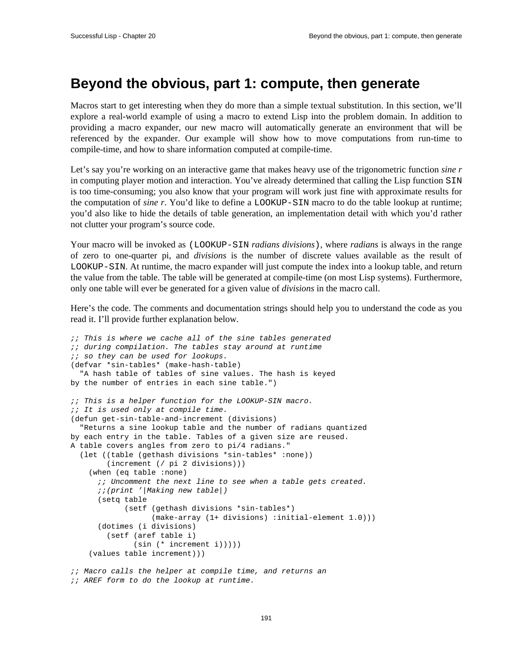#### **Beyond the obvious, part 1: compute, then generate**

Macros start to get interesting when they do more than a simple textual substitution. In this section, we'll explore a real-world example of using a macro to extend Lisp into the problem domain. In addition to providing a macro expander, our new macro will automatically generate an environment that will be referenced by the expander. Our example will show how to move computations from run-time to compile-time, and how to share information computed at compile-time.

Let's say you're working on an interactive game that makes heavy use of the trigonometric function *sine r* in computing player motion and interaction. You've already determined that calling the Lisp function SIN is too time-consuming; you also know that your program will work just fine with approximate results for the computation of *sine r*. You'd like to define a LOOKUP-SIN macro to do the table lookup at runtime; you'd also like to hide the details of table generation, an implementation detail with which you'd rather not clutter your program's source code.

Your macro will be invoked as (LOOKUP-SIN *radians divisions*), where *radians* is always in the range of zero to one-quarter pi, and *divisions* is the number of discrete values available as the result of LOOKUP-SIN. At runtime, the macro expander will just compute the index into a lookup table, and return the value from the table. The table will be generated at compile-time (on most Lisp systems). Furthermore, only one table will ever be generated for a given value of *divisions* in the macro call.

Here's the code. The comments and documentation strings should help you to understand the code as you read it. I'll provide further explanation below.

```
;; This is where we cache all of the sine tables generated
;; during compilation. The tables stay around at runtime
;; so they can be used for lookups.
(defvar *sin-tables* (make-hash-table)
   "A hash table of tables of sine values. The hash is keyed
by the number of entries in each sine table.")
;; This is a helper function for the LOOKUP-SIN macro.
;; It is used only at compile time.
(defun get-sin-table-and-increment (divisions)
   "Returns a sine lookup table and the number of radians quantized
by each entry in the table. Tables of a given size are reused.
A table covers angles from zero to pi/4 radians."
   (let ((table (gethash divisions *sin-tables* :none))
         (increment (/ pi 2 divisions)))
     (when (eq table :none)
       ;; Uncomment the next line to see when a table gets created.
       ;;(print '|Making new table|)
       (setq table
             (setf (gethash divisions *sin-tables*)
                   (make-array (1+ divisions) :initial-element 1.0)))
       (dotimes (i divisions)
         (setf (aref table i)
               (sin (* increment i)))))
     (values table increment)))
;; Macro calls the helper at compile time, and returns an
;; AREF form to do the lookup at runtime.
```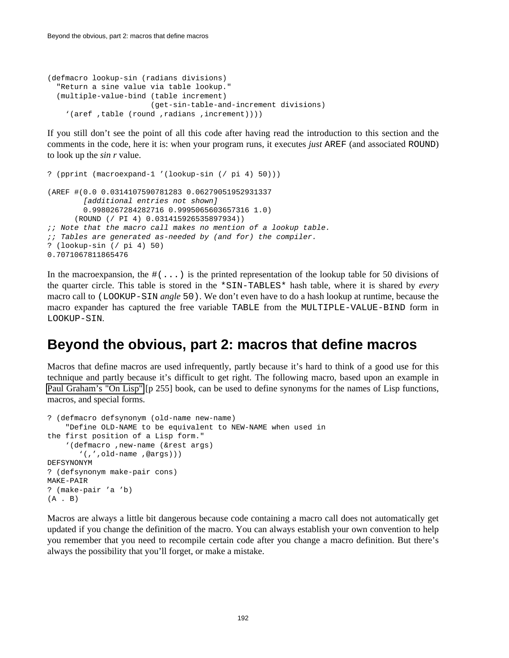```
(defmacro lookup-sin (radians divisions)
   "Return a sine value via table lookup."
   (multiple-value-bind (table increment)
                        (get-sin-table-and-increment divisions)
     '(aref ,table (round ,radians ,increment))))
```
If you still don't see the point of all this code after having read the introduction to this section and the comments in the code, here it is: when your program runs, it executes *just* AREF (and associated ROUND) to look up the *sin r* value.

```
? (pprint (macroexpand-1 '(lookup-sin (/ pi 4) 50)))
(AREF #(0.0 0.0314107590781283 0.06279051952931337 
       [additional entries not shown]
         0.9980267284282716 0.9995065603657316 1.0)
       (ROUND (/ PI 4) 0.031415926535897934))
;; Note that the macro call makes no mention of a lookup table.
;; Tables are generated as-needed by (and for) the compiler.
? (lookup-sin (/ pi 4) 50)
0.7071067811865476
```
In the macroexpansion, the  $\#(\ldots)$  is the printed representation of the lookup table for 50 divisions of the quarter circle. This table is stored in the \*SIN-TABLES\* hash table, where it is shared by *every* macro call to (LOOKUP-SIN *angle* 50). We don't even have to do a hash lookup at runtime, because the macro expander has captured the free variable TABLE from the MULTIPLE-VALUE-BIND form in LOOKUP-SIN.

#### **Beyond the obvious, part 2: macros that define macros**

Macros that define macros are used infrequently, partly because it's hard to think of a good use for this technique and partly because it's difficult to get right. The following macro, based upon an example in [Paul Graham's "On Lisp"](#page-254-0) [p 255] book, can be used to define synonyms for the names of Lisp functions, macros, and special forms.

```
? (defmacro defsynonym (old-name new-name)
     "Define OLD-NAME to be equivalent to NEW-NAME when used in
the first position of a Lisp form."
     '(defmacro ,new-name (&rest args)
        '(,',old-name ,@args)))
DEFSYNONYM
? (defsynonym make-pair cons)
MAKE-PAIR
? (make-pair 'a 'b)
(A . B)
```
Macros are always a little bit dangerous because code containing a macro call does not automatically get updated if you change the definition of the macro. You can always establish your own convention to help you remember that you need to recompile certain code after you change a macro definition. But there's always the possibility that you'll forget, or make a mistake.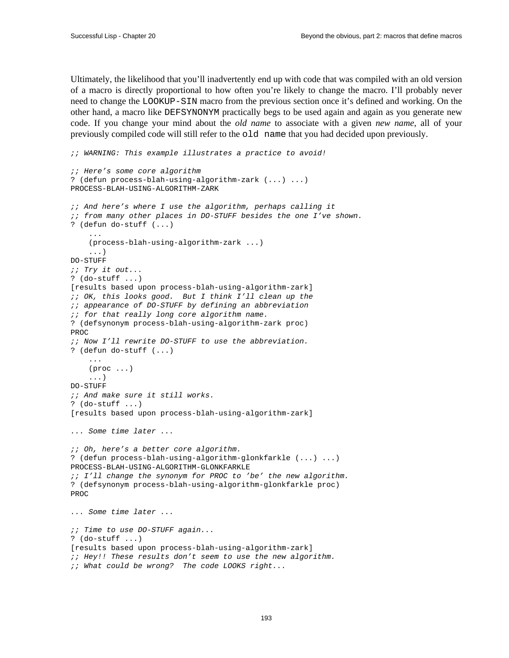Ultimately, the likelihood that you'll inadvertently end up with code that was compiled with an old version of a macro is directly proportional to how often you're likely to change the macro. I'll probably never need to change the LOOKUP-SIN macro from the previous section once it's defined and working. On the other hand, a macro like DEFSYNONYM practically begs to be used again and again as you generate new code. If you change your mind about the *old name* to associate with a given *new name*, all of your previously compiled code will still refer to the old name that you had decided upon previously.

```
;; WARNING: This example illustrates a practice to avoid!
;; Here's some core algorithm
? (defun process-blah-using-algorithm-zark (...) ...)
PROCESS-BLAH-USING-ALGORITHM-ZARK
;; And here's where I use the algorithm, perhaps calling it
;; from many other places in DO-STUFF besides the one I've shown.
? (defun do-stuff (...)
     ...
     (process-blah-using-algorithm-zark ...)
     ...)
DO-STUFF
;; Try it out...
? (do-stuff ...)
[results based upon process-blah-using-algorithm-zark]
;; OK, this looks good. But I think I'll clean up the
;; appearance of DO-STUFF by defining an abbreviation
;; for that really long core algorithm name.
? (defsynonym process-blah-using-algorithm-zark proc)
PROC
;; Now I'll rewrite DO-STUFF to use the abbreviation.
? (defun do-stuff (...)
     ...
     (proc ...)
     ...)
DO-STUFF
;; And make sure it still works.
? (do-stuff ...)
[results based upon process-blah-using-algorithm-zark]
... Some time later ...
;; Oh, here's a better core algorithm.
? (defun process-blah-using-algorithm-glonkfarkle (...) ...)
PROCESS-BLAH-USING-ALGORITHM-GLONKFARKLE
;; I'll change the synonym for PROC to 'be' the new algorithm.
? (defsynonym process-blah-using-algorithm-glonkfarkle proc)
PROC
... Some time later ...
;; Time to use DO-STUFF again...
? (do-stuff ...)
[results based upon process-blah-using-algorithm-zark]
;; Hey!! These results don't seem to use the new algorithm.
;; What could be wrong? The code LOOKS right...
```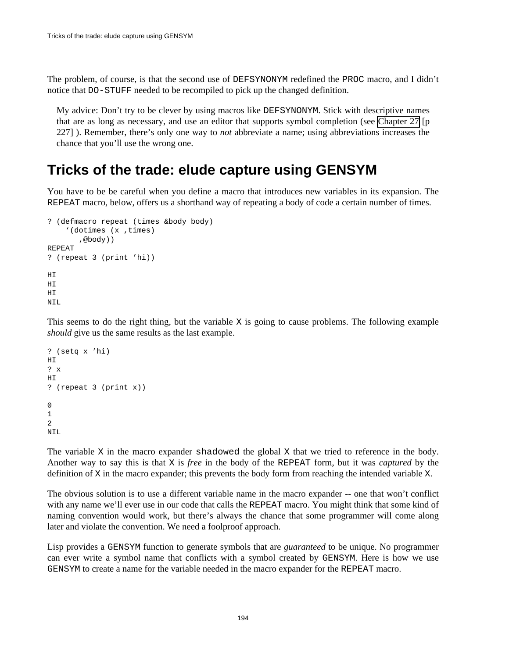The problem, of course, is that the second use of DEFSYNONYM redefined the PROC macro, and I didn't notice that DO-STUFF needed to be recompiled to pick up the changed definition.

My advice: Don't try to be clever by using macros like DEFSYNONYM. Stick with descriptive names that are as long as necessary, and use an editor that supports symbol completion (see [Chapter 27](#page-226-0) [p 227] ). Remember, there's only one way to *not* abbreviate a name; using abbreviations increases the chance that you'll use the wrong one.

#### **Tricks of the trade: elude capture using GENSYM**

You have to be be careful when you define a macro that introduces new variables in its expansion. The REPEAT macro, below, offers us a shorthand way of repeating a body of code a certain number of times.

```
? (defmacro repeat (times &body body)
     '(dotimes (x ,times)
         ,@body))
REPEAT
? (repeat 3 (print 'hi))
HI
HT
HT
NTT.
```
This seems to do the right thing, but the variable X is going to cause problems. The following example *should* give us the same results as the last example.

```
? (setq x 'hi)
HT
? x
HT
? (repeat 3 (print x))
\Omega1
2
NTT.
```
The variable X in the macro expander shadowed the global X that we tried to reference in the body. Another way to say this is that X is *free* in the body of the REPEAT form, but it was *captured* by the definition of X in the macro expander; this prevents the body form from reaching the intended variable X.

The obvious solution is to use a different variable name in the macro expander -- one that won't conflict with any name we'll ever use in our code that calls the REPEAT macro. You might think that some kind of naming convention would work, but there's always the chance that some programmer will come along later and violate the convention. We need a foolproof approach.

Lisp provides a GENSYM function to generate symbols that are *guaranteed* to be unique. No programmer can ever write a symbol name that conflicts with a symbol created by GENSYM. Here is how we use GENSYM to create a name for the variable needed in the macro expander for the REPEAT macro.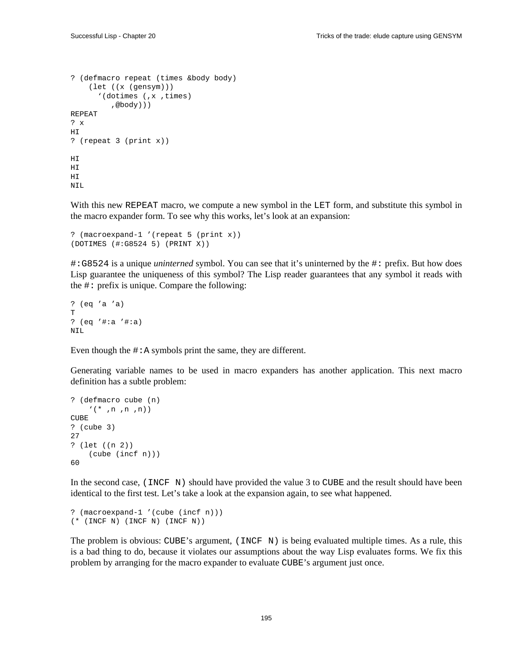```
? (defmacro repeat (times &body body)
     (let ((x (gensym)))
       '(dotimes (,x ,times)
           ,@body)))
REPEAT
? x
HT
? (repeat 3 (print x))
H<sub>T</sub>
HT
HT
NTT.
```
With this new REPEAT macro, we compute a new symbol in the LET form, and substitute this symbol in the macro expander form. To see why this works, let's look at an expansion:

```
? (macroexpand-1 '(repeat 5 (print x))
(DOTIMES (#:G8524 5) (PRINT X))
```
#:G8524 is a unique *uninterned* symbol. You can see that it's uninterned by the #: prefix. But how does Lisp guarantee the uniqueness of this symbol? The Lisp reader guarantees that any symbol it reads with the #: prefix is unique. Compare the following:

```
? (eq 'a 'a)
T
? (eq '#:a '#:a)
NIL
```
Even though the  $\#$ : A symbols print the same, they are different.

Generating variable names to be used in macro expanders has another application. This next macro definition has a subtle problem:

```
? (defmacro cube (n)
     '(* ,n ,n ,n))
CUBE.
? (cube 3)
27
? (let ((n 2))
     (cube (incf n)))
60
```
In the second case, (INCF N) should have provided the value 3 to CUBE and the result should have been identical to the first test. Let's take a look at the expansion again, to see what happened.

```
? (macroexpand-1 '(cube (incf n)))
(* (INCF N) (INCF N) (INCF N))
```
The problem is obvious: CUBE's argument, (INCF N) is being evaluated multiple times. As a rule, this is a bad thing to do, because it violates our assumptions about the way Lisp evaluates forms. We fix this problem by arranging for the macro expander to evaluate CUBE's argument just once.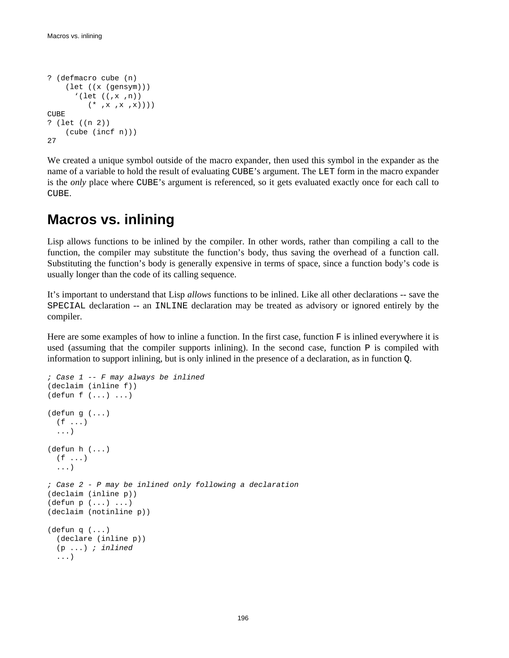```
? (defmacro cube (n)
     (let ((x (gensym)))
       '(let ((,x ,n))
         (* , x , x , x)))CUBE
? (let ((n 2))
     (cube (incf n)))
27
```
We created a unique symbol outside of the macro expander, then used this symbol in the expander as the name of a variable to hold the result of evaluating CUBE's argument. The LET form in the macro expander is the *only* place where CUBE's argument is referenced, so it gets evaluated exactly once for each call to CUBE.

# **Macros vs. inlining**

Lisp allows functions to be inlined by the compiler. In other words, rather than compiling a call to the function, the compiler may substitute the function's body, thus saving the overhead of a function call. Substituting the function's body is generally expensive in terms of space, since a function body's code is usually longer than the code of its calling sequence.

It's important to understand that Lisp *allows* functions to be inlined. Like all other declarations -- save the SPECIAL declaration -- an INLINE declaration may be treated as advisory or ignored entirely by the compiler.

Here are some examples of how to inline a function. In the first case, function F is inlined everywhere it is used (assuming that the compiler supports inlining). In the second case, function P is compiled with information to support inlining, but is only inlined in the presence of a declaration, as in function Q.

```
; Case 1 -- F may always be inlined
(declaim (inline f))
(defun f (...) ...)
(defun g (...)
  (f \dots) ...)
(defun h (...)
  (f \ldots) ...)
; Case 2 - P may be inlined only following a declaration
(declaim (inline p))
(\text{defun } p \ldots) \ldots)(declaim (notinline p))
(defun q (...) 
   (declare (inline p))
   (p ...) ; inlined
   ...)
```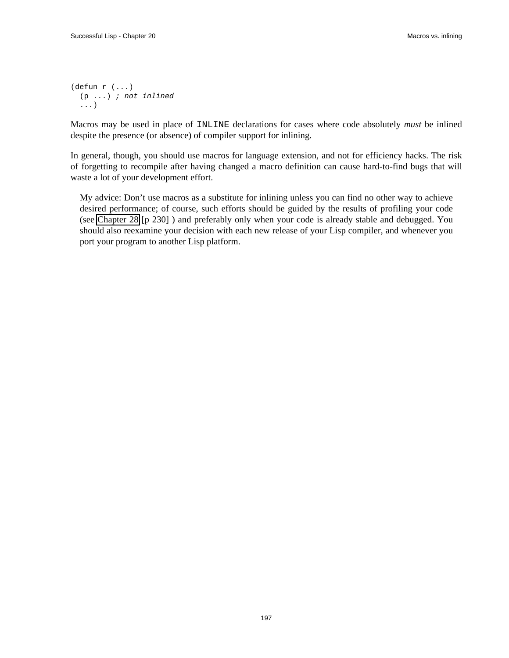(defun r (...) (p ...) ; not inlined ...)

Macros may be used in place of INLINE declarations for cases where code absolutely *must* be inlined despite the presence (or absence) of compiler support for inlining.

In general, though, you should use macros for language extension, and not for efficiency hacks. The risk of forgetting to recompile after having changed a macro definition can cause hard-to-find bugs that will waste a lot of your development effort.

My advice: Don't use macros as a substitute for inlining unless you can find no other way to achieve desired performance; of course, such efforts should be guided by the results of profiling your code (see [Chapter 28](#page-229-0) [p 230] ) and preferably only when your code is already stable and debugged. You should also reexamine your decision with each new release of your Lisp compiler, and whenever you port your program to another Lisp platform.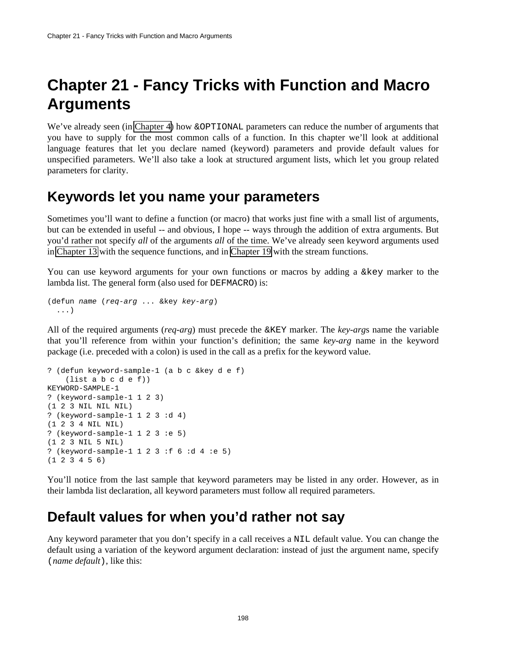# <span id="page-197-0"></span>**Chapter 21 - Fancy Tricks with Function and Macro Arguments**

We've already seen (in [Chapter 4\)](#page-83-0) how &OPTIONAL parameters can reduce the number of arguments that you have to supply for the most common calls of a function. In this chapter we'll look at additional language features that let you declare named (keyword) parameters and provide default values for unspecified parameters. We'll also take a look at structured argument lists, which let you group related parameters for clarity.

#### **Keywords let you name your parameters**

Sometimes you'll want to define a function (or macro) that works just fine with a small list of arguments, but can be extended in useful -- and obvious, I hope -- ways through the addition of extra arguments. But you'd rather not specify *all* of the arguments *all* of the time. We've already seen keyword arguments used in [Chapter 13](#page-149-0) with the sequence functions, and in [Chapter 19](#page-182-0) with the stream functions.

You can use keyword arguments for your own functions or macros by adding a &key marker to the lambda list. The general form (also used for DEFMACRO) is:

(defun name (req-arg ... &key key-arg) ...)

All of the required arguments (*req-arg*) must precede the &KEY marker. The *key-arg*s name the variable that you'll reference from within your function's definition; the same *key-arg* name in the keyword package (i.e. preceded with a colon) is used in the call as a prefix for the keyword value.

```
? (defun keyword-sample-1 (a b c &key d e f)
     (list a b c d e f))
KEYWORD-SAMPLE-1
? (keyword-sample-1 1 2 3)
(1 2 3 NIL NIL NIL)
? (keyword-sample-1 1 2 3 :d 4)
(1 2 3 4 NIL NIL)
? (keyword-sample-1 1 2 3 :e 5)
(1 2 3 NIL 5 NIL)
? (keyword-sample-1 1 2 3 :f 6 :d 4 :e 5)
(1 2 3 4 5 6)
```
You'll notice from the last sample that keyword parameters may be listed in any order. However, as in their lambda list declaration, all keyword parameters must follow all required parameters.

# **Default values for when you'd rather not say**

Any keyword parameter that you don't specify in a call receives a NIL default value. You can change the default using a variation of the keyword argument declaration: instead of just the argument name, specify (*name default*), like this: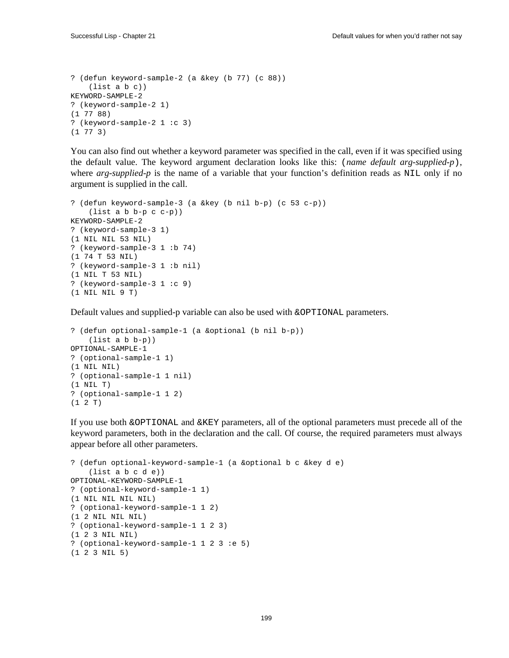```
? (defun keyword-sample-2 (a &key (b 77) (c 88))
     (list a b c))
KEYWORD-SAMPLE-2
? (keyword-sample-2 1)
(1 77 88)
? (keyword-sample-2 1 :c 3)
(1 77 3)
```
You can also find out whether a keyword parameter was specified in the call, even if it was specified using the default value. The keyword argument declaration looks like this: (*name default arg-supplied-p*), where *arg-supplied-p* is the name of a variable that your function's definition reads as NIL only if no argument is supplied in the call.

```
? (defun keyword-sample-3 (a &key (b nil b-p) (c 53 c-p))
     (list a b b-p c c-p))
KEYWORD-SAMPLE-2
? (keyword-sample-3 1)
(1 NIL NIL 53 NIL)
? (keyword-sample-3 1 :b 74)
(1 74 T 53 NIL)
? (keyword-sample-3 1 :b nil)
(1 NIL T 53 NIL)
? (keyword-sample-3 1 :c 9)
(1 NIL NIL 9 T)
```
Default values and supplied-p variable can also be used with &OPTIONAL parameters.

```
? (defun optional-sample-1 (a &optional (b nil b-p))
     (list a b b-p))
OPTIONAL-SAMPLE-1
? (optional-sample-1 1)
(1 NIL NIL)
? (optional-sample-1 1 nil)
(1 NIL T)
? (optional-sample-1 1 2)
(1 2 T)
```
If you use both &OPTIONAL and &KEY parameters, all of the optional parameters must precede all of the keyword parameters, both in the declaration and the call. Of course, the required parameters must always appear before all other parameters.

```
? (defun optional-keyword-sample-1 (a &optional b c &key d e)
     (list a b c d e))
OPTIONAL-KEYWORD-SAMPLE-1
? (optional-keyword-sample-1 1)
(1 NIL NIL NIL NIL)
? (optional-keyword-sample-1 1 2)
(1 2 NIL NIL NIL)
? (optional-keyword-sample-1 1 2 3)
(1 2 3 NIL NIL)
? (optional-keyword-sample-1 1 2 3 :e 5)
(1 2 3 NIL 5)
```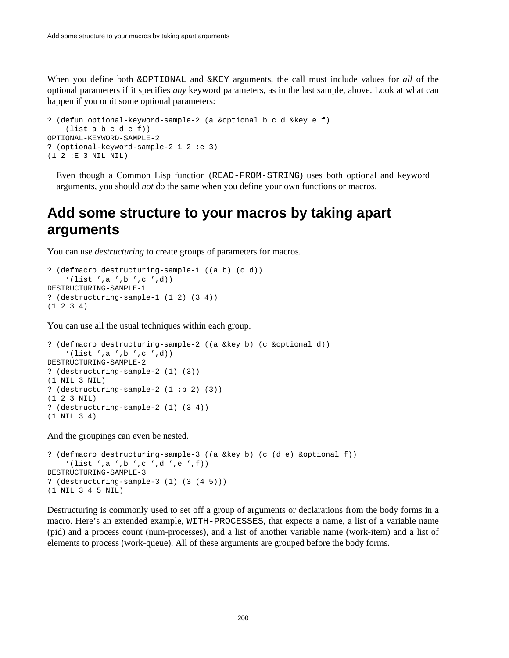When you define both &OPTIONAL and &KEY arguments, the call must include values for *all* of the optional parameters if it specifies *any* keyword parameters, as in the last sample, above. Look at what can happen if you omit some optional parameters:

```
? (defun optional-keyword-sample-2 (a &optional b c d &key e f)
     (list a b c d e f))
OPTIONAL-KEYWORD-SAMPLE-2
? (optional-keyword-sample-2 1 2 :e 3)
(1 2 :E 3 NIL NIL)
```
Even though a Common Lisp function (READ-FROM-STRING) uses both optional and keyword arguments, you should *not* do the same when you define your own functions or macros.

### **Add some structure to your macros by taking apart arguments**

You can use *destructuring* to create groups of parameters for macros.

```
? (defmacro destructuring-sample-1 ((a b) (c d))
    '(list ',a ',b ',c ',d))
DESTRUCTURING-SAMPLE-1
? (destructuring-sample-1 (1 2) (3 4))
(1 2 3 4)
```
You can use all the usual techniques within each group.

```
? (defmacro destructuring-sample-2 ((a &key b) (c &optional d))
    '(list ',a ',b ',c ',d))
DESTRUCTURING-SAMPLE-2
? (destructuring-sample-2 (1) (3))
(1 NIL 3 NIL)
? (destructuring-sample-2 (1 :b 2) (3))
(1 2 3 NIL)
? (destructuring-sample-2 (1) (3 4))
(1 NIL 3 4)
```
And the groupings can even be nested.

```
? (defmacro destructuring-sample-3 ((a &key b) (c (d e) &optional f))
     '(list ',a ',b ',c ',d ',e ',f))
DESTRUCTURING-SAMPLE-3
? (destructuring-sample-3 (1) (3 (4 5)))
(1 NIL 3 4 5 NIL)
```
Destructuring is commonly used to set off a group of arguments or declarations from the body forms in a macro. Here's an extended example, WITH-PROCESSES, that expects a name, a list of a variable name (pid) and a process count (num-processes), and a list of another variable name (work-item) and a list of elements to process (work-queue). All of these arguments are grouped before the body forms.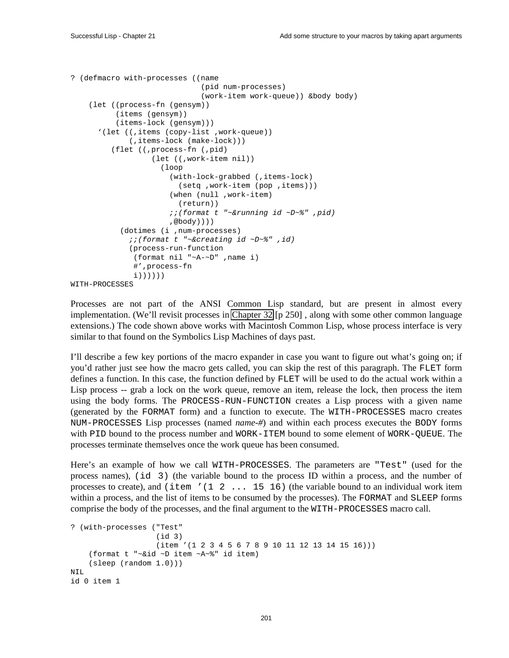```
? (defmacro with-processes ((name 
                               (pid num-processes)
                               (work-item work-queue)) &body body)
     (let ((process-fn (gensym))
           (items (gensym))
           (items-lock (gensym)))
       '(let ((,items (copy-list ,work-queue))
              (,items-lock (make-lock)))
          (flet ((,process-fn (,pid)
                    (let ((,work-item nil))
                      (loop
                        (with-lock-grabbed (,items-lock)
                          (setq ,work-item (pop ,items)))
                        (when (null ,work-item)
                          (return))
                        ;;(format t "~&running id ~D~%" ,pid)
                        ,@body))))
            (dotimes (i ,num-processes)
              ;;(format t "~&creating id ~D~%" ,id)
               (process-run-function
               (format nil "~A-~D" ,name i)
               #',process-fn
               i))))))
WITH-PROCESSES
```
Processes are not part of the ANSI Common Lisp standard, but are present in almost every implementation. (We'll revisit processes in [Chapter 32](#page-249-0) [p 250] , along with some other common language extensions.) The code shown above works with Macintosh Common Lisp, whose process interface is very similar to that found on the Symbolics Lisp Machines of days past.

I'll describe a few key portions of the macro expander in case you want to figure out what's going on; if you'd rather just see how the macro gets called, you can skip the rest of this paragraph. The FLET form defines a function. In this case, the function defined by FLET will be used to do the actual work within a Lisp process -- grab a lock on the work queue, remove an item, release the lock, then process the item using the body forms. The PROCESS-RUN-FUNCTION creates a Lisp process with a given name (generated by the FORMAT form) and a function to execute. The WITH-PROCESSES macro creates NUM-PROCESSES Lisp processes (named *name*-*#*) and within each process executes the BODY forms with PID bound to the process number and WORK-ITEM bound to some element of WORK-QUEUE. The processes terminate themselves once the work queue has been consumed.

Here's an example of how we call WITH-PROCESSES. The parameters are "Test" (used for the process names), (id 3) (the variable bound to the process ID within a process, and the number of processes to create), and  $(i$  tem  $'(1 \ 2 \ ... \ 15 \ 16)$  (the variable bound to an individual work item within a process, and the list of items to be consumed by the processes). The FORMAT and SLEEP forms comprise the body of the processes, and the final argument to the WITH-PROCESSES macro call.

```
? (with-processes ("Test"
                     (id 3)
                     (item '(1 2 3 4 5 6 7 8 9 10 11 12 13 14 15 16)))
     (format t "~&id ~D item ~A~%" id item)
     (sleep (random 1.0)))
NIL
id 0 item 1
```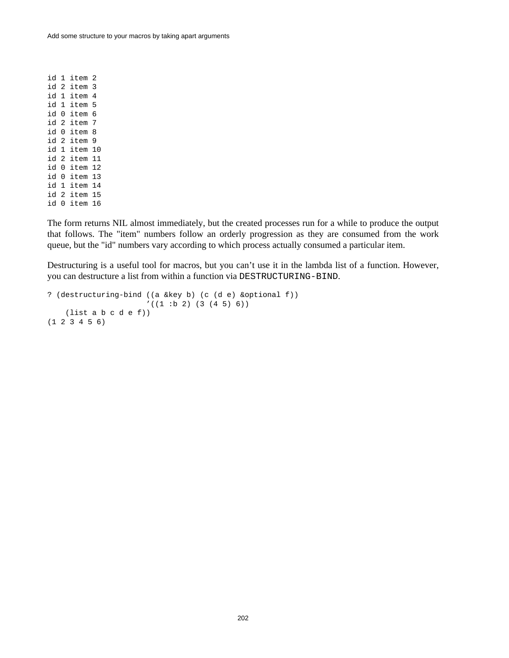Add some structure to your macros by taking apart arguments

id 1 item 2 id 2 item 3 id 1 item 4 id 1 item 5 id 0 item 6 id 2 item 7 id 0 item 8 id 2 item 9 id 1 item 10 id 2 item 11 id 0 item 12 id 0 item 13 id 1 item 14 id 2 item 15 id 0 item 16

The form returns NIL almost immediately, but the created processes run for a while to produce the output that follows. The "item" numbers follow an orderly progression as they are consumed from the work queue, but the "id" numbers vary according to which process actually consumed a particular item.

Destructuring is a useful tool for macros, but you can't use it in the lambda list of a function. However, you can destructure a list from within a function via DESTRUCTURING-BIND.

```
? (destructuring-bind ((a &key b) (c (d e) &optional f))
                      '((1 :b 2) (3 (4 5) 6)) (list a b c d e f))
(1 2 3 4 5 6)
```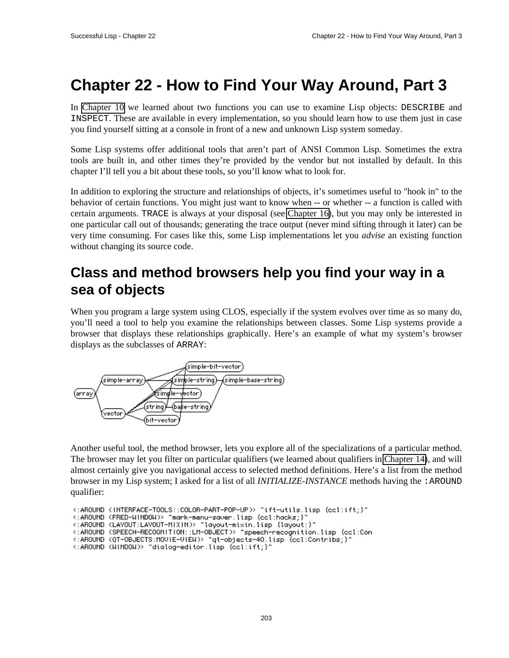# **Chapter 22 - How to Find Your Way Around, Part 3**

In [Chapter 10](#page-132-0) we learned about two functions you can use to examine Lisp objects: DESCRIBE and INSPECT. These are available in every implementation, so you should learn how to use them just in case you find yourself sitting at a console in front of a new and unknown Lisp system someday.

Some Lisp systems offer additional tools that aren't part of ANSI Common Lisp. Sometimes the extra tools are built in, and other times they're provided by the vendor but not installed by default. In this chapter I'll tell you a bit about these tools, so you'll know what to look for.

In addition to exploring the structure and relationships of objects, it's sometimes useful to "hook in" to the behavior of certain functions. You might just want to know when -- or whether -- a function is called with certain arguments. TRACE is always at your disposal (see [Chapter 16\)](#page-168-0), but you may only be interested in one particular call out of thousands; generating the trace output (never mind sifting through it later) can be very time consuming. For cases like this, some Lisp implementations let you *advise* an existing function without changing its source code.

# **Class and method browsers help you find your way in a sea of objects**

When you program a large system using CLOS, especially if the system evolves over time as so many do, you'll need a tool to help you examine the relationships between classes. Some Lisp systems provide a browser that displays these relationships graphically. Here's an example of what my system's browser displays as the subclasses of ARRAY:



Another useful tool, the method browser, lets you explore all of the specializations of a particular method. The browser may let you filter on particular qualifiers (we learned about qualifiers in [Chapter 14\)](#page-156-0), and will almost certainly give you navigational access to selected method definitions. Here's a list from the method browser in my Lisp system; I asked for a list of all *INITIALIZE-INSTANCE* methods having the :AROUND qualifier:

```
<:AROUND (INTERFACE-TOOLS::COLOR-PART-POP-UP)> "ift-utils.lisp {cel:ift;}"
```

```
<:AROUND (FRED-WINDOW)> "mark-menu-saver.lisp {ccl:hacks;}'
```

```
<: AROUND <LAYOUT:LAYOUT-MIXIN>> "layout-mixin.lisp {layout:}"
```

```
<:AROUND (SPEECH-RECOGNITION::LM-OBJECT)> "speech-recognition.lisp {ccl:Con
```

```
<:AROUND (QT-OBJECTS:MOVIE-VIEW)> "qt-objects-40.lisp {ccl:Contribs;}"
```
<sup>&</sup>lt;: AROUND (WINDOW)> "dialog-editor.lisp {ccl:ift;}"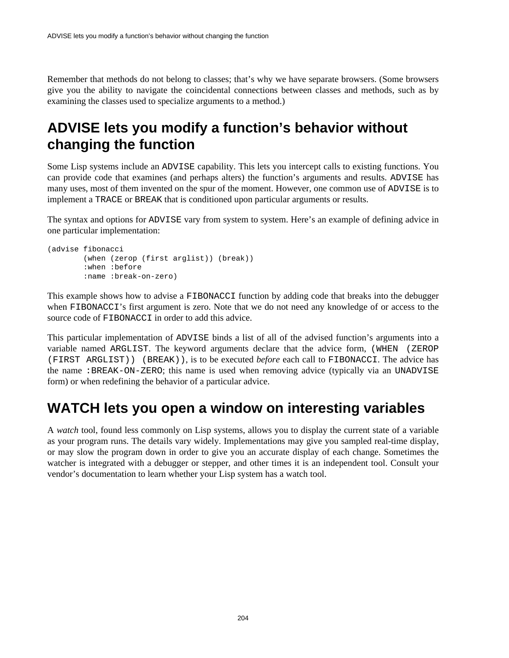Remember that methods do not belong to classes; that's why we have separate browsers. (Some browsers give you the ability to navigate the coincidental connections between classes and methods, such as by examining the classes used to specialize arguments to a method.)

# **ADVISE lets you modify a function's behavior without changing the function**

Some Lisp systems include an ADVISE capability. This lets you intercept calls to existing functions. You can provide code that examines (and perhaps alters) the function's arguments and results. ADVISE has many uses, most of them invented on the spur of the moment. However, one common use of ADVISE is to implement a TRACE or BREAK that is conditioned upon particular arguments or results.

The syntax and options for ADVISE vary from system to system. Here's an example of defining advice in one particular implementation:

```
(advise fibonacci
         (when (zerop (first arglist)) (break))
         :when :before
         :name :break-on-zero)
```
This example shows how to advise a FIBONACCI function by adding code that breaks into the debugger when FIBONACCI's first argument is zero. Note that we do not need any knowledge of or access to the source code of FIBONACCI in order to add this advice.

This particular implementation of ADVISE binds a list of all of the advised function's arguments into a variable named ARGLIST. The keyword arguments declare that the advice form, (WHEN (ZEROP (FIRST ARGLIST)) (BREAK)), is to be executed *before* each call to FIBONACCI. The advice has the name :BREAK-ON-ZERO; this name is used when removing advice (typically via an UNADVISE form) or when redefining the behavior of a particular advice.

### **WATCH lets you open a window on interesting variables**

A *watch* tool, found less commonly on Lisp systems, allows you to display the current state of a variable as your program runs. The details vary widely. Implementations may give you sampled real-time display, or may slow the program down in order to give you an accurate display of each change. Sometimes the watcher is integrated with a debugger or stepper, and other times it is an independent tool. Consult your vendor's documentation to learn whether your Lisp system has a watch tool.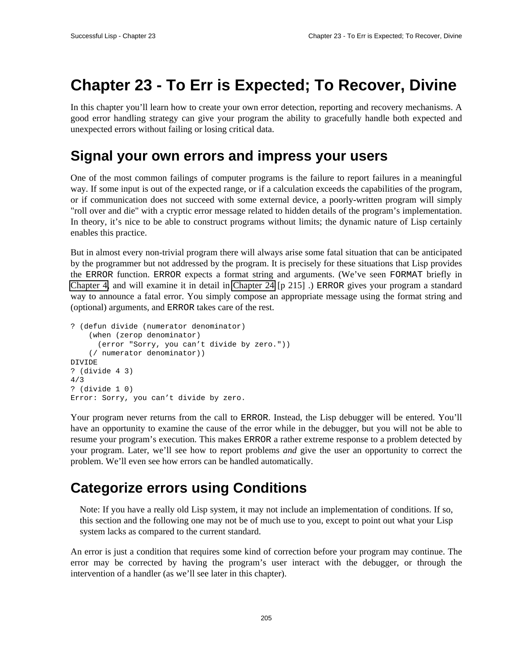# **Chapter 23 - To Err is Expected; To Recover, Divine**

In this chapter you'll learn how to create your own error detection, reporting and recovery mechanisms. A good error handling strategy can give your program the ability to gracefully handle both expected and unexpected errors without failing or losing critical data.

#### **Signal your own errors and impress your users**

One of the most common failings of computer programs is the failure to report failures in a meaningful way. If some input is out of the expected range, or if a calculation exceeds the capabilities of the program, or if communication does not succeed with some external device, a poorly-written program will simply "roll over and die" with a cryptic error message related to hidden details of the program's implementation. In theory, it's nice to be able to construct programs without limits; the dynamic nature of Lisp certainly enables this practice.

But in almost every non-trivial program there will always arise some fatal situation that can be anticipated by the programmer but not addressed by the program. It is precisely for these situations that Lisp provides the ERROR function. ERROR expects a format string and arguments. (We've seen FORMAT briefly in [Chapter 4,](#page-83-0) and will examine it in detail in [Chapter 24](#page-214-0) [p 215] .) ERROR gives your program a standard way to announce a fatal error. You simply compose an appropriate message using the format string and (optional) arguments, and ERROR takes care of the rest.

```
? (defun divide (numerator denominator)
     (when (zerop denominator)
       (error "Sorry, you can't divide by zero."))
     (/ numerator denominator))
DIVIDE
? (divide 4 3)
4/3
? (divide 1 0)
Error: Sorry, you can't divide by zero.
```
Your program never returns from the call to ERROR. Instead, the Lisp debugger will be entered. You'll have an opportunity to examine the cause of the error while in the debugger, but you will not be able to resume your program's execution. This makes ERROR a rather extreme response to a problem detected by your program. Later, we'll see how to report problems *and* give the user an opportunity to correct the problem. We'll even see how errors can be handled automatically.

### **Categorize errors using Conditions**

Note: If you have a really old Lisp system, it may not include an implementation of conditions. If so, this section and the following one may not be of much use to you, except to point out what your Lisp system lacks as compared to the current standard.

An error is just a condition that requires some kind of correction before your program may continue. The error may be corrected by having the program's user interact with the debugger, or through the intervention of a handler (as we'll see later in this chapter).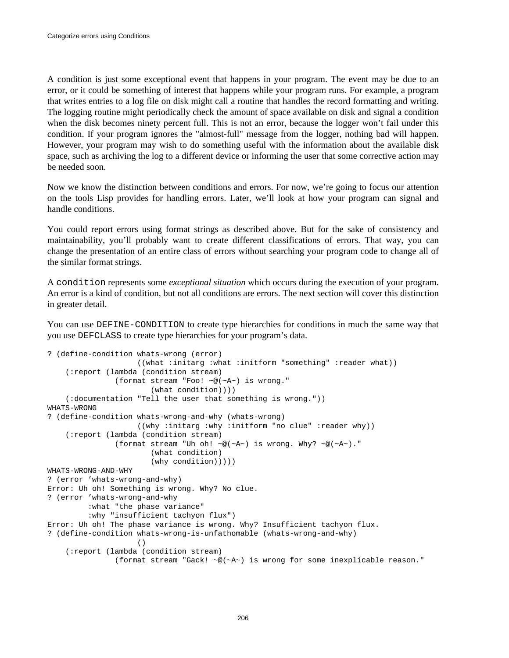A condition is just some exceptional event that happens in your program. The event may be due to an error, or it could be something of interest that happens while your program runs. For example, a program that writes entries to a log file on disk might call a routine that handles the record formatting and writing. The logging routine might periodically check the amount of space available on disk and signal a condition when the disk becomes ninety percent full. This is not an error, because the logger won't fail under this condition. If your program ignores the "almost-full" message from the logger, nothing bad will happen. However, your program may wish to do something useful with the information about the available disk space, such as archiving the log to a different device or informing the user that some corrective action may be needed soon.

Now we know the distinction between conditions and errors. For now, we're going to focus our attention on the tools Lisp provides for handling errors. Later, we'll look at how your program can signal and handle conditions.

You could report errors using format strings as described above. But for the sake of consistency and maintainability, you'll probably want to create different classifications of errors. That way, you can change the presentation of an entire class of errors without searching your program code to change all of the similar format strings.

A condition represents some *exceptional situation* which occurs during the execution of your program. An error is a kind of condition, but not all conditions are errors. The next section will cover this distinction in greater detail.

You can use DEFINE-CONDITION to create type hierarchies for conditions in much the same way that you use DEFCLASS to create type hierarchies for your program's data.

```
? (define-condition whats-wrong (error)
                     ((what :initarg :what :initform "something" :reader what))
     (:report (lambda (condition stream)
                (format stream "Foo! ~@(~A~) is wrong."
                      (what condition))))
     (:documentation "Tell the user that something is wrong."))
WHATS-WRONG
? (define-condition whats-wrong-and-why (whats-wrong)
                     ((why :initarg :why :initform "no clue" :reader why))
     (:report (lambda (condition stream)
                (format stream "Uh oh! ~@(~A~) is wrong. Why? ~@(~A~)."
                        (what condition)
                        (why condition)))))
WHATS-WRONG-AND-WHY
? (error 'whats-wrong-and-why)
Error: Uh oh! Something is wrong. Why? No clue.
? (error 'whats-wrong-and-why 
          :what "the phase variance" 
          :why "insufficient tachyon flux")
Error: Uh oh! The phase variance is wrong. Why? Insufficient tachyon flux.
? (define-condition whats-wrong-is-unfathomable (whats-wrong-and-why)
\overline{\mathcal{L}} (:report (lambda (condition stream)
                (format stream "Gack! ~@(~A~) is wrong for some inexplicable reason."
```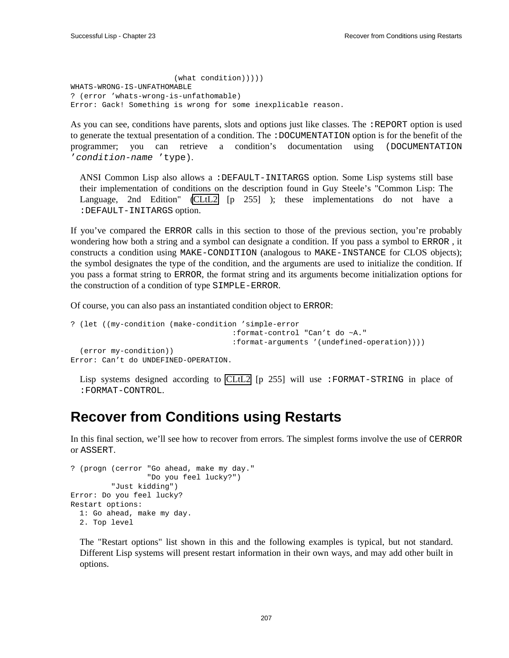(what condition))))) WHATS-WRONG-IS-UNFATHOMABLE ? (error 'whats-wrong-is-unfathomable) Error: Gack! Something is wrong for some inexplicable reason.

As you can see, conditions have parents, slots and options just like classes. The :REPORT option is used to generate the textual presentation of a condition. The :DOCUMENTATION option is for the benefit of the programmer; you can retrieve a condition's documentation using (DOCUMENTATION 'condition-name 'type).

ANSI Common Lisp also allows a :DEFAULT-INITARGS option. Some Lisp systems still base their implementation of conditions on the description found in Guy Steele's "Common Lisp: The Language, 2nd Edition" [\(CLtL2](#page-254-1) [p 255] ); these implementations do not have a :DEFAULT-INITARGS option.

<span id="page-206-0"></span>If you've compared the ERROR calls in this section to those of the previous section, you're probably wondering how both a string and a symbol can designate a condition. If you pass a symbol to ERROR , it constructs a condition using MAKE-CONDITION (analogous to MAKE-INSTANCE for CLOS objects); the symbol designates the type of the condition, and the arguments are used to initialize the condition. If you pass a format string to ERROR, the format string and its arguments become initialization options for the construction of a condition of type SIMPLE-ERROR.

Of course, you can also pass an instantiated condition object to ERROR:

```
? (let ((my-condition (make-condition 'simple-error
                                      :format-control "Can't do ~A."
                                      :format-arguments '(undefined-operation))))
   (error my-condition))
Error: Can't do UNDEFINED-OPERATION.
```
Lisp systems designed according to [CLtL2](#page-254-1) [p 255] will use :FORMAT-STRING in place of :FORMAT-CONTROL.

#### **Recover from Conditions using Restarts**

In this final section, we'll see how to recover from errors. The simplest forms involve the use of CERROR or ASSERT.

```
? (progn (cerror "Go ahead, make my day."
                 "Do you feel lucky?")
          "Just kidding")
Error: Do you feel lucky?
Restart options:
   1: Go ahead, make my day.
   2. Top level
```
The "Restart options" list shown in this and the following examples is typical, but not standard. Different Lisp systems will present restart information in their own ways, and may add other built in options.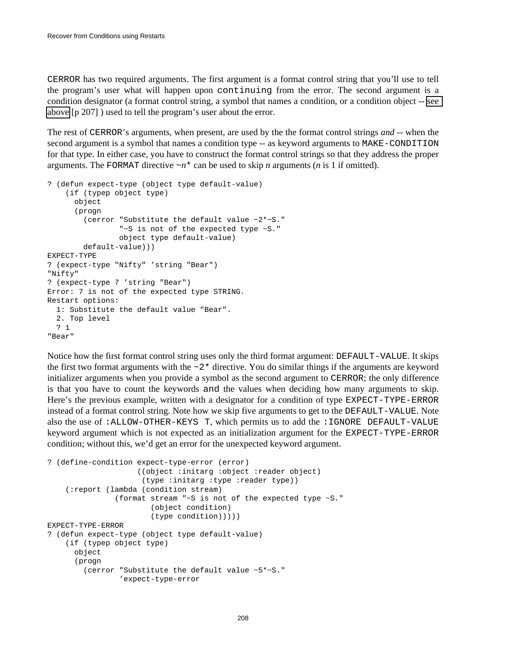CERROR has two required arguments. The first argument is a format control string that you'll use to tell the program's user what will happen upon continuing from the error. The second argument is a condition designator (a format control string, a symbol that names a condition, or a condition object -- [see](#page-206-0)  [above](#page-206-0) [p 207] ) used to tell the program's user about the error.

The rest of CERROR's arguments, when present, are used by the the format control strings *and* -- when the second argument is a symbol that names a condition type -- as keyword arguments to MAKE-CONDITION for that type. In either case, you have to construct the format control strings so that they address the proper arguments. The FORMAT directive  $\nu^*$  can be used to skip *n* arguments (*n* is 1 if omitted).

```
? (defun expect-type (object type default-value)
     (if (typep object type)
      object
       (progn
         (cerror "Substitute the default value ~2*~S."
                 "~S is not of the expected type ~S."
                 object type default-value)
         default-value)))
EXPECT-TYPE
? (expect-type "Nifty" 'string "Bear")
"Nifty"
? (expect-type 7 'string "Bear")
Error: 7 is not of the expected type STRING.
Restart options:
   1: Substitute the default value "Bear".
   2. Top level
   ? 1
"Bear"
```
Notice how the first format control string uses only the third format argument: DEFAULT-VALUE. It skips the first two format arguments with the  $\sim 2*$  directive. You do similar things if the arguments are keyword initializer arguments when you provide a symbol as the second argument to CERROR; the only difference is that you have to count the keywords and the values when deciding how many arguments to skip. Here's the previous example, written with a designator for a condition of type EXPECT-TYPE-ERROR instead of a format control string. Note how we skip five arguments to get to the DEFAULT-VALUE. Note also the use of :ALLOW-OTHER-KEYS T, which permits us to add the :IGNORE DEFAULT-VALUE keyword argument which is not expected as an initialization argument for the EXPECT-TYPE-ERROR condition; without this, we'd get an error for the unexpected keyword argument.

```
? (define-condition expect-type-error (error)
                     ((object :initarg :object :reader object)
                      (type :initarg :type :reader type))
     (:report (lambda (condition stream)
                (format stream "~S is not of the expected type ~S."
                        (object condition)
                        (type condition)))))
EXPECT-TYPE-ERROR
? (defun expect-type (object type default-value)
     (if (typep object type)
      object
       (progn
         (cerror "Substitute the default value ~5*~S."
                 'expect-type-error
```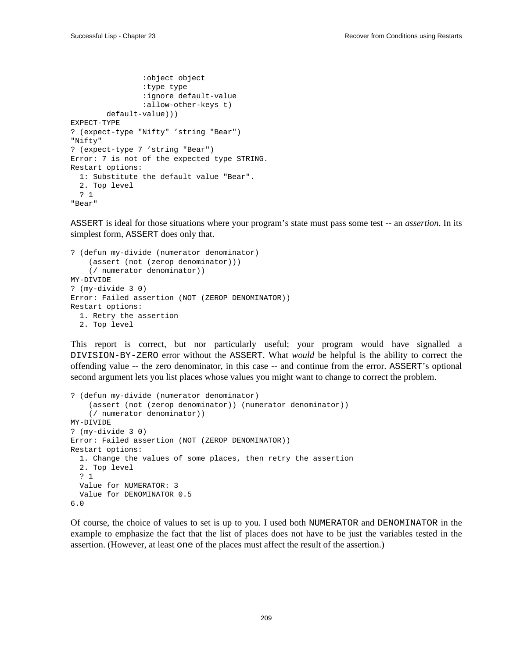```
 :object object
                  :type type
                  :ignore default-value
                  :allow-other-keys t)
         default-value)))
EXPECT-TYPE
? (expect-type "Nifty" 'string "Bear")
"Nifty"
? (expect-type 7 'string "Bear")
Error: 7 is not of the expected type STRING.
Restart options:
   1: Substitute the default value "Bear".
   2. Top level
   ? 1
"Bear"
```
ASSERT is ideal for those situations where your program's state must pass some test -- an *assertion*. In its simplest form, ASSERT does only that.

```
? (defun my-divide (numerator denominator)
     (assert (not (zerop denominator)))
     (/ numerator denominator))
MY-DIVIDE
? (my-divide 3 0)
Error: Failed assertion (NOT (ZEROP DENOMINATOR))
Restart options:
   1. Retry the assertion
   2. Top level
```
This report is correct, but nor particularly useful; your program would have signalled a DIVISION-BY-ZERO error without the ASSERT. What *would* be helpful is the ability to correct the offending value -- the zero denominator, in this case -- and continue from the error. ASSERT's optional second argument lets you list places whose values you might want to change to correct the problem.

```
? (defun my-divide (numerator denominator)
     (assert (not (zerop denominator)) (numerator denominator))
     (/ numerator denominator))
MY-DIVIDE
? (my-divide 3 0)
Error: Failed assertion (NOT (ZEROP DENOMINATOR))
Restart options:
   1. Change the values of some places, then retry the assertion
   2. Top level
   ? 1
   Value for NUMERATOR: 3
   Value for DENOMINATOR 0.5
6.0
```
Of course, the choice of values to set is up to you. I used both NUMERATOR and DENOMINATOR in the example to emphasize the fact that the list of places does not have to be just the variables tested in the assertion. (However, at least one of the places must affect the result of the assertion.)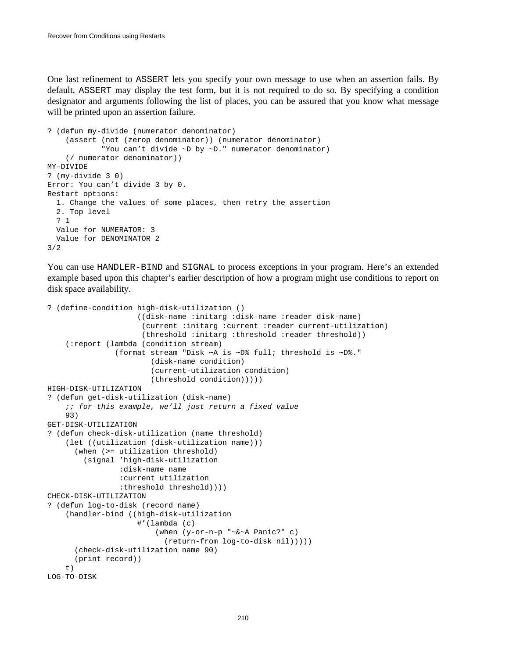One last refinement to ASSERT lets you specify your own message to use when an assertion fails. By default, ASSERT may display the test form, but it is not required to do so. By specifying a condition designator and arguments following the list of places, you can be assured that you know what message will be printed upon an assertion failure.

```
? (defun my-divide (numerator denominator)
     (assert (not (zerop denominator)) (numerator denominator)
             "You can't divide ~D by ~D." numerator denominator)
     (/ numerator denominator))
MY-DIVIDE
? (my-divide 3 0)
Error: You can't divide 3 by 0.
Restart options:
  1. Change the values of some places, then retry the assertion
   2. Top level
  ? 1
  Value for NUMERATOR: 3
  Value for DENOMINATOR 2
3/2
```
You can use HANDLER-BIND and SIGNAL to process exceptions in your program. Here's an extended example based upon this chapter's earlier description of how a program might use conditions to report on disk space availability.

```
? (define-condition high-disk-utilization ()
                      ((disk-name :initarg :disk-name :reader disk-name)
                       (current :initarg :current :reader current-utilization)
                       (threshold :initarg :threshold :reader threshold))
     (:report (lambda (condition stream)
                 (format stream "Disk ~A is ~D% full; threshold is ~D%."
                         (disk-name condition)
                         (current-utilization condition)
                         (threshold condition)))))
HIGH-DISK-UTILIZATION
? (defun get-disk-utilization (disk-name)
     ;; for this example, we'll just return a fixed value
     93)
GET-DISK-UTILIZATION
? (defun check-disk-utilization (name threshold)
     (let ((utilization (disk-utilization name)))
       (when (>= utilization threshold)
         (signal 'high-disk-utilization
                  :disk-name name
                  :current utilization
                  :threshold threshold))))
CHECK-DISK-UTILIZATION
? (defun log-to-disk (record name)
     (handler-bind ((high-disk-utilization 
                      #'(lambda (c)
                          (when (y-or-n-p "~&~A Panic?" c)
                            (return-from log-to-disk nil)))))
       (check-disk-utilization name 90)
       (print record))
     t)
LOG-TO-DISK
```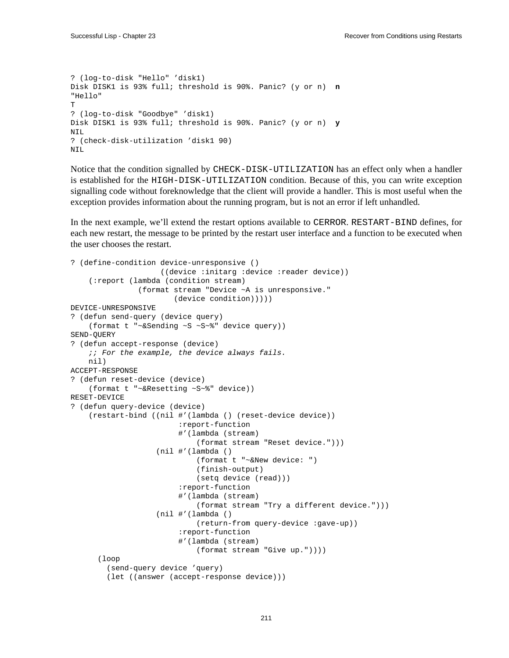```
? (log-to-disk "Hello" 'disk1)
Disk DISK1 is 93% full; threshold is 90%. Panic? (y or n) n
"Hello" 
T
? (log-to-disk "Goodbye" 'disk1)
Disk DISK1 is 93% full; threshold is 90%. Panic? (y or n) y
NTT.
? (check-disk-utilization 'disk1 90)
NIL
```
Notice that the condition signalled by CHECK-DISK-UTILIZATION has an effect only when a handler is established for the HIGH-DISK-UTILIZATION condition. Because of this, you can write exception signalling code without foreknowledge that the client will provide a handler. This is most useful when the exception provides information about the running program, but is not an error if left unhandled.

In the next example, we'll extend the restart options available to CERROR. RESTART-BIND defines, for each new restart, the message to be printed by the restart user interface and a function to be executed when the user chooses the restart.

```
? (define-condition device-unresponsive ()
                      ((device :initarg :device :reader device))
     (:report (lambda (condition stream)
                (format stream "Device ~A is unresponsive."
                         (device condition)))))
DEVICE-UNRESPONSIVE
? (defun send-query (device query)
     (format t "~&Sending ~S ~S~%" device query))
SEND-QUERY
? (defun accept-response (device)
     ;; For the example, the device always fails.
     nil)
ACCEPT-RESPONSE
? (defun reset-device (device)
     (format t "~&Resetting ~S~%" device))
RESET-DEVICE
? (defun query-device (device)
     (restart-bind ((nil #'(lambda () (reset-device device))
                          :report-function
                          #'(lambda (stream)
                              (format stream "Reset device.")))
                     (nil #'(lambda ()
                              (format t "~&New device: ")
                              (finish-output)
                              (setq device (read)))
                          :report-function
                          #'(lambda (stream)
                              (format stream "Try a different device.")))
                     (nil #'(lambda ()
                              (return-from query-device :gave-up))
                          :report-function
                          #'(lambda (stream)
                              (format stream "Give up."))))
       (loop
         (send-query device 'query)
         (let ((answer (accept-response device)))
```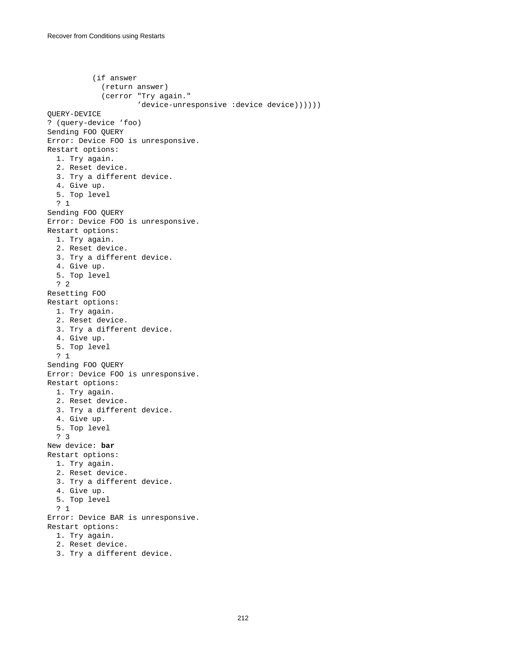```
 (if answer
              (return answer)
              (cerror "Try again."
                      'device-unresponsive :device device))))))
QUERY-DEVICE
? (query-device 'foo)
Sending FOO QUERY
Error: Device FOO is unresponsive.
Restart options:
   1. Try again.
   2. Reset device.
   3. Try a different device.
   4. Give up.
   5. Top level
   ? 1
Sending FOO QUERY
Error: Device FOO is unresponsive.
Restart options:
   1. Try again.
   2. Reset device.
   3. Try a different device.
   4. Give up.
   5. Top level
   ? 2
Resetting FOO
Restart options:
   1. Try again.
   2. Reset device.
   3. Try a different device.
   4. Give up.
   5. Top level
   ? 1
Sending FOO QUERY
Error: Device FOO is unresponsive.
Restart options:
   1. Try again.
   2. Reset device.
   3. Try a different device.
   4. Give up.
   5. Top level
   ? 3
New device: bar
Restart options:
   1. Try again.
   2. Reset device.
   3. Try a different device.
   4. Give up.
   5. Top level
   ? 1
Error: Device BAR is unresponsive.
Restart options:
   1. Try again.
   2. Reset device.
   3. Try a different device.
```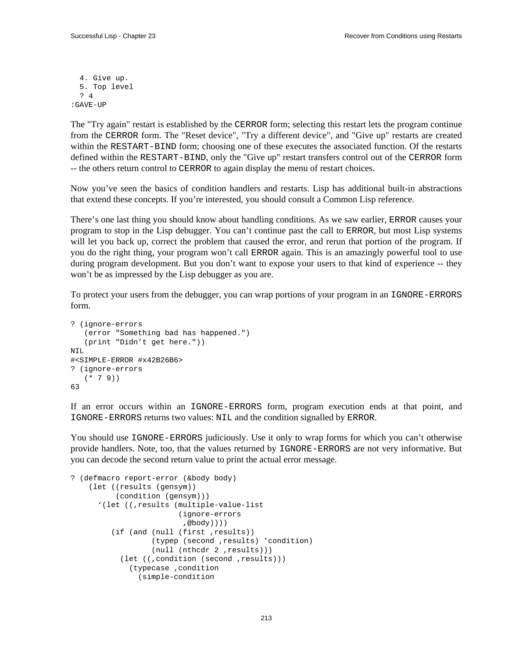4. Give up. 5. Top level ? 4 :GAVE-UP

The "Try again" restart is established by the CERROR form; selecting this restart lets the program continue from the CERROR form. The "Reset device", "Try a different device", and "Give up" restarts are created within the RESTART-BIND form; choosing one of these executes the associated function. Of the restarts defined within the RESTART-BIND, only the "Give up" restart transfers control out of the CERROR form -- the others return control to CERROR to again display the menu of restart choices.

Now you've seen the basics of condition handlers and restarts. Lisp has additional built-in abstractions that extend these concepts. If you're interested, you should consult a Common Lisp reference.

There's one last thing you should know about handling conditions. As we saw earlier, ERROR causes your program to stop in the Lisp debugger. You can't continue past the call to ERROR, but most Lisp systems will let you back up, correct the problem that caused the error, and rerun that portion of the program. If you do the right thing, your program won't call ERROR again. This is an amazingly powerful tool to use during program development. But you don't want to expose your users to that kind of experience -- they won't be as impressed by the Lisp debugger as you are.

To protect your users from the debugger, you can wrap portions of your program in an IGNORE-ERRORS form.

```
? (ignore-errors 
    (error "Something bad has happened.")
    (print "Didn't get here."))
NIL
#<SIMPLE-ERROR #x42B26B6>
? (ignore-errors
   (* 7 9)63
```
If an error occurs within an IGNORE-ERRORS form, program execution ends at that point, and IGNORE-ERRORS returns two values: NIL and the condition signalled by ERROR.

You should use IGNORE-ERRORS judiciously. Use it only to wrap forms for which you can't otherwise provide handlers. Note, too, that the values returned by IGNORE-ERRORS are not very informative. But you can decode the second return value to print the actual error message.

```
? (defmacro report-error (&body body)
     (let ((results (gensym))
           (condition (gensym)))
       '(let ((,results (multiple-value-list
                          (ignore-errors 
                           ,@body))))
          (if (and (null (first ,results))
                   (typep (second ,results) 'condition)
                    (null (nthcdr 2 ,results)))
            (let ((,condition (second ,results)))
              (typecase ,condition
                (simple-condition
```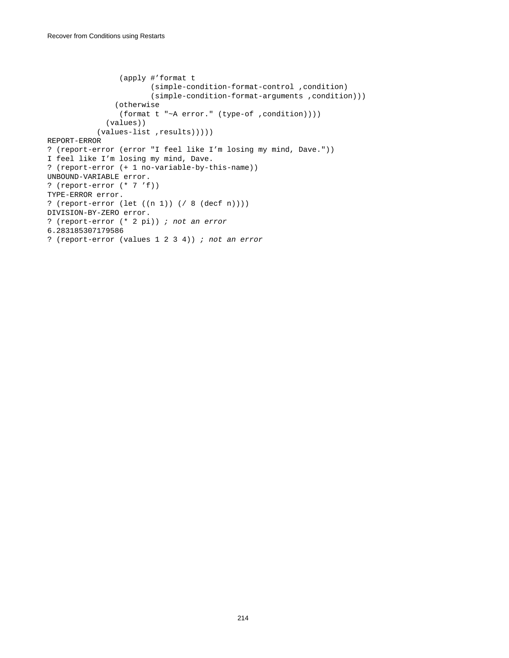```
 (apply #'format t 
                         (simple-condition-format-control ,condition) 
                         (simple-condition-format-arguments ,condition)))
                (otherwise
                 (format t "~A error." (type-of ,condition))))
              (values))
            (values-list ,results)))))
REPORT-ERROR
? (report-error (error "I feel like I'm losing my mind, Dave."))
I feel like I'm losing my mind, Dave.
? (report-error (+ 1 no-variable-by-this-name))
UNBOUND-VARIABLE error.
? (report-error (* 7 'f))
TYPE-ERROR error.
? (report-error (let ((n 1)) (/ 8 (decf n))))
DIVISION-BY-ZERO error.
? (report-error (* 2 pi)) ; not an error
6.283185307179586
? (report-error (values 1 2 3 4)) ; not an error
```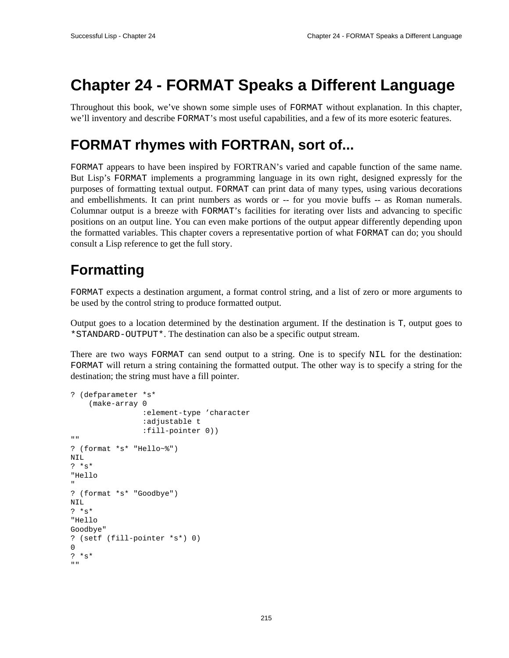# <span id="page-214-0"></span>**Chapter 24 - FORMAT Speaks a Different Language**

Throughout this book, we've shown some simple uses of FORMAT without explanation. In this chapter, we'll inventory and describe FORMAT's most useful capabilities, and a few of its more esoteric features.

### **FORMAT rhymes with FORTRAN, sort of...**

FORMAT appears to have been inspired by FORTRAN's varied and capable function of the same name. But Lisp's FORMAT implements a programming language in its own right, designed expressly for the purposes of formatting textual output. FORMAT can print data of many types, using various decorations and embellishments. It can print numbers as words or -- for you movie buffs -- as Roman numerals. Columnar output is a breeze with FORMAT's facilities for iterating over lists and advancing to specific positions on an output line. You can even make portions of the output appear differently depending upon the formatted variables. This chapter covers a representative portion of what FORMAT can do; you should consult a Lisp reference to get the full story.

# **Formatting**

FORMAT expects a destination argument, a format control string, and a list of zero or more arguments to be used by the control string to produce formatted output.

Output goes to a location determined by the destination argument. If the destination is T, output goes to \*STANDARD-OUTPUT\*. The destination can also be a specific output stream.

There are two ways FORMAT can send output to a string. One is to specify NIL for the destination: FORMAT will return a string containing the formatted output. The other way is to specify a string for the destination; the string must have a fill pointer.

```
? (defparameter *s* 
     (make-array 0 
                  :element-type 'character 
                  :adjustable t 
                  :fill-pointer 0))
""
? (format *s* "Hello~%")
NTT.
? *s*
"Hello
"
? (format *s* "Goodbye")
NTT.
? *s*
"Hello
Goodbye"
? (setf (fill-pointer *s*) 0)
\cap? *s*
""
```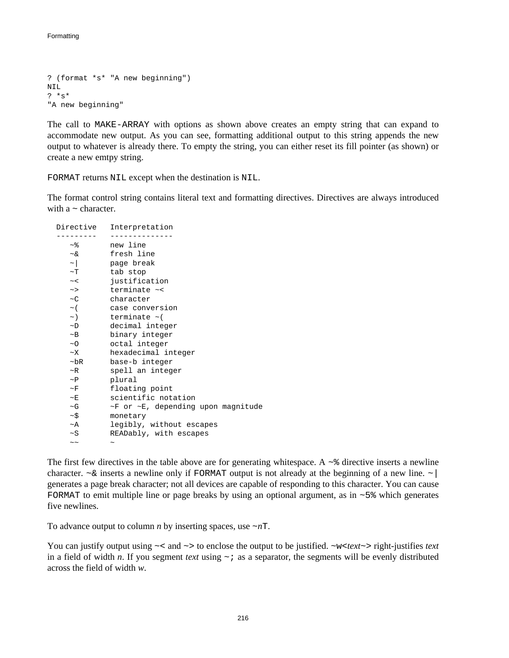Formatting

```
? (format *s* "A new beginning")
NIL
? *s*
"A new beginning"
```
The call to MAKE-ARRAY with options as shown above creates an empty string that can expand to accommodate new output. As you can see, formatting additional output to this string appends the new output to whatever is already there. To empty the string, you can either reset its fill pointer (as shown) or create a new emtpy string.

FORMAT returns NIL except when the destination is NIL.

The format control string contains literal text and formatting directives. Directives are always introduced with  $a \sim$  character.

|                  | Directive Interpretation           |
|------------------|------------------------------------|
|                  |                                    |
| $\sim$ $\approx$ | new line                           |
| $\sim \&$        | fresh line                         |
|                  | ~ page break                       |
| $\sim$ T         | tab stop                           |
|                  | justification                      |
| $\sim$ >         | terminate ~<                       |
|                  | ~C character                       |
| $\sim$ (         | case conversion                    |
|                  | $\sim$ ) terminate $\sim$ (        |
| $\sim$ D         | decimal integer                    |
| $\sim$ B         | binary integer                     |
| $\sim$ O         | octal integer                      |
| $\sim$ X         | hexadecimal integer                |
| $\sim$ bR        | base-b integer                     |
| $\sim$ R         | spell an integer                   |
| $\sim$ P         | plural                             |
| $\sim$ F         | floating point                     |
| $\sim$ E         | scientific notation                |
| $\sim$ G         | ~F or ~E, depending upon magnitude |
| $\sim$ \$        | monetary                           |
| $\sim$ A         | legibly, without escapes           |
| $\sim$ S         | READably, with escapes             |
| $\sim$ $\sim$    | $\tilde{}$                         |

The first few directives in the table above are for generating whitespace. A  $\sim\$  directive inserts a newline character.  $\sim \&$  inserts a newline only if FORMAT output is not already at the beginning of a new line.  $\sim$  | generates a page break character; not all devices are capable of responding to this character. You can cause FORMAT to emit multiple line or page breaks by using an optional argument, as in  $~5$  which generates five newlines.

To advance output to column *n* by inserting spaces, use ~*n*T.

You can justify output using  $\sim$  and  $\sim$  to enclose the output to be justified.  $\sim$ w $\lt$ *text* $\sim$  right-justifies *text* in a field of width *n*. If you segment *text* using  $\sim$ ; as a separator, the segments will be evenly distributed across the field of width *w*.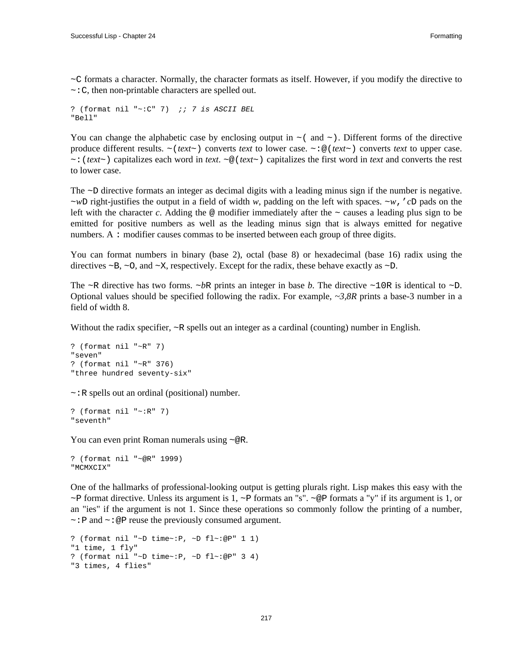$\sim$ C formats a character. Normally, the character formats as itself. However, if you modify the directive to ~:C, then non-printable characters are spelled out.

? (format nil "~:C" 7) ;; 7 is ASCII BEL "Bell"

You can change the alphabetic case by enclosing output in  $\sim$  ( and  $\sim$  ). Different forms of the directive produce different results. ~(*text*~) converts *text* to lower case. ~:@(*text*~) converts *text* to upper case. ~:(*text*~) capitalizes each word in *text*. ~@(*text*~) capitalizes the first word in *text* and converts the rest to lower case.

The  $\sim$ D directive formats an integer as decimal digits with a leading minus sign if the number is negative. ~*w*D right-justifies the output in a field of width *w*, padding on the left with spaces. ~*w*,'*c*D pads on the left with the character *c*. Adding the  $\circledcirc$  modifier immediately after the  $\sim$  causes a leading plus sign to be emitted for positive numbers as well as the leading minus sign that is always emitted for negative numbers.  $A :$  modifier causes commas to be inserted between each group of three digits.

You can format numbers in binary (base 2), octal (base 8) or hexadecimal (base 16) radix using the directives  $\sim$ B,  $\sim$ O, and  $\sim$ X, respectively. Except for the radix, these behave exactly as  $\sim$ D.

The  $~\sim$ R directive has two forms.  $~\sim$ *b*R prints an integer in base *b*. The directive  $~\sim$ 10R is identical to  $~\sim$ D. Optional values should be specified following the radix. For example, *~3,8R* prints a base-3 number in a field of width 8.

Without the radix specifier,  $\neg R$  spells out an integer as a cardinal (counting) number in English.

```
? (format nil "~R" 7)
"seven"
? (format nil "~R" 376)
"three hundred seventy-six"
```
 $\sim$ : R spells out an ordinal (positional) number.

```
? (format nil "~:R" 7)
"seventh"
```
You can even print Roman numerals using  $\sim \text{QR}$ .

```
? (format nil "~@R" 1999)
"MCMXCIX"
```
One of the hallmarks of professional-looking output is getting plurals right. Lisp makes this easy with the  $\sim$ P format directive. Unless its argument is 1,  $\sim$ P formats an "s".  $\sim$  @P formats a "y" if its argument is 1, or an "ies" if the argument is not 1. Since these operations so commonly follow the printing of a number,  $\sim$ : P and  $\sim$ : @P reuse the previously consumed argument.

```
? (format nil "~D time~:P, ~D fl~:@P" 1 1)
"1 time, 1 fly"
? (format nil "~D time~:P, ~D fl~:@P" 3 4)
"3 times, 4 flies"
```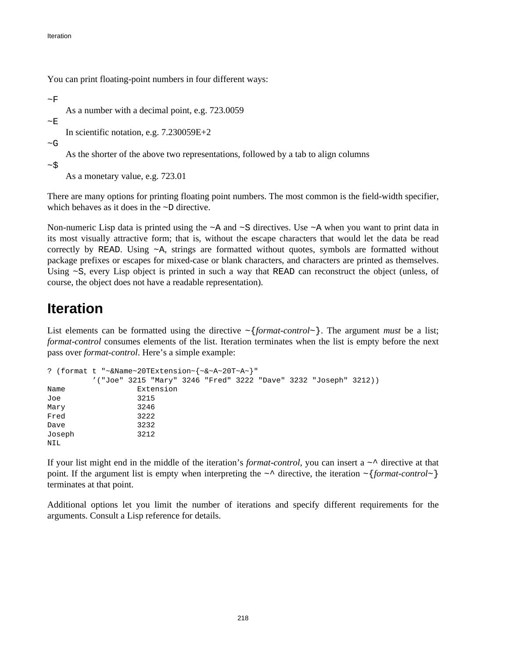You can print floating-point numbers in four different ways:

```
\sim \rm{F}As a number with a decimal point, e.g. 723.0059 
\sim\!\textsc{E}In scientific notation, e.g. 7.230059E+2 
\sim G
     As the shorter of the above two representations, followed by a tab to align columns
```
 $~1$ 

As a monetary value, e.g. 723.01

There are many options for printing floating point numbers. The most common is the field-width specifier, which behaves as it does in the  $\neg$ D directive.

Non-numeric Lisp data is printed using the  $\sim$ A and  $\sim$ S directives. Use  $\sim$ A when you want to print data in its most visually attractive form; that is, without the escape characters that would let the data be read correctly by READ. Using ~A, strings are formatted without quotes, symbols are formatted without package prefixes or escapes for mixed-case or blank characters, and characters are printed as themselves. Using ~S, every Lisp object is printed in such a way that READ can reconstruct the object (unless, of course, the object does not have a readable representation).

#### **Iteration**

List elements can be formatted using the directive ~{*format-control*~}. The argument *must* be a list; *format-control* consumes elements of the list. Iteration terminates when the list is empty before the next pass over *format-control*. Here's a simple example:

```
? (format t "~&Name~20TExtension~{~&~A~20T~A~}"
        '("Joe" 3215 "Mary" 3246 "Fred" 3222 "Dave" 3232 "Joseph" 3212))
Name Extension
Joe 3215
Mary 3246
Fred 3222
Dave 3232
Joseph 3212
NTT.
```
If your list might end in the middle of the iteration's *format-control*, you can insert a  $\sim$ <sup>\*</sup> directive at that point. If the argument list is empty when interpreting the  $\sim$  directive, the iteration  $\sim$  {*format-control* $\sim$ } terminates at that point.

Additional options let you limit the number of iterations and specify different requirements for the arguments. Consult a Lisp reference for details.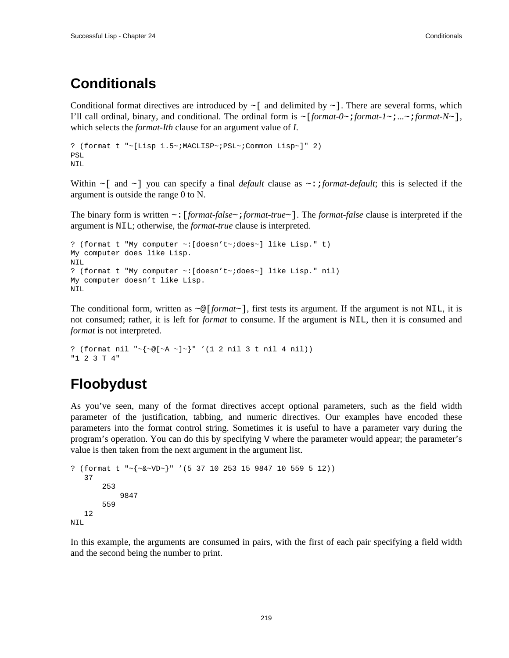#### **Conditionals**

Conditional format directives are introduced by  $\sim$  [ and delimited by  $\sim$  ]. There are several forms, which I'll call ordinal, binary, and conditional. The ordinal form is ~[*format-0*~;*format-1*~;*...*~;*format-N*~], which selects the *format-Ith* clause for an argument value of *I*.

```
? (format t "~[Lisp 1.5~;MACLISP~;PSL~;Common Lisp~]" 2)
PSL
NIL
```
Within  $\sim$ [ and  $\sim$ ] you can specify a final *default* clause as  $\sim$ :*; format-default*; this is selected if the argument is outside the range 0 to N.

The binary form is written ~:[*format-false*~;*format-true*~]. The *format-false* clause is interpreted if the argument is NIL; otherwise, the *format-true* clause is interpreted.

```
? (format t "My computer ~:[doesn't~;does~] like Lisp." t)
My computer does like Lisp.
NIL
? (format t "My computer ~:[doesn't~;does~] like Lisp." nil)
My computer doesn't like Lisp.
NIL
```
The conditional form, written as  $\sim \mathcal{Q}$  [*format* $\sim$ ], first tests its argument. If the argument is not NIL, it is not consumed; rather, it is left for *format* to consume. If the argument is NIL, then it is consumed and *format* is not interpreted.

```
? (format nil "~{~@[~A ~]~}" '(1 2 nil 3 t nil 4 nil))
"1 2 3 T 4"
```
## **Floobydust**

As you've seen, many of the format directives accept optional parameters, such as the field width parameter of the justification, tabbing, and numeric directives. Our examples have encoded these parameters into the format control string. Sometimes it is useful to have a parameter vary during the program's operation. You can do this by specifying V where the parameter would appear; the parameter's value is then taken from the next argument in the argument list.

```
? (format t "~\{-&-VD-\}" '(5 37 10 253 15 9847 10 559 5 12))
    37
         253
             9847
         559
    12
NIL
```
In this example, the arguments are consumed in pairs, with the first of each pair specifying a field width and the second being the number to print.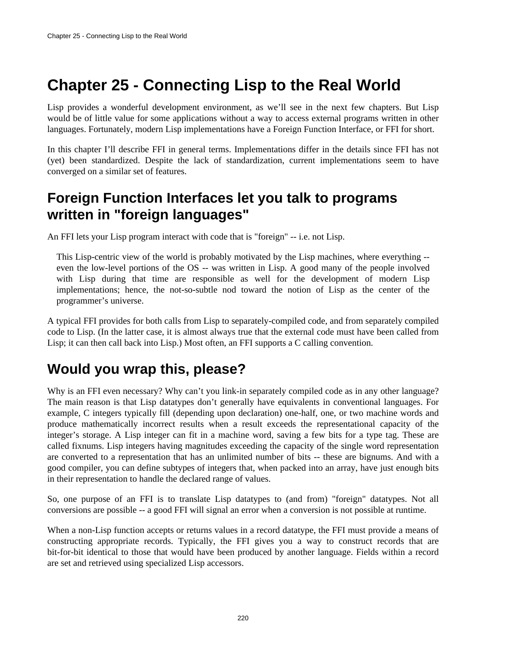# <span id="page-219-0"></span>**Chapter 25 - Connecting Lisp to the Real World**

Lisp provides a wonderful development environment, as we'll see in the next few chapters. But Lisp would be of little value for some applications without a way to access external programs written in other languages. Fortunately, modern Lisp implementations have a Foreign Function Interface, or FFI for short.

In this chapter I'll describe FFI in general terms. Implementations differ in the details since FFI has not (yet) been standardized. Despite the lack of standardization, current implementations seem to have converged on a similar set of features.

#### **Foreign Function Interfaces let you talk to programs written in "foreign languages"**

An FFI lets your Lisp program interact with code that is "foreign" -- i.e. not Lisp.

This Lisp-centric view of the world is probably motivated by the Lisp machines, where everything - even the low-level portions of the OS -- was written in Lisp. A good many of the people involved with Lisp during that time are responsible as well for the development of modern Lisp implementations; hence, the not-so-subtle nod toward the notion of Lisp as the center of the programmer's universe.

A typical FFI provides for both calls from Lisp to separately-compiled code, and from separately compiled code to Lisp. (In the latter case, it is almost always true that the external code must have been called from Lisp; it can then call back into Lisp.) Most often, an FFI supports a C calling convention.

#### **Would you wrap this, please?**

Why is an FFI even necessary? Why can't you link-in separately compiled code as in any other language? The main reason is that Lisp datatypes don't generally have equivalents in conventional languages. For example, C integers typically fill (depending upon declaration) one-half, one, or two machine words and produce mathematically incorrect results when a result exceeds the representational capacity of the integer's storage. A Lisp integer can fit in a machine word, saving a few bits for a type tag. These are called fixnums. Lisp integers having magnitudes exceeding the capacity of the single word representation are converted to a representation that has an unlimited number of bits -- these are bignums. And with a good compiler, you can define subtypes of integers that, when packed into an array, have just enough bits in their representation to handle the declared range of values.

So, one purpose of an FFI is to translate Lisp datatypes to (and from) "foreign" datatypes. Not all conversions are possible -- a good FFI will signal an error when a conversion is not possible at runtime.

When a non-Lisp function accepts or returns values in a record datatype, the FFI must provide a means of constructing appropriate records. Typically, the FFI gives you a way to construct records that are bit-for-bit identical to those that would have been produced by another language. Fields within a record are set and retrieved using specialized Lisp accessors.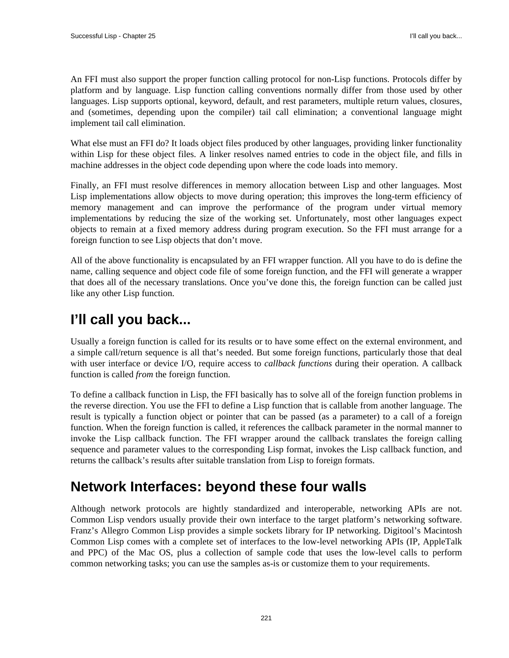An FFI must also support the proper function calling protocol for non-Lisp functions. Protocols differ by platform and by language. Lisp function calling conventions normally differ from those used by other languages. Lisp supports optional, keyword, default, and rest parameters, multiple return values, closures, and (sometimes, depending upon the compiler) tail call elimination; a conventional language might implement tail call elimination.

What else must an FFI do? It loads object files produced by other languages, providing linker functionality within Lisp for these object files. A linker resolves named entries to code in the object file, and fills in machine addresses in the object code depending upon where the code loads into memory.

Finally, an FFI must resolve differences in memory allocation between Lisp and other languages. Most Lisp implementations allow objects to move during operation; this improves the long-term efficiency of memory management and can improve the performance of the program under virtual memory implementations by reducing the size of the working set. Unfortunately, most other languages expect objects to remain at a fixed memory address during program execution. So the FFI must arrange for a foreign function to see Lisp objects that don't move.

All of the above functionality is encapsulated by an FFI wrapper function. All you have to do is define the name, calling sequence and object code file of some foreign function, and the FFI will generate a wrapper that does all of the necessary translations. Once you've done this, the foreign function can be called just like any other Lisp function.

## **I'll call you back...**

Usually a foreign function is called for its results or to have some effect on the external environment, and a simple call/return sequence is all that's needed. But some foreign functions, particularly those that deal with user interface or device I/O, require access to *callback functions* during their operation. A callback function is called *from* the foreign function.

To define a callback function in Lisp, the FFI basically has to solve all of the foreign function problems in the reverse direction. You use the FFI to define a Lisp function that is callable from another language. The result is typically a function object or pointer that can be passed (as a parameter) to a call of a foreign function. When the foreign function is called, it references the callback parameter in the normal manner to invoke the Lisp callback function. The FFI wrapper around the callback translates the foreign calling sequence and parameter values to the corresponding Lisp format, invokes the Lisp callback function, and returns the callback's results after suitable translation from Lisp to foreign formats.

## **Network Interfaces: beyond these four walls**

Although network protocols are hightly standardized and interoperable, networking APIs are not. Common Lisp vendors usually provide their own interface to the target platform's networking software. Franz's Allegro Common Lisp provides a simple sockets library for IP networking. Digitool's Macintosh Common Lisp comes with a complete set of interfaces to the low-level networking APIs (IP, AppleTalk and PPC) of the Mac OS, plus a collection of sample code that uses the low-level calls to perform common networking tasks; you can use the samples as-is or customize them to your requirements.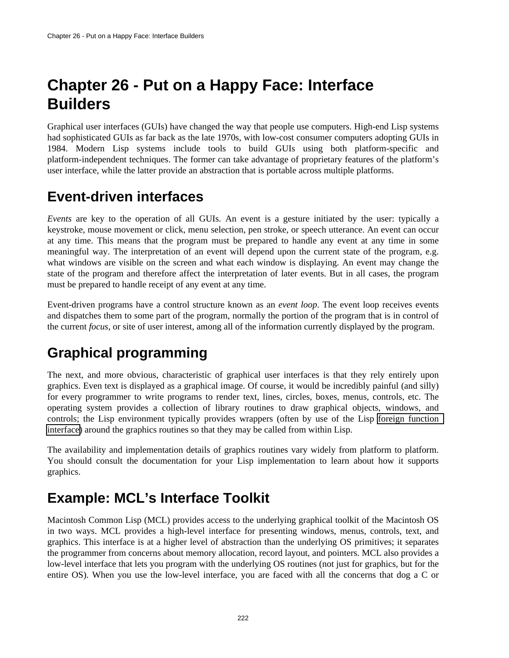# **Chapter 26 - Put on a Happy Face: Interface Builders**

Graphical user interfaces (GUIs) have changed the way that people use computers. High-end Lisp systems had sophisticated GUIs as far back as the late 1970s, with low-cost consumer computers adopting GUIs in 1984. Modern Lisp systems include tools to build GUIs using both platform-specific and platform-independent techniques. The former can take advantage of proprietary features of the platform's user interface, while the latter provide an abstraction that is portable across multiple platforms.

#### **Event-driven interfaces**

*Events* are key to the operation of all GUIs. An event is a gesture initiated by the user: typically a keystroke, mouse movement or click, menu selection, pen stroke, or speech utterance. An event can occur at any time. This means that the program must be prepared to handle any event at any time in some meaningful way. The interpretation of an event will depend upon the current state of the program, e.g. what windows are visible on the screen and what each window is displaying. An event may change the state of the program and therefore affect the interpretation of later events. But in all cases, the program must be prepared to handle receipt of any event at any time.

Event-driven programs have a control structure known as an *event loop*. The event loop receives events and dispatches them to some part of the program, normally the portion of the program that is in control of the current *focus*, or site of user interest, among all of the information currently displayed by the program.

# **Graphical programming**

The next, and more obvious, characteristic of graphical user interfaces is that they rely entirely upon graphics. Even text is displayed as a graphical image. Of course, it would be incredibly painful (and silly) for every programmer to write programs to render text, lines, circles, boxes, menus, controls, etc. The operating system provides a collection of library routines to draw graphical objects, windows, and controls; the Lisp environment typically provides wrappers (often by use of the Lisp [foreign function](#page-219-0)  [interface\)](#page-219-0) around the graphics routines so that they may be called from within Lisp.

The availability and implementation details of graphics routines vary widely from platform to platform. You should consult the documentation for your Lisp implementation to learn about how it supports graphics.

## **Example: MCL's Interface Toolkit**

Macintosh Common Lisp (MCL) provides access to the underlying graphical toolkit of the Macintosh OS in two ways. MCL provides a high-level interface for presenting windows, menus, controls, text, and graphics. This interface is at a higher level of abstraction than the underlying OS primitives; it separates the programmer from concerns about memory allocation, record layout, and pointers. MCL also provides a low-level interface that lets you program with the underlying OS routines (not just for graphics, but for the entire OS). When you use the low-level interface, you are faced with all the concerns that dog a C or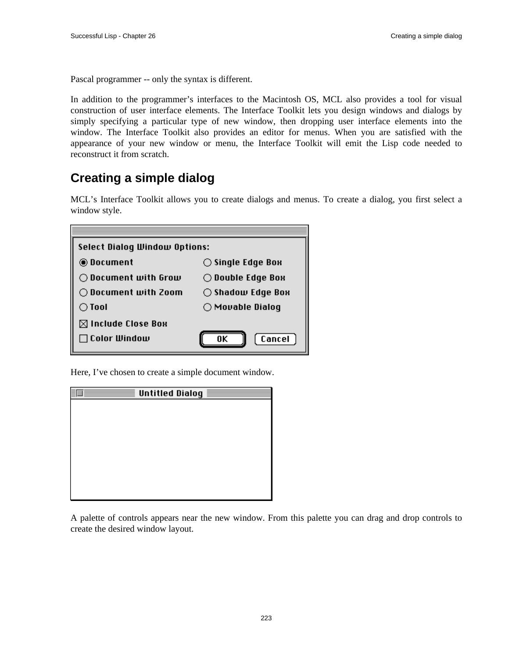Pascal programmer -- only the syntax is different.

In addition to the programmer's interfaces to the Macintosh OS, MCL also provides a tool for visual construction of user interface elements. The Interface Toolkit lets you design windows and dialogs by simply specifying a particular type of new window, then dropping user interface elements into the window. The Interface Toolkit also provides an editor for menus. When you are satisfied with the appearance of your new window or menu, the Interface Toolkit will emit the Lisp code needed to reconstruct it from scratch.

#### **Creating a simple dialog**

MCL's Interface Toolkit allows you to create dialogs and menus. To create a dialog, you first select a window style.

| Select Dialog Window Options: |                            |  |
|-------------------------------|----------------------------|--|
| ◉ Document                    | $\bigcirc$ Single Edge Box |  |
| $\bigcirc$ Document with Grow | $\bigcirc$ Double Edge Box |  |
| $\bigcirc$ Document with Zoom | $\bigcirc$ Shadow Edge Box |  |
| $\bigcirc$ Tool               | $\bigcirc$ Movable Dialog  |  |
| $\boxtimes$ Include Close Box |                            |  |
| ] Color Window                | Cancel<br>ΠK               |  |

Here, I've chosen to create a simple document window.

| <b>Untitled Dialog</b> |
|------------------------|
|                        |
|                        |
|                        |
|                        |
|                        |
|                        |
|                        |
|                        |

A palette of controls appears near the new window. From this palette you can drag and drop controls to create the desired window layout.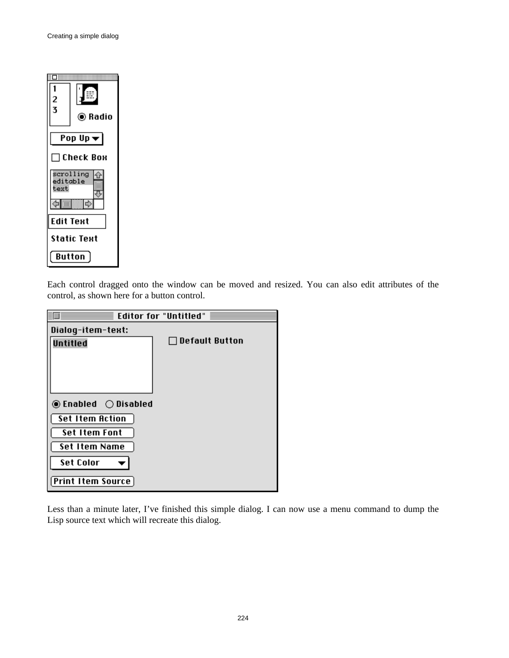Creating a simple dialog

| ┉<br>2<br>3         | ◉ Radio          |  |  |  |
|---------------------|------------------|--|--|--|
| Pop Up <del>↓</del> |                  |  |  |  |
|                     | $\Box$ Check Box |  |  |  |
| editable<br>text    | scrolling        |  |  |  |
|                     |                  |  |  |  |
| Edit Text           |                  |  |  |  |
| Static Text         |                  |  |  |  |
|                     | Button           |  |  |  |

Each control dragged onto the window can be moved and resized. You can also edit attributes of the control, as shown here for a button control.

|                                                                                                                                                                        | <b>Editor for "Untitled"</b> |
|------------------------------------------------------------------------------------------------------------------------------------------------------------------------|------------------------------|
| Dialog-item-text:<br><b>Untitled</b>                                                                                                                                   | $\Box$ Default Button        |
| $\circledcirc$ Enabled $\circlearrowright$ Disabled<br><b>Set Item Action</b><br><b>Set Item Font</b><br>Set Item Name<br><b>Set Color</b><br><b>Print Item Source</b> |                              |

Less than a minute later, I've finished this simple dialog. I can now use a menu command to dump the Lisp source text which will recreate this dialog.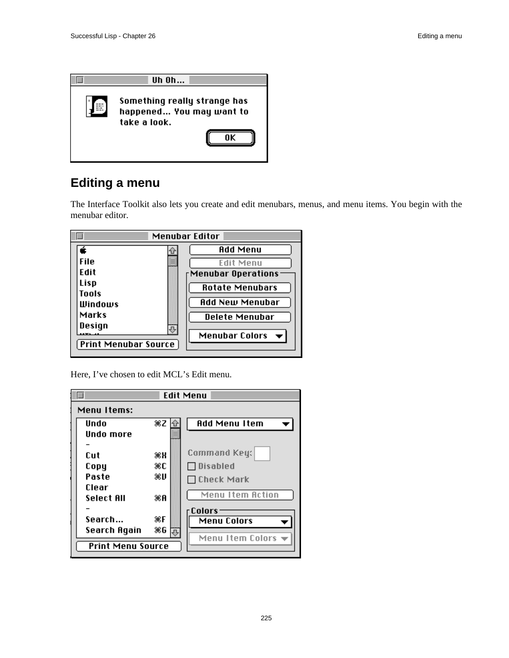| Uh 0h                                                                    |
|--------------------------------------------------------------------------|
| Something really strange has<br>happened You may want to<br>take a look. |
|                                                                          |

#### **Editing a menu**

The Interface Toolkit also lets you create and edit menubars, menus, and menu items. You begin with the menubar editor.



Here, I've chosen to edit MCL's Edit menu.

|                          |         | <b>Edit Menu</b>                      |
|--------------------------|---------|---------------------------------------|
| <b>Menu Items:</b>       |         |                                       |
| Undo                     | 第Z   仚  | <b>Add Menu Item</b>                  |
| Undo more                |         |                                       |
| Cut                      | жX      | Command Key:                          |
| Copy                     | жC      | $\Box$ Disabled                       |
| Paste                    | ЖU      | $\sqcap$ Check Mark                   |
| Clear                    |         |                                       |
| Select All               | жA      | <b>Menu Item Action</b>               |
|                          |         | <b>Colors</b>                         |
| Search                   | ЖF      | <b>Menu Colors</b>                    |
| Search Again             | ЖG<br>⊕ | Menu Item Colors $\blacktriangledown$ |
| <b>Print Menu Source</b> |         |                                       |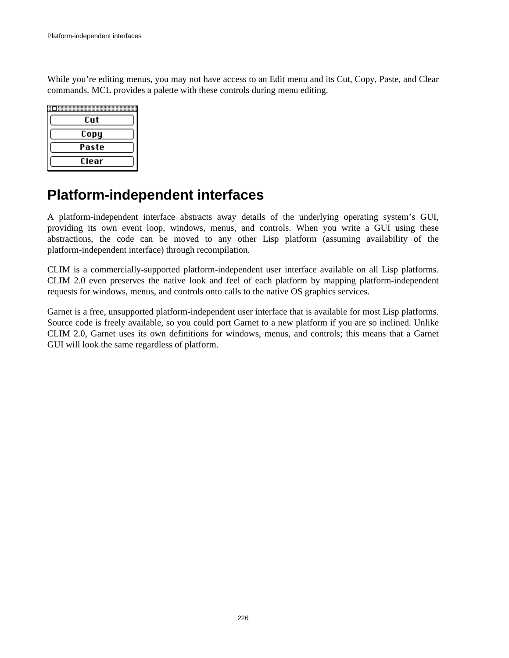While you're editing menus, you may not have access to an Edit menu and its Cut, Copy, Paste, and Clear commands. MCL provides a palette with these controls during menu editing.

| Cut   |
|-------|
| Copy  |
| Paste |
| Clear |

#### **Platform-independent interfaces**

A platform-independent interface abstracts away details of the underlying operating system's GUI, providing its own event loop, windows, menus, and controls. When you write a GUI using these abstractions, the code can be moved to any other Lisp platform (assuming availability of the platform-independent interface) through recompilation.

CLIM is a commercially-supported platform-independent user interface available on all Lisp platforms. CLIM 2.0 even preserves the native look and feel of each platform by mapping platform-independent requests for windows, menus, and controls onto calls to the native OS graphics services.

Garnet is a free, unsupported platform-independent user interface that is available for most Lisp platforms. Source code is freely available, so you could port Garnet to a new platform if you are so inclined. Unlike CLIM 2.0, Garnet uses its own definitions for windows, menus, and controls; this means that a Garnet GUI will look the same regardless of platform.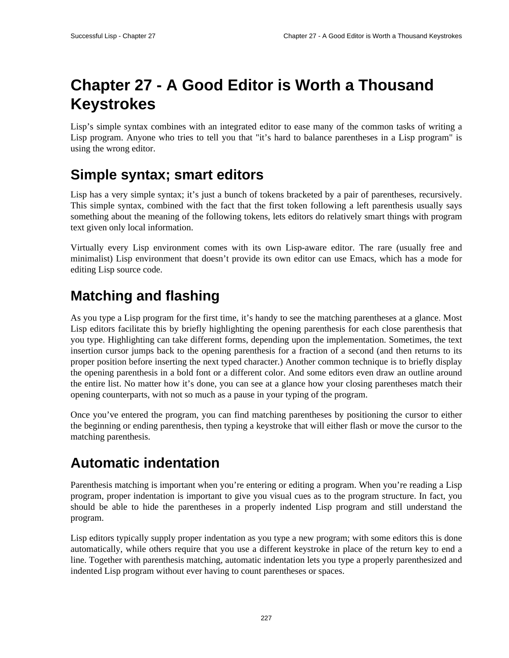# **Chapter 27 - A Good Editor is Worth a Thousand Keystrokes**

Lisp's simple syntax combines with an integrated editor to ease many of the common tasks of writing a Lisp program. Anyone who tries to tell you that "it's hard to balance parentheses in a Lisp program" is using the wrong editor.

## **Simple syntax; smart editors**

Lisp has a very simple syntax; it's just a bunch of tokens bracketed by a pair of parentheses, recursively. This simple syntax, combined with the fact that the first token following a left parenthesis usually says something about the meaning of the following tokens, lets editors do relatively smart things with program text given only local information.

Virtually every Lisp environment comes with its own Lisp-aware editor. The rare (usually free and minimalist) Lisp environment that doesn't provide its own editor can use Emacs, which has a mode for editing Lisp source code.

# **Matching and flashing**

As you type a Lisp program for the first time, it's handy to see the matching parentheses at a glance. Most Lisp editors facilitate this by briefly highlighting the opening parenthesis for each close parenthesis that you type. Highlighting can take different forms, depending upon the implementation. Sometimes, the text insertion cursor jumps back to the opening parenthesis for a fraction of a second (and then returns to its proper position before inserting the next typed character.) Another common technique is to briefly display the opening parenthesis in a bold font or a different color. And some editors even draw an outline around the entire list. No matter how it's done, you can see at a glance how your closing parentheses match their opening counterparts, with not so much as a pause in your typing of the program.

Once you've entered the program, you can find matching parentheses by positioning the cursor to either the beginning or ending parenthesis, then typing a keystroke that will either flash or move the cursor to the matching parenthesis.

# **Automatic indentation**

Parenthesis matching is important when you're entering or editing a program. When you're reading a Lisp program, proper indentation is important to give you visual cues as to the program structure. In fact, you should be able to hide the parentheses in a properly indented Lisp program and still understand the program.

Lisp editors typically supply proper indentation as you type a new program; with some editors this is done automatically, while others require that you use a different keystroke in place of the return key to end a line. Together with parenthesis matching, automatic indentation lets you type a properly parenthesized and indented Lisp program without ever having to count parentheses or spaces.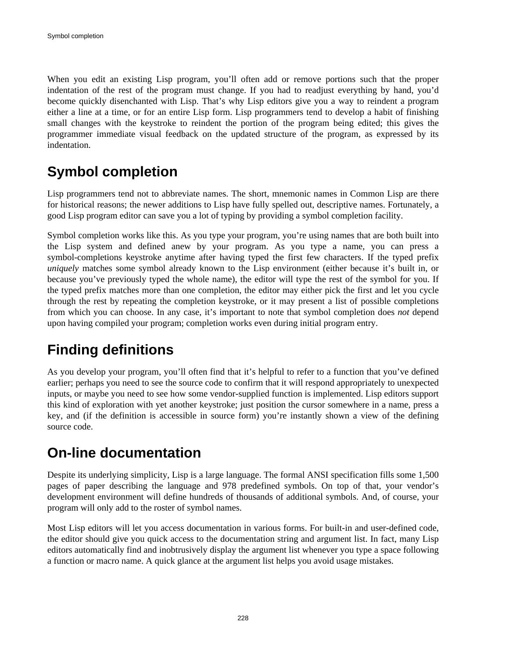When you edit an existing Lisp program, you'll often add or remove portions such that the proper indentation of the rest of the program must change. If you had to readjust everything by hand, you'd become quickly disenchanted with Lisp. That's why Lisp editors give you a way to reindent a program either a line at a time, or for an entire Lisp form. Lisp programmers tend to develop a habit of finishing small changes with the keystroke to reindent the portion of the program being edited; this gives the programmer immediate visual feedback on the updated structure of the program, as expressed by its indentation.

## **Symbol completion**

Lisp programmers tend not to abbreviate names. The short, mnemonic names in Common Lisp are there for historical reasons; the newer additions to Lisp have fully spelled out, descriptive names. Fortunately, a good Lisp program editor can save you a lot of typing by providing a symbol completion facility.

Symbol completion works like this. As you type your program, you're using names that are both built into the Lisp system and defined anew by your program. As you type a name, you can press a symbol-completions keystroke anytime after having typed the first few characters. If the typed prefix *uniquely* matches some symbol already known to the Lisp environment (either because it's built in, or because you've previously typed the whole name), the editor will type the rest of the symbol for you. If the typed prefix matches more than one completion, the editor may either pick the first and let you cycle through the rest by repeating the completion keystroke, or it may present a list of possible completions from which you can choose. In any case, it's important to note that symbol completion does *not* depend upon having compiled your program; completion works even during initial program entry.

## **Finding definitions**

As you develop your program, you'll often find that it's helpful to refer to a function that you've defined earlier; perhaps you need to see the source code to confirm that it will respond appropriately to unexpected inputs, or maybe you need to see how some vendor-supplied function is implemented. Lisp editors support this kind of exploration with yet another keystroke; just position the cursor somewhere in a name, press a key, and (if the definition is accessible in source form) you're instantly shown a view of the defining source code.

## **On-line documentation**

Despite its underlying simplicity, Lisp is a large language. The formal ANSI specification fills some 1,500 pages of paper describing the language and 978 predefined symbols. On top of that, your vendor's development environment will define hundreds of thousands of additional symbols. And, of course, your program will only add to the roster of symbol names.

Most Lisp editors will let you access documentation in various forms. For built-in and user-defined code, the editor should give you quick access to the documentation string and argument list. In fact, many Lisp editors automatically find and inobtrusively display the argument list whenever you type a space following a function or macro name. A quick glance at the argument list helps you avoid usage mistakes.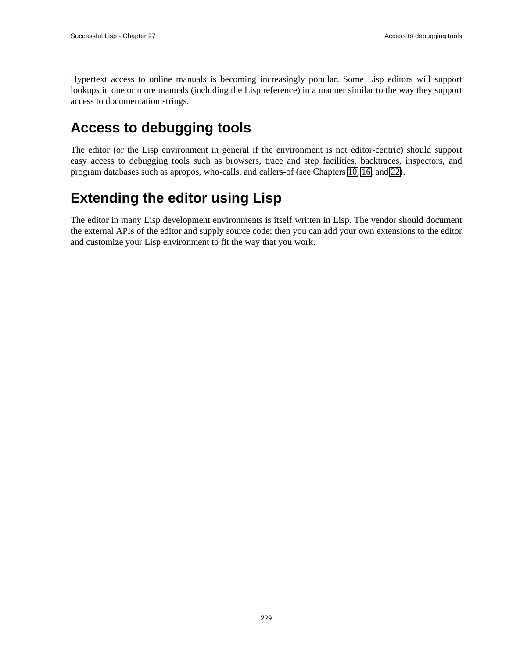Hypertext access to online manuals is becoming increasingly popular. Some Lisp editors will support lookups in one or more manuals (including the Lisp reference) in a manner similar to the way they support access to documentation strings.

## **Access to debugging tools**

The editor (or the Lisp environment in general if the environment is not editor-centric) should support easy access to debugging tools such as browsers, trace and step facilities, backtraces, inspectors, and program databases such as apropos, who-calls, and callers-of (see Chapters [10,](#page-132-0) [16,](#page-168-0) and [22\)](#page-202-0).

## **Extending the editor using Lisp**

The editor in many Lisp development environments is itself written in Lisp. The vendor should document the external APIs of the editor and supply source code; then you can add your own extensions to the editor and customize your Lisp environment to fit the way that you work.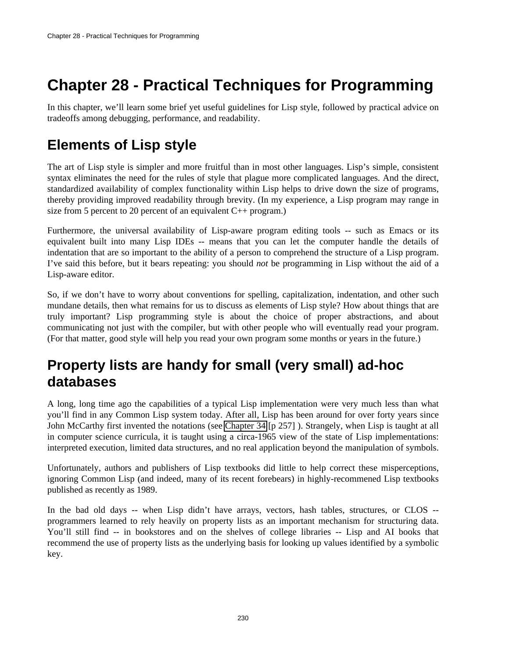# **Chapter 28 - Practical Techniques for Programming**

In this chapter, we'll learn some brief yet useful guidelines for Lisp style, followed by practical advice on tradeoffs among debugging, performance, and readability.

#### **Elements of Lisp style**

The art of Lisp style is simpler and more fruitful than in most other languages. Lisp's simple, consistent syntax eliminates the need for the rules of style that plague more complicated languages. And the direct, standardized availability of complex functionality within Lisp helps to drive down the size of programs, thereby providing improved readability through brevity. (In my experience, a Lisp program may range in size from 5 percent to 20 percent of an equivalent C++ program.)

Furthermore, the universal availability of Lisp-aware program editing tools -- such as Emacs or its equivalent built into many Lisp IDEs -- means that you can let the computer handle the details of indentation that are so important to the ability of a person to comprehend the structure of a Lisp program. I've said this before, but it bears repeating: you should *not* be programming in Lisp without the aid of a Lisp-aware editor.

So, if we don't have to worry about conventions for spelling, capitalization, indentation, and other such mundane details, then what remains for us to discuss as elements of Lisp style? How about things that are truly important? Lisp programming style is about the choice of proper abstractions, and about communicating not just with the compiler, but with other people who will eventually read your program. (For that matter, good style will help you read your own program some months or years in the future.)

## **Property lists are handy for small (very small) ad-hoc databases**

A long, long time ago the capabilities of a typical Lisp implementation were very much less than what you'll find in any Common Lisp system today. After all, Lisp has been around for over forty years since John McCarthy first invented the notations (see [Chapter 34](#page-256-0) [p 257] ). Strangely, when Lisp is taught at all in computer science curricula, it is taught using a circa-1965 view of the state of Lisp implementations: interpreted execution, limited data structures, and no real application beyond the manipulation of symbols.

Unfortunately, authors and publishers of Lisp textbooks did little to help correct these misperceptions, ignoring Common Lisp (and indeed, many of its recent forebears) in highly-recommened Lisp textbooks published as recently as 1989.

In the bad old days -- when Lisp didn't have arrays, vectors, hash tables, structures, or CLOS -programmers learned to rely heavily on property lists as an important mechanism for structuring data. You'll still find -- in bookstores and on the shelves of college libraries -- Lisp and AI books that recommend the use of property lists as the underlying basis for looking up values identified by a symbolic key.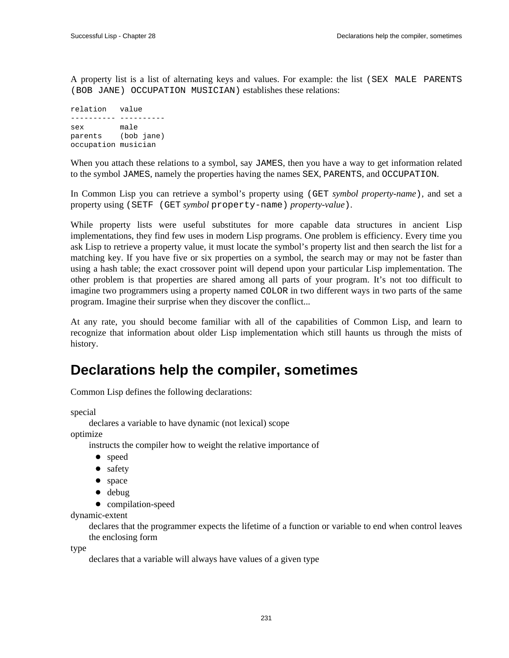A property list is a list of alternating keys and values. For example: the list (SEX MALE PARENTS (BOB JANE) OCCUPATION MUSICIAN) establishes these relations:

relation value ---------- --------- sex male parents (bob jane) occupation musician

When you attach these relations to a symbol, say JAMES, then you have a way to get information related to the symbol JAMES, namely the properties having the names SEX, PARENTS, and OCCUPATION.

In Common Lisp you can retrieve a symbol's property using (GET *symbol property-name*), and set a property using (SETF (GET *symbol* property-name) *property-value*).

While property lists were useful substitutes for more capable data structures in ancient Lisp implementations, they find few uses in modern Lisp programs. One problem is efficiency. Every time you ask Lisp to retrieve a property value, it must locate the symbol's property list and then search the list for a matching key. If you have five or six properties on a symbol, the search may or may not be faster than using a hash table; the exact crossover point will depend upon your particular Lisp implementation. The other problem is that properties are shared among all parts of your program. It's not too difficult to imagine two programmers using a property named COLOR in two different ways in two parts of the same program. Imagine their surprise when they discover the conflict...

At any rate, you should become familiar with all of the capabilities of Common Lisp, and learn to recognize that information about older Lisp implementation which still haunts us through the mists of history.

#### **Declarations help the compiler, sometimes**

Common Lisp defines the following declarations:

special

declares a variable to have dynamic (not lexical) scope

optimize

instructs the compiler how to weight the relative importance of

- speed
- safety
- space
- debug
- compilation-speed

dynamic-extent

declares that the programmer expects the lifetime of a function or variable to end when control leaves the enclosing form

type

declares that a variable will always have values of a given type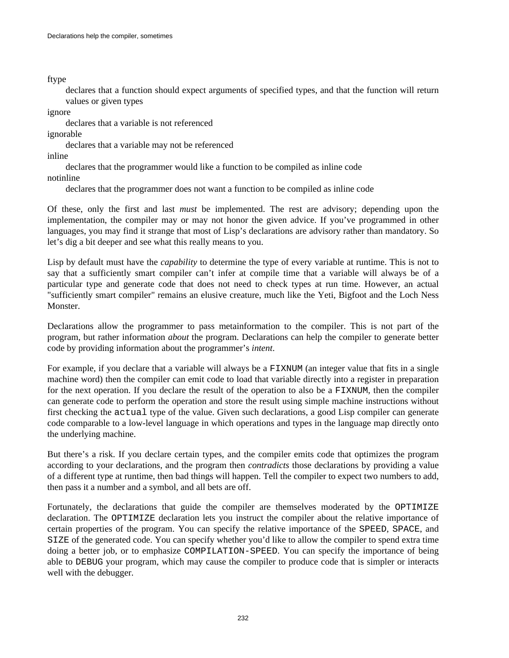ftype

declares that a function should expect arguments of specified types, and that the function will return values or given types

ignore

declares that a variable is not referenced

ignorable

declares that a variable may not be referenced

inline

declares that the programmer would like a function to be compiled as inline code

notinline

declares that the programmer does not want a function to be compiled as inline code

Of these, only the first and last *must* be implemented. The rest are advisory; depending upon the implementation, the compiler may or may not honor the given advice. If you've programmed in other languages, you may find it strange that most of Lisp's declarations are advisory rather than mandatory. So let's dig a bit deeper and see what this really means to you.

Lisp by default must have the *capability* to determine the type of every variable at runtime. This is not to say that a sufficiently smart compiler can't infer at compile time that a variable will always be of a particular type and generate code that does not need to check types at run time. However, an actual "sufficiently smart compiler" remains an elusive creature, much like the Yeti, Bigfoot and the Loch Ness Monster.

Declarations allow the programmer to pass metainformation to the compiler. This is not part of the program, but rather information *about* the program. Declarations can help the compiler to generate better code by providing information about the programmer's *intent*.

For example, if you declare that a variable will always be a FIXNUM (an integer value that fits in a single machine word) then the compiler can emit code to load that variable directly into a register in preparation for the next operation. If you declare the result of the operation to also be a FIXNUM, then the compiler can generate code to perform the operation and store the result using simple machine instructions without first checking the actual type of the value. Given such declarations, a good Lisp compiler can generate code comparable to a low-level language in which operations and types in the language map directly onto the underlying machine.

But there's a risk. If you declare certain types, and the compiler emits code that optimizes the program according to your declarations, and the program then *contradicts* those declarations by providing a value of a different type at runtime, then bad things will happen. Tell the compiler to expect two numbers to add, then pass it a number and a symbol, and all bets are off.

Fortunately, the declarations that guide the compiler are themselves moderated by the OPTIMIZE declaration. The OPTIMIZE declaration lets you instruct the compiler about the relative importance of certain properties of the program. You can specify the relative importance of the SPEED, SPACE, and SIZE of the generated code. You can specify whether you'd like to allow the compiler to spend extra time doing a better job, or to emphasize COMPILATION-SPEED. You can specify the importance of being able to DEBUG your program, which may cause the compiler to produce code that is simpler or interacts well with the debugger.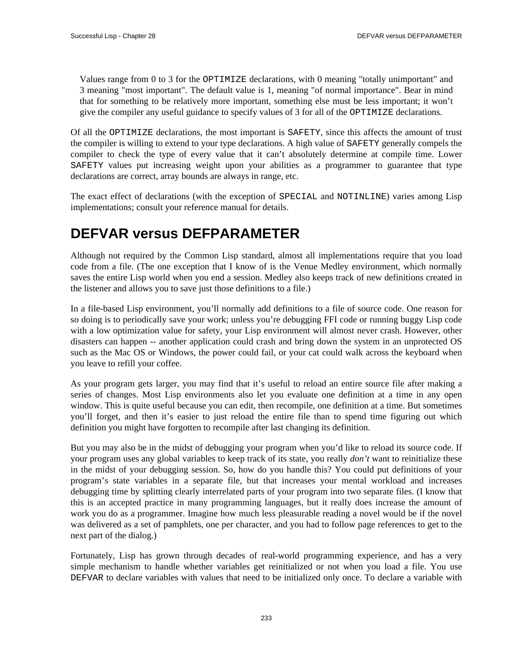Values range from 0 to 3 for the OPTIMIZE declarations, with 0 meaning "totally unimportant" and 3 meaning "most important". The default value is 1, meaning "of normal importance". Bear in mind that for something to be relatively more important, something else must be less important; it won't give the compiler any useful guidance to specify values of 3 for all of the OPTIMIZE declarations.

Of all the OPTIMIZE declarations, the most important is SAFETY, since this affects the amount of trust the compiler is willing to extend to your type declarations. A high value of SAFETY generally compels the compiler to check the type of every value that it can't absolutely determine at compile time. Lower SAFETY values put increasing weight upon your abilities as a programmer to guarantee that type declarations are correct, array bounds are always in range, etc.

The exact effect of declarations (with the exception of SPECIAL and NOTINLINE) varies among Lisp implementations; consult your reference manual for details.

## **DEFVAR versus DEFPARAMETER**

Although not required by the Common Lisp standard, almost all implementations require that you load code from a file. (The one exception that I know of is the Venue Medley environment, which normally saves the entire Lisp world when you end a session. Medley also keeps track of new definitions created in the listener and allows you to save just those definitions to a file.)

In a file-based Lisp environment, you'll normally add definitions to a file of source code. One reason for so doing is to periodically save your work; unless you're debugging FFI code or running buggy Lisp code with a low optimization value for safety, your Lisp environment will almost never crash. However, other disasters can happen -- another application could crash and bring down the system in an unprotected OS such as the Mac OS or Windows, the power could fail, or your cat could walk across the keyboard when you leave to refill your coffee.

As your program gets larger, you may find that it's useful to reload an entire source file after making a series of changes. Most Lisp environments also let you evaluate one definition at a time in any open window. This is quite useful because you can edit, then recompile, one definition at a time. But sometimes you'll forget, and then it's easier to just reload the entire file than to spend time figuring out which definition you might have forgotten to recompile after last changing its definition.

But you may also be in the midst of debugging your program when you'd like to reload its source code. If your program uses any global variables to keep track of its state, you really *don't* want to reinitialize these in the midst of your debugging session. So, how do you handle this? You could put definitions of your program's state variables in a separate file, but that increases your mental workload and increases debugging time by splitting clearly interrelated parts of your program into two separate files. (I know that this is an accepted practice in many programming languages, but it really does increase the amount of work you do as a programmer. Imagine how much less pleasurable reading a novel would be if the novel was delivered as a set of pamphlets, one per character, and you had to follow page references to get to the next part of the dialog.)

Fortunately, Lisp has grown through decades of real-world programming experience, and has a very simple mechanism to handle whether variables get reinitialized or not when you load a file. You use DEFVAR to declare variables with values that need to be initialized only once. To declare a variable with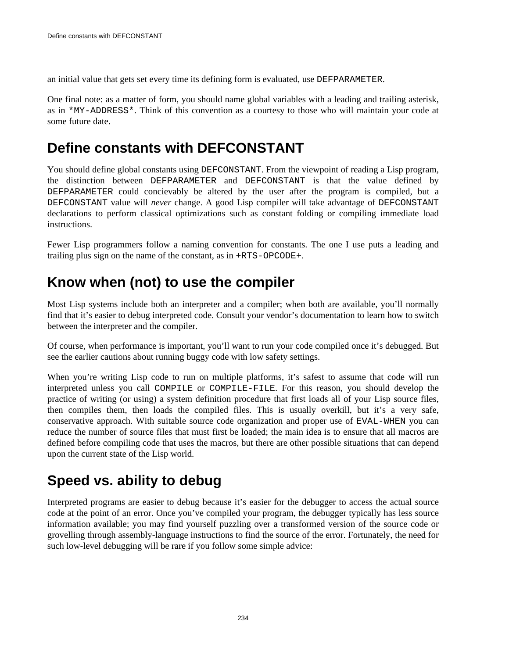an initial value that gets set every time its defining form is evaluated, use DEFPARAMETER.

One final note: as a matter of form, you should name global variables with a leading and trailing asterisk, as in \*MY-ADDRESS\*. Think of this convention as a courtesy to those who will maintain your code at some future date.

#### **Define constants with DEFCONSTANT**

You should define global constants using DEFCONSTANT. From the viewpoint of reading a Lisp program, the distinction between DEFPARAMETER and DEFCONSTANT is that the value defined by DEFPARAMETER could concievably be altered by the user after the program is compiled, but a DEFCONSTANT value will *never* change. A good Lisp compiler will take advantage of DEFCONSTANT declarations to perform classical optimizations such as constant folding or compiling immediate load instructions.

Fewer Lisp programmers follow a naming convention for constants. The one I use puts a leading and trailing plus sign on the name of the constant, as in +RTS-OPCODE+.

#### **Know when (not) to use the compiler**

Most Lisp systems include both an interpreter and a compiler; when both are available, you'll normally find that it's easier to debug interpreted code. Consult your vendor's documentation to learn how to switch between the interpreter and the compiler.

Of course, when performance is important, you'll want to run your code compiled once it's debugged. But see the earlier cautions about running buggy code with low safety settings.

When you're writing Lisp code to run on multiple platforms, it's safest to assume that code will run interpreted unless you call COMPILE or COMPILE-FILE. For this reason, you should develop the practice of writing (or using) a system definition procedure that first loads all of your Lisp source files, then compiles them, then loads the compiled files. This is usually overkill, but it's a very safe, conservative approach. With suitable source code organization and proper use of EVAL-WHEN you can reduce the number of source files that must first be loaded; the main idea is to ensure that all macros are defined before compiling code that uses the macros, but there are other possible situations that can depend upon the current state of the Lisp world.

#### **Speed vs. ability to debug**

Interpreted programs are easier to debug because it's easier for the debugger to access the actual source code at the point of an error. Once you've compiled your program, the debugger typically has less source information available; you may find yourself puzzling over a transformed version of the source code or grovelling through assembly-language instructions to find the source of the error. Fortunately, the need for such low-level debugging will be rare if you follow some simple advice: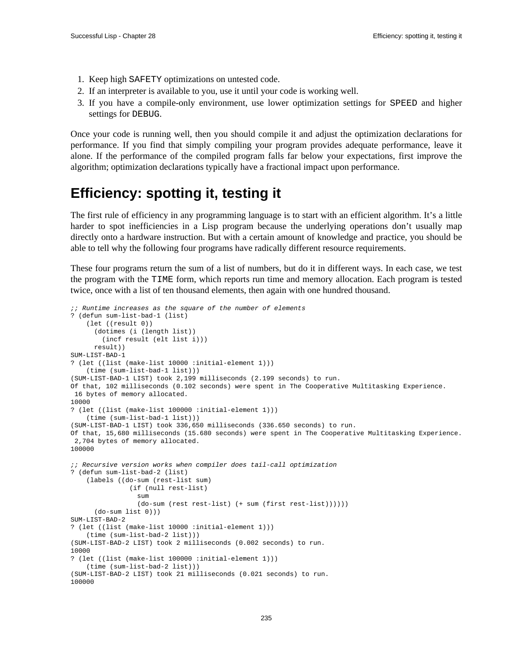- 1. Keep high SAFETY optimizations on untested code.
- 2. If an interpreter is available to you, use it until your code is working well.
- 3. If you have a compile-only environment, use lower optimization settings for SPEED and higher settings for DEBUG.

Once your code is running well, then you should compile it and adjust the optimization declarations for performance. If you find that simply compiling your program provides adequate performance, leave it alone. If the performance of the compiled program falls far below your expectations, first improve the algorithm; optimization declarations typically have a fractional impact upon performance.

#### <span id="page-234-0"></span>**Efficiency: spotting it, testing it**

The first rule of efficiency in any programming language is to start with an efficient algorithm. It's a little harder to spot inefficiencies in a Lisp program because the underlying operations don't usually map directly onto a hardware instruction. But with a certain amount of knowledge and practice, you should be able to tell why the following four programs have radically different resource requirements.

These four programs return the sum of a list of numbers, but do it in different ways. In each case, we test the program with the TIME form, which reports run time and memory allocation. Each program is tested twice, once with a list of ten thousand elements, then again with one hundred thousand.

```
;; Runtime increases as the square of the number of elements
? (defun sum-list-bad-1 (list)
     (let ((result 0))
       (dotimes (i (length list))
        (incf result (elt list i)))
       result))
SUM-LIST-BAD-1
? (let ((list (make-list 10000 :initial-element 1)))
     (time (sum-list-bad-1 list)))
(SUM-LIST-BAD-1 LIST) took 2,199 milliseconds (2.199 seconds) to run.
Of that, 102 milliseconds (0.102 seconds) were spent in The Cooperative Multitasking Experience.
 16 bytes of memory allocated.
10000
? (let ((list (make-list 100000 :initial-element 1)))
     (time (sum-list-bad-1 list)))
(SUM-LIST-BAD-1 LIST) took 336,650 milliseconds (336.650 seconds) to run.
Of that, 15,680 milliseconds (15.680 seconds) were spent in The Cooperative Multitasking Experience.
 2,704 bytes of memory allocated.
100000
;; Recursive version works when compiler does tail-call optimization
? (defun sum-list-bad-2 (list)
     (labels ((do-sum (rest-list sum)
                (if (null rest-list)
                  sum
                  (do-sum (rest rest-list) (+ sum (first rest-list))))))
       (do-sum list 0)))
SUM-LIST-BAD-2
? (let ((list (make-list 10000 :initial-element 1)))
    (time (sum-list-bad-2 list)))
(SUM-LIST-BAD-2 LIST) took 2 milliseconds (0.002 seconds) to run.
10000
? (let ((list (make-list 100000 :initial-element 1)))
     (time (sum-list-bad-2 list)))
(SUM-LIST-BAD-2 LIST) took 21 milliseconds (0.021 seconds) to run.
100000
```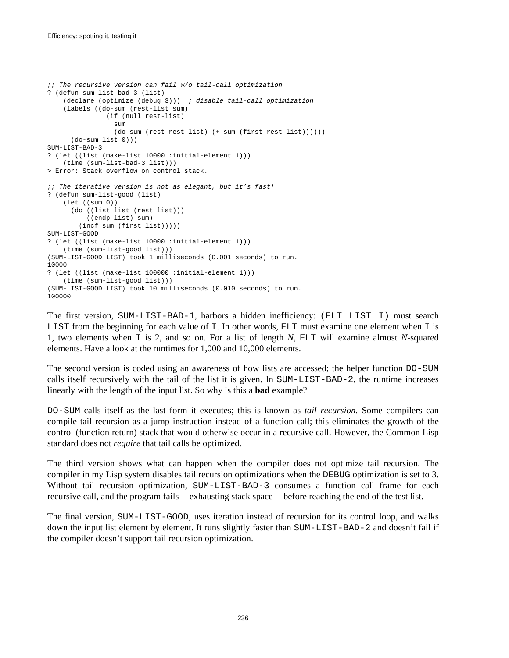```
;; The recursive version can fail w/o tail-call optimization
? (defun sum-list-bad-3 (list)
     (declare (optimize (debug 3))) ; disable tail-call optimization
     (labels ((do-sum (rest-list sum)
                (if (null rest-list)
                  sum
                  (do-sum (rest rest-list) (+ sum (first rest-list))))))
      (do-sum list 0)))
SUM-LIST-BAD-3
? (let ((list (make-list 10000 :initial-element 1)))
     (time (sum-list-bad-3 list)))
> Error: Stack overflow on control stack.
;; The iterative version is not as elegant, but it's fast!
? (defun sum-list-good (list)
    (let ((sum 0))
       (do ((list list (rest list)))
          ((endp list) sum)
         (incf sum (first list)))))
SUM-LIST-GOOD
? (let ((list (make-list 10000 :initial-element 1)))
     (time (sum-list-good list)))
(SUM-LIST-GOOD LIST) took 1 milliseconds (0.001 seconds) to run.
10000
? (let ((list (make-list 100000 :initial-element 1)))
    (time (sum-list-good list)))
(SUM-LIST-GOOD LIST) took 10 milliseconds (0.010 seconds) to run.
100000
```
The first version, SUM-LIST-BAD-1, harbors a hidden inefficiency: (ELT LIST I) must search LIST from the beginning for each value of I. In other words, ELT must examine one element when I is 1, two elements when I is 2, and so on. For a list of length *N*, ELT will examine almost *N*-squared elements. Have a look at the runtimes for 1,000 and 10,000 elements.

The second version is coded using an awareness of how lists are accessed; the helper function DO-SUM calls itself recursively with the tail of the list it is given. In SUM-LIST-BAD-2, the runtime increases linearly with the length of the input list. So why is this a **bad** example?

DO-SUM calls itself as the last form it executes; this is known as *tail recursion*. Some compilers can compile tail recursion as a jump instruction instead of a function call; this eliminates the growth of the control (function return) stack that would otherwise occur in a recursive call. However, the Common Lisp standard does not *require* that tail calls be optimized.

The third version shows what can happen when the compiler does not optimize tail recursion. The compiler in my Lisp system disables tail recursion optimizations when the DEBUG optimization is set to 3. Without tail recursion optimization, SUM-LIST-BAD-3 consumes a function call frame for each recursive call, and the program fails -- exhausting stack space -- before reaching the end of the test list.

The final version, SUM-LIST-GOOD, uses iteration instead of recursion for its control loop, and walks down the input list element by element. It runs slightly faster than SUM-LIST-BAD-2 and doesn't fail if the compiler doesn't support tail recursion optimization.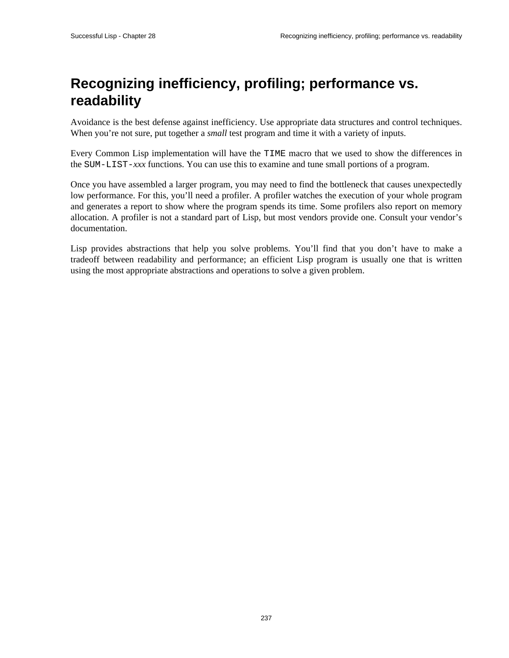## **Recognizing inefficiency, profiling; performance vs. readability**

Avoidance is the best defense against inefficiency. Use appropriate data structures and control techniques. When you're not sure, put together a *small* test program and time it with a variety of inputs.

Every Common Lisp implementation will have the TIME macro that we used to show the differences in the SUM-LIST-*xxx* functions. You can use this to examine and tune small portions of a program.

Once you have assembled a larger program, you may need to find the bottleneck that causes unexpectedly low performance. For this, you'll need a profiler. A profiler watches the execution of your whole program and generates a report to show where the program spends its time. Some profilers also report on memory allocation. A profiler is not a standard part of Lisp, but most vendors provide one. Consult your vendor's documentation.

Lisp provides abstractions that help you solve problems. You'll find that you don't have to make a tradeoff between readability and performance; an efficient Lisp program is usually one that is written using the most appropriate abstractions and operations to solve a given problem.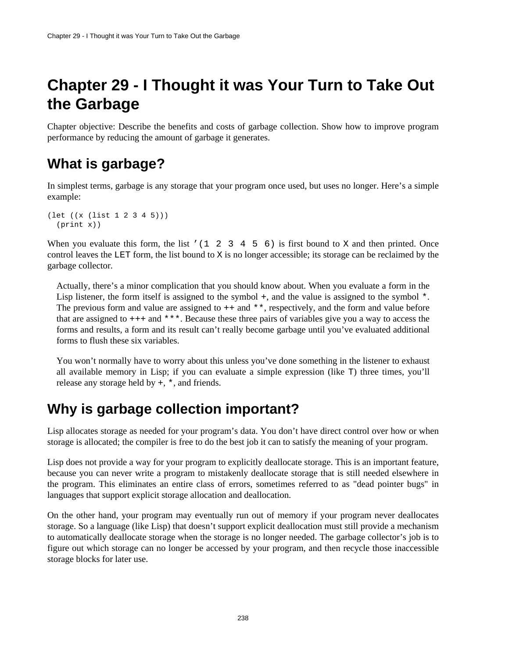# **Chapter 29 - I Thought it was Your Turn to Take Out the Garbage**

Chapter objective: Describe the benefits and costs of garbage collection. Show how to improve program performance by reducing the amount of garbage it generates.

## **What is garbage?**

In simplest terms, garbage is any storage that your program once used, but uses no longer. Here's a simple example:

```
(let ((x (list 1 2 3 4 5)))
   (print x))
```
When you evaluate this form, the list  $(1 \ 2 \ 3 \ 4 \ 5 \ 6)$  is first bound to X and then printed. Once control leaves the LET form, the list bound to X is no longer accessible; its storage can be reclaimed by the garbage collector.

Actually, there's a minor complication that you should know about. When you evaluate a form in the Lisp listener, the form itself is assigned to the symbol +, and the value is assigned to the symbol  $*$ . The previous form and value are assigned to  $++$  and  $**$ , respectively, and the form and value before that are assigned to +++ and \*\*\*. Because these three pairs of variables give you a way to access the forms and results, a form and its result can't really become garbage until you've evaluated additional forms to flush these six variables.

You won't normally have to worry about this unless you've done something in the listener to exhaust all available memory in Lisp; if you can evaluate a simple expression (like T) three times, you'll release any storage held by +, \*, and friends.

## **Why is garbage collection important?**

Lisp allocates storage as needed for your program's data. You don't have direct control over how or when storage is allocated; the compiler is free to do the best job it can to satisfy the meaning of your program.

Lisp does not provide a way for your program to explicitly deallocate storage. This is an important feature, because you can never write a program to mistakenly deallocate storage that is still needed elsewhere in the program. This eliminates an entire class of errors, sometimes referred to as "dead pointer bugs" in languages that support explicit storage allocation and deallocation.

On the other hand, your program may eventually run out of memory if your program never deallocates storage. So a language (like Lisp) that doesn't support explicit deallocation must still provide a mechanism to automatically deallocate storage when the storage is no longer needed. The garbage collector's job is to figure out which storage can no longer be accessed by your program, and then recycle those inaccessible storage blocks for later use.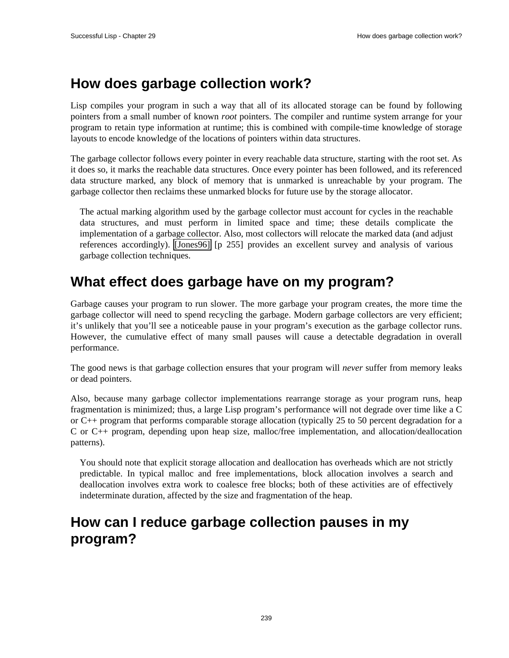#### **How does garbage collection work?**

Lisp compiles your program in such a way that all of its allocated storage can be found by following pointers from a small number of known *root* pointers. The compiler and runtime system arrange for your program to retain type information at runtime; this is combined with compile-time knowledge of storage layouts to encode knowledge of the locations of pointers within data structures.

The garbage collector follows every pointer in every reachable data structure, starting with the root set. As it does so, it marks the reachable data structures. Once every pointer has been followed, and its referenced data structure marked, any block of memory that is unmarked is unreachable by your program. The garbage collector then reclaims these unmarked blocks for future use by the storage allocator.

The actual marking algorithm used by the garbage collector must account for cycles in the reachable data structures, and must perform in limited space and time; these details complicate the implementation of a garbage collector. Also, most collectors will relocate the marked data (and adjust references accordingly). [\[Jones96\]](#page-254-0) [p 255] provides an excellent survey and analysis of various garbage collection techniques.

#### **What effect does garbage have on my program?**

Garbage causes your program to run slower. The more garbage your program creates, the more time the garbage collector will need to spend recycling the garbage. Modern garbage collectors are very efficient; it's unlikely that you'll see a noticeable pause in your program's execution as the garbage collector runs. However, the cumulative effect of many small pauses will cause a detectable degradation in overall performance.

The good news is that garbage collection ensures that your program will *never* suffer from memory leaks or dead pointers.

Also, because many garbage collector implementations rearrange storage as your program runs, heap fragmentation is minimized; thus, a large Lisp program's performance will not degrade over time like a C or C++ program that performs comparable storage allocation (typically 25 to 50 percent degradation for a C or C++ program, depending upon heap size, malloc/free implementation, and allocation/deallocation patterns).

You should note that explicit storage allocation and deallocation has overheads which are not strictly predictable. In typical malloc and free implementations, block allocation involves a search and deallocation involves extra work to coalesce free blocks; both of these activities are of effectively indeterminate duration, affected by the size and fragmentation of the heap.

#### **How can I reduce garbage collection pauses in my program?**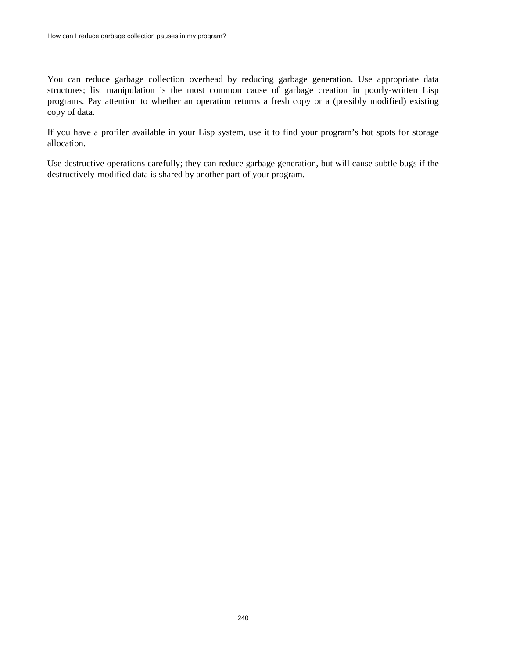You can reduce garbage collection overhead by reducing garbage generation. Use appropriate data structures; list manipulation is the most common cause of garbage creation in poorly-written Lisp programs. Pay attention to whether an operation returns a fresh copy or a (possibly modified) existing copy of data.

If you have a profiler available in your Lisp system, use it to find your program's hot spots for storage allocation.

Use destructive operations carefully; they can reduce garbage generation, but will cause subtle bugs if the destructively-modified data is shared by another part of your program.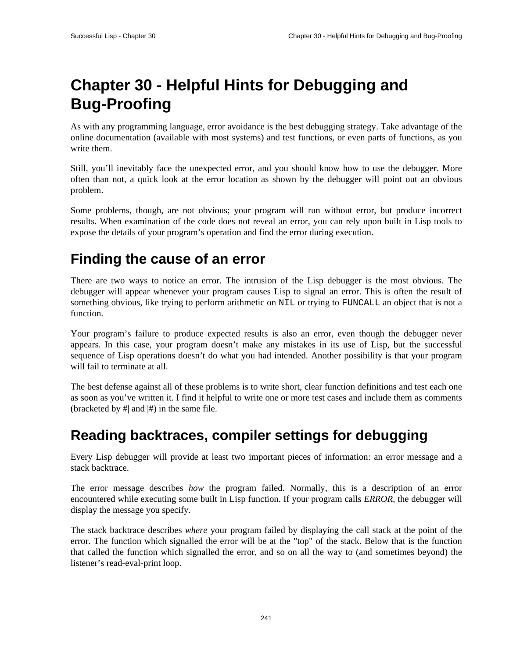# **Chapter 30 - Helpful Hints for Debugging and Bug-Proofing**

As with any programming language, error avoidance is the best debugging strategy. Take advantage of the online documentation (available with most systems) and test functions, or even parts of functions, as you write them.

Still, you'll inevitably face the unexpected error, and you should know how to use the debugger. More often than not, a quick look at the error location as shown by the debugger will point out an obvious problem.

Some problems, though, are not obvious; your program will run without error, but produce incorrect results. When examination of the code does not reveal an error, you can rely upon built in Lisp tools to expose the details of your program's operation and find the error during execution.

## **Finding the cause of an error**

There are two ways to notice an error. The intrusion of the Lisp debugger is the most obvious. The debugger will appear whenever your program causes Lisp to signal an error. This is often the result of something obvious, like trying to perform arithmetic on NIL or trying to FUNCALL an object that is not a function.

Your program's failure to produce expected results is also an error, even though the debugger never appears. In this case, your program doesn't make any mistakes in its use of Lisp, but the successful sequence of Lisp operations doesn't do what you had intended. Another possibility is that your program will fail to terminate at all.

The best defense against all of these problems is to write short, clear function definitions and test each one as soon as you've written it. I find it helpful to write one or more test cases and include them as comments (bracketed by  $#$  and  $#$ ) in the same file.

## **Reading backtraces, compiler settings for debugging**

Every Lisp debugger will provide at least two important pieces of information: an error message and a stack backtrace.

The error message describes *how* the program failed. Normally, this is a description of an error encountered while executing some built in Lisp function. If your program calls *ERROR*, the debugger will display the message you specify.

The stack backtrace describes *where* your program failed by displaying the call stack at the point of the error. The function which signalled the error will be at the "top" of the stack. Below that is the function that called the function which signalled the error, and so on all the way to (and sometimes beyond) the listener's read-eval-print loop.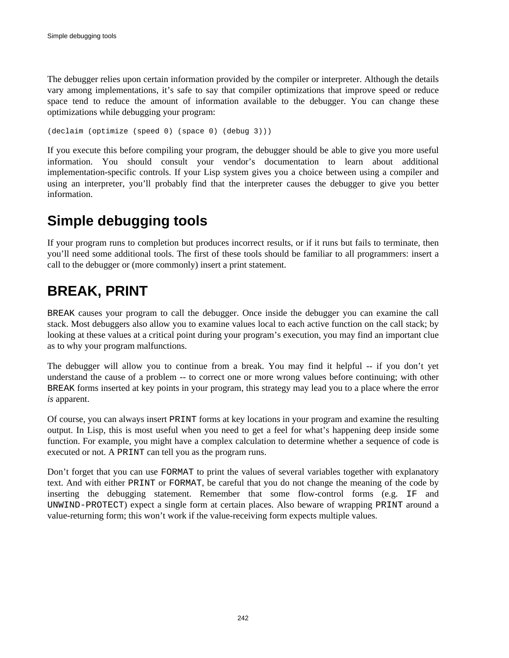The debugger relies upon certain information provided by the compiler or interpreter. Although the details vary among implementations, it's safe to say that compiler optimizations that improve speed or reduce space tend to reduce the amount of information available to the debugger. You can change these optimizations while debugging your program:

(declaim (optimize (speed 0) (space 0) (debug 3)))

If you execute this before compiling your program, the debugger should be able to give you more useful information. You should consult your vendor's documentation to learn about additional implementation-specific controls. If your Lisp system gives you a choice between using a compiler and using an interpreter, you'll probably find that the interpreter causes the debugger to give you better information.

## **Simple debugging tools**

If your program runs to completion but produces incorrect results, or if it runs but fails to terminate, then you'll need some additional tools. The first of these tools should be familiar to all programmers: insert a call to the debugger or (more commonly) insert a print statement.

# **BREAK, PRINT**

BREAK causes your program to call the debugger. Once inside the debugger you can examine the call stack. Most debuggers also allow you to examine values local to each active function on the call stack; by looking at these values at a critical point during your program's execution, you may find an important clue as to why your program malfunctions.

The debugger will allow you to continue from a break. You may find it helpful -- if you don't yet understand the cause of a problem -- to correct one or more wrong values before continuing; with other BREAK forms inserted at key points in your program, this strategy may lead you to a place where the error *is* apparent.

Of course, you can always insert PRINT forms at key locations in your program and examine the resulting output. In Lisp, this is most useful when you need to get a feel for what's happening deep inside some function. For example, you might have a complex calculation to determine whether a sequence of code is executed or not. A PRINT can tell you as the program runs.

Don't forget that you can use FORMAT to print the values of several variables together with explanatory text. And with either PRINT or FORMAT, be careful that you do not change the meaning of the code by inserting the debugging statement. Remember that some flow-control forms (e.g. IF and UNWIND-PROTECT) expect a single form at certain places. Also beware of wrapping PRINT around a value-returning form; this won't work if the value-receiving form expects multiple values.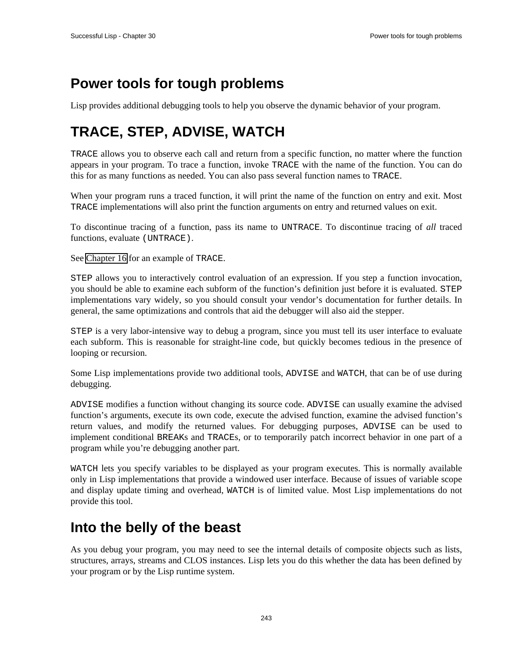#### **Power tools for tough problems**

Lisp provides additional debugging tools to help you observe the dynamic behavior of your program.

# **TRACE, STEP, ADVISE, WATCH**

TRACE allows you to observe each call and return from a specific function, no matter where the function appears in your program. To trace a function, invoke TRACE with the name of the function. You can do this for as many functions as needed. You can also pass several function names to TRACE.

When your program runs a traced function, it will print the name of the function on entry and exit. Most TRACE implementations will also print the function arguments on entry and returned values on exit.

To discontinue tracing of a function, pass its name to UNTRACE. To discontinue tracing of *all* traced functions, evaluate (UNTRACE).

See [Chapter 16](#page-171-0) for an example of TRACE.

STEP allows you to interactively control evaluation of an expression. If you step a function invocation, you should be able to examine each subform of the function's definition just before it is evaluated. STEP implementations vary widely, so you should consult your vendor's documentation for further details. In general, the same optimizations and controls that aid the debugger will also aid the stepper.

STEP is a very labor-intensive way to debug a program, since you must tell its user interface to evaluate each subform. This is reasonable for straight-line code, but quickly becomes tedious in the presence of looping or recursion.

Some Lisp implementations provide two additional tools, ADVISE and WATCH, that can be of use during debugging.

ADVISE modifies a function without changing its source code. ADVISE can usually examine the advised function's arguments, execute its own code, execute the advised function, examine the advised function's return values, and modify the returned values. For debugging purposes, ADVISE can be used to implement conditional BREAKs and TRACEs, or to temporarily patch incorrect behavior in one part of a program while you're debugging another part.

WATCH lets you specify variables to be displayed as your program executes. This is normally available only in Lisp implementations that provide a windowed user interface. Because of issues of variable scope and display update timing and overhead, WATCH is of limited value. Most Lisp implementations do not provide this tool.

#### **Into the belly of the beast**

As you debug your program, you may need to see the internal details of composite objects such as lists, structures, arrays, streams and CLOS instances. Lisp lets you do this whether the data has been defined by your program or by the Lisp runtime system.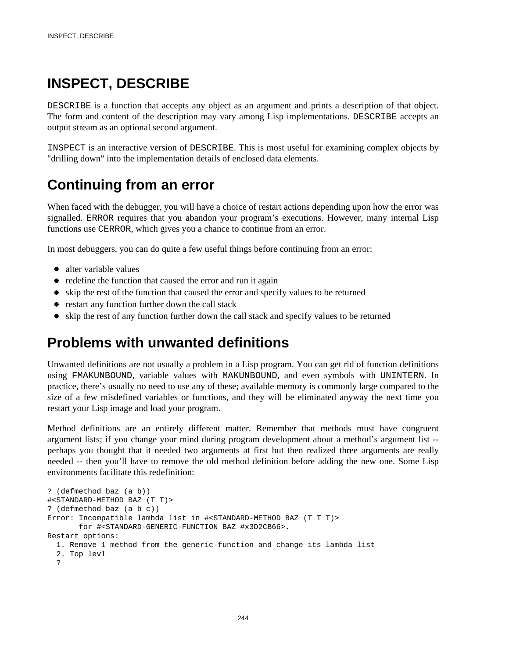## **INSPECT, DESCRIBE**

DESCRIBE is a function that accepts any object as an argument and prints a description of that object. The form and content of the description may vary among Lisp implementations. DESCRIBE accepts an output stream as an optional second argument.

INSPECT is an interactive version of DESCRIBE. This is most useful for examining complex objects by "drilling down" into the implementation details of enclosed data elements.

## **Continuing from an error**

When faced with the debugger, you will have a choice of restart actions depending upon how the error was signalled. ERROR requires that you abandon your program's executions. However, many internal Lisp functions use CERROR, which gives you a chance to continue from an error.

In most debuggers, you can do quite a few useful things before continuing from an error:

- alter variable values
- redefine the function that caused the error and run it again
- skip the rest of the function that caused the error and specify values to be returned
- restart any function further down the call stack
- skip the rest of any function further down the call stack and specify values to be returned

#### **Problems with unwanted definitions**

Unwanted definitions are not usually a problem in a Lisp program. You can get rid of function definitions using FMAKUNBOUND, variable values with MAKUNBOUND, and even symbols with UNINTERN. In practice, there's usually no need to use any of these; available memory is commonly large compared to the size of a few misdefined variables or functions, and they will be eliminated anyway the next time you restart your Lisp image and load your program.

Method definitions are an entirely different matter. Remember that methods must have congruent argument lists; if you change your mind during program development about a method's argument list - perhaps you thought that it needed two arguments at first but then realized three arguments are really needed -- then you'll have to remove the old method definition before adding the new one. Some Lisp environments facilitate this redefinition:

```
? (defmethod baz (a b))
#<STANDARD-METHOD BAZ (T T)>
? (defmethod baz (a b c))
Error: Incompatible lambda list in #<STANDARD-METHOD BAZ (T T T)>
        for #<STANDARD-GENERIC-FUNCTION BAZ #x3D2CB66>.
Restart options:
  1. Remove 1 method from the generic-function and change its lambda list
   2. Top levl
   ?
```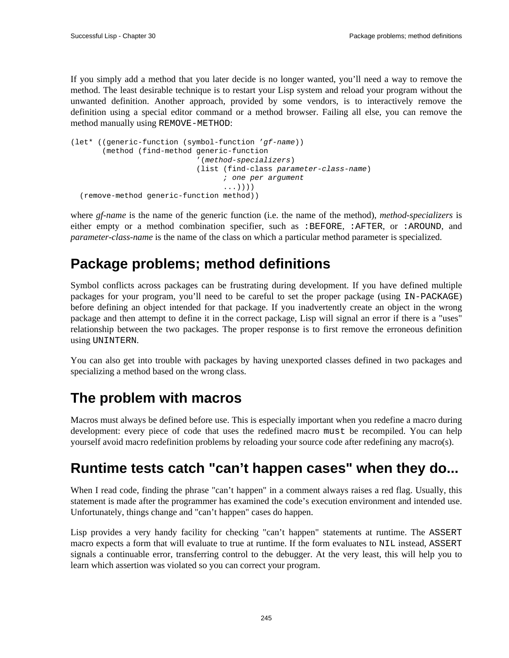If you simply add a method that you later decide is no longer wanted, you'll need a way to remove the method. The least desirable technique is to restart your Lisp system and reload your program without the unwanted definition. Another approach, provided by some vendors, is to interactively remove the definition using a special editor command or a method browser. Failing all else, you can remove the method manually using REMOVE-METHOD:

```
(let* ((generic-function (symbol-function 'gf-name))
        (method (find-method generic-function
                              '(method-specializers)
                              (list (find-class parameter-class-name)
                                    ; one per argument
                                    ...))))
   (remove-method generic-function method))
```
where *gf-name* is the name of the generic function (i.e. the name of the method), *method-specializers* is either empty or a method combination specifier, such as :BEFORE, :AFTER, or :AROUND, and *parameter-class-name* is the name of the class on which a particular method parameter is specialized.

#### **Package problems; method definitions**

Symbol conflicts across packages can be frustrating during development. If you have defined multiple packages for your program, you'll need to be careful to set the proper package (using IN-PACKAGE) before defining an object intended for that package. If you inadvertently create an object in the wrong package and then attempt to define it in the correct package, Lisp will signal an error if there is a "uses" relationship between the two packages. The proper response is to first remove the erroneous definition using UNINTERN.

You can also get into trouble with packages by having unexported classes defined in two packages and specializing a method based on the wrong class.

## **The problem with macros**

Macros must always be defined before use. This is especially important when you redefine a macro during development: every piece of code that uses the redefined macro must be recompiled. You can help yourself avoid macro redefinition problems by reloading your source code after redefining any macro(s).

#### **Runtime tests catch "can't happen cases" when they do...**

When I read code, finding the phrase "can't happen" in a comment always raises a red flag. Usually, this statement is made after the programmer has examined the code's execution environment and intended use. Unfortunately, things change and "can't happen" cases do happen.

Lisp provides a very handy facility for checking "can't happen" statements at runtime. The ASSERT macro expects a form that will evaluate to true at runtime. If the form evaluates to NIL instead, ASSERT signals a continuable error, transferring control to the debugger. At the very least, this will help you to learn which assertion was violated so you can correct your program.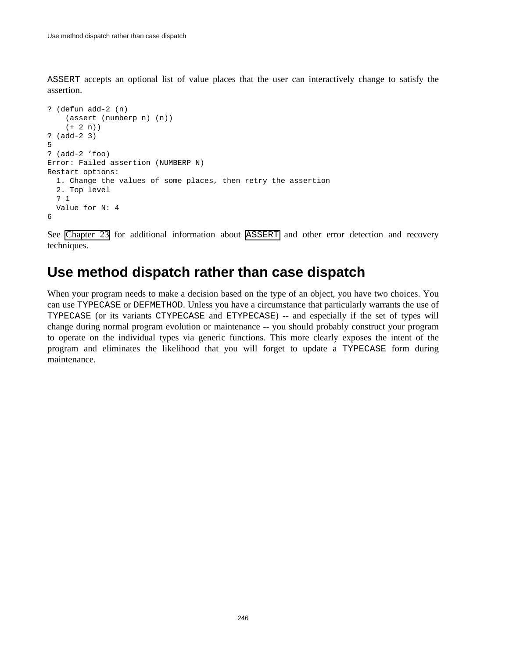ASSERT accepts an optional list of value places that the user can interactively change to satisfy the assertion.

```
? (defun add-2 (n)
     (assert (numberp n) (n))
    (+ 2 n)? (add-2 3)
5
? (add-2 'foo)
Error: Failed assertion (NUMBERP N)
Restart options:
  1. Change the values of some places, then retry the assertion
   2. Top level
  ? 1
  Value for N: 4
6
```
See [Chapter 23](#page-204-0) for additional information about [ASSERT](#page-208-0) and other error detection and recovery techniques.

#### **Use method dispatch rather than case dispatch**

When your program needs to make a decision based on the type of an object, you have two choices. You can use TYPECASE or DEFMETHOD. Unless you have a circumstance that particularly warrants the use of TYPECASE (or its variants CTYPECASE and ETYPECASE) -- and especially if the set of types will change during normal program evolution or maintenance -- you should probably construct your program to operate on the individual types via generic functions. This more clearly exposes the intent of the program and eliminates the likelihood that you will forget to update a TYPECASE form during maintenance.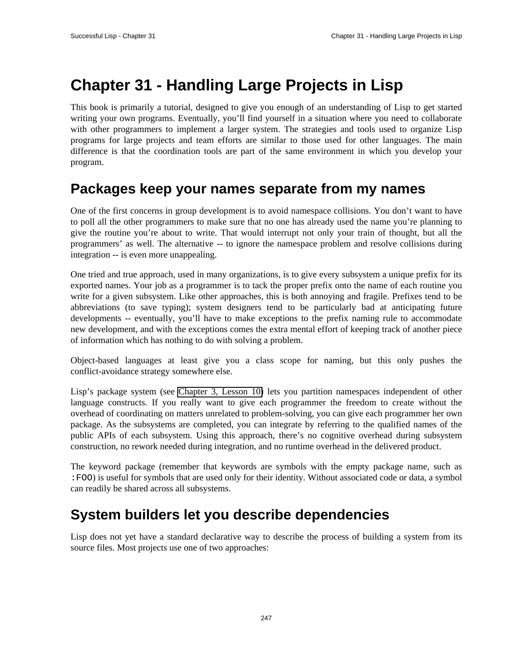# **Chapter 31 - Handling Large Projects in Lisp**

This book is primarily a tutorial, designed to give you enough of an understanding of Lisp to get started writing your own programs. Eventually, you'll find yourself in a situation where you need to collaborate with other programmers to implement a larger system. The strategies and tools used to organize Lisp programs for large projects and team efforts are similar to those used for other languages. The main difference is that the coordination tools are part of the same environment in which you develop your program.

#### **Packages keep your names separate from my names**

One of the first concerns in group development is to avoid namespace collisions. You don't want to have to poll all the other programmers to make sure that no one has already used the name you're planning to give the routine you're about to write. That would interrupt not only your train of thought, but all the programmers' as well. The alternative -- to ignore the namespace problem and resolve collisions during integration -- is even more unappealing.

One tried and true approach, used in many organizations, is to give every subsystem a unique prefix for its exported names. Your job as a programmer is to tack the proper prefix onto the name of each routine you write for a given subsystem. Like other approaches, this is both annoying and fragile. Prefixes tend to be abbreviations (to save typing); system designers tend to be particularly bad at anticipating future developments -- eventually, you'll have to make exceptions to the prefix naming rule to accommodate new development, and with the exceptions comes the extra mental effort of keeping track of another piece of information which has nothing to do with solving a problem.

Object-based languages at least give you a class scope for naming, but this only pushes the conflict-avoidance strategy somewhere else.

Lisp's package system (see [Chapter 3, Lesson 10\)](#page-64-0) lets you partition namespaces independent of other language constructs. If you really want to give each programmer the freedom to create without the overhead of coordinating on matters unrelated to problem-solving, you can give each programmer her own package. As the subsystems are completed, you can integrate by referring to the qualified names of the public APIs of each subsystem. Using this approach, there's no cognitive overhead during subsystem construction, no rework needed during integration, and no runtime overhead in the delivered product.

The keyword package (remember that keywords are symbols with the empty package name, such as :FOO) is useful for symbols that are used only for their identity. Without associated code or data, a symbol can readily be shared across all subsystems.

#### **System builders let you describe dependencies**

Lisp does not yet have a standard declarative way to describe the process of building a system from its source files. Most projects use one of two approaches: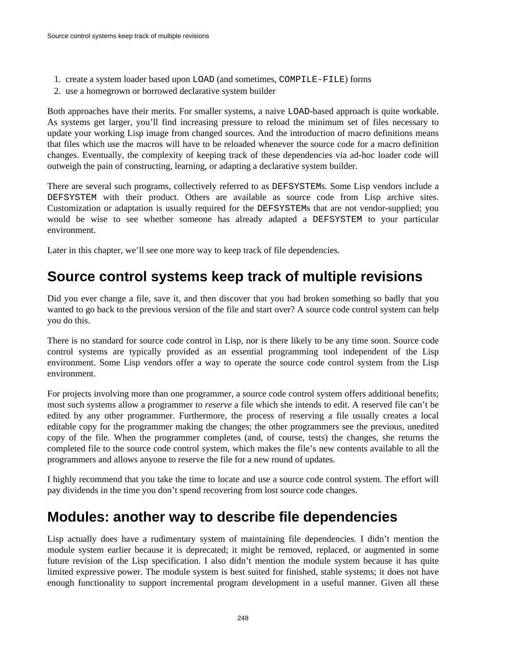- 1. create a system loader based upon LOAD (and sometimes, COMPILE-FILE) forms
- 2. use a homegrown or borrowed declarative system builder

Both approaches have their merits. For smaller systems, a naive LOAD-based approach is quite workable. As systems get larger, you'll find increasing pressure to reload the minimum set of files necessary to update your working Lisp image from changed sources. And the introduction of macro definitions means that files which use the macros will have to be reloaded whenever the source code for a macro definition changes. Eventually, the complexity of keeping track of these dependencies via ad-hoc loader code will outweigh the pain of constructing, learning, or adapting a declarative system builder.

There are several such programs, collectively referred to as DEFSYSTEMs. Some Lisp vendors include a DEFSYSTEM with their product. Others are available as source code from Lisp archive sites. Customization or adaptation is usually required for the DEFSYSTEMs that are not vendor-supplied; you would be wise to see whether someone has already adapted a DEFSYSTEM to your particular environment.

Later in this chapter, we'll see one more way to keep track of file dependencies.

#### **Source control systems keep track of multiple revisions**

Did you ever change a file, save it, and then discover that you had broken something so badly that you wanted to go back to the previous version of the file and start over? A source code control system can help you do this.

There is no standard for source code control in Lisp, nor is there likely to be any time soon. Source code control systems are typically provided as an essential programming tool independent of the Lisp environment. Some Lisp vendors offer a way to operate the source code control system from the Lisp environment.

For projects involving more than one programmer, a source code control system offers additional benefits; most such systems allow a programmer to *reserve* a file which she intends to edit. A reserved file can't be edited by any other programmer. Furthermore, the process of reserving a file usually creates a local editable copy for the programmer making the changes; the other programmers see the previous, unedited copy of the file. When the programmer completes (and, of course, tests) the changes, she returns the completed file to the source code control system, which makes the file's new contents available to all the programmers and allows anyone to reserve the file for a new round of updates.

I highly recommend that you take the time to locate and use a source code control system. The effort will pay dividends in the time you don't spend recovering from lost source code changes.

#### **Modules: another way to describe file dependencies**

Lisp actually does have a rudimentary system of maintaining file dependencies. I didn't mention the module system earlier because it is deprecated; it might be removed, replaced, or augmented in some future revision of the Lisp specification. I also didn't mention the module system because it has quite limited expressive power. The module system is best suited for finished, stable systems; it does not have enough functionality to support incremental program development in a useful manner. Given all these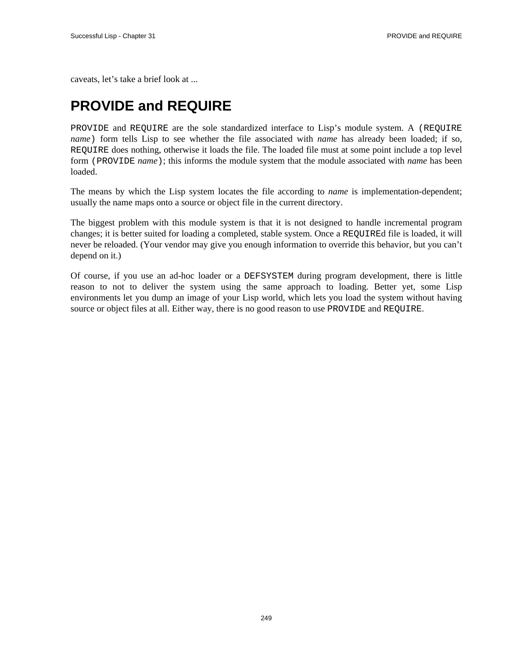caveats, let's take a brief look at ...

## **PROVIDE and REQUIRE**

PROVIDE and REQUIRE are the sole standardized interface to Lisp's module system. A (REQUIRE *name*) form tells Lisp to see whether the file associated with *name* has already been loaded; if so, REQUIRE does nothing, otherwise it loads the file. The loaded file must at some point include a top level form (PROVIDE *name*); this informs the module system that the module associated with *name* has been loaded.

The means by which the Lisp system locates the file according to *name* is implementation-dependent; usually the name maps onto a source or object file in the current directory.

The biggest problem with this module system is that it is not designed to handle incremental program changes; it is better suited for loading a completed, stable system. Once a REQUIREd file is loaded, it will never be reloaded. (Your vendor may give you enough information to override this behavior, but you can't depend on it.)

Of course, if you use an ad-hoc loader or a DEFSYSTEM during program development, there is little reason to not to deliver the system using the same approach to loading. Better yet, some Lisp environments let you dump an image of your Lisp world, which lets you load the system without having source or object files at all. Either way, there is no good reason to use PROVIDE and REQUIRE.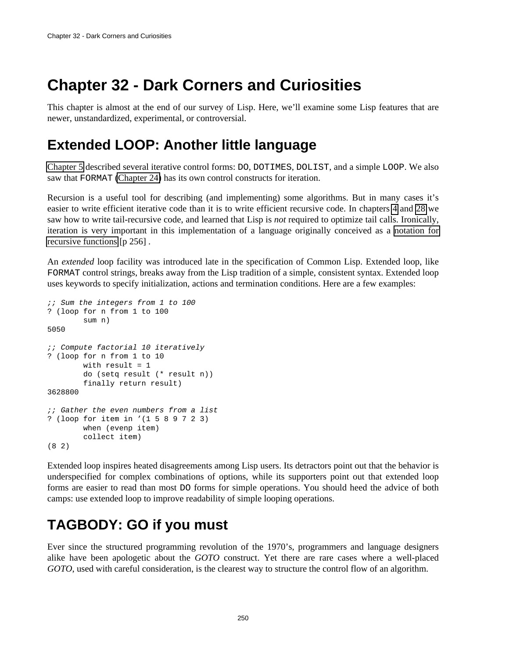# **Chapter 32 - Dark Corners and Curiosities**

This chapter is almost at the end of our survey of Lisp. Here, we'll examine some Lisp features that are newer, unstandardized, experimental, or controversial.

#### **Extended LOOP: Another little language**

[Chapter 5](#page-107-0) described several iterative control forms: DO, DOTIMES, DOLIST, and a simple LOOP. We also saw that FORMAT [\(Chapter 24\)](#page-214-0) has its own control constructs for iteration.

Recursion is a useful tool for describing (and implementing) some algorithms. But in many cases it's easier to write efficient iterative code than it is to write efficient recursive code. In chapters [4](#page-93-0) and [28](#page-234-0) we saw how to write tail-recursive code, and learned that Lisp is *not* required to optimize tail calls. Ironically, iteration is very important in this implementation of a language originally conceived as a [notation for](#page-255-0) [recursive functions](#page-255-0) [p 256] .

An *extended* loop facility was introduced late in the specification of Common Lisp. Extended loop, like FORMAT control strings, breaks away from the Lisp tradition of a simple, consistent syntax. Extended loop uses keywords to specify initialization, actions and termination conditions. Here are a few examples:

```
;; Sum the integers from 1 to 100
? (loop for n from 1 to 100
         sum n)
5050
;; Compute factorial 10 iteratively
? (loop for n from 1 to 10
         with result = 1
         do (setq result (* result n))
         finally return result)
3628800
;; Gather the even numbers from a list
? (loop for item in '(1 5 8 9 7 2 3)
        when (evenp item)
         collect item)
(8 2)
```
Extended loop inspires heated disagreements among Lisp users. Its detractors point out that the behavior is underspecified for complex combinations of options, while its supporters point out that extended loop forms are easier to read than most DO forms for simple operations. You should heed the advice of both camps: use extended loop to improve readability of simple looping operations.

## **TAGBODY: GO if you must**

Ever since the structured programming revolution of the 1970's, programmers and language designers alike have been apologetic about the *GOTO* construct. Yet there are rare cases where a well-placed *GOTO*, used with careful consideration, is the clearest way to structure the control flow of an algorithm.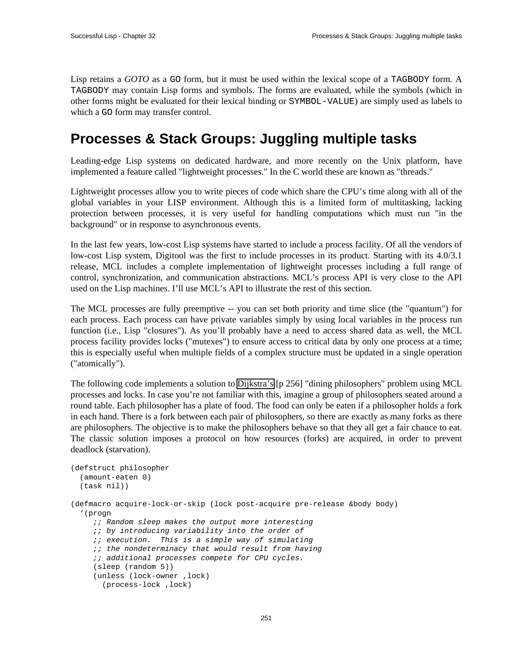Lisp retains a *GOTO* as a GO form, but it must be used within the lexical scope of a TAGBODY form. A TAGBODY may contain Lisp forms and symbols. The forms are evaluated, while the symbols (which in other forms might be evaluated for their lexical binding or SYMBOL-VALUE) are simply used as labels to which a GO form may transfer control.

#### **Processes & Stack Groups: Juggling multiple tasks**

Leading-edge Lisp systems on dedicated hardware, and more recently on the Unix platform, have implemented a feature called "lightweight processes." In the C world these are known as "threads."

Lightweight processes allow you to write pieces of code which share the CPU's time along with all of the global variables in your LISP environment. Although this is a limited form of multitasking, lacking protection between processes, it is very useful for handling computations which must run "in the background" or in response to asynchronous events.

In the last few years, low-cost Lisp systems have started to include a process facility. Of all the vendors of low-cost Lisp system, Digitool was the first to include processes in its product. Starting with its 4.0/3.1 release, MCL includes a complete implementation of lightweight processes including a full range of control, synchronization, and communication abstractions. MCL's process API is very close to the API used on the Lisp machines. I'll use MCL's API to illustrate the rest of this section.

The MCL processes are fully preemptive -- you can set both priority and time slice (the "quantum") for each process. Each process can have private variables simply by using local variables in the process run function (i.e., Lisp "closures"). As you'll probably have a need to access shared data as well, the MCL process facility provides locks ("mutexes") to ensure access to critical data by only one process at a time; this is especially useful when multiple fields of a complex structure must be updated in a single operation ("atomically").

The following code implements a solution to [Dijkstra's](#page-255-1) [p 256] "dining philosophers" problem using MCL processes and locks. In case you're not familiar with this, imagine a group of philosophers seated around a round table. Each philosopher has a plate of food. The food can only be eaten if a philosopher holds a fork in each hand. There is a fork between each pair of philosophers, so there are exactly as many forks as there are philosophers. The objective is to make the philosophers behave so that they all get a fair chance to eat. The classic solution imposes a protocol on how resources (forks) are acquired, in order to prevent deadlock (starvation).

```
(defstruct philosopher
   (amount-eaten 0)
   (task nil))
(defmacro acquire-lock-or-skip (lock post-acquire pre-release &body body)
   '(progn
      ;; Random sleep makes the output more interesting
      ;; by introducing variability into the order of
      ;; execution. This is a simple way of simulating
      ;; the nondeterminacy that would result from having
      ;; additional processes compete for CPU cycles.
      (sleep (random 5))
      (unless (lock-owner ,lock)
        (process-lock ,lock)
```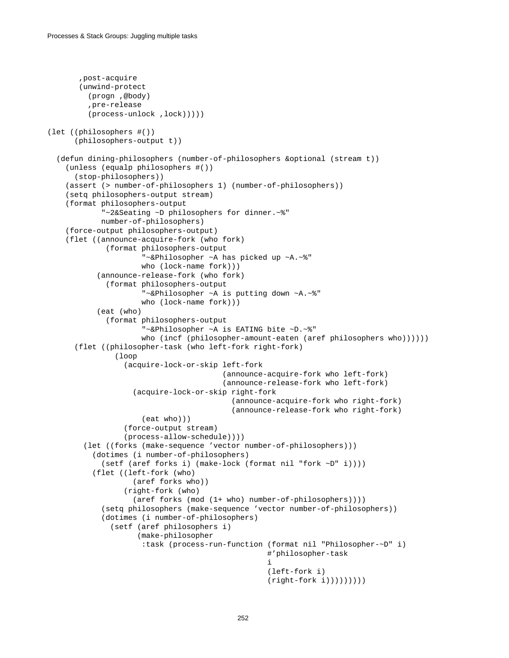```
 ,post-acquire
        (unwind-protect
          (progn ,@body)
          ,pre-release
          (process-unlock ,lock)))))
(let ((philosophers #())
       (philosophers-output t))
   (defun dining-philosophers (number-of-philosophers &optional (stream t))
     (unless (equalp philosophers #())
       (stop-philosophers))
     (assert (> number-of-philosophers 1) (number-of-philosophers))
     (setq philosophers-output stream)
     (format philosophers-output
              "~2&Seating ~D philosophers for dinner.~%"
             number-of-philosophers)
     (force-output philosophers-output)
     (flet ((announce-acquire-fork (who fork)
               (format philosophers-output 
                       "~&Philosopher ~A has picked up ~A.~%" 
                       who (lock-name fork)))
             (announce-release-fork (who fork)
               (format philosophers-output 
                        "~&Philosopher ~A is putting down ~A.~%" 
                       who (lock-name fork)))
             (eat (who)
               (format philosophers-output 
                        "~&Philosopher ~A is EATING bite ~D.~%"
                       who (incf (philosopher-amount-eaten (aref philosophers who))))))
       (flet ((philosopher-task (who left-fork right-fork)
                 (loop
                   (acquire-lock-or-skip left-fork
                                           (announce-acquire-fork who left-fork)
                                           (announce-release-fork who left-fork)
                     (acquire-lock-or-skip right-fork 
                                             (announce-acquire-fork who right-fork)
                                             (announce-release-fork who right-fork)
                       (eat who)))
                   (force-output stream)
                   (process-allow-schedule))))
         (let ((forks (make-sequence 'vector number-of-philosophers)))
            (dotimes (i number-of-philosophers)
              (setf (aref forks i) (make-lock (format nil "fork ~D" i))))
            (flet ((left-fork (who)
                     (aref forks who))
                   (right-fork (who)
                     (aref forks (mod (1+ who) number-of-philosophers))))
              (setq philosophers (make-sequence 'vector number-of-philosophers))
              (dotimes (i number-of-philosophers)
                (setf (aref philosophers i)
                      (make-philosopher
                       :task (process-run-function (format nil "Philosopher-~D" i)
                                                      #'philosopher-task
is a contract of the contract of the contract of \mathbf i . In the contract of the contract of \mathbf i (left-fork i) 
                                                     (right-fork i)))))))))
```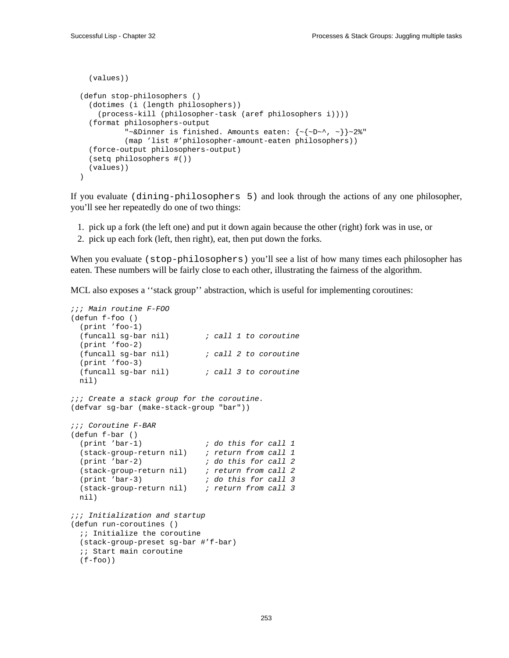```
 (values))
 (defun stop-philosophers ()
   (dotimes (i (length philosophers))
     (process-kill (philosopher-task (aref philosophers i))))
   (format philosophers-output 
           "~&Dinner is finished. Amounts eaten: \{-\{\sim D\sim \sim \land \sim P\} \sim 2\}"
            (map 'list #'philosopher-amount-eaten philosophers))
   (force-output philosophers-output)
  (setq philosophers #())
   (values))
\lambda
```
If you evaluate (dining-philosophers 5) and look through the actions of any one philosopher, you'll see her repeatedly do one of two things:

- 1. pick up a fork (the left one) and put it down again because the other (right) fork was in use, or
- 2. pick up each fork (left, then right), eat, then put down the forks.

When you evaluate (stop-philosophers) you'll see a list of how many times each philosopher has eaten. These numbers will be fairly close to each other, illustrating the fairness of the algorithm.

MCL also exposes a ''stack group'' abstraction, which is useful for implementing coroutines:

```
;;; Main routine F-FOO
(defun f-foo ()
  (print 'foo-1)
  (funcall sg-bar nil) ; call 1 to coroutine
  (print 'foo-2)
 (funcall sg-bar nil) ; call 2 to coroutine
  (print 'foo-3)
  (funcall sg-bar nil) ; call 3 to coroutine
  nil)
;;; Create a stack group for the coroutine.
(defvar sg-bar (make-stack-group "bar"))
;;; Coroutine F-BAR
(defun f-bar ()
 (print 'bar-1) \qquad \qquad ; do this for call 1
  (stack-group-return nil) ; return from call 1
 (print 'bar-2) ; do this for call 2
 (stack-group-return nil) ; return from call 2
 (print 'bar-3) ; do this for call 3
 (stack-group-return nil) ; return from call 3
  nil)
;;; Initialization and startup
(defun run-coroutines ()
  ;; Initialize the coroutine
  (stack-group-preset sg-bar #'f-bar)
  ;; Start main coroutine
 (f-foo))
```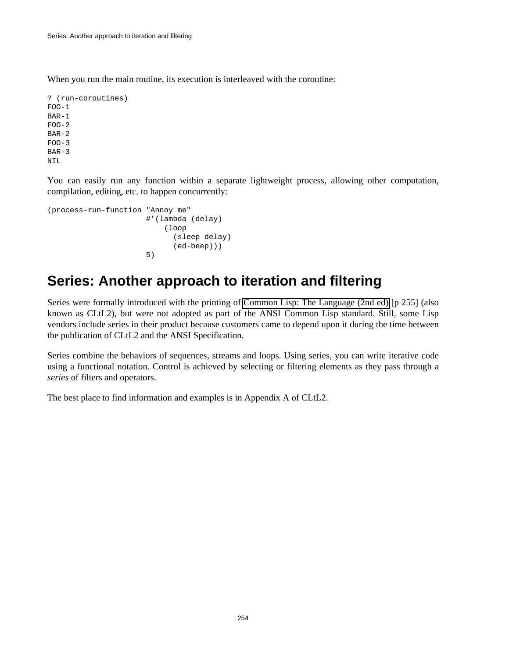When you run the main routine, its execution is interleaved with the coroutine:

? (run-coroutines) FOO-1 BAR-1  $FOO-2$ BAR-2  $FOO-3$ BAR-3 NTT.

You can easily run any function within a separate lightweight process, allowing other computation, compilation, editing, etc. to happen concurrently:

```
(process-run-function "Annoy me" 
                    #'(lambda (delay)
                       (loop 
                        (sleep delay)
                         (ed-beep)))
5)
```
#### **Series: Another approach to iteration and filtering**

Series were formally introduced with the printing of [Common Lisp: The Language \(2nd ed\)](#page-254-0) [p 255] (also known as CLtL2), but were not adopted as part of the ANSI Common Lisp standard. Still, some Lisp vendors include series in their product because customers came to depend upon it during the time between the publication of CLtL2 and the ANSI Specification.

Series combine the behaviors of sequences, streams and loops. Using series, you can write iterative code using a functional notation. Control is achieved by selecting or filtering elements as they pass through a *series* of filters and operators.

The best place to find information and examples is in Appendix A of CLtL2.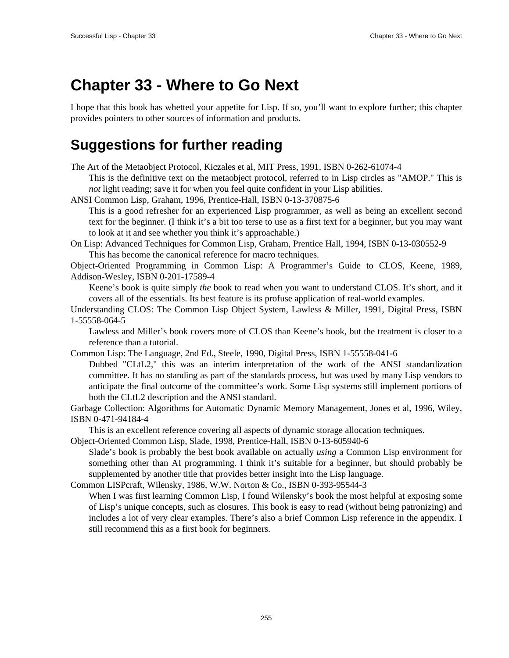### <span id="page-254-1"></span>**Chapter 33 - Where to Go Next**

I hope that this book has whetted your appetite for Lisp. If so, you'll want to explore further; this chapter provides pointers to other sources of information and products.

### **Suggestions for further reading**

The Art of the Metaobject Protocol, Kiczales et al, MIT Press, 1991, ISBN 0-262-61074-4

This is the definitive text on the metaobject protocol, referred to in Lisp circles as "AMOP." This is *not* light reading; save it for when you feel quite confident in your Lisp abilities.

ANSI Common Lisp, Graham, 1996, Prentice-Hall, ISBN 0-13-370875-6

This is a good refresher for an experienced Lisp programmer, as well as being an excellent second text for the beginner. (I think it's a bit too terse to use as a first text for a beginner, but you may want to look at it and see whether you think it's approachable.)

On Lisp: Advanced Techniques for Common Lisp, Graham, Prentice Hall, 1994, ISBN 0-13-030552-9 This has become the canonical reference for macro techniques.

Object-Oriented Programming in Common Lisp: A Programmer's Guide to CLOS, Keene, 1989, Addison-Wesley, ISBN 0-201-17589-4

Keene's book is quite simply *the* book to read when you want to understand CLOS. It's short, and it covers all of the essentials. Its best feature is its profuse application of real-world examples.

Understanding CLOS: The Common Lisp Object System, Lawless & Miller, 1991, Digital Press, ISBN 1-55558-064-5

Lawless and Miller's book covers more of CLOS than Keene's book, but the treatment is closer to a reference than a tutorial.

<span id="page-254-0"></span>Common Lisp: The Language, 2nd Ed., Steele, 1990, Digital Press, ISBN 1-55558-041-6

Dubbed "CLtL2," this was an interim interpretation of the work of the ANSI standardization committee. It has no standing as part of the standards process, but was used by many Lisp vendors to anticipate the final outcome of the committee's work. Some Lisp systems still implement portions of both the CLtL2 description and the ANSI standard.

Garbage Collection: Algorithms for Automatic Dynamic Memory Management, Jones et al, 1996, Wiley, ISBN 0-471-94184-4

This is an excellent reference covering all aspects of dynamic storage allocation techniques.

Object-Oriented Common Lisp, Slade, 1998, Prentice-Hall, ISBN 0-13-605940-6

Slade's book is probably the best book available on actually *using* a Common Lisp environment for something other than AI programming. I think it's suitable for a beginner, but should probably be supplemented by another title that provides better insight into the Lisp language.

Common LISPcraft, Wilensky, 1986, W.W. Norton & Co., ISBN 0-393-95544-3

When I was first learning Common Lisp, I found Wilensky's book the most helpful at exposing some of Lisp's unique concepts, such as closures. This book is easy to read (without being patronizing) and includes a lot of very clear examples. There's also a brief Common Lisp reference in the appendix. I still recommend this as a first book for beginners.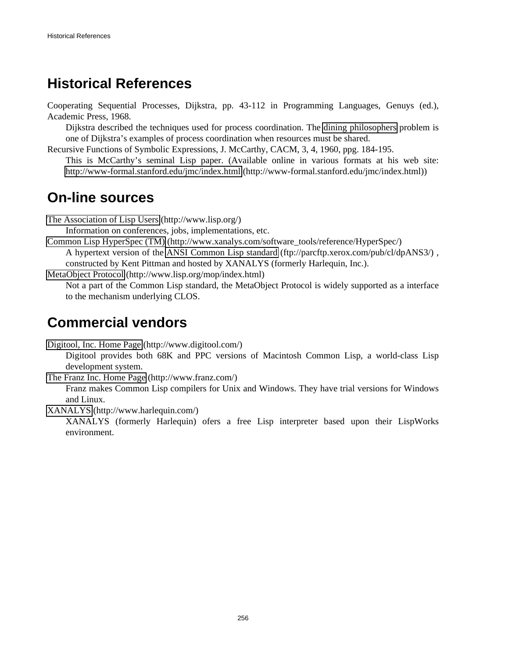### **Historical References**

Cooperating Sequential Processes, Dijkstra, pp. 43-112 in Programming Languages, Genuys (ed.), Academic Press, 1968.

Dijkstra described the techniques used for process coordination. The [dining philosophers](#page-250-0) problem is one of Dijkstra's examples of process coordination when resources must be shared.

Recursive Functions of Symbolic Expressions, J. McCarthy, CACM, 3, 4, 1960, ppg. 184-195.

This is McCarthy's seminal Lisp paper. (Available online in various formats at his web site: <http://www-formal.stanford.edu/jmc/index.html>(http://www-formal.stanford.edu/jmc/index.html))

#### **On-line sources**

[The Association of Lisp Users](http://www.lisp.org/) (http://www.lisp.org/)

Information on conferences, jobs, implementations, etc.

[Common Lisp HyperSpec \(TM\)](http://www.xanalys.com/software_tools/reference/HyperSpec/) (http://www.xanalys.com/software\_tools/reference/HyperSpec/) A hypertext version of the [ANSI Common Lisp standard](ftp://parcftp.xerox.com/pub/cl/dpANS3/) (ftp://parcftp.xerox.com/pub/cl/dpANS3/) , constructed by Kent Pittman and hosted by XANALYS (formerly Harlequin, Inc.).

[MetaObject Protocol](http://www.lisp.org/mop/index.html) (http://www.lisp.org/mop/index.html)

Not a part of the Common Lisp standard, the MetaObject Protocol is widely supported as a interface to the mechanism underlying CLOS.

#### **Commercial vendors**

[Digitool, Inc. Home Page](http://www.digitool.com/) (http://www.digitool.com/)

Digitool provides both 68K and PPC versions of Macintosh Common Lisp, a world-class Lisp development system.

[The Franz Inc. Home Page](http://www.franz.com/) (http://www.franz.com/)

Franz makes Common Lisp compilers for Unix and Windows. They have trial versions for Windows and Linux.

[XANALYS](http://www.harlequin.com/) (http://www.harlequin.com/)

XANALYS (formerly Harlequin) ofers a free Lisp interpreter based upon their LispWorks environment.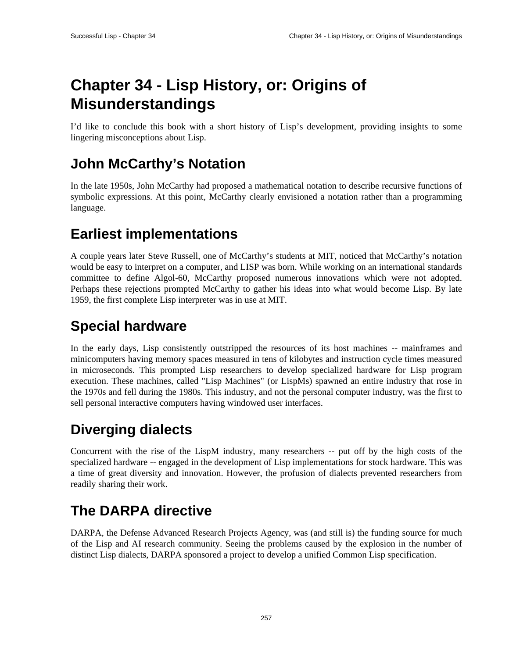# **Chapter 34 - Lisp History, or: Origins of Misunderstandings**

I'd like to conclude this book with a short history of Lisp's development, providing insights to some lingering misconceptions about Lisp.

### **John McCarthy's Notation**

In the late 1950s, John McCarthy had proposed a mathematical notation to describe recursive functions of symbolic expressions. At this point, McCarthy clearly envisioned a notation rather than a programming language.

### **Earliest implementations**

A couple years later Steve Russell, one of McCarthy's students at MIT, noticed that McCarthy's notation would be easy to interpret on a computer, and LISP was born. While working on an international standards committee to define Algol-60, McCarthy proposed numerous innovations which were not adopted. Perhaps these rejections prompted McCarthy to gather his ideas into what would become Lisp. By late 1959, the first complete Lisp interpreter was in use at MIT.

# **Special hardware**

In the early days, Lisp consistently outstripped the resources of its host machines -- mainframes and minicomputers having memory spaces measured in tens of kilobytes and instruction cycle times measured in microseconds. This prompted Lisp researchers to develop specialized hardware for Lisp program execution. These machines, called "Lisp Machines" (or LispMs) spawned an entire industry that rose in the 1970s and fell during the 1980s. This industry, and not the personal computer industry, was the first to sell personal interactive computers having windowed user interfaces.

### **Diverging dialects**

Concurrent with the rise of the LispM industry, many researchers -- put off by the high costs of the specialized hardware -- engaged in the development of Lisp implementations for stock hardware. This was a time of great diversity and innovation. However, the profusion of dialects prevented researchers from readily sharing their work.

# **The DARPA directive**

DARPA, the Defense Advanced Research Projects Agency, was (and still is) the funding source for much of the Lisp and AI research community. Seeing the problems caused by the explosion in the number of distinct Lisp dialects, DARPA sponsored a project to develop a unified Common Lisp specification.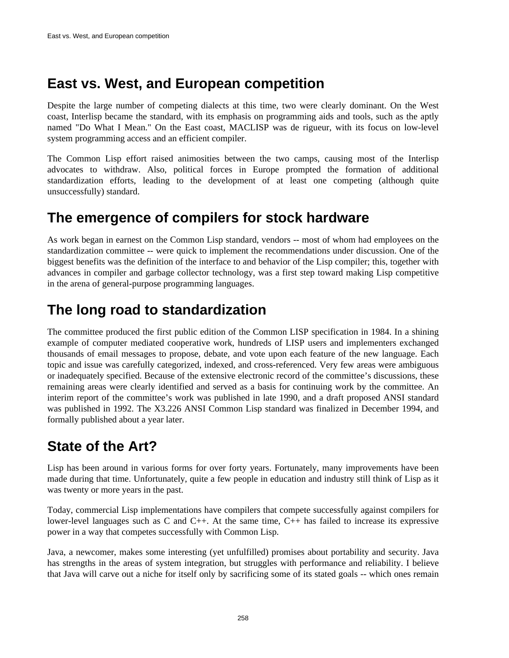### **East vs. West, and European competition**

Despite the large number of competing dialects at this time, two were clearly dominant. On the West coast, Interlisp became the standard, with its emphasis on programming aids and tools, such as the aptly named "Do What I Mean." On the East coast, MACLISP was de rigueur, with its focus on low-level system programming access and an efficient compiler.

The Common Lisp effort raised animosities between the two camps, causing most of the Interlisp advocates to withdraw. Also, political forces in Europe prompted the formation of additional standardization efforts, leading to the development of at least one competing (although quite unsuccessfully) standard.

#### **The emergence of compilers for stock hardware**

As work began in earnest on the Common Lisp standard, vendors -- most of whom had employees on the standardization committee -- were quick to implement the recommendations under discussion. One of the biggest benefits was the definition of the interface to and behavior of the Lisp compiler; this, together with advances in compiler and garbage collector technology, was a first step toward making Lisp competitive in the arena of general-purpose programming languages.

### **The long road to standardization**

The committee produced the first public edition of the Common LISP specification in 1984. In a shining example of computer mediated cooperative work, hundreds of LISP users and implementers exchanged thousands of email messages to propose, debate, and vote upon each feature of the new language. Each topic and issue was carefully categorized, indexed, and cross-referenced. Very few areas were ambiguous or inadequately specified. Because of the extensive electronic record of the committee's discussions, these remaining areas were clearly identified and served as a basis for continuing work by the committee. An interim report of the committee's work was published in late 1990, and a draft proposed ANSI standard was published in 1992. The X3.226 ANSI Common Lisp standard was finalized in December 1994, and formally published about a year later.

### **State of the Art?**

Lisp has been around in various forms for over forty years. Fortunately, many improvements have been made during that time. Unfortunately, quite a few people in education and industry still think of Lisp as it was twenty or more years in the past.

Today, commercial Lisp implementations have compilers that compete successfully against compilers for lower-level languages such as C and C++. At the same time, C++ has failed to increase its expressive power in a way that competes successfully with Common Lisp.

Java, a newcomer, makes some interesting (yet unfulfilled) promises about portability and security. Java has strengths in the areas of system integration, but struggles with performance and reliability. I believe that Java will carve out a niche for itself only by sacrificing some of its stated goals -- which ones remain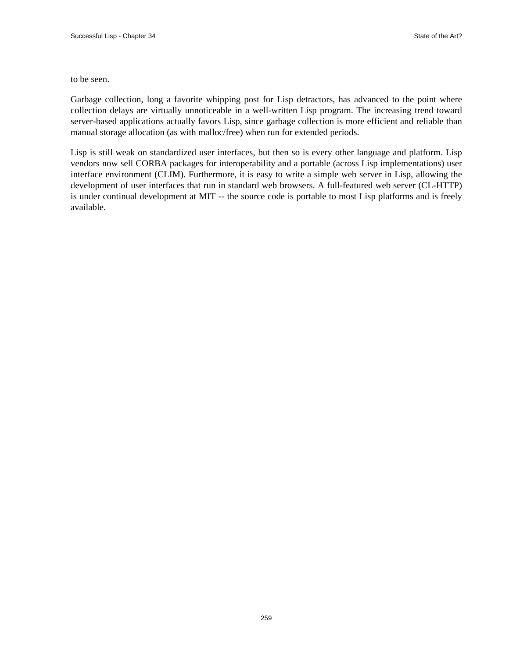to be seen.

Garbage collection, long a favorite whipping post for Lisp detractors, has advanced to the point where collection delays are virtually unnoticeable in a well-written Lisp program. The increasing trend toward server-based applications actually favors Lisp, since garbage collection is more efficient and reliable than manual storage allocation (as with malloc/free) when run for extended periods.

Lisp is still weak on standardized user interfaces, but then so is every other language and platform. Lisp vendors now sell CORBA packages for interoperability and a portable (across Lisp implementations) user interface environment (CLIM). Furthermore, it is easy to write a simple web server in Lisp, allowing the development of user interfaces that run in standard web browsers. A full-featured web server (CL-HTTP) is under continual development at MIT -- the source code is portable to most Lisp platforms and is freely available.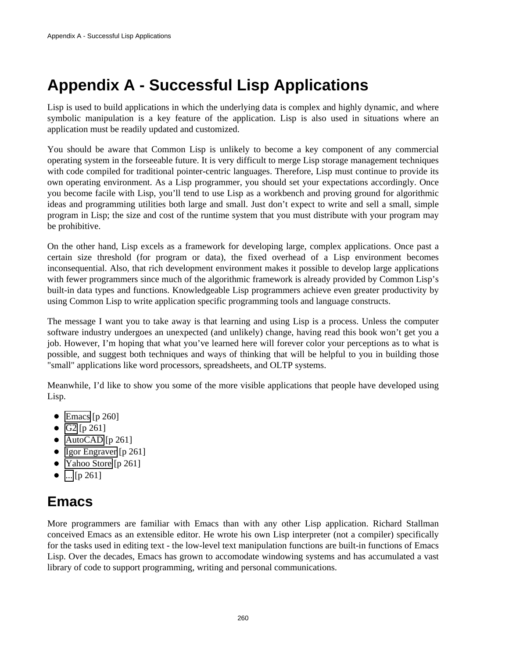# **Appendix A - Successful Lisp Applications**

Lisp is used to build applications in which the underlying data is complex and highly dynamic, and where symbolic manipulation is a key feature of the application. Lisp is also used in situations where an application must be readily updated and customized.

You should be aware that Common Lisp is unlikely to become a key component of any commercial operating system in the forseeable future. It is very difficult to merge Lisp storage management techniques with code compiled for traditional pointer-centric languages. Therefore, Lisp must continue to provide its own operating environment. As a Lisp programmer, you should set your expectations accordingly. Once you become facile with Lisp, you'll tend to use Lisp as a workbench and proving ground for algorithmic ideas and programming utilities both large and small. Just don't expect to write and sell a small, simple program in Lisp; the size and cost of the runtime system that you must distribute with your program may be prohibitive.

On the other hand, Lisp excels as a framework for developing large, complex applications. Once past a certain size threshold (for program or data), the fixed overhead of a Lisp environment becomes inconsequential. Also, that rich development environment makes it possible to develop large applications with fewer programmers since much of the algorithmic framework is already provided by Common Lisp's built-in data types and functions. Knowledgeable Lisp programmers achieve even greater productivity by using Common Lisp to write application specific programming tools and language constructs.

The message I want you to take away is that learning and using Lisp is a process. Unless the computer software industry undergoes an unexpected (and unlikely) change, having read this book won't get you a job. However, I'm hoping that what you've learned here will forever color your perceptions as to what is possible, and suggest both techniques and ways of thinking that will be helpful to you in building those "small" applications like word processors, spreadsheets, and OLTP systems.

Meanwhile, I'd like to show you some of the more visible applications that people have developed using Lisp.

- $\bullet$  [Emacs](#page-259-0) [p 260]
- [G2](#page-260-0) [p 261]
- $\bullet$  [AutoCAD](#page-260-1) [p 261]
- [Igor Engraver](#page-260-2) [p 261]
- [Yahoo Store](#page-260-3) [p 261]
- $\bullet$  [...](#page-260-4) [p 261]

#### <span id="page-259-0"></span>**Emacs**

More programmers are familiar with Emacs than with any other Lisp application. Richard Stallman conceived Emacs as an extensible editor. He wrote his own Lisp interpreter (not a compiler) specifically for the tasks used in editing text - the low-level text manipulation functions are built-in functions of Emacs Lisp. Over the decades, Emacs has grown to accomodate windowing systems and has accumulated a vast library of code to support programming, writing and personal communications.